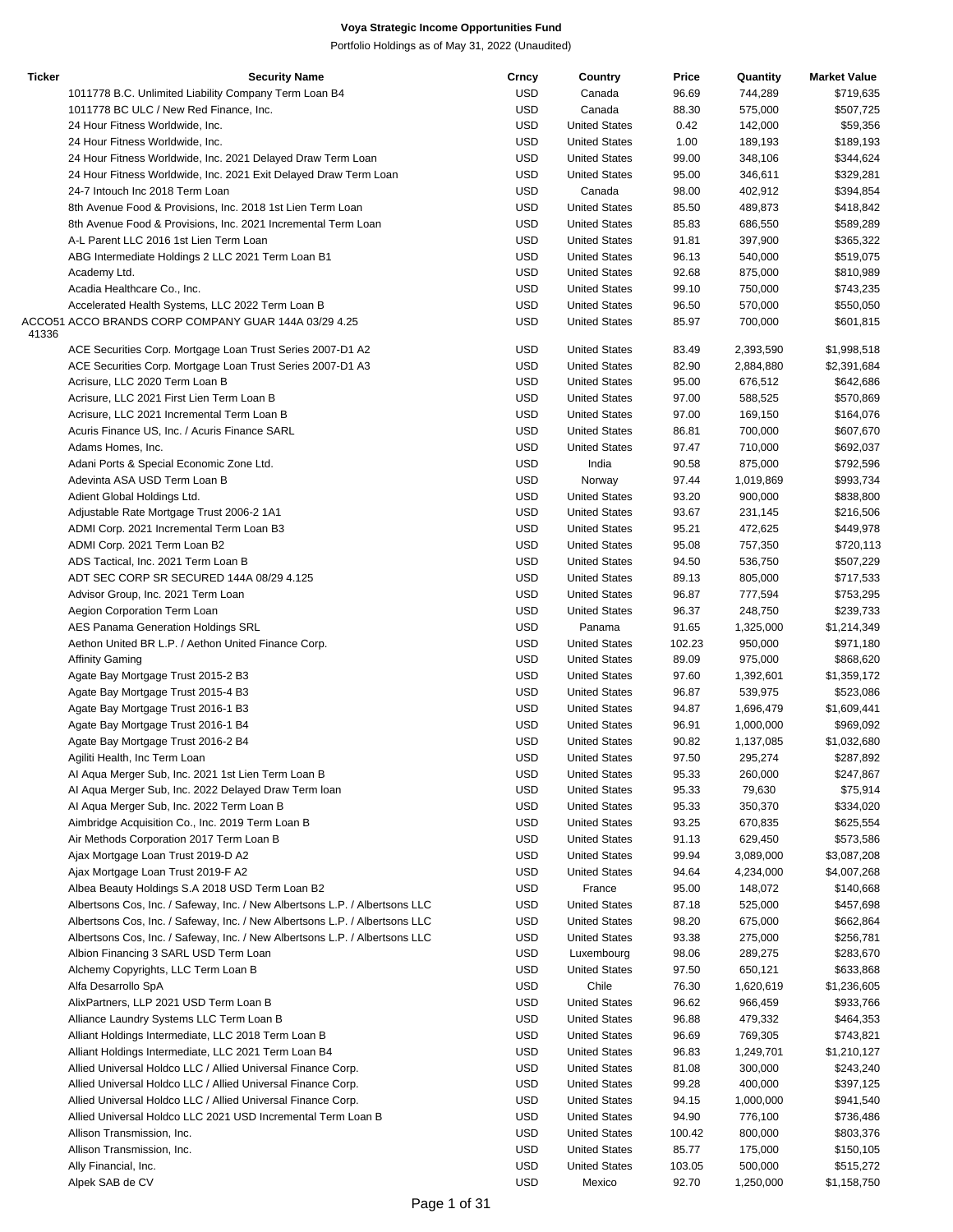| <b>Ticker</b> | <b>Security Name</b>                                                        | Crncy      | Country              | Price  | Quantity  | <b>Market Value</b> |
|---------------|-----------------------------------------------------------------------------|------------|----------------------|--------|-----------|---------------------|
|               | 1011778 B.C. Unlimited Liability Company Term Loan B4                       | <b>USD</b> | Canada               | 96.69  | 744,289   | \$719,635           |
|               | 1011778 BC ULC / New Red Finance, Inc.                                      | <b>USD</b> | Canada               | 88.30  | 575,000   | \$507,725           |
|               | 24 Hour Fitness Worldwide, Inc.                                             | <b>USD</b> | <b>United States</b> | 0.42   | 142,000   | \$59,356            |
|               | 24 Hour Fitness Worldwide, Inc.                                             | <b>USD</b> | <b>United States</b> | 1.00   | 189,193   | \$189,193           |
|               | 24 Hour Fitness Worldwide, Inc. 2021 Delayed Draw Term Loan                 | <b>USD</b> | <b>United States</b> | 99.00  | 348,106   | \$344,624           |
|               | 24 Hour Fitness Worldwide, Inc. 2021 Exit Delayed Draw Term Loan            | <b>USD</b> | <b>United States</b> | 95.00  | 346,611   | \$329,281           |
|               | 24-7 Intouch Inc 2018 Term Loan                                             | <b>USD</b> | Canada               | 98.00  | 402,912   | \$394,854           |
|               | 8th Avenue Food & Provisions, Inc. 2018 1st Lien Term Loan                  | <b>USD</b> | <b>United States</b> | 85.50  | 489,873   | \$418,842           |
|               | 8th Avenue Food & Provisions, Inc. 2021 Incremental Term Loan               | <b>USD</b> | <b>United States</b> | 85.83  | 686,550   | \$589,289           |
|               | A-L Parent LLC 2016 1st Lien Term Loan                                      | <b>USD</b> | <b>United States</b> | 91.81  | 397,900   | \$365,322           |
|               |                                                                             | <b>USD</b> | <b>United States</b> | 96.13  | 540,000   | \$519,075           |
|               | ABG Intermediate Holdings 2 LLC 2021 Term Loan B1                           |            |                      |        |           |                     |
|               | Academy Ltd.                                                                | <b>USD</b> | <b>United States</b> | 92.68  | 875,000   | \$810,989           |
|               | Acadia Healthcare Co., Inc.                                                 | <b>USD</b> | <b>United States</b> | 99.10  | 750,000   | \$743,235           |
|               | Accelerated Health Systems, LLC 2022 Term Loan B                            | <b>USD</b> | <b>United States</b> | 96.50  | 570,000   | \$550,050           |
|               | ACCO51 ACCO BRANDS CORP COMPANY GUAR 144A 03/29 4.25                        | <b>USD</b> | <b>United States</b> | 85.97  | 700,000   | \$601,815           |
| 41336         |                                                                             |            |                      |        |           |                     |
|               | ACE Securities Corp. Mortgage Loan Trust Series 2007-D1 A2                  | <b>USD</b> | <b>United States</b> | 83.49  | 2,393,590 | \$1,998,518         |
|               | ACE Securities Corp. Mortgage Loan Trust Series 2007-D1 A3                  | <b>USD</b> | <b>United States</b> | 82.90  | 2,884,880 | \$2,391,684         |
|               | Acrisure, LLC 2020 Term Loan B                                              | <b>USD</b> | <b>United States</b> | 95.00  | 676,512   | \$642,686           |
|               | Acrisure, LLC 2021 First Lien Term Loan B                                   | <b>USD</b> | <b>United States</b> | 97.00  | 588,525   | \$570,869           |
|               | Acrisure, LLC 2021 Incremental Term Loan B                                  | <b>USD</b> | <b>United States</b> | 97.00  | 169,150   | \$164,076           |
|               | Acuris Finance US, Inc. / Acuris Finance SARL                               | <b>USD</b> | <b>United States</b> | 86.81  | 700,000   | \$607,670           |
|               | Adams Homes, Inc.                                                           | <b>USD</b> | <b>United States</b> | 97.47  | 710,000   | \$692,037           |
|               | Adani Ports & Special Economic Zone Ltd.                                    | <b>USD</b> | India                | 90.58  | 875,000   | \$792,596           |
|               | Adevinta ASA USD Term Loan B                                                | <b>USD</b> | Norway               | 97.44  | 1,019,869 | \$993,734           |
|               | Adient Global Holdings Ltd.                                                 | <b>USD</b> | <b>United States</b> | 93.20  | 900,000   | \$838,800           |
|               |                                                                             | <b>USD</b> | <b>United States</b> |        |           |                     |
|               | Adjustable Rate Mortgage Trust 2006-2 1A1                                   |            |                      | 93.67  | 231,145   | \$216,506           |
|               | ADMI Corp. 2021 Incremental Term Loan B3                                    | <b>USD</b> | <b>United States</b> | 95.21  | 472,625   | \$449,978           |
|               | ADMI Corp. 2021 Term Loan B2                                                | <b>USD</b> | <b>United States</b> | 95.08  | 757,350   | \$720,113           |
|               | ADS Tactical, Inc. 2021 Term Loan B                                         | <b>USD</b> | <b>United States</b> | 94.50  | 536,750   | \$507,229           |
|               | ADT SEC CORP SR SECURED 144A 08/29 4.125                                    | <b>USD</b> | <b>United States</b> | 89.13  | 805,000   | \$717,533           |
|               | Advisor Group, Inc. 2021 Term Loan                                          | <b>USD</b> | <b>United States</b> | 96.87  | 777,594   | \$753,295           |
|               | Aegion Corporation Term Loan                                                | <b>USD</b> | <b>United States</b> | 96.37  | 248,750   | \$239,733           |
|               | AES Panama Generation Holdings SRL                                          | <b>USD</b> | Panama               | 91.65  | 1,325,000 | \$1,214,349         |
|               | Aethon United BR L.P. / Aethon United Finance Corp.                         | <b>USD</b> | <b>United States</b> | 102.23 | 950,000   | \$971,180           |
|               | <b>Affinity Gaming</b>                                                      | <b>USD</b> | <b>United States</b> | 89.09  | 975,000   | \$868,620           |
|               |                                                                             | <b>USD</b> | <b>United States</b> | 97.60  | 1,392,601 |                     |
|               | Agate Bay Mortgage Trust 2015-2 B3                                          |            | <b>United States</b> |        |           | \$1,359,172         |
|               | Agate Bay Mortgage Trust 2015-4 B3                                          | <b>USD</b> |                      | 96.87  | 539,975   | \$523,086           |
|               | Agate Bay Mortgage Trust 2016-1 B3                                          | <b>USD</b> | <b>United States</b> | 94.87  | 1,696,479 | \$1,609,441         |
|               | Agate Bay Mortgage Trust 2016-1 B4                                          | <b>USD</b> | <b>United States</b> | 96.91  | 1,000,000 | \$969,092           |
|               | Agate Bay Mortgage Trust 2016-2 B4                                          | <b>USD</b> | <b>United States</b> | 90.82  | 1,137,085 | \$1,032,680         |
|               | Agiliti Health, Inc Term Loan                                               | <b>USD</b> | <b>United States</b> | 97.50  | 295,274   | \$287,892           |
|               | Al Aqua Merger Sub, Inc. 2021 1st Lien Term Loan B                          | <b>USD</b> | <b>United States</b> | 95.33  | 260,000   | \$247,867           |
|               | Al Aqua Merger Sub, Inc. 2022 Delayed Draw Term Ioan                        | <b>USD</b> | <b>United States</b> | 95.33  | 79,630    | \$75,914            |
|               | Al Aqua Merger Sub, Inc. 2022 Term Loan B                                   | <b>USD</b> | <b>United States</b> | 95.33  | 350,370   | \$334,020           |
|               | Aimbridge Acquisition Co., Inc. 2019 Term Loan B                            | <b>USD</b> | <b>United States</b> | 93.25  | 670,835   | \$625,554           |
|               | Air Methods Corporation 2017 Term Loan B                                    | <b>USD</b> | <b>United States</b> | 91.13  | 629,450   | \$573,586           |
|               | Ajax Mortgage Loan Trust 2019-D A2                                          | <b>USD</b> | <b>United States</b> | 99.94  | 3,089,000 | \$3,087,208         |
|               |                                                                             |            | <b>United States</b> |        |           |                     |
|               | Ajax Mortgage Loan Trust 2019-F A2                                          | <b>USD</b> |                      | 94.64  | 4,234,000 | \$4,007,268         |
|               | Albea Beauty Holdings S.A 2018 USD Term Loan B2                             | <b>USD</b> | France               | 95.00  | 148,072   | \$140,668           |
|               | Albertsons Cos, Inc. / Safeway, Inc. / New Albertsons L.P. / Albertsons LLC | <b>USD</b> | <b>United States</b> | 87.18  | 525,000   | \$457,698           |
|               | Albertsons Cos, Inc. / Safeway, Inc. / New Albertsons L.P. / Albertsons LLC | <b>USD</b> | <b>United States</b> | 98.20  | 675,000   | \$662,864           |
|               | Albertsons Cos, Inc. / Safeway, Inc. / New Albertsons L.P. / Albertsons LLC | <b>USD</b> | <b>United States</b> | 93.38  | 275,000   | \$256,781           |
|               | Albion Financing 3 SARL USD Term Loan                                       | <b>USD</b> | Luxembourg           | 98.06  | 289,275   | \$283,670           |
|               | Alchemy Copyrights, LLC Term Loan B                                         | <b>USD</b> | <b>United States</b> | 97.50  | 650,121   | \$633,868           |
|               | Alfa Desarrollo SpA                                                         | <b>USD</b> | Chile                | 76.30  | 1,620,619 | \$1,236,605         |
|               | AlixPartners, LLP 2021 USD Term Loan B                                      | <b>USD</b> | <b>United States</b> | 96.62  | 966,459   | \$933,766           |
|               | Alliance Laundry Systems LLC Term Loan B                                    | <b>USD</b> | <b>United States</b> | 96.88  | 479,332   | \$464,353           |
|               |                                                                             |            |                      |        |           |                     |
|               | Alliant Holdings Intermediate, LLC 2018 Term Loan B                         | <b>USD</b> | <b>United States</b> | 96.69  | 769,305   | \$743,821           |
|               | Alliant Holdings Intermediate, LLC 2021 Term Loan B4                        | <b>USD</b> | <b>United States</b> | 96.83  | 1,249,701 | \$1,210,127         |
|               | Allied Universal Holdco LLC / Allied Universal Finance Corp.                | <b>USD</b> | <b>United States</b> | 81.08  | 300,000   | \$243,240           |
|               | Allied Universal Holdco LLC / Allied Universal Finance Corp.                | <b>USD</b> | <b>United States</b> | 99.28  | 400,000   | \$397,125           |
|               | Allied Universal Holdco LLC / Allied Universal Finance Corp.                | <b>USD</b> | <b>United States</b> | 94.15  | 1,000,000 | \$941,540           |
|               | Allied Universal Holdco LLC 2021 USD Incremental Term Loan B                | <b>USD</b> | <b>United States</b> | 94.90  | 776,100   | \$736,486           |
|               | Allison Transmission, Inc.                                                  | <b>USD</b> | <b>United States</b> | 100.42 | 800,000   | \$803,376           |
|               | Allison Transmission, Inc.                                                  | <b>USD</b> | <b>United States</b> | 85.77  | 175,000   | \$150,105           |
|               | Ally Financial, Inc.                                                        | <b>USD</b> | <b>United States</b> | 103.05 | 500,000   | \$515,272           |
|               | Alpek SAB de CV                                                             | <b>USD</b> | Mexico               | 92.70  | 1,250,000 | \$1,158,750         |
|               |                                                                             |            |                      |        |           |                     |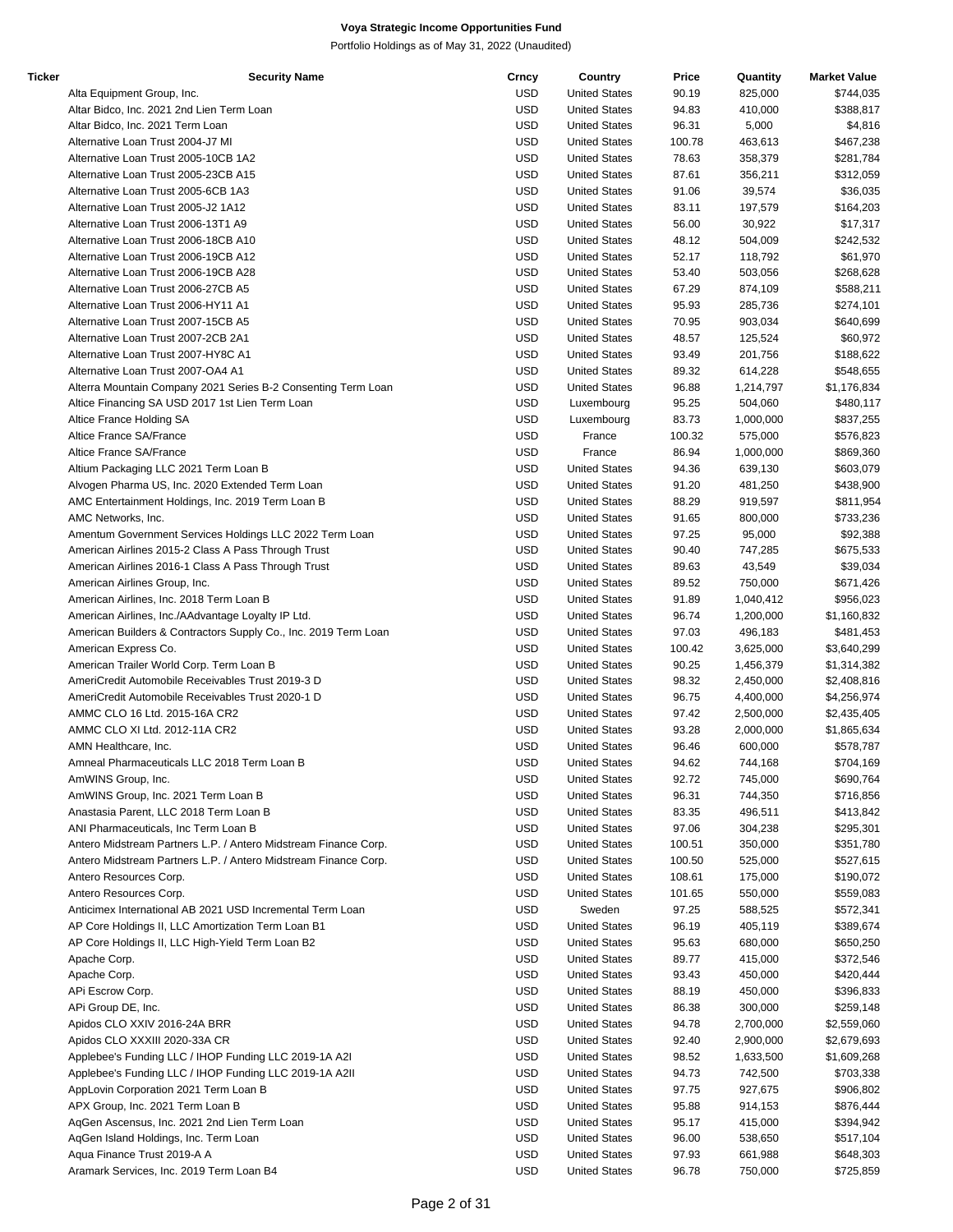| Ticker | <b>Security Name</b>                                            | Crncy      | Country              | Price  | Quantity  | <b>Market Value</b> |
|--------|-----------------------------------------------------------------|------------|----------------------|--------|-----------|---------------------|
|        | Alta Equipment Group, Inc.                                      | USD        | <b>United States</b> | 90.19  | 825,000   | \$744,035           |
|        | Altar Bidco, Inc. 2021 2nd Lien Term Loan                       | <b>USD</b> | <b>United States</b> | 94.83  | 410,000   | \$388,817           |
|        | Altar Bidco, Inc. 2021 Term Loan                                | <b>USD</b> | <b>United States</b> | 96.31  | 5,000     | \$4,816             |
|        | Alternative Loan Trust 2004-J7 MI                               | <b>USD</b> | <b>United States</b> | 100.78 | 463,613   | \$467,238           |
|        |                                                                 |            |                      |        |           |                     |
|        | Alternative Loan Trust 2005-10CB 1A2                            | <b>USD</b> | <b>United States</b> | 78.63  | 358,379   | \$281,784           |
|        | Alternative Loan Trust 2005-23CB A15                            | <b>USD</b> | <b>United States</b> | 87.61  | 356,211   | \$312,059           |
|        | Alternative Loan Trust 2005-6CB 1A3                             | <b>USD</b> | <b>United States</b> | 91.06  | 39,574    | \$36,035            |
|        | Alternative Loan Trust 2005-J2 1A12                             | <b>USD</b> | <b>United States</b> | 83.11  | 197,579   | \$164,203           |
|        | Alternative Loan Trust 2006-13T1 A9                             | USD        | <b>United States</b> | 56.00  | 30,922    | \$17,317            |
|        | Alternative Loan Trust 2006-18CB A10                            | <b>USD</b> | <b>United States</b> | 48.12  | 504,009   | \$242,532           |
|        | Alternative Loan Trust 2006-19CB A12                            | <b>USD</b> | <b>United States</b> | 52.17  | 118,792   | \$61,970            |
|        |                                                                 | <b>USD</b> |                      |        |           | \$268,628           |
|        | Alternative Loan Trust 2006-19CB A28                            |            | <b>United States</b> | 53.40  | 503,056   |                     |
|        | Alternative Loan Trust 2006-27CB A5                             | <b>USD</b> | <b>United States</b> | 67.29  | 874,109   | \$588,211           |
|        | Alternative Loan Trust 2006-HY11 A1                             | <b>USD</b> | <b>United States</b> | 95.93  | 285,736   | \$274,101           |
|        | Alternative Loan Trust 2007-15CB A5                             | <b>USD</b> | <b>United States</b> | 70.95  | 903,034   | \$640,699           |
|        | Alternative Loan Trust 2007-2CB 2A1                             | <b>USD</b> | <b>United States</b> | 48.57  | 125,524   | \$60,972            |
|        | Alternative Loan Trust 2007-HY8C A1                             | USD        | <b>United States</b> | 93.49  | 201,756   | \$188,622           |
|        | Alternative Loan Trust 2007-OA4 A1                              | <b>USD</b> | <b>United States</b> | 89.32  | 614,228   | \$548,655           |
|        |                                                                 | <b>USD</b> |                      |        | 1,214,797 |                     |
|        | Alterra Mountain Company 2021 Series B-2 Consenting Term Loan   |            | <b>United States</b> | 96.88  |           | \$1,176,834         |
|        | Altice Financing SA USD 2017 1st Lien Term Loan                 | <b>USD</b> | Luxembourg           | 95.25  | 504,060   | \$480,117           |
|        | Altice France Holding SA                                        | <b>USD</b> | Luxembourg           | 83.73  | 1,000,000 | \$837,255           |
|        | Altice France SA/France                                         | <b>USD</b> | France               | 100.32 | 575,000   | \$576,823           |
|        | Altice France SA/France                                         | <b>USD</b> | France               | 86.94  | 1,000,000 | \$869,360           |
|        | Altium Packaging LLC 2021 Term Loan B                           | <b>USD</b> | <b>United States</b> | 94.36  | 639,130   | \$603,079           |
|        |                                                                 | <b>USD</b> | <b>United States</b> | 91.20  | 481,250   | \$438,900           |
|        | Alvogen Pharma US, Inc. 2020 Extended Term Loan                 |            |                      |        |           |                     |
|        | AMC Entertainment Holdings, Inc. 2019 Term Loan B               | <b>USD</b> | <b>United States</b> | 88.29  | 919,597   | \$811,954           |
|        | AMC Networks, Inc.                                              | <b>USD</b> | <b>United States</b> | 91.65  | 800,000   | \$733,236           |
|        | Amentum Government Services Holdings LLC 2022 Term Loan         | <b>USD</b> | <b>United States</b> | 97.25  | 95,000    | \$92,388            |
|        | American Airlines 2015-2 Class A Pass Through Trust             | <b>USD</b> | <b>United States</b> | 90.40  | 747,285   | \$675,533           |
|        | American Airlines 2016-1 Class A Pass Through Trust             | <b>USD</b> | <b>United States</b> | 89.63  | 43,549    | \$39,034            |
|        | American Airlines Group, Inc.                                   | <b>USD</b> | <b>United States</b> | 89.52  | 750,000   | \$671,426           |
|        |                                                                 | <b>USD</b> |                      |        |           |                     |
|        | American Airlines, Inc. 2018 Term Loan B                        |            | <b>United States</b> | 91.89  | 1,040,412 | \$956,023           |
|        | American Airlines, Inc./AAdvantage Loyalty IP Ltd.              | USD        | <b>United States</b> | 96.74  | 1,200,000 | \$1,160,832         |
|        | American Builders & Contractors Supply Co., Inc. 2019 Term Loan | USD        | <b>United States</b> | 97.03  | 496,183   | \$481,453           |
|        | American Express Co.                                            | <b>USD</b> | <b>United States</b> | 100.42 | 3,625,000 | \$3,640,299         |
|        | American Trailer World Corp. Term Loan B                        | <b>USD</b> | <b>United States</b> | 90.25  | 1,456,379 | \$1,314,382         |
|        | AmeriCredit Automobile Receivables Trust 2019-3 D               | <b>USD</b> | <b>United States</b> | 98.32  | 2,450,000 | \$2,408,816         |
|        | AmeriCredit Automobile Receivables Trust 2020-1 D               | <b>USD</b> | <b>United States</b> | 96.75  | 4,400,000 | \$4,256,974         |
|        | AMMC CLO 16 Ltd. 2015-16A CR2                                   | <b>USD</b> | <b>United States</b> | 97.42  | 2,500,000 | \$2,435,405         |
|        |                                                                 |            |                      |        |           |                     |
|        | AMMC CLO XI Ltd. 2012-11A CR2                                   | <b>USD</b> | <b>United States</b> | 93.28  | 2,000,000 | \$1,865,634         |
|        | AMN Healthcare, Inc.                                            | USD        | <b>United States</b> | 96.46  | 600,000   | \$578,787           |
|        | Amneal Pharmaceuticals LLC 2018 Term Loan B                     | <b>USD</b> | <b>United States</b> | 94.62  | 744,168   | \$704,169           |
|        | AmWINS Group, Inc.                                              | <b>USD</b> | <b>United States</b> | 92.72  | 745,000   | \$690,764           |
|        | AmWINS Group, Inc. 2021 Term Loan B                             | <b>USD</b> | <b>United States</b> | 96.31  | 744,350   | \$716,856           |
|        | Anastasia Parent, LLC 2018 Term Loan B                          | <b>USD</b> | <b>United States</b> | 83.35  | 496,511   | \$413,842           |
|        | ANI Pharmaceuticals, Inc Term Loan B                            | <b>USD</b> | <b>United States</b> | 97.06  | 304,238   | \$295,301           |
|        |                                                                 |            |                      |        |           |                     |
|        | Antero Midstream Partners L.P. / Antero Midstream Finance Corp. | USD        | <b>United States</b> | 100.51 | 350,000   | \$351,780           |
|        | Antero Midstream Partners L.P. / Antero Midstream Finance Corp. | USD        | <b>United States</b> | 100.50 | 525,000   | \$527,615           |
|        | Antero Resources Corp.                                          | USD        | <b>United States</b> | 108.61 | 175,000   | \$190,072           |
|        | Antero Resources Corp.                                          | USD        | <b>United States</b> | 101.65 | 550,000   | \$559,083           |
|        | Anticimex International AB 2021 USD Incremental Term Loan       | USD        | Sweden               | 97.25  | 588,525   | \$572,341           |
|        | AP Core Holdings II, LLC Amortization Term Loan B1              | <b>USD</b> | <b>United States</b> | 96.19  | 405,119   | \$389,674           |
|        | AP Core Holdings II, LLC High-Yield Term Loan B2                |            |                      |        |           |                     |
|        |                                                                 | <b>USD</b> | <b>United States</b> | 95.63  | 680,000   | \$650,250           |
|        | Apache Corp.                                                    | USD        | <b>United States</b> | 89.77  | 415,000   | \$372,546           |
|        | Apache Corp.                                                    | USD        | <b>United States</b> | 93.43  | 450,000   | \$420,444           |
|        | APi Escrow Corp.                                                | <b>USD</b> | <b>United States</b> | 88.19  | 450,000   | \$396,833           |
|        | APi Group DE, Inc.                                              | <b>USD</b> | <b>United States</b> | 86.38  | 300,000   | \$259,148           |
|        | Apidos CLO XXIV 2016-24A BRR                                    | <b>USD</b> | <b>United States</b> | 94.78  | 2,700,000 | \$2,559,060         |
|        | Apidos CLO XXXIII 2020-33A CR                                   | <b>USD</b> | <b>United States</b> | 92.40  | 2,900,000 | \$2,679,693         |
|        |                                                                 |            |                      |        |           |                     |
|        | Applebee's Funding LLC / IHOP Funding LLC 2019-1A A2I           | <b>USD</b> | <b>United States</b> | 98.52  | 1,633,500 | \$1,609,268         |
|        | Applebee's Funding LLC / IHOP Funding LLC 2019-1A A2II          | USD        | <b>United States</b> | 94.73  | 742,500   | \$703,338           |
|        | AppLovin Corporation 2021 Term Loan B                           | USD        | <b>United States</b> | 97.75  | 927,675   | \$906,802           |
|        | APX Group, Inc. 2021 Term Loan B                                | USD        | <b>United States</b> | 95.88  | 914,153   | \$876,444           |
|        | AgGen Ascensus, Inc. 2021 2nd Lien Term Loan                    | <b>USD</b> | <b>United States</b> | 95.17  | 415,000   | \$394,942           |
|        | AqGen Island Holdings, Inc. Term Loan                           | <b>USD</b> | <b>United States</b> | 96.00  | 538,650   | \$517,104           |
|        | Aqua Finance Trust 2019-A A                                     | <b>USD</b> | <b>United States</b> | 97.93  | 661,988   | \$648,303           |
|        |                                                                 |            |                      |        |           |                     |
|        | Aramark Services, Inc. 2019 Term Loan B4                        | <b>USD</b> | <b>United States</b> | 96.78  | 750,000   | \$725,859           |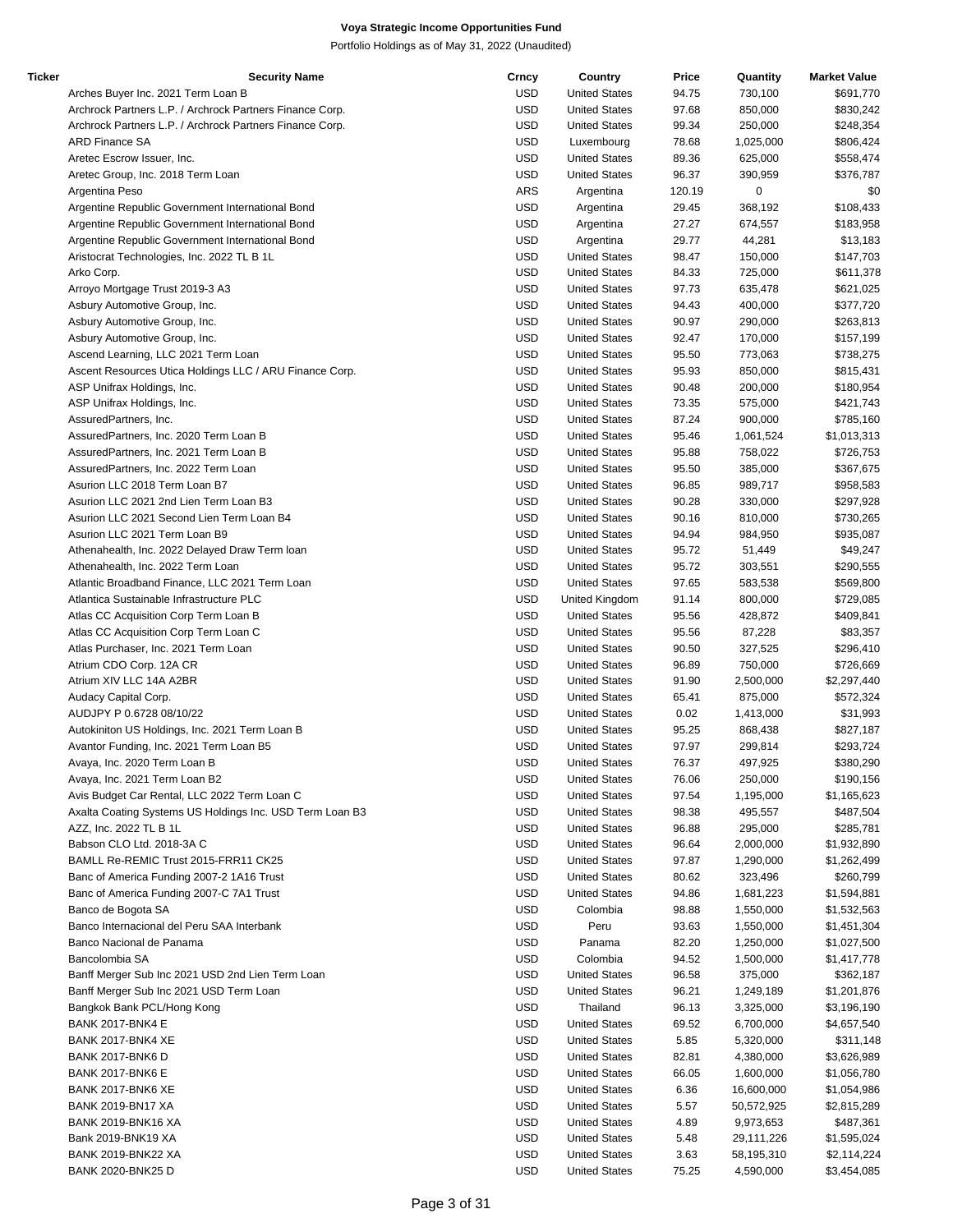| Ticker | <b>Security Name</b>                                     | Crncy      | Country              | Price  | Quantity   | <b>Market Value</b> |
|--------|----------------------------------------------------------|------------|----------------------|--------|------------|---------------------|
|        | Arches Buyer Inc. 2021 Term Loan B                       | USD        | <b>United States</b> | 94.75  | 730,100    | \$691,770           |
|        | Archrock Partners L.P. / Archrock Partners Finance Corp. | <b>USD</b> | <b>United States</b> | 97.68  | 850,000    | \$830,242           |
|        | Archrock Partners L.P. / Archrock Partners Finance Corp. | <b>USD</b> | <b>United States</b> | 99.34  | 250,000    | \$248,354           |
|        | <b>ARD Finance SA</b>                                    | <b>USD</b> | Luxembourg           | 78.68  | 1,025,000  | \$806,424           |
|        | Aretec Escrow Issuer, Inc.                               | <b>USD</b> | <b>United States</b> | 89.36  | 625,000    | \$558,474           |
|        | Aretec Group, Inc. 2018 Term Loan                        | <b>USD</b> | <b>United States</b> | 96.37  | 390,959    | \$376,787           |
|        | Argentina Peso                                           | <b>ARS</b> | Argentina            | 120.19 | 0          | \$0                 |
|        | Argentine Republic Government International Bond         | <b>USD</b> | Argentina            | 29.45  | 368,192    | \$108,433           |
|        |                                                          | <b>USD</b> |                      | 27.27  | 674,557    | \$183,958           |
|        | Argentine Republic Government International Bond         |            | Argentina            |        |            |                     |
|        | Argentine Republic Government International Bond         | <b>USD</b> | Argentina            | 29.77  | 44,281     | \$13,183            |
|        | Aristocrat Technologies, Inc. 2022 TL B 1L               | <b>USD</b> | <b>United States</b> | 98.47  | 150,000    | \$147,703           |
|        | Arko Corp.                                               | <b>USD</b> | <b>United States</b> | 84.33  | 725,000    | \$611,378           |
|        | Arroyo Mortgage Trust 2019-3 A3                          | <b>USD</b> | <b>United States</b> | 97.73  | 635,478    | \$621,025           |
|        | Asbury Automotive Group, Inc.                            | <b>USD</b> | <b>United States</b> | 94.43  | 400,000    | \$377,720           |
|        | Asbury Automotive Group, Inc.                            | <b>USD</b> | <b>United States</b> | 90.97  | 290,000    | \$263,813           |
|        | Asbury Automotive Group, Inc.                            | <b>USD</b> | <b>United States</b> | 92.47  | 170,000    | \$157,199           |
|        | Ascend Learning, LLC 2021 Term Loan                      | <b>USD</b> | <b>United States</b> | 95.50  | 773,063    | \$738,275           |
|        | Ascent Resources Utica Holdings LLC / ARU Finance Corp.  | <b>USD</b> | <b>United States</b> | 95.93  | 850,000    | \$815,431           |
|        | ASP Unifrax Holdings, Inc.                               | <b>USD</b> | <b>United States</b> | 90.48  | 200,000    | \$180,954           |
|        | ASP Unifrax Holdings, Inc.                               | <b>USD</b> | <b>United States</b> | 73.35  | 575,000    | \$421,743           |
|        | AssuredPartners, Inc.                                    | <b>USD</b> | <b>United States</b> | 87.24  | 900,000    | \$785,160           |
|        | AssuredPartners, Inc. 2020 Term Loan B                   | <b>USD</b> | <b>United States</b> | 95.46  | 1,061,524  | \$1,013,313         |
|        | AssuredPartners, Inc. 2021 Term Loan B                   | <b>USD</b> | <b>United States</b> | 95.88  | 758,022    | \$726,753           |
|        |                                                          |            |                      |        |            |                     |
|        | AssuredPartners, Inc. 2022 Term Loan                     | <b>USD</b> | <b>United States</b> | 95.50  | 385,000    | \$367,675           |
|        | Asurion LLC 2018 Term Loan B7                            | <b>USD</b> | <b>United States</b> | 96.85  | 989,717    | \$958,583           |
|        | Asurion LLC 2021 2nd Lien Term Loan B3                   | <b>USD</b> | <b>United States</b> | 90.28  | 330,000    | \$297,928           |
|        | Asurion LLC 2021 Second Lien Term Loan B4                | <b>USD</b> | <b>United States</b> | 90.16  | 810,000    | \$730,265           |
|        | Asurion LLC 2021 Term Loan B9                            | <b>USD</b> | <b>United States</b> | 94.94  | 984,950    | \$935,087           |
|        | Athenahealth, Inc. 2022 Delayed Draw Term Ioan           | <b>USD</b> | <b>United States</b> | 95.72  | 51,449     | \$49,247            |
|        | Athenahealth, Inc. 2022 Term Loan                        | <b>USD</b> | <b>United States</b> | 95.72  | 303,551    | \$290,555           |
|        | Atlantic Broadband Finance, LLC 2021 Term Loan           | <b>USD</b> | <b>United States</b> | 97.65  | 583,538    | \$569,800           |
|        | Atlantica Sustainable Infrastructure PLC                 | <b>USD</b> | United Kingdom       | 91.14  | 800,000    | \$729,085           |
|        | Atlas CC Acquisition Corp Term Loan B                    | <b>USD</b> | <b>United States</b> | 95.56  | 428,872    | \$409,841           |
|        | Atlas CC Acquisition Corp Term Loan C                    | <b>USD</b> | <b>United States</b> | 95.56  | 87,228     | \$83,357            |
|        | Atlas Purchaser, Inc. 2021 Term Loan                     | <b>USD</b> | <b>United States</b> | 90.50  | 327,525    | \$296,410           |
|        | Atrium CDO Corp. 12A CR                                  | <b>USD</b> | <b>United States</b> | 96.89  | 750,000    | \$726,669           |
|        |                                                          | <b>USD</b> |                      |        |            |                     |
|        | Atrium XIV LLC 14A A2BR                                  |            | <b>United States</b> | 91.90  | 2,500,000  | \$2,297,440         |
|        | Audacy Capital Corp.                                     | <b>USD</b> | <b>United States</b> | 65.41  | 875,000    | \$572,324           |
|        | AUDJPY P 0.6728 08/10/22                                 | <b>USD</b> | <b>United States</b> | 0.02   | 1,413,000  | \$31,993            |
|        | Autokiniton US Holdings, Inc. 2021 Term Loan B           | <b>USD</b> | <b>United States</b> | 95.25  | 868,438    | \$827,187           |
|        | Avantor Funding, Inc. 2021 Term Loan B5                  | <b>USD</b> | <b>United States</b> | 97.97  | 299,814    | \$293,724           |
|        | Avaya, Inc. 2020 Term Loan B                             | <b>USD</b> | <b>United States</b> | 76.37  | 497,925    | \$380,290           |
|        | Avaya, Inc. 2021 Term Loan B2                            | <b>USD</b> | <b>United States</b> | 76.06  | 250,000    | \$190,156           |
|        | Avis Budget Car Rental, LLC 2022 Term Loan C             | <b>USD</b> | <b>United States</b> | 97.54  | 1,195,000  | \$1,165,623         |
|        | Axalta Coating Systems US Holdings Inc. USD Term Loan B3 | USD        | <b>United States</b> | 98.38  | 495,557    | \$487,504           |
|        | AZZ, Inc. 2022 TL B 1L                                   | <b>USD</b> | <b>United States</b> | 96.88  | 295,000    | \$285,781           |
|        | Babson CLO Ltd. 2018-3A C                                | <b>USD</b> | <b>United States</b> | 96.64  | 2,000,000  | \$1,932,890         |
|        | BAMLL Re-REMIC Trust 2015-FRR11 CK25                     | <b>USD</b> | <b>United States</b> | 97.87  | 1,290,000  | \$1,262,499         |
|        | Banc of America Funding 2007-2 1A16 Trust                | USD        | <b>United States</b> | 80.62  | 323,496    | \$260,799           |
|        |                                                          | <b>USD</b> | <b>United States</b> |        |            |                     |
|        | Banc of America Funding 2007-C 7A1 Trust                 |            |                      | 94.86  | 1,681,223  | \$1,594,881         |
|        | Banco de Bogota SA                                       | <b>USD</b> | Colombia             | 98.88  | 1,550,000  | \$1,532,563         |
|        | Banco Internacional del Peru SAA Interbank               | <b>USD</b> | Peru                 | 93.63  | 1,550,000  | \$1,451,304         |
|        | Banco Nacional de Panama                                 | USD        | Panama               | 82.20  | 1,250,000  | \$1,027,500         |
|        | Bancolombia SA                                           | USD        | Colombia             | 94.52  | 1,500,000  | \$1,417,778         |
|        | Banff Merger Sub Inc 2021 USD 2nd Lien Term Loan         | <b>USD</b> | <b>United States</b> | 96.58  | 375,000    | \$362,187           |
|        | Banff Merger Sub Inc 2021 USD Term Loan                  | <b>USD</b> | <b>United States</b> | 96.21  | 1,249,189  | \$1,201,876         |
|        | Bangkok Bank PCL/Hong Kong                               | USD        | Thailand             | 96.13  | 3,325,000  | \$3,196,190         |
|        | <b>BANK 2017-BNK4 E</b>                                  | <b>USD</b> | <b>United States</b> | 69.52  | 6,700,000  | \$4,657,540         |
|        | BANK 2017-BNK4 XE                                        | <b>USD</b> | <b>United States</b> | 5.85   | 5,320,000  | \$311,148           |
|        | <b>BANK 2017-BNK6 D</b>                                  | <b>USD</b> | <b>United States</b> | 82.81  | 4,380,000  | \$3,626,989         |
|        | <b>BANK 2017-BNK6 E</b>                                  | <b>USD</b> | <b>United States</b> | 66.05  | 1,600,000  | \$1,056,780         |
|        | BANK 2017-BNK6 XE                                        | USD        | <b>United States</b> | 6.36   | 16,600,000 | \$1,054,986         |
|        |                                                          |            |                      |        |            |                     |
|        | <b>BANK 2019-BN17 XA</b>                                 | USD        | <b>United States</b> | 5.57   | 50,572,925 | \$2,815,289         |
|        | <b>BANK 2019-BNK16 XA</b>                                | <b>USD</b> | <b>United States</b> | 4.89   | 9,973,653  | \$487,361           |
|        | Bank 2019-BNK19 XA                                       | USD        | <b>United States</b> | 5.48   | 29,111,226 | \$1,595,024         |
|        | BANK 2019-BNK22 XA                                       | <b>USD</b> | <b>United States</b> | 3.63   | 58,195,310 | \$2,114,224         |
|        | <b>BANK 2020-BNK25 D</b>                                 | <b>USD</b> | <b>United States</b> | 75.25  | 4,590,000  | \$3,454,085         |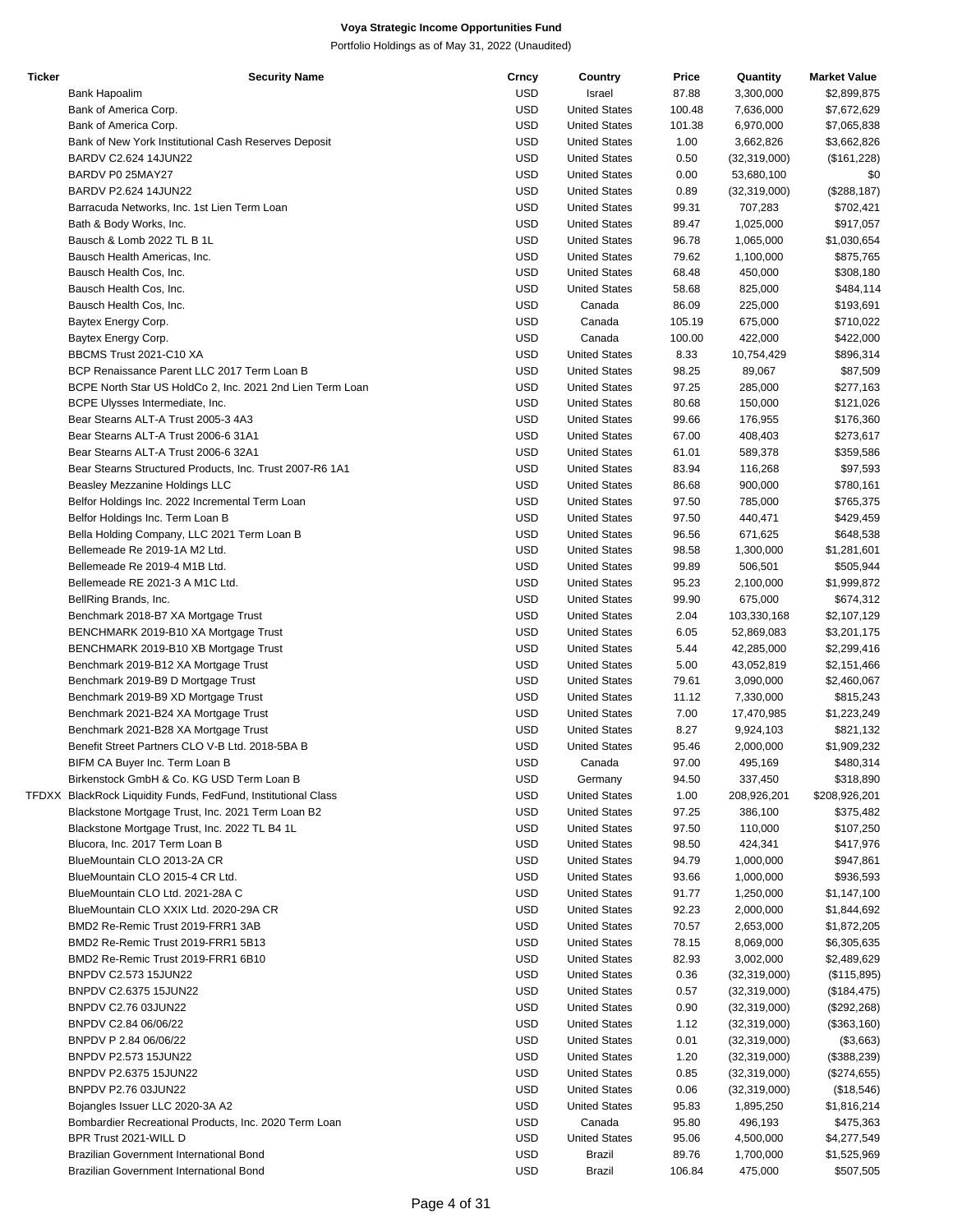| <b>Ticker</b> | <b>Security Name</b>                                          | Crncy      | Country              | Price  | Quantity       | <b>Market Value</b> |
|---------------|---------------------------------------------------------------|------------|----------------------|--------|----------------|---------------------|
|               | Bank Hapoalim                                                 | <b>USD</b> | Israel               | 87.88  | 3,300,000      | \$2,899,875         |
|               | Bank of America Corp.                                         | <b>USD</b> | <b>United States</b> | 100.48 | 7,636,000      | \$7,672,629         |
|               | Bank of America Corp.                                         | <b>USD</b> | <b>United States</b> | 101.38 | 6,970,000      | \$7,065,838         |
|               | Bank of New York Institutional Cash Reserves Deposit          | <b>USD</b> | <b>United States</b> | 1.00   | 3,662,826      | \$3,662,826         |
|               | BARDV C2.624 14JUN22                                          | <b>USD</b> | <b>United States</b> | 0.50   | (32, 319, 000) | (\$161,228)         |
|               | BARDV P0 25MAY27                                              | <b>USD</b> | <b>United States</b> | 0.00   | 53,680,100     | \$0                 |
|               | BARDV P2.624 14JUN22                                          | <b>USD</b> | <b>United States</b> | 0.89   | (32, 319, 000) | (\$288,187)         |
|               | Barracuda Networks, Inc. 1st Lien Term Loan                   | <b>USD</b> | <b>United States</b> | 99.31  | 707,283        | \$702,421           |
|               | Bath & Body Works, Inc.                                       | <b>USD</b> | <b>United States</b> | 89.47  | 1,025,000      | \$917,057           |
|               | Bausch & Lomb 2022 TL B 1L                                    | <b>USD</b> | <b>United States</b> | 96.78  | 1,065,000      | \$1,030,654         |
|               | Bausch Health Americas, Inc.                                  | <b>USD</b> | <b>United States</b> | 79.62  | 1,100,000      | \$875,765           |
|               | Bausch Health Cos, Inc.                                       | <b>USD</b> | <b>United States</b> | 68.48  | 450,000        | \$308,180           |
|               | Bausch Health Cos, Inc.                                       | <b>USD</b> | <b>United States</b> | 58.68  | 825,000        |                     |
|               |                                                               |            |                      |        |                | \$484,114           |
|               | Bausch Health Cos, Inc.                                       | <b>USD</b> | Canada               | 86.09  | 225,000        | \$193,691           |
|               | Baytex Energy Corp.                                           | <b>USD</b> | Canada               | 105.19 | 675,000        | \$710,022           |
|               | Baytex Energy Corp.                                           | <b>USD</b> | Canada               | 100.00 | 422,000        | \$422,000           |
|               | BBCMS Trust 2021-C10 XA                                       | <b>USD</b> | <b>United States</b> | 8.33   | 10,754,429     | \$896,314           |
|               | BCP Renaissance Parent LLC 2017 Term Loan B                   | <b>USD</b> | <b>United States</b> | 98.25  | 89,067         | \$87,509            |
|               | BCPE North Star US HoldCo 2, Inc. 2021 2nd Lien Term Loan     | <b>USD</b> | <b>United States</b> | 97.25  | 285,000        | \$277,163           |
|               | BCPE Ulysses Intermediate, Inc.                               | <b>USD</b> | <b>United States</b> | 80.68  | 150,000        | \$121,026           |
|               | Bear Stearns ALT-A Trust 2005-3 4A3                           | <b>USD</b> | <b>United States</b> | 99.66  | 176,955        | \$176,360           |
|               | Bear Stearns ALT-A Trust 2006-6 31A1                          | <b>USD</b> | <b>United States</b> | 67.00  | 408,403        | \$273,617           |
|               | Bear Stearns ALT-A Trust 2006-6 32A1                          | <b>USD</b> | <b>United States</b> | 61.01  | 589,378        | \$359,586           |
|               | Bear Stearns Structured Products, Inc. Trust 2007-R6 1A1      | <b>USD</b> | <b>United States</b> | 83.94  | 116,268        | \$97,593            |
|               | Beasley Mezzanine Holdings LLC                                | <b>USD</b> | <b>United States</b> | 86.68  | 900,000        | \$780,161           |
|               | Belfor Holdings Inc. 2022 Incremental Term Loan               | <b>USD</b> | <b>United States</b> | 97.50  | 785,000        | \$765,375           |
|               | Belfor Holdings Inc. Term Loan B                              | <b>USD</b> | <b>United States</b> | 97.50  | 440,471        | \$429,459           |
|               | Bella Holding Company, LLC 2021 Term Loan B                   | <b>USD</b> | <b>United States</b> | 96.56  | 671,625        | \$648,538           |
|               | Bellemeade Re 2019-1A M2 Ltd.                                 | <b>USD</b> | <b>United States</b> | 98.58  | 1,300,000      | \$1,281,601         |
|               | Bellemeade Re 2019-4 M1B Ltd.                                 | <b>USD</b> | <b>United States</b> | 99.89  | 506,501        | \$505,944           |
|               | Bellemeade RE 2021-3 A M1C Ltd.                               | <b>USD</b> | <b>United States</b> | 95.23  | 2,100,000      | \$1,999,872         |
|               | BellRing Brands, Inc.                                         | <b>USD</b> | <b>United States</b> | 99.90  | 675,000        | \$674,312           |
|               | Benchmark 2018-B7 XA Mortgage Trust                           | <b>USD</b> | <b>United States</b> | 2.04   | 103,330,168    | \$2,107,129         |
|               | BENCHMARK 2019-B10 XA Mortgage Trust                          | <b>USD</b> | <b>United States</b> | 6.05   | 52,869,083     | \$3,201,175         |
|               | BENCHMARK 2019-B10 XB Mortgage Trust                          | <b>USD</b> | <b>United States</b> | 5.44   | 42,285,000     | \$2,299,416         |
|               |                                                               | <b>USD</b> | <b>United States</b> |        |                |                     |
|               | Benchmark 2019-B12 XA Mortgage Trust                          |            |                      | 5.00   | 43,052,819     | \$2,151,466         |
|               | Benchmark 2019-B9 D Mortgage Trust                            | <b>USD</b> | <b>United States</b> | 79.61  | 3,090,000      | \$2,460,067         |
|               | Benchmark 2019-B9 XD Mortgage Trust                           | <b>USD</b> | <b>United States</b> | 11.12  | 7,330,000      | \$815,243           |
|               | Benchmark 2021-B24 XA Mortgage Trust                          | <b>USD</b> | <b>United States</b> | 7.00   | 17,470,985     | \$1,223,249         |
|               | Benchmark 2021-B28 XA Mortgage Trust                          | <b>USD</b> | <b>United States</b> | 8.27   | 9,924,103      | \$821,132           |
|               | Benefit Street Partners CLO V-B Ltd. 2018-5BA B               | <b>USD</b> | <b>United States</b> | 95.46  | 2,000,000      | \$1,909,232         |
|               | BIFM CA Buyer Inc. Term Loan B                                | <b>USD</b> | Canada               | 97.00  | 495,169        | \$480,314           |
|               | Birkenstock GmbH & Co. KG USD Term Loan B                     | <b>USD</b> | Germany              | 94.50  | 337,450        | \$318,890           |
|               | TFDXX BlackRock Liquidity Funds, FedFund, Institutional Class | <b>USD</b> | <b>United States</b> | 1.00   | 208,926,201    | \$208,926,201       |
|               | Blackstone Mortgage Trust, Inc. 2021 Term Loan B2             | <b>USD</b> | <b>United States</b> | 97.25  | 386,100        | \$375,482           |
|               | Blackstone Mortgage Trust, Inc. 2022 TL B4 1L                 | <b>USD</b> | <b>United States</b> | 97.50  | 110,000        | \$107,250           |
|               | Blucora, Inc. 2017 Term Loan B                                | <b>USD</b> | <b>United States</b> | 98.50  | 424,341        | \$417,976           |
|               | BlueMountain CLO 2013-2A CR                                   | <b>USD</b> | <b>United States</b> | 94.79  | 1,000,000      | \$947,861           |
|               | BlueMountain CLO 2015-4 CR Ltd.                               | <b>USD</b> | <b>United States</b> | 93.66  | 1,000,000      | \$936,593           |
|               | BlueMountain CLO Ltd. 2021-28A C                              | <b>USD</b> | <b>United States</b> | 91.77  | 1,250,000      | \$1,147,100         |
|               | BlueMountain CLO XXIX Ltd. 2020-29A CR                        | <b>USD</b> | <b>United States</b> | 92.23  | 2,000,000      | \$1,844,692         |
|               | BMD2 Re-Remic Trust 2019-FRR1 3AB                             | <b>USD</b> | <b>United States</b> | 70.57  | 2,653,000      | \$1,872,205         |
|               | BMD2 Re-Remic Trust 2019-FRR1 5B13                            | <b>USD</b> | <b>United States</b> | 78.15  | 8,069,000      | \$6,305,635         |
|               | BMD2 Re-Remic Trust 2019-FRR1 6B10                            | <b>USD</b> | <b>United States</b> | 82.93  | 3,002,000      | \$2,489,629         |
|               | BNPDV C2.573 15JUN22                                          | <b>USD</b> | <b>United States</b> | 0.36   | (32, 319, 000) | (\$115,895)         |
|               | BNPDV C2.6375 15JUN22                                         | <b>USD</b> | <b>United States</b> | 0.57   | (32, 319, 000) | (\$184,475)         |
|               | BNPDV C2.76 03JUN22                                           | <b>USD</b> | <b>United States</b> | 0.90   | (32, 319, 000) | (\$292,268)         |
|               | BNPDV C2.84 06/06/22                                          | <b>USD</b> | <b>United States</b> | 1.12   | (32, 319, 000) | (\$363,160)         |
|               |                                                               | <b>USD</b> |                      |        |                |                     |
|               | BNPDV P 2.84 06/06/22                                         |            | <b>United States</b> | 0.01   | (32,319,000)   | (\$3,663)           |
|               | BNPDV P2.573 15JUN22                                          | <b>USD</b> | <b>United States</b> | 1.20   | (32,319,000)   | (\$388,239)         |
|               | BNPDV P2.6375 15JUN22                                         | <b>USD</b> | <b>United States</b> | 0.85   | (32,319,000)   | (\$274,655)         |
|               | BNPDV P2.76 03JUN22                                           | <b>USD</b> | <b>United States</b> | 0.06   | (32, 319, 000) | (\$18,546)          |
|               | Bojangles Issuer LLC 2020-3A A2                               | <b>USD</b> | <b>United States</b> | 95.83  | 1,895,250      | \$1,816,214         |
|               | Bombardier Recreational Products, Inc. 2020 Term Loan         | <b>USD</b> | Canada               | 95.80  | 496,193        | \$475,363           |
|               | BPR Trust 2021-WILL D                                         | <b>USD</b> | <b>United States</b> | 95.06  | 4,500,000      | \$4,277,549         |
|               | Brazilian Government International Bond                       | <b>USD</b> | <b>Brazil</b>        | 89.76  | 1,700,000      | \$1,525,969         |
|               | Brazilian Government International Bond                       | <b>USD</b> | Brazil               | 106.84 | 475,000        | \$507,505           |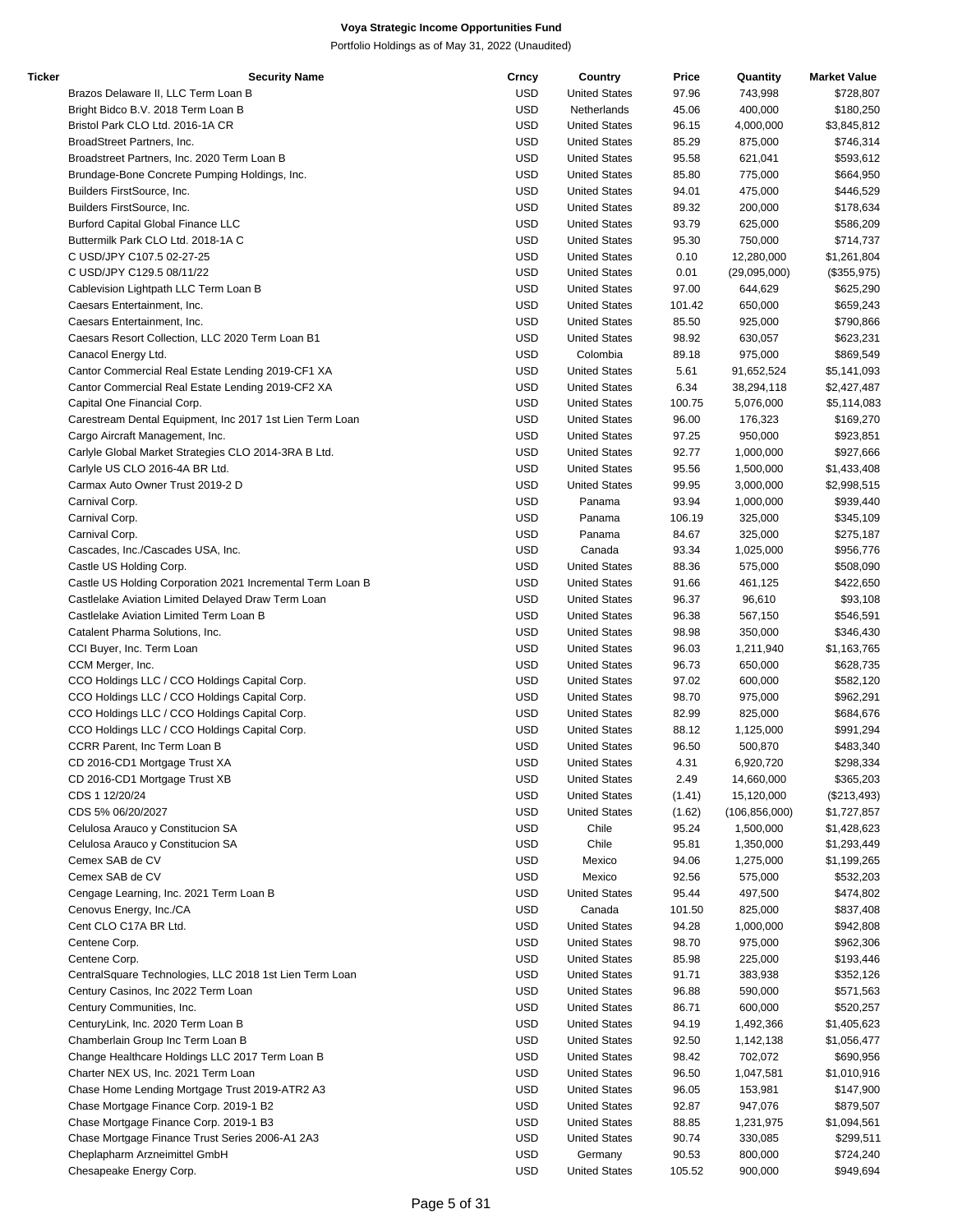| Ticker | <b>Security Name</b>                                       | Crncy      | Country              | Price  | Quantity        | <b>Market Value</b> |
|--------|------------------------------------------------------------|------------|----------------------|--------|-----------------|---------------------|
|        | Brazos Delaware II, LLC Term Loan B                        | <b>USD</b> | <b>United States</b> | 97.96  | 743,998         | \$728,807           |
|        | Bright Bidco B.V. 2018 Term Loan B                         | <b>USD</b> | Netherlands          | 45.06  | 400,000         | \$180,250           |
|        | Bristol Park CLO Ltd. 2016-1A CR                           | <b>USD</b> | <b>United States</b> | 96.15  | 4,000,000       | \$3,845,812         |
|        | BroadStreet Partners, Inc.                                 | <b>USD</b> | <b>United States</b> | 85.29  | 875,000         | \$746,314           |
|        | Broadstreet Partners, Inc. 2020 Term Loan B                | <b>USD</b> | <b>United States</b> | 95.58  | 621,041         | \$593,612           |
|        | Brundage-Bone Concrete Pumping Holdings, Inc.              | <b>USD</b> | <b>United States</b> | 85.80  | 775,000         | \$664,950           |
|        | Builders FirstSource, Inc.                                 | <b>USD</b> | <b>United States</b> | 94.01  | 475,000         | \$446,529           |
|        | Builders FirstSource, Inc.                                 | <b>USD</b> | <b>United States</b> | 89.32  | 200,000         | \$178,634           |
|        | <b>Burford Capital Global Finance LLC</b>                  | <b>USD</b> | <b>United States</b> | 93.79  | 625,000         | \$586,209           |
|        | Buttermilk Park CLO Ltd. 2018-1A C                         | USD        | <b>United States</b> | 95.30  | 750,000         | \$714,737           |
|        | C USD/JPY C107.5 02-27-25                                  | USD        | <b>United States</b> | 0.10   | 12,280,000      | \$1,261,804         |
|        | C USD/JPY C129.5 08/11/22                                  | <b>USD</b> | <b>United States</b> | 0.01   | (29,095,000)    | (\$355,975)         |
|        | Cablevision Lightpath LLC Term Loan B                      | <b>USD</b> | <b>United States</b> | 97.00  | 644,629         | \$625,290           |
|        | Caesars Entertainment, Inc.                                | USD        | <b>United States</b> | 101.42 | 650,000         | \$659,243           |
|        | Caesars Entertainment, Inc.                                | <b>USD</b> | <b>United States</b> | 85.50  | 925,000         | \$790,866           |
|        | Caesars Resort Collection, LLC 2020 Term Loan B1           | <b>USD</b> | <b>United States</b> | 98.92  | 630,057         | \$623,231           |
|        | Canacol Energy Ltd.                                        | <b>USD</b> | Colombia             | 89.18  | 975,000         | \$869,549           |
|        | Cantor Commercial Real Estate Lending 2019-CF1 XA          | USD        | <b>United States</b> | 5.61   | 91,652,524      | \$5,141,093         |
|        | Cantor Commercial Real Estate Lending 2019-CF2 XA          | USD        | <b>United States</b> | 6.34   | 38,294,118      | \$2,427,487         |
|        | Capital One Financial Corp.                                | <b>USD</b> | <b>United States</b> | 100.75 | 5,076,000       | \$5,114,083         |
|        | Carestream Dental Equipment, Inc 2017 1st Lien Term Loan   | <b>USD</b> | <b>United States</b> | 96.00  | 176,323         | \$169,270           |
|        | Cargo Aircraft Management, Inc.                            | USD        | <b>United States</b> | 97.25  | 950,000         | \$923,851           |
|        | Carlyle Global Market Strategies CLO 2014-3RA B Ltd.       | <b>USD</b> | <b>United States</b> | 92.77  | 1,000,000       | \$927,666           |
|        | Carlyle US CLO 2016-4A BR Ltd.                             | <b>USD</b> | <b>United States</b> | 95.56  | 1,500,000       | \$1,433,408         |
|        | Carmax Auto Owner Trust 2019-2 D                           | <b>USD</b> | <b>United States</b> | 99.95  | 3,000,000       | \$2,998,515         |
|        | Carnival Corp.                                             | USD        | Panama               | 93.94  | 1,000,000       | \$939,440           |
|        | Carnival Corp.                                             | USD        | Panama               | 106.19 | 325,000         | \$345,109           |
|        | Carnival Corp.                                             | <b>USD</b> | Panama               | 84.67  | 325,000         | \$275,187           |
|        | Cascades, Inc./Cascades USA, Inc.                          | <b>USD</b> | Canada               | 93.34  | 1,025,000       | \$956,776           |
|        | Castle US Holding Corp.                                    | USD        | <b>United States</b> | 88.36  | 575,000         | \$508,090           |
|        | Castle US Holding Corporation 2021 Incremental Term Loan B | <b>USD</b> | <b>United States</b> | 91.66  | 461,125         | \$422,650           |
|        | Castlelake Aviation Limited Delayed Draw Term Loan         | <b>USD</b> | <b>United States</b> | 96.37  | 96,610          | \$93,108            |
|        | Castlelake Aviation Limited Term Loan B                    | <b>USD</b> | <b>United States</b> | 96.38  | 567,150         | \$546,591           |
|        | Catalent Pharma Solutions, Inc.                            | USD        | <b>United States</b> | 98.98  | 350,000         | \$346,430           |
|        | CCI Buyer, Inc. Term Loan                                  | USD        | <b>United States</b> | 96.03  | 1,211,940       | \$1,163,765         |
|        | CCM Merger, Inc.                                           | <b>USD</b> | <b>United States</b> | 96.73  | 650,000         | \$628,735           |
|        | CCO Holdings LLC / CCO Holdings Capital Corp.              | <b>USD</b> | <b>United States</b> | 97.02  | 600,000         | \$582,120           |
|        | CCO Holdings LLC / CCO Holdings Capital Corp.              | USD        | <b>United States</b> | 98.70  | 975,000         | \$962,291           |
|        | CCO Holdings LLC / CCO Holdings Capital Corp.              | <b>USD</b> | <b>United States</b> | 82.99  | 825,000         | \$684,676           |
|        | CCO Holdings LLC / CCO Holdings Capital Corp.              | <b>USD</b> | <b>United States</b> | 88.12  | 1,125,000       | \$991,294           |
|        | CCRR Parent, Inc Term Loan B                               | <b>USD</b> | <b>United States</b> | 96.50  | 500,870         | \$483,340           |
|        | CD 2016-CD1 Mortgage Trust XA                              | USD        | <b>United States</b> | 4.31   | 6,920,720       | \$298,334           |
|        | CD 2016-CD1 Mortgage Trust XB                              | USD        | <b>United States</b> | 2.49   | 14,660,000      | \$365,203           |
|        | CDS 1 12/20/24                                             | <b>USD</b> | <b>United States</b> | (1.41) | 15,120,000      | (\$213,493)         |
|        | CDS 5% 06/20/2027                                          | <b>USD</b> | <b>United States</b> | (1.62) | (106, 856, 000) | \$1,727,857         |
|        | Celulosa Arauco y Constitucion SA                          | <b>USD</b> | Chile                | 95.24  | 1,500,000       | \$1,428,623         |
|        | Celulosa Arauco y Constitucion SA                          | USD        | Chile                | 95.81  | 1,350,000       | \$1,293,449         |
|        | Cemex SAB de CV                                            | <b>USD</b> | Mexico               | 94.06  | 1,275,000       | \$1,199,265         |
|        | Cemex SAB de CV                                            | <b>USD</b> | Mexico               | 92.56  | 575,000         | \$532,203           |
|        | Cengage Learning, Inc. 2021 Term Loan B                    | USD        | <b>United States</b> | 95.44  | 497,500         | \$474,802           |
|        | Cenovus Energy, Inc./CA                                    | <b>USD</b> | Canada               | 101.50 | 825,000         | \$837,408           |
|        | Cent CLO C17A BR Ltd.                                      | <b>USD</b> | <b>United States</b> | 94.28  | 1,000,000       | \$942,808           |
|        | Centene Corp.                                              | <b>USD</b> | <b>United States</b> | 98.70  | 975,000         | \$962,306           |
|        | Centene Corp.                                              | <b>USD</b> | <b>United States</b> | 85.98  | 225,000         | \$193,446           |
|        | CentralSquare Technologies, LLC 2018 1st Lien Term Loan    | USD        | <b>United States</b> | 91.71  | 383,938         | \$352,126           |
|        | Century Casinos, Inc 2022 Term Loan                        | USD        | <b>United States</b> | 96.88  | 590,000         | \$571,563           |
|        | Century Communities, Inc.                                  | <b>USD</b> | <b>United States</b> | 86.71  | 600,000         | \$520,257           |
|        | CenturyLink, Inc. 2020 Term Loan B                         | <b>USD</b> | <b>United States</b> | 94.19  | 1,492,366       | \$1,405,623         |
|        | Chamberlain Group Inc Term Loan B                          | <b>USD</b> | <b>United States</b> | 92.50  | 1,142,138       | \$1,056,477         |
|        | Change Healthcare Holdings LLC 2017 Term Loan B            | <b>USD</b> | <b>United States</b> | 98.42  | 702,072         | \$690,956           |
|        | Charter NEX US, Inc. 2021 Term Loan                        | <b>USD</b> | <b>United States</b> | 96.50  | 1,047,581       | \$1,010,916         |
|        | Chase Home Lending Mortgage Trust 2019-ATR2 A3             | <b>USD</b> | <b>United States</b> | 96.05  | 153,981         | \$147,900           |
|        | Chase Mortgage Finance Corp. 2019-1 B2                     | USD        | <b>United States</b> | 92.87  | 947,076         | \$879,507           |
|        | Chase Mortgage Finance Corp. 2019-1 B3                     | USD        | <b>United States</b> | 88.85  | 1,231,975       | \$1,094,561         |
|        | Chase Mortgage Finance Trust Series 2006-A1 2A3            | <b>USD</b> | <b>United States</b> | 90.74  | 330,085         | \$299,511           |
|        | Cheplapharm Arzneimittel GmbH                              | USD        | Germany              | 90.53  | 800,000         | \$724,240           |
|        | Chesapeake Energy Corp.                                    | <b>USD</b> | <b>United States</b> | 105.52 | 900,000         | \$949,694           |
|        |                                                            |            |                      |        |                 |                     |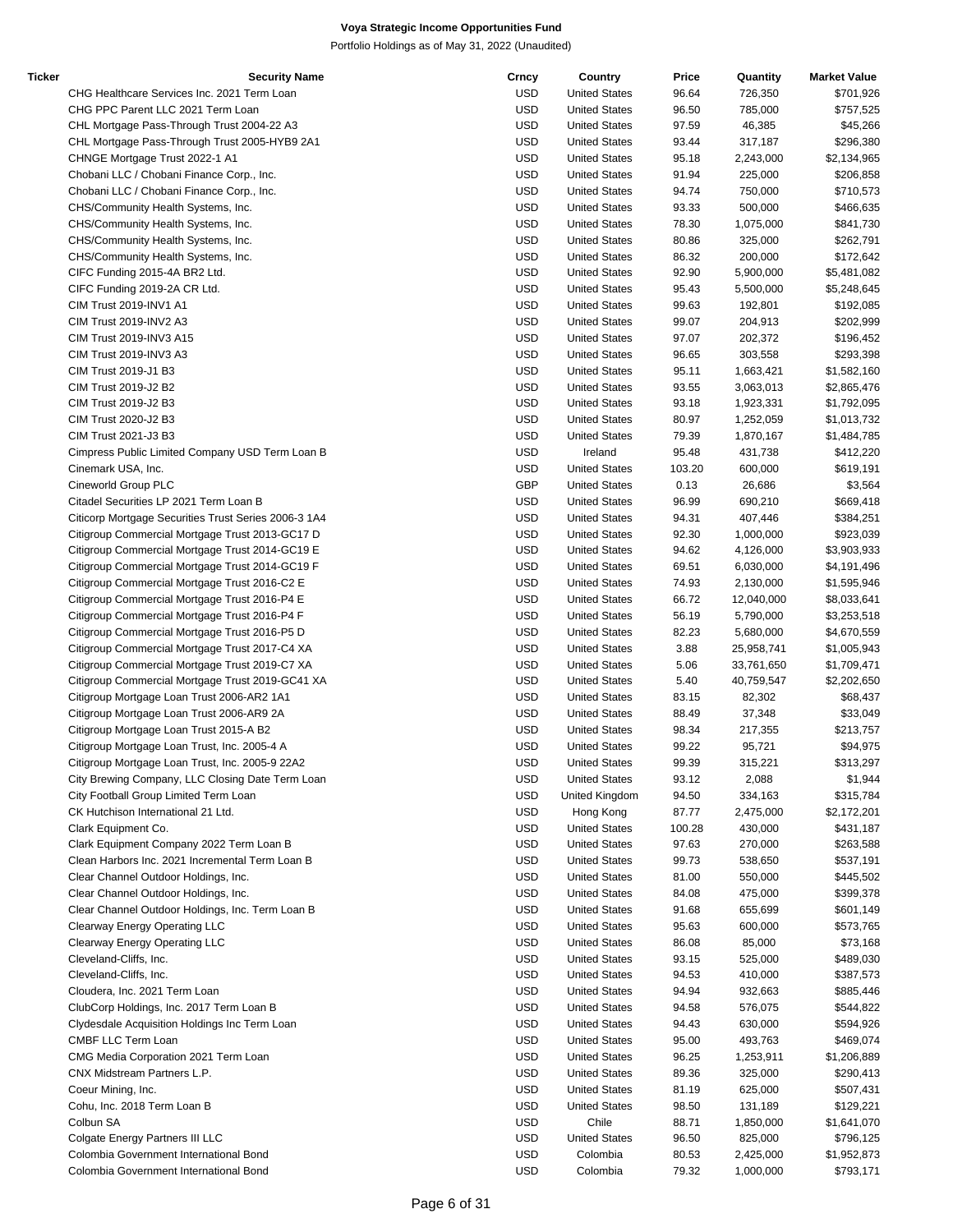| Ticker | <b>Security Name</b>                                 | Crncy      | Country              | Price  | Quantity   | <b>Market Value</b> |
|--------|------------------------------------------------------|------------|----------------------|--------|------------|---------------------|
|        | CHG Healthcare Services Inc. 2021 Term Loan          | <b>USD</b> | <b>United States</b> | 96.64  | 726,350    | \$701,926           |
|        | CHG PPC Parent LLC 2021 Term Loan                    | <b>USD</b> | <b>United States</b> | 96.50  | 785,000    | \$757,525           |
|        | CHL Mortgage Pass-Through Trust 2004-22 A3           | <b>USD</b> | <b>United States</b> | 97.59  | 46,385     | \$45,266            |
|        | CHL Mortgage Pass-Through Trust 2005-HYB9 2A1        | <b>USD</b> | <b>United States</b> | 93.44  | 317,187    | \$296,380           |
|        | CHNGE Mortgage Trust 2022-1 A1                       | <b>USD</b> | <b>United States</b> | 95.18  | 2,243,000  | \$2,134,965         |
|        | Chobani LLC / Chobani Finance Corp., Inc.            | <b>USD</b> | <b>United States</b> | 91.94  | 225,000    | \$206,858           |
|        | Chobani LLC / Chobani Finance Corp., Inc.            | <b>USD</b> | <b>United States</b> | 94.74  | 750,000    | \$710,573           |
|        | CHS/Community Health Systems, Inc.                   | <b>USD</b> | <b>United States</b> | 93.33  | 500,000    | \$466,635           |
|        | CHS/Community Health Systems, Inc.                   | <b>USD</b> | <b>United States</b> | 78.30  | 1,075,000  | \$841,730           |
|        | CHS/Community Health Systems, Inc.                   | <b>USD</b> | <b>United States</b> | 80.86  | 325,000    | \$262,791           |
|        | CHS/Community Health Systems, Inc.                   | <b>USD</b> | <b>United States</b> | 86.32  | 200,000    | \$172,642           |
|        |                                                      | <b>USD</b> |                      | 92.90  |            |                     |
|        | CIFC Funding 2015-4A BR2 Ltd.                        |            | <b>United States</b> |        | 5,900,000  | \$5,481,082         |
|        | CIFC Funding 2019-2A CR Ltd.                         | <b>USD</b> | <b>United States</b> | 95.43  | 5,500,000  | \$5,248,645         |
|        | CIM Trust 2019-INV1 A1                               | <b>USD</b> | <b>United States</b> | 99.63  | 192,801    | \$192,085           |
|        | CIM Trust 2019-INV2 A3                               | <b>USD</b> | <b>United States</b> | 99.07  | 204,913    | \$202,999           |
|        | CIM Trust 2019-INV3 A15                              | <b>USD</b> | <b>United States</b> | 97.07  | 202,372    | \$196,452           |
|        | CIM Trust 2019-INV3 A3                               | <b>USD</b> | <b>United States</b> | 96.65  | 303,558    | \$293,398           |
|        | CIM Trust 2019-J1 B3                                 | <b>USD</b> | <b>United States</b> | 95.11  | 1,663,421  | \$1,582,160         |
|        | CIM Trust 2019-J2 B2                                 | <b>USD</b> | <b>United States</b> | 93.55  | 3,063,013  | \$2,865,476         |
|        | CIM Trust 2019-J2 B3                                 | <b>USD</b> | <b>United States</b> | 93.18  | 1,923,331  | \$1,792,095         |
|        | CIM Trust 2020-J2 B3                                 | <b>USD</b> | <b>United States</b> | 80.97  | 1,252,059  | \$1,013,732         |
|        | CIM Trust 2021-J3 B3                                 | <b>USD</b> | <b>United States</b> | 79.39  | 1,870,167  | \$1,484,785         |
|        | Cimpress Public Limited Company USD Term Loan B      | <b>USD</b> | Ireland              | 95.48  | 431,738    | \$412,220           |
|        | Cinemark USA, Inc.                                   | <b>USD</b> | <b>United States</b> | 103.20 | 600,000    | \$619,191           |
|        | Cineworld Group PLC                                  | <b>GBP</b> | <b>United States</b> | 0.13   | 26,686     | \$3,564             |
|        | Citadel Securities LP 2021 Term Loan B               | <b>USD</b> | <b>United States</b> | 96.99  | 690,210    | \$669,418           |
|        | Citicorp Mortgage Securities Trust Series 2006-3 1A4 | <b>USD</b> | <b>United States</b> | 94.31  | 407,446    | \$384,251           |
|        | Citigroup Commercial Mortgage Trust 2013-GC17 D      | <b>USD</b> | <b>United States</b> | 92.30  | 1,000,000  | \$923,039           |
|        | Citigroup Commercial Mortgage Trust 2014-GC19 E      | <b>USD</b> | <b>United States</b> | 94.62  | 4,126,000  | \$3,903,933         |
|        |                                                      | <b>USD</b> |                      |        |            |                     |
|        | Citigroup Commercial Mortgage Trust 2014-GC19 F      |            | <b>United States</b> | 69.51  | 6,030,000  | \$4,191,496         |
|        | Citigroup Commercial Mortgage Trust 2016-C2 E        | <b>USD</b> | <b>United States</b> | 74.93  | 2,130,000  | \$1,595,946         |
|        | Citigroup Commercial Mortgage Trust 2016-P4 E        | <b>USD</b> | <b>United States</b> | 66.72  | 12,040,000 | \$8,033,641         |
|        | Citigroup Commercial Mortgage Trust 2016-P4 F        | <b>USD</b> | <b>United States</b> | 56.19  | 5,790,000  | \$3,253,518         |
|        | Citigroup Commercial Mortgage Trust 2016-P5 D        | <b>USD</b> | <b>United States</b> | 82.23  | 5,680,000  | \$4,670,559         |
|        | Citigroup Commercial Mortgage Trust 2017-C4 XA       | <b>USD</b> | <b>United States</b> | 3.88   | 25,958,741 | \$1,005,943         |
|        | Citigroup Commercial Mortgage Trust 2019-C7 XA       | <b>USD</b> | <b>United States</b> | 5.06   | 33,761,650 | \$1,709,471         |
|        | Citigroup Commercial Mortgage Trust 2019-GC41 XA     | <b>USD</b> | <b>United States</b> | 5.40   | 40,759,547 | \$2,202,650         |
|        | Citigroup Mortgage Loan Trust 2006-AR2 1A1           | <b>USD</b> | <b>United States</b> | 83.15  | 82,302     | \$68,437            |
|        | Citigroup Mortgage Loan Trust 2006-AR9 2A            | <b>USD</b> | <b>United States</b> | 88.49  | 37,348     | \$33,049            |
|        | Citigroup Mortgage Loan Trust 2015-A B2              | <b>USD</b> | <b>United States</b> | 98.34  | 217,355    | \$213,757           |
|        | Citigroup Mortgage Loan Trust, Inc. 2005-4 A         | <b>USD</b> | <b>United States</b> | 99.22  | 95,721     | \$94,975            |
|        | Citigroup Mortgage Loan Trust, Inc. 2005-9 22A2      | <b>USD</b> | <b>United States</b> | 99.39  | 315,221    | \$313,297           |
|        | City Brewing Company, LLC Closing Date Term Loan     | <b>USD</b> | <b>United States</b> | 93.12  | 2,088      | \$1,944             |
|        | City Football Group Limited Term Loan                | <b>USD</b> | United Kingdom       | 94.50  | 334,163    | \$315,784           |
|        | CK Hutchison International 21 Ltd.                   | <b>USD</b> | Hong Kong            | 87.77  | 2,475,000  | \$2,172,201         |
|        | Clark Equipment Co.                                  | <b>USD</b> | <b>United States</b> | 100.28 | 430,000    | \$431,187           |
|        | Clark Equipment Company 2022 Term Loan B             | <b>USD</b> | <b>United States</b> | 97.63  | 270,000    | \$263,588           |
|        | Clean Harbors Inc. 2021 Incremental Term Loan B      | <b>USD</b> | <b>United States</b> | 99.73  | 538,650    | \$537,191           |
|        | Clear Channel Outdoor Holdings, Inc.                 | <b>USD</b> | <b>United States</b> | 81.00  | 550,000    | \$445,502           |
|        |                                                      |            |                      |        | 475,000    |                     |
|        | Clear Channel Outdoor Holdings, Inc.                 | <b>USD</b> | <b>United States</b> | 84.08  |            | \$399,378           |
|        | Clear Channel Outdoor Holdings, Inc. Term Loan B     | <b>USD</b> | <b>United States</b> | 91.68  | 655,699    | \$601,149           |
|        | Clearway Energy Operating LLC                        | <b>USD</b> | <b>United States</b> | 95.63  | 600,000    | \$573,765           |
|        | Clearway Energy Operating LLC                        | USD        | <b>United States</b> | 86.08  | 85,000     | \$73,168            |
|        | Cleveland-Cliffs, Inc.                               | <b>USD</b> | <b>United States</b> | 93.15  | 525,000    | \$489,030           |
|        | Cleveland-Cliffs, Inc.                               | <b>USD</b> | <b>United States</b> | 94.53  | 410,000    | \$387,573           |
|        | Cloudera, Inc. 2021 Term Loan                        | <b>USD</b> | <b>United States</b> | 94.94  | 932,663    | \$885,446           |
|        | ClubCorp Holdings, Inc. 2017 Term Loan B             | <b>USD</b> | <b>United States</b> | 94.58  | 576,075    | \$544,822           |
|        | Clydesdale Acquisition Holdings Inc Term Loan        | <b>USD</b> | <b>United States</b> | 94.43  | 630,000    | \$594,926           |
|        | CMBF LLC Term Loan                                   | <b>USD</b> | <b>United States</b> | 95.00  | 493,763    | \$469,074           |
|        | CMG Media Corporation 2021 Term Loan                 | <b>USD</b> | <b>United States</b> | 96.25  | 1,253,911  | \$1,206,889         |
|        | CNX Midstream Partners L.P.                          | USD        | <b>United States</b> | 89.36  | 325,000    | \$290,413           |
|        | Coeur Mining, Inc.                                   | <b>USD</b> | <b>United States</b> | 81.19  | 625,000    | \$507,431           |
|        | Cohu, Inc. 2018 Term Loan B                          | <b>USD</b> | <b>United States</b> | 98.50  | 131,189    | \$129,221           |
|        | Colbun SA                                            | <b>USD</b> | Chile                | 88.71  | 1,850,000  | \$1,641,070         |
|        | Colgate Energy Partners III LLC                      | USD        | <b>United States</b> | 96.50  | 825,000    | \$796,125           |
|        | Colombia Government International Bond               | <b>USD</b> | Colombia             | 80.53  | 2,425,000  | \$1,952,873         |
|        | Colombia Government International Bond               | <b>USD</b> | Colombia             | 79.32  | 1,000,000  | \$793,171           |
|        |                                                      |            |                      |        |            |                     |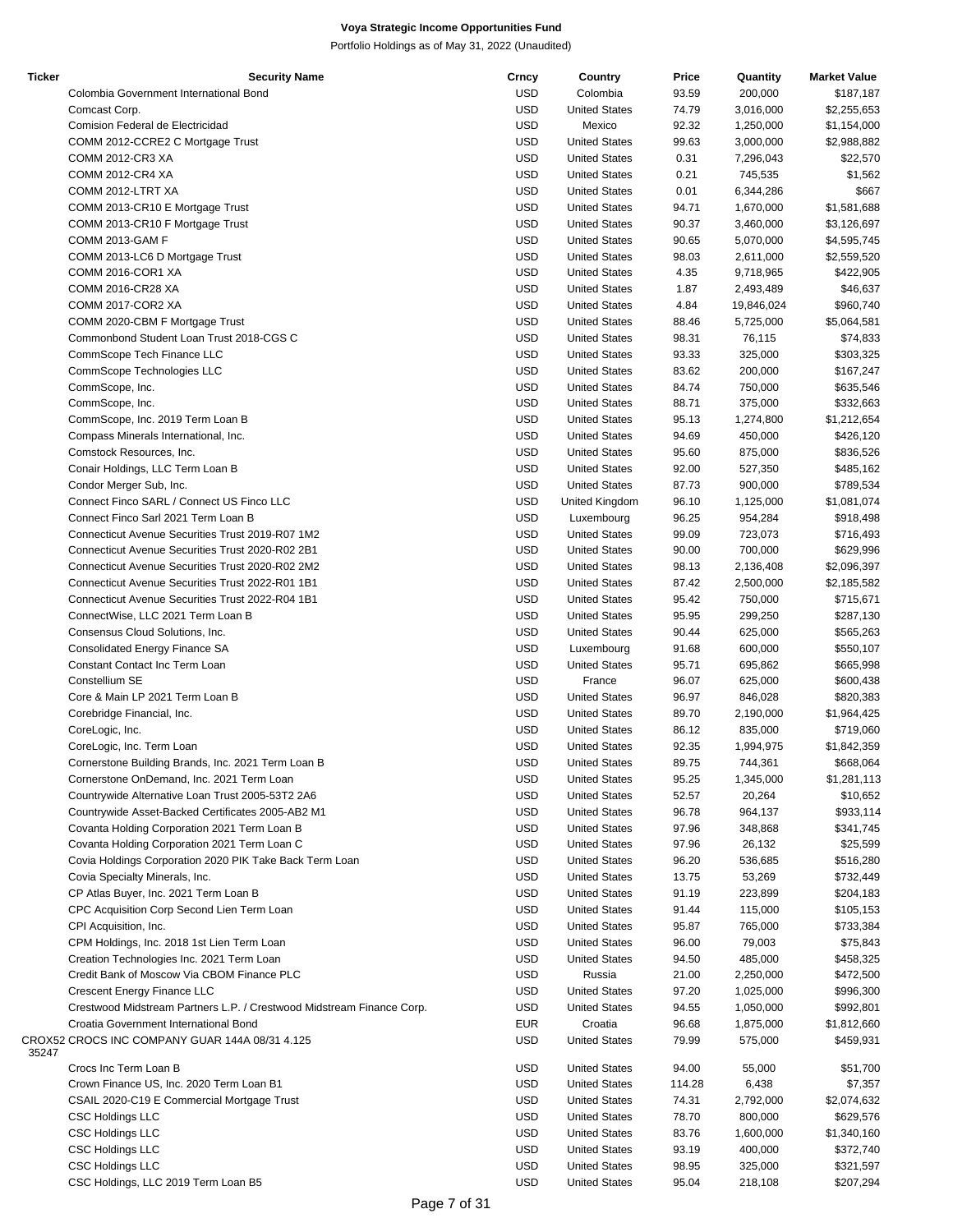| <b>Ticker</b> | <b>Security Name</b>                                                  | Crncy      | Country              | Price  | Quantity   | <b>Market Value</b> |
|---------------|-----------------------------------------------------------------------|------------|----------------------|--------|------------|---------------------|
|               | Colombia Government International Bond                                | <b>USD</b> | Colombia             | 93.59  | 200,000    | \$187,187           |
|               | Comcast Corp.                                                         | <b>USD</b> | <b>United States</b> | 74.79  | 3,016,000  | \$2,255,653         |
|               |                                                                       | <b>USD</b> | Mexico               | 92.32  |            |                     |
|               | Comision Federal de Electricidad                                      |            |                      |        | 1,250,000  | \$1,154,000         |
|               | COMM 2012-CCRE2 C Mortgage Trust                                      | <b>USD</b> | <b>United States</b> | 99.63  | 3,000,000  | \$2,988,882         |
|               | COMM 2012-CR3 XA                                                      | <b>USD</b> | <b>United States</b> | 0.31   | 7,296,043  | \$22,570            |
|               | <b>COMM 2012-CR4 XA</b>                                               | <b>USD</b> | <b>United States</b> | 0.21   | 745,535    | \$1,562             |
|               | COMM 2012-LTRT XA                                                     | <b>USD</b> | <b>United States</b> | 0.01   | 6,344,286  | \$667               |
|               | COMM 2013-CR10 E Mortgage Trust                                       | <b>USD</b> | <b>United States</b> | 94.71  | 1,670,000  | \$1,581,688         |
|               | COMM 2013-CR10 F Mortgage Trust                                       | <b>USD</b> | <b>United States</b> | 90.37  | 3,460,000  | \$3,126,697         |
|               | COMM 2013-GAM F                                                       | <b>USD</b> | <b>United States</b> | 90.65  |            |                     |
|               |                                                                       |            |                      |        | 5,070,000  | \$4,595,745         |
|               | COMM 2013-LC6 D Mortgage Trust                                        | <b>USD</b> | <b>United States</b> | 98.03  | 2,611,000  | \$2,559,520         |
|               | COMM 2016-COR1 XA                                                     | <b>USD</b> | <b>United States</b> | 4.35   | 9,718,965  | \$422,905           |
|               | COMM 2016-CR28 XA                                                     | <b>USD</b> | <b>United States</b> | 1.87   | 2,493,489  | \$46,637            |
|               | COMM 2017-COR2 XA                                                     | <b>USD</b> | <b>United States</b> | 4.84   | 19,846,024 | \$960,740           |
|               | COMM 2020-CBM F Mortgage Trust                                        | <b>USD</b> | <b>United States</b> | 88.46  | 5,725,000  | \$5,064,581         |
|               | Commonbond Student Loan Trust 2018-CGS C                              | <b>USD</b> | <b>United States</b> | 98.31  | 76,115     | \$74,833            |
|               |                                                                       |            |                      |        |            |                     |
|               | CommScope Tech Finance LLC                                            | <b>USD</b> | <b>United States</b> | 93.33  | 325,000    | \$303,325           |
|               | CommScope Technologies LLC                                            | <b>USD</b> | <b>United States</b> | 83.62  | 200,000    | \$167,247           |
|               | CommScope, Inc.                                                       | <b>USD</b> | <b>United States</b> | 84.74  | 750,000    | \$635,546           |
|               | CommScope, Inc.                                                       | <b>USD</b> | <b>United States</b> | 88.71  | 375,000    | \$332,663           |
|               | CommScope, Inc. 2019 Term Loan B                                      | <b>USD</b> | <b>United States</b> | 95.13  | 1,274,800  | \$1,212,654         |
|               | Compass Minerals International, Inc.                                  | <b>USD</b> | <b>United States</b> | 94.69  | 450,000    | \$426,120           |
|               | Comstock Resources, Inc.                                              | <b>USD</b> | <b>United States</b> | 95.60  | 875,000    | \$836,526           |
|               |                                                                       |            |                      |        |            |                     |
|               | Conair Holdings, LLC Term Loan B                                      | <b>USD</b> | <b>United States</b> | 92.00  | 527,350    | \$485,162           |
|               | Condor Merger Sub, Inc.                                               | <b>USD</b> | <b>United States</b> | 87.73  | 900,000    | \$789,534           |
|               | Connect Finco SARL / Connect US Finco LLC                             | <b>USD</b> | United Kingdom       | 96.10  | 1,125,000  | \$1,081,074         |
|               | Connect Finco Sarl 2021 Term Loan B                                   | <b>USD</b> | Luxembourg           | 96.25  | 954,284    | \$918,498           |
|               | <b>Connecticut Avenue Securities Trust 2019-R07 1M2</b>               | <b>USD</b> | <b>United States</b> | 99.09  | 723,073    | \$716,493           |
|               | Connecticut Avenue Securities Trust 2020-R02 2B1                      | <b>USD</b> | <b>United States</b> | 90.00  | 700,000    | \$629,996           |
|               |                                                                       |            |                      |        |            |                     |
|               | Connecticut Avenue Securities Trust 2020-R02 2M2                      | <b>USD</b> | <b>United States</b> | 98.13  | 2,136,408  | \$2,096,397         |
|               | Connecticut Avenue Securities Trust 2022-R01 1B1                      | <b>USD</b> | <b>United States</b> | 87.42  | 2,500,000  | \$2,185,582         |
|               | Connecticut Avenue Securities Trust 2022-R04 1B1                      | <b>USD</b> | <b>United States</b> | 95.42  | 750,000    | \$715,671           |
|               | ConnectWise, LLC 2021 Term Loan B                                     | <b>USD</b> | <b>United States</b> | 95.95  | 299,250    | \$287,130           |
|               | Consensus Cloud Solutions, Inc.                                       | <b>USD</b> | <b>United States</b> | 90.44  | 625,000    | \$565,263           |
|               | Consolidated Energy Finance SA                                        | <b>USD</b> | Luxembourg           | 91.68  | 600,000    | \$550,107           |
|               | Constant Contact Inc Term Loan                                        | <b>USD</b> | <b>United States</b> | 95.71  |            |                     |
|               |                                                                       |            |                      |        | 695,862    | \$665,998           |
|               | Constellium SE                                                        | <b>USD</b> | France               | 96.07  | 625,000    | \$600,438           |
|               | Core & Main LP 2021 Term Loan B                                       | <b>USD</b> | <b>United States</b> | 96.97  | 846,028    | \$820,383           |
|               | Corebridge Financial, Inc.                                            | <b>USD</b> | <b>United States</b> | 89.70  | 2,190,000  | \$1,964,425         |
|               | CoreLogic, Inc.                                                       | <b>USD</b> | <b>United States</b> | 86.12  | 835,000    | \$719,060           |
|               | CoreLogic, Inc. Term Loan                                             | <b>USD</b> | <b>United States</b> | 92.35  | 1,994,975  | \$1,842,359         |
|               | Cornerstone Building Brands, Inc. 2021 Term Loan B                    | <b>USD</b> | <b>United States</b> | 89.75  | 744,361    | \$668,064           |
|               |                                                                       |            | <b>United States</b> |        |            |                     |
|               | Cornerstone OnDemand, Inc. 2021 Term Loan                             | <b>USD</b> |                      | 95.25  | 1,345,000  | \$1,281,113         |
|               | Countrywide Alternative Loan Trust 2005-53T2 2A6                      | <b>USD</b> | <b>United States</b> | 52.57  | 20,264     | \$10,652            |
|               | Countrywide Asset-Backed Certificates 2005-AB2 M1                     | <b>USD</b> | <b>United States</b> | 96.78  | 964,137    | \$933,114           |
|               | Covanta Holding Corporation 2021 Term Loan B                          | <b>USD</b> | <b>United States</b> | 97.96  | 348,868    | \$341,745           |
|               | Covanta Holding Corporation 2021 Term Loan C                          | <b>USD</b> | <b>United States</b> | 97.96  | 26,132     | \$25,599            |
|               | Covia Holdings Corporation 2020 PIK Take Back Term Loan               | <b>USD</b> | <b>United States</b> | 96.20  | 536,685    | \$516,280           |
|               | Covia Specialty Minerals, Inc.                                        | <b>USD</b> | <b>United States</b> | 13.75  | 53,269     | \$732,449           |
|               |                                                                       |            |                      |        |            |                     |
|               | CP Atlas Buyer, Inc. 2021 Term Loan B                                 | <b>USD</b> | <b>United States</b> | 91.19  | 223,899    | \$204,183           |
|               | CPC Acquisition Corp Second Lien Term Loan                            | <b>USD</b> | <b>United States</b> | 91.44  | 115,000    | \$105,153           |
|               | CPI Acquisition, Inc.                                                 | <b>USD</b> | <b>United States</b> | 95.87  | 765,000    | \$733,384           |
|               | CPM Holdings, Inc. 2018 1st Lien Term Loan                            | <b>USD</b> | <b>United States</b> | 96.00  | 79,003     | \$75,843            |
|               | Creation Technologies Inc. 2021 Term Loan                             | <b>USD</b> | <b>United States</b> | 94.50  | 485,000    | \$458,325           |
|               | Credit Bank of Moscow Via CBOM Finance PLC                            | <b>USD</b> | Russia               | 21.00  | 2,250,000  | \$472,500           |
|               |                                                                       |            |                      |        |            |                     |
|               | Crescent Energy Finance LLC                                           | <b>USD</b> | <b>United States</b> | 97.20  | 1,025,000  | \$996,300           |
|               | Crestwood Midstream Partners L.P. / Crestwood Midstream Finance Corp. | <b>USD</b> | <b>United States</b> | 94.55  | 1,050,000  | \$992,801           |
|               | Croatia Government International Bond                                 | <b>EUR</b> | Croatia              | 96.68  | 1,875,000  | \$1,812,660         |
| 35247         | CROX52 CROCS INC COMPANY GUAR 144A 08/31 4.125                        | <b>USD</b> | <b>United States</b> | 79.99  | 575,000    | \$459,931           |
|               | Crocs Inc Term Loan B                                                 | <b>USD</b> | <b>United States</b> | 94.00  | 55,000     | \$51,700            |
|               | Crown Finance US, Inc. 2020 Term Loan B1                              | <b>USD</b> | <b>United States</b> | 114.28 | 6,438      | \$7,357             |
|               | CSAIL 2020-C19 E Commercial Mortgage Trust                            | <b>USD</b> | <b>United States</b> | 74.31  | 2,792,000  | \$2,074,632         |
|               |                                                                       |            |                      |        |            |                     |
|               | CSC Holdings LLC                                                      | <b>USD</b> | <b>United States</b> | 78.70  | 800,000    | \$629,576           |
|               | <b>CSC Holdings LLC</b>                                               | <b>USD</b> | <b>United States</b> | 83.76  | 1,600,000  | \$1,340,160         |
|               | <b>CSC Holdings LLC</b>                                               | <b>USD</b> | <b>United States</b> | 93.19  | 400,000    | \$372,740           |
|               | <b>CSC Holdings LLC</b>                                               | <b>USD</b> | <b>United States</b> | 98.95  | 325,000    | \$321,597           |
|               | CSC Holdings, LLC 2019 Term Loan B5                                   | <b>USD</b> | <b>United States</b> | 95.04  | 218,108    | \$207,294           |
|               |                                                                       |            |                      |        |            |                     |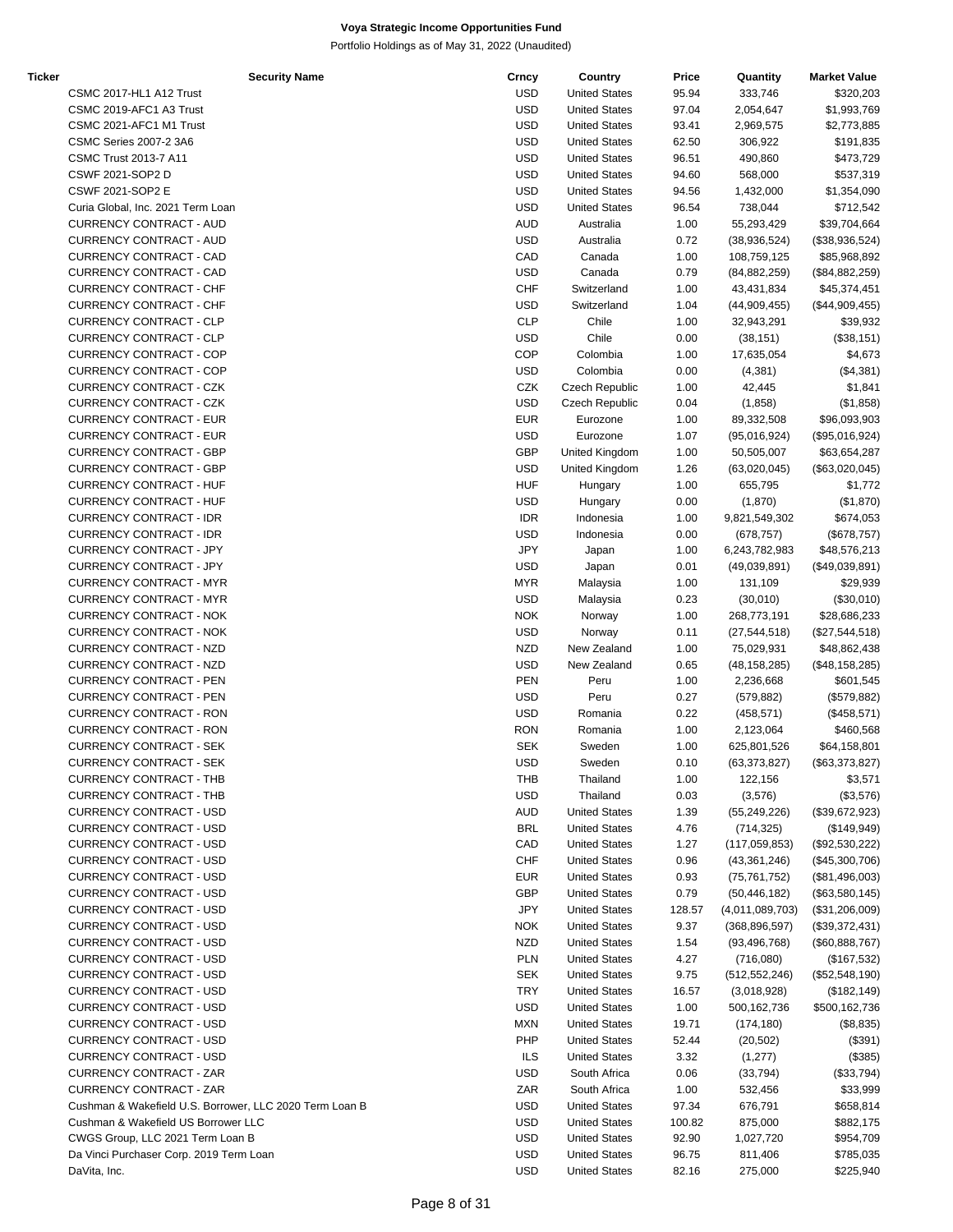| Ticker |                                                         | <b>Security Name</b> | Crncy      | Country              | Price  | Quantity        | <b>Market Value</b> |
|--------|---------------------------------------------------------|----------------------|------------|----------------------|--------|-----------------|---------------------|
|        | CSMC 2017-HL1 A12 Trust                                 |                      | <b>USD</b> | <b>United States</b> | 95.94  | 333,746         | \$320,203           |
|        | CSMC 2019-AFC1 A3 Trust                                 |                      | <b>USD</b> | <b>United States</b> | 97.04  | 2,054,647       | \$1,993,769         |
|        | CSMC 2021-AFC1 M1 Trust                                 |                      | <b>USD</b> | <b>United States</b> | 93.41  | 2,969,575       | \$2,773,885         |
|        | <b>CSMC Series 2007-2 3A6</b>                           |                      | <b>USD</b> | <b>United States</b> | 62.50  | 306,922         | \$191,835           |
|        | CSMC Trust 2013-7 A11                                   |                      | <b>USD</b> | <b>United States</b> | 96.51  | 490,860         | \$473,729           |
|        | CSWF 2021-SOP2 D                                        |                      | <b>USD</b> | <b>United States</b> | 94.60  | 568,000         | \$537,319           |
|        | <b>CSWF 2021-SOP2 E</b>                                 |                      | <b>USD</b> | <b>United States</b> | 94.56  | 1,432,000       | \$1,354,090         |
|        | Curia Global, Inc. 2021 Term Loan                       |                      | <b>USD</b> | <b>United States</b> | 96.54  | 738,044         | \$712,542           |
|        | CURRENCY CONTRACT - AUD                                 |                      | <b>AUD</b> | Australia            | 1.00   | 55,293,429      | \$39,704,664        |
|        | CURRENCY CONTRACT - AUD                                 |                      | <b>USD</b> | Australia            | 0.72   | (38, 936, 524)  | (\$38,936,524)      |
|        | CURRENCY CONTRACT - CAD                                 |                      | CAD        | Canada               | 1.00   | 108,759,125     | \$85,968,892        |
|        | CURRENCY CONTRACT - CAD                                 |                      | <b>USD</b> | Canada               | 0.79   | (84, 882, 259)  | (\$84,882,259)      |
|        | <b>CURRENCY CONTRACT - CHF</b>                          |                      | <b>CHF</b> | Switzerland          | 1.00   | 43,431,834      | \$45,374,451        |
|        | <b>CURRENCY CONTRACT - CHF</b>                          |                      | <b>USD</b> | Switzerland          | 1.04   | (44,909,455)    | (\$44,909,455)      |
|        | <b>CURRENCY CONTRACT - CLP</b>                          |                      | <b>CLP</b> | Chile                | 1.00   | 32,943,291      | \$39,932            |
|        | CURRENCY CONTRACT - CLP                                 |                      | <b>USD</b> | Chile                | 0.00   | (38, 151)       | (\$38,151)          |
|        | <b>CURRENCY CONTRACT - COP</b>                          |                      | <b>COP</b> | Colombia             | 1.00   | 17,635,054      | \$4,673             |
|        | <b>CURRENCY CONTRACT - COP</b>                          |                      | <b>USD</b> | Colombia             |        |                 |                     |
|        | <b>CURRENCY CONTRACT - CZK</b>                          |                      |            |                      | 0.00   | (4,381)         | (\$4,381)           |
|        |                                                         |                      | CZK        | Czech Republic       | 1.00   | 42,445          | \$1,841             |
|        | CURRENCY CONTRACT - CZK                                 |                      | <b>USD</b> | Czech Republic       | 0.04   | (1,858)         | (\$1,858)           |
|        | <b>CURRENCY CONTRACT - EUR</b>                          |                      | <b>EUR</b> | Eurozone             | 1.00   | 89,332,508      | \$96,093,903        |
|        | <b>CURRENCY CONTRACT - EUR</b>                          |                      | <b>USD</b> | Eurozone             | 1.07   | (95,016,924)    | (\$95,016,924)      |
|        | <b>CURRENCY CONTRACT - GBP</b>                          |                      | GBP        | United Kingdom       | 1.00   | 50,505,007      | \$63,654,287        |
|        | <b>CURRENCY CONTRACT - GBP</b>                          |                      | <b>USD</b> | United Kingdom       | 1.26   | (63,020,045)    | (\$63,020,045)      |
|        | <b>CURRENCY CONTRACT - HUF</b>                          |                      | <b>HUF</b> | Hungary              | 1.00   | 655,795         | \$1,772             |
|        | <b>CURRENCY CONTRACT - HUF</b>                          |                      | <b>USD</b> | Hungary              | 0.00   | (1,870)         | (\$1,870)           |
|        | <b>CURRENCY CONTRACT - IDR</b>                          |                      | <b>IDR</b> | Indonesia            | 1.00   | 9,821,549,302   | \$674,053           |
|        | <b>CURRENCY CONTRACT - IDR</b>                          |                      | <b>USD</b> | Indonesia            | 0.00   | (678, 757)      | (\$678,757)         |
|        | <b>CURRENCY CONTRACT - JPY</b>                          |                      | <b>JPY</b> | Japan                | 1.00   | 6,243,782,983   | \$48,576,213        |
|        | <b>CURRENCY CONTRACT - JPY</b>                          |                      | <b>USD</b> | Japan                | 0.01   | (49,039,891)    | (\$49,039,891)      |
|        | <b>CURRENCY CONTRACT - MYR</b>                          |                      | <b>MYR</b> | Malaysia             | 1.00   | 131,109         | \$29,939            |
|        | <b>CURRENCY CONTRACT - MYR</b>                          |                      | <b>USD</b> | Malaysia             | 0.23   | (30,010)        | (\$30,010)          |
|        | <b>CURRENCY CONTRACT - NOK</b>                          |                      | <b>NOK</b> | Norway               | 1.00   | 268,773,191     | \$28,686,233        |
|        | <b>CURRENCY CONTRACT - NOK</b>                          |                      | <b>USD</b> | Norway               | 0.11   | (27, 544, 518)  | (\$27,544,518)      |
|        | CURRENCY CONTRACT - NZD                                 |                      | <b>NZD</b> | New Zealand          |        | 75,029,931      |                     |
|        |                                                         |                      |            |                      | 1.00   |                 | \$48,862,438        |
|        | CURRENCY CONTRACT - NZD                                 |                      | <b>USD</b> | New Zealand          | 0.65   | (48, 158, 285)  | (\$48,158,285)      |
|        | <b>CURRENCY CONTRACT - PEN</b>                          |                      | <b>PEN</b> | Peru                 | 1.00   | 2,236,668       | \$601,545           |
|        | <b>CURRENCY CONTRACT - PEN</b>                          |                      | <b>USD</b> | Peru                 | 0.27   | (579, 882)      | (\$579,882)         |
|        | <b>CURRENCY CONTRACT - RON</b>                          |                      | <b>USD</b> | Romania              | 0.22   | (458, 571)      | (\$458,571)         |
|        | <b>CURRENCY CONTRACT - RON</b>                          |                      | <b>RON</b> | Romania              | 1.00   | 2,123,064       | \$460,568           |
|        | <b>CURRENCY CONTRACT - SEK</b>                          |                      | <b>SEK</b> | Sweden               | 1.00   | 625,801,526     | \$64,158,801        |
|        | <b>CURRENCY CONTRACT - SEK</b>                          |                      | <b>USD</b> | Sweden               | 0.10   | (63, 373, 827)  | (\$63,373,827)      |
|        | CURRENCY CONTRACT - THB                                 |                      | THB        | Thailand             | 1.00   | 122,156         | \$3,571             |
|        | <b>CURRENCY CONTRACT - THB</b>                          |                      | <b>USD</b> | Thailand             | 0.03   | (3,576)         | (\$3,576)           |
|        | <b>CURRENCY CONTRACT - USD</b>                          |                      | AUD        | <b>United States</b> | 1.39   | (55, 249, 226)  | (\$39,672,923)      |
|        | <b>CURRENCY CONTRACT - USD</b>                          |                      | <b>BRL</b> | <b>United States</b> | 4.76   | (714, 325)      | (\$149,949)         |
|        | <b>CURRENCY CONTRACT - USD</b>                          |                      | CAD        | <b>United States</b> | 1.27   | (117,059,853)   | (\$92,530,222)      |
|        | <b>CURRENCY CONTRACT - USD</b>                          |                      | <b>CHF</b> | <b>United States</b> | 0.96   | (43,361,246)    | (\$45,300,706)      |
|        | <b>CURRENCY CONTRACT - USD</b>                          |                      | <b>EUR</b> | <b>United States</b> | 0.93   | (75, 761, 752)  | (\$81,496,003)      |
|        | <b>CURRENCY CONTRACT - USD</b>                          |                      | GBP        | <b>United States</b> | 0.79   | (50, 446, 182)  | (\$63,580,145)      |
|        | <b>CURRENCY CONTRACT - USD</b>                          |                      | <b>JPY</b> | <b>United States</b> | 128.57 | (4,011,089,703) | (\$31,206,009)      |
|        | <b>CURRENCY CONTRACT - USD</b>                          |                      | <b>NOK</b> | <b>United States</b> | 9.37   | (368, 896, 597) | (\$39,372,431)      |
|        | <b>CURRENCY CONTRACT - USD</b>                          |                      | <b>NZD</b> |                      |        |                 |                     |
|        |                                                         |                      |            | <b>United States</b> | 1.54   | (93, 496, 768)  | (\$60,888,767)      |
|        | <b>CURRENCY CONTRACT - USD</b>                          |                      | <b>PLN</b> | <b>United States</b> | 4.27   | (716,080)       | (\$167,532)         |
|        | CURRENCY CONTRACT - USD                                 |                      | <b>SEK</b> | <b>United States</b> | 9.75   | (512, 552, 246) | (\$52,548,190)      |
|        | CURRENCY CONTRACT - USD                                 |                      | <b>TRY</b> | <b>United States</b> | 16.57  | (3,018,928)     | (\$182, 149)        |
|        | <b>CURRENCY CONTRACT - USD</b>                          |                      | <b>USD</b> | <b>United States</b> | 1.00   | 500, 162, 736   | \$500,162,736       |
|        | <b>CURRENCY CONTRACT - USD</b>                          |                      | <b>MXN</b> | <b>United States</b> | 19.71  | (174, 180)      | (\$8,835)           |
|        | <b>CURRENCY CONTRACT - USD</b>                          |                      | PHP        | <b>United States</b> | 52.44  | (20, 502)       | (\$391)             |
|        | <b>CURRENCY CONTRACT - USD</b>                          |                      | ILS        | <b>United States</b> | 3.32   | (1, 277)        | (\$385)             |
|        | CURRENCY CONTRACT - ZAR                                 |                      | <b>USD</b> | South Africa         | 0.06   | (33, 794)       | (\$33,794)          |
|        | CURRENCY CONTRACT - ZAR                                 |                      | ZAR        | South Africa         | 1.00   | 532,456         | \$33,999            |
|        | Cushman & Wakefield U.S. Borrower, LLC 2020 Term Loan B |                      | <b>USD</b> | <b>United States</b> | 97.34  | 676,791         | \$658,814           |
|        | Cushman & Wakefield US Borrower LLC                     |                      | <b>USD</b> | <b>United States</b> | 100.82 | 875,000         | \$882,175           |
|        | CWGS Group, LLC 2021 Term Loan B                        |                      | <b>USD</b> | <b>United States</b> | 92.90  | 1,027,720       | \$954,709           |
|        | Da Vinci Purchaser Corp. 2019 Term Loan                 |                      | <b>USD</b> | <b>United States</b> | 96.75  | 811,406         | \$785,035           |
|        | DaVita, Inc.                                            |                      | <b>USD</b> | <b>United States</b> | 82.16  | 275,000         | \$225,940           |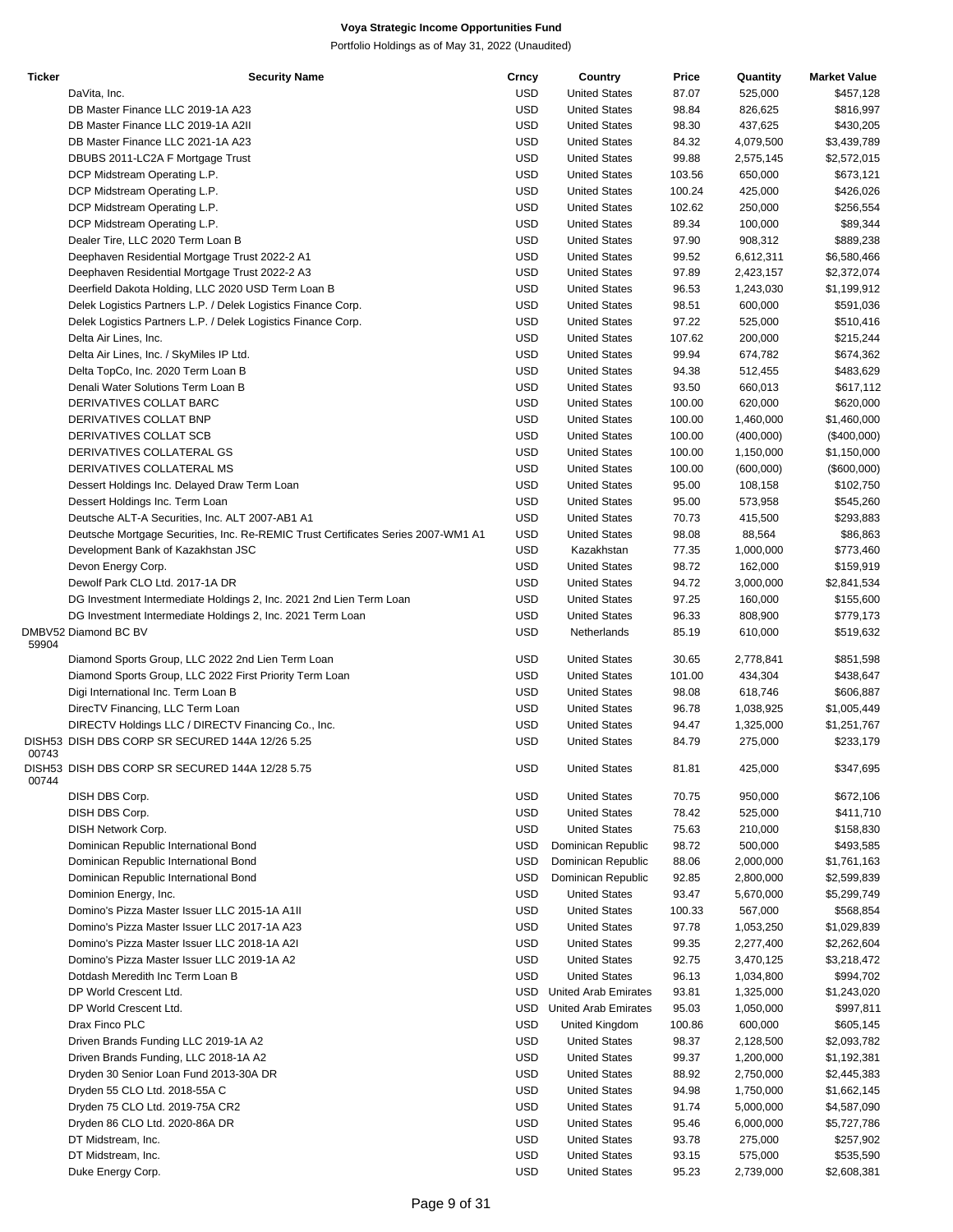| <b>Ticker</b> | <b>Security Name</b>                                                              | Crncy      | Country                     | Price  | Quantity  | <b>Market Value</b> |
|---------------|-----------------------------------------------------------------------------------|------------|-----------------------------|--------|-----------|---------------------|
|               | DaVita, Inc.                                                                      | <b>USD</b> | <b>United States</b>        | 87.07  | 525,000   | \$457,128           |
|               | DB Master Finance LLC 2019-1A A23                                                 | <b>USD</b> | <b>United States</b>        | 98.84  | 826,625   | \$816,997           |
|               | DB Master Finance LLC 2019-1A A2II                                                | <b>USD</b> | <b>United States</b>        | 98.30  | 437,625   | \$430,205           |
|               | DB Master Finance LLC 2021-1A A23                                                 | <b>USD</b> | <b>United States</b>        | 84.32  | 4,079,500 | \$3,439,789         |
|               | DBUBS 2011-LC2A F Mortgage Trust                                                  | <b>USD</b> | <b>United States</b>        | 99.88  |           |                     |
|               |                                                                                   |            |                             |        | 2,575,145 | \$2,572,015         |
|               | DCP Midstream Operating L.P.                                                      | <b>USD</b> | <b>United States</b>        | 103.56 | 650,000   | \$673,121           |
|               | DCP Midstream Operating L.P.                                                      | <b>USD</b> | <b>United States</b>        | 100.24 | 425,000   | \$426,026           |
|               | DCP Midstream Operating L.P.                                                      | <b>USD</b> | <b>United States</b>        | 102.62 | 250,000   | \$256,554           |
|               | DCP Midstream Operating L.P.                                                      | <b>USD</b> | <b>United States</b>        | 89.34  | 100,000   | \$89,344            |
|               | Dealer Tire, LLC 2020 Term Loan B                                                 | <b>USD</b> | <b>United States</b>        | 97.90  | 908,312   | \$889,238           |
|               | Deephaven Residential Mortgage Trust 2022-2 A1                                    | <b>USD</b> | <b>United States</b>        | 99.52  | 6,612,311 | \$6,580,466         |
|               |                                                                                   | <b>USD</b> | <b>United States</b>        | 97.89  | 2,423,157 | \$2,372,074         |
|               | Deephaven Residential Mortgage Trust 2022-2 A3                                    |            |                             |        |           |                     |
|               | Deerfield Dakota Holding, LLC 2020 USD Term Loan B                                | <b>USD</b> | <b>United States</b>        | 96.53  | 1,243,030 | \$1,199,912         |
|               | Delek Logistics Partners L.P. / Delek Logistics Finance Corp.                     | <b>USD</b> | <b>United States</b>        | 98.51  | 600,000   | \$591,036           |
|               | Delek Logistics Partners L.P. / Delek Logistics Finance Corp.                     | <b>USD</b> | <b>United States</b>        | 97.22  | 525,000   | \$510,416           |
|               | Delta Air Lines, Inc.                                                             | <b>USD</b> | <b>United States</b>        | 107.62 | 200,000   | \$215,244           |
|               | Delta Air Lines, Inc. / SkyMiles IP Ltd.                                          | <b>USD</b> | <b>United States</b>        | 99.94  | 674,782   | \$674,362           |
|               | Delta TopCo, Inc. 2020 Term Loan B                                                | <b>USD</b> | <b>United States</b>        | 94.38  | 512,455   | \$483,629           |
|               | Denali Water Solutions Term Loan B                                                | <b>USD</b> | <b>United States</b>        | 93.50  | 660,013   | \$617,112           |
|               |                                                                                   |            |                             |        |           |                     |
|               | DERIVATIVES COLLAT BARC                                                           | <b>USD</b> | <b>United States</b>        | 100.00 | 620,000   | \$620,000           |
|               | DERIVATIVES COLLAT BNP                                                            | <b>USD</b> | <b>United States</b>        | 100.00 | 1,460,000 | \$1,460,000         |
|               | DERIVATIVES COLLAT SCB                                                            | <b>USD</b> | <b>United States</b>        | 100.00 | (400,000) | $(\$400,000)$       |
|               | DERIVATIVES COLLATERAL GS                                                         | <b>USD</b> | <b>United States</b>        | 100.00 | 1,150,000 | \$1,150,000         |
|               | DERIVATIVES COLLATERAL MS                                                         | <b>USD</b> | <b>United States</b>        | 100.00 | (600,000) | (\$600,000)         |
|               | Dessert Holdings Inc. Delayed Draw Term Loan                                      | <b>USD</b> | <b>United States</b>        | 95.00  | 108,158   | \$102,750           |
|               | Dessert Holdings Inc. Term Loan                                                   | <b>USD</b> | <b>United States</b>        | 95.00  | 573,958   | \$545,260           |
|               |                                                                                   |            |                             |        |           |                     |
|               | Deutsche ALT-A Securities, Inc. ALT 2007-AB1 A1                                   | <b>USD</b> | <b>United States</b>        | 70.73  | 415,500   | \$293,883           |
|               | Deutsche Mortgage Securities, Inc. Re-REMIC Trust Certificates Series 2007-WM1 A1 | <b>USD</b> | <b>United States</b>        | 98.08  | 88,564    | \$86,863            |
|               | Development Bank of Kazakhstan JSC                                                | <b>USD</b> | Kazakhstan                  | 77.35  | 1,000,000 | \$773,460           |
|               | Devon Energy Corp.                                                                | <b>USD</b> | <b>United States</b>        | 98.72  | 162,000   | \$159,919           |
|               | Dewolf Park CLO Ltd. 2017-1A DR                                                   | <b>USD</b> | <b>United States</b>        | 94.72  | 3,000,000 | \$2,841,534         |
|               | DG Investment Intermediate Holdings 2, Inc. 2021 2nd Lien Term Loan               | <b>USD</b> | <b>United States</b>        | 97.25  | 160,000   | \$155,600           |
|               |                                                                                   | <b>USD</b> |                             |        |           |                     |
|               | DG Investment Intermediate Holdings 2, Inc. 2021 Term Loan                        |            | <b>United States</b>        | 96.33  | 808,900   | \$779,173           |
|               | DMBV52 Diamond BC BV                                                              | <b>USD</b> | Netherlands                 | 85.19  | 610,000   | \$519,632           |
| 59904         |                                                                                   |            |                             |        |           |                     |
|               | Diamond Sports Group, LLC 2022 2nd Lien Term Loan                                 | <b>USD</b> | <b>United States</b>        | 30.65  | 2,778,841 | \$851,598           |
|               | Diamond Sports Group, LLC 2022 First Priority Term Loan                           | <b>USD</b> | <b>United States</b>        | 101.00 | 434,304   | \$438,647           |
|               | Digi International Inc. Term Loan B                                               | <b>USD</b> | <b>United States</b>        | 98.08  | 618,746   | \$606,887           |
|               | DirecTV Financing, LLC Term Loan                                                  | <b>USD</b> | <b>United States</b>        | 96.78  | 1,038,925 | \$1,005,449         |
|               | DIRECTV Holdings LLC / DIRECTV Financing Co., Inc.                                | <b>USD</b> | <b>United States</b>        | 94.47  | 1,325,000 | \$1,251,767         |
|               | DISH53 DISH DBS CORP SR SECURED 144A 12/26 5.25                                   | <b>USD</b> | <b>United States</b>        | 84.79  | 275,000   | \$233,179           |
| 00743         |                                                                                   |            |                             |        |           |                     |
| 00744         | DISH53 DISH DBS CORP SR SECURED 144A 12/28 5.75                                   | USD        | <b>United States</b>        | 81.81  | 425,000   | \$347,695           |
|               | DISH DBS Corp.                                                                    | USD        | <b>United States</b>        | 70.75  | 950,000   | \$672,106           |
|               |                                                                                   |            |                             |        |           |                     |
|               | DISH DBS Corp.                                                                    | <b>USD</b> | <b>United States</b>        | 78.42  | 525,000   | \$411,710           |
|               | DISH Network Corp.                                                                | <b>USD</b> | <b>United States</b>        | 75.63  | 210,000   | \$158,830           |
|               | Dominican Republic International Bond                                             | <b>USD</b> | Dominican Republic          | 98.72  | 500,000   | \$493,585           |
|               | Dominican Republic International Bond                                             | <b>USD</b> | Dominican Republic          | 88.06  | 2,000,000 | \$1,761,163         |
|               | Dominican Republic International Bond                                             | <b>USD</b> | Dominican Republic          | 92.85  | 2,800,000 | \$2,599,839         |
|               | Dominion Energy, Inc.                                                             | <b>USD</b> | <b>United States</b>        | 93.47  | 5,670,000 | \$5,299,749         |
|               | Domino's Pizza Master Issuer LLC 2015-1A A1II                                     | <b>USD</b> | <b>United States</b>        | 100.33 | 567,000   | \$568,854           |
|               |                                                                                   |            |                             |        |           |                     |
|               | Domino's Pizza Master Issuer LLC 2017-1A A23                                      | <b>USD</b> | <b>United States</b>        | 97.78  | 1,053,250 | \$1,029,839         |
|               | Domino's Pizza Master Issuer LLC 2018-1A A2I                                      | <b>USD</b> | <b>United States</b>        | 99.35  | 2,277,400 | \$2,262,604         |
|               | Domino's Pizza Master Issuer LLC 2019-1A A2                                       | <b>USD</b> | <b>United States</b>        | 92.75  | 3,470,125 | \$3,218,472         |
|               | Dotdash Meredith Inc Term Loan B                                                  | <b>USD</b> | <b>United States</b>        | 96.13  | 1,034,800 | \$994,702           |
|               | DP World Crescent Ltd.                                                            | <b>USD</b> | <b>United Arab Emirates</b> | 93.81  | 1,325,000 | \$1,243,020         |
|               | DP World Crescent Ltd.                                                            | USD        | United Arab Emirates        | 95.03  | 1,050,000 | \$997,811           |
|               |                                                                                   |            |                             |        |           |                     |
|               | Drax Finco PLC                                                                    | <b>USD</b> | United Kingdom              | 100.86 | 600,000   | \$605,145           |
|               | Driven Brands Funding LLC 2019-1A A2                                              | <b>USD</b> | <b>United States</b>        | 98.37  | 2,128,500 | \$2,093,782         |
|               | Driven Brands Funding, LLC 2018-1A A2                                             | <b>USD</b> | <b>United States</b>        | 99.37  | 1,200,000 | \$1,192,381         |
|               | Dryden 30 Senior Loan Fund 2013-30A DR                                            | <b>USD</b> | <b>United States</b>        | 88.92  | 2,750,000 | \$2,445,383         |
|               | Dryden 55 CLO Ltd. 2018-55A C                                                     | <b>USD</b> | <b>United States</b>        | 94.98  | 1,750,000 | \$1,662,145         |
|               | Dryden 75 CLO Ltd. 2019-75A CR2                                                   | <b>USD</b> | <b>United States</b>        | 91.74  | 5,000,000 | \$4,587,090         |
|               |                                                                                   | <b>USD</b> | <b>United States</b>        |        |           |                     |
|               | Dryden 86 CLO Ltd. 2020-86A DR                                                    |            |                             | 95.46  | 6,000,000 | \$5,727,786         |
|               | DT Midstream, Inc.                                                                | <b>USD</b> | <b>United States</b>        | 93.78  | 275,000   | \$257,902           |
|               | DT Midstream, Inc.                                                                | <b>USD</b> | <b>United States</b>        | 93.15  | 575,000   | \$535,590           |
|               | Duke Energy Corp.                                                                 | <b>USD</b> | <b>United States</b>        | 95.23  | 2,739,000 | \$2,608,381         |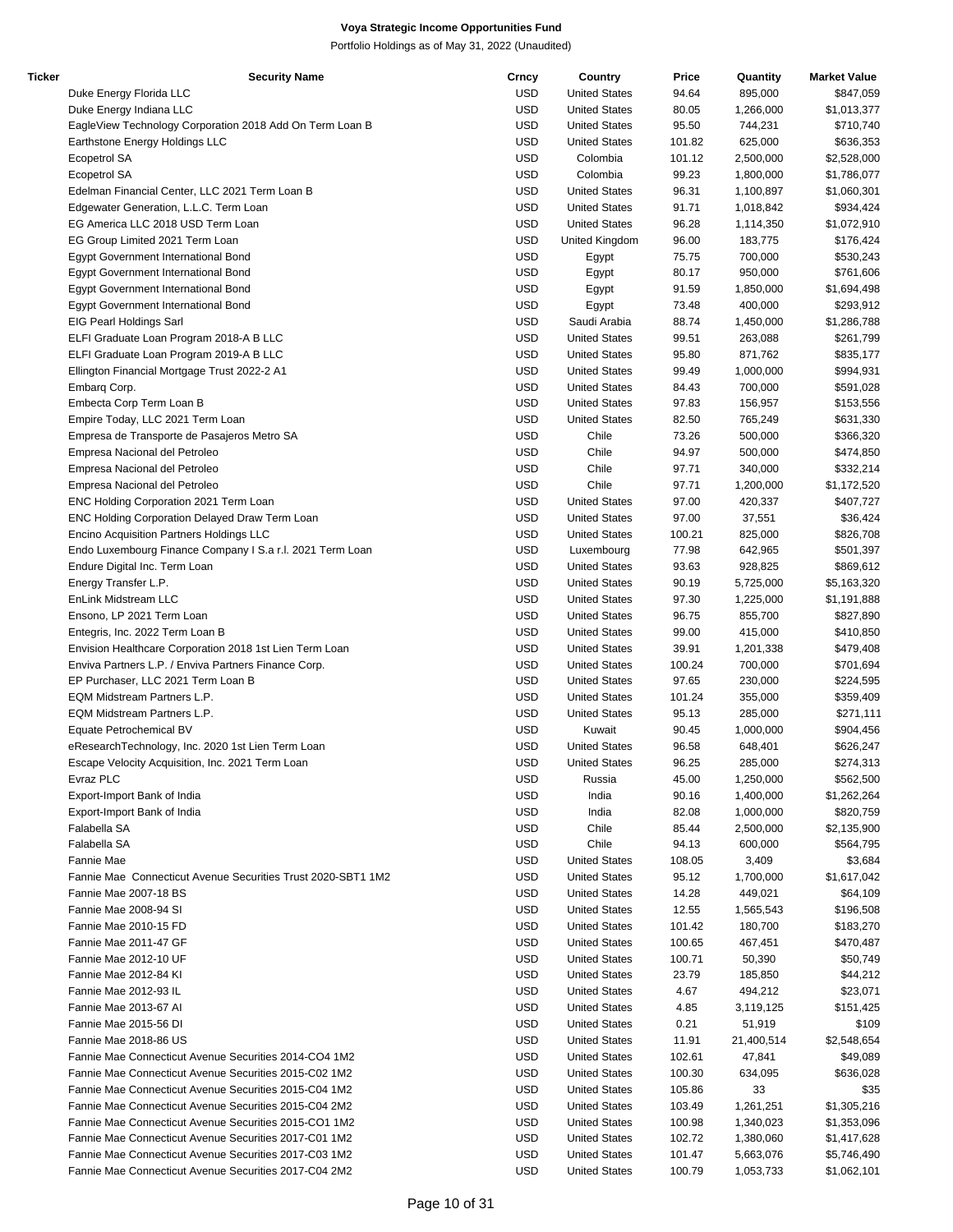| Ticker | <b>Security Name</b>                                         | Crncy      | Country              | Price  | Quantity   | <b>Market Value</b> |
|--------|--------------------------------------------------------------|------------|----------------------|--------|------------|---------------------|
|        | Duke Energy Florida LLC                                      | <b>USD</b> | <b>United States</b> | 94.64  | 895,000    | \$847,059           |
|        | Duke Energy Indiana LLC                                      | <b>USD</b> | <b>United States</b> | 80.05  | 1,266,000  | \$1,013,377         |
|        | EagleView Technology Corporation 2018 Add On Term Loan B     | <b>USD</b> | <b>United States</b> | 95.50  | 744,231    | \$710,740           |
|        | Earthstone Energy Holdings LLC                               | <b>USD</b> | <b>United States</b> | 101.82 | 625,000    | \$636,353           |
|        | Ecopetrol SA                                                 | <b>USD</b> | Colombia             | 101.12 | 2,500,000  | \$2,528,000         |
|        | <b>Ecopetrol SA</b>                                          | <b>USD</b> | Colombia             | 99.23  | 1,800,000  | \$1,786,077         |
|        | Edelman Financial Center, LLC 2021 Term Loan B               | <b>USD</b> | <b>United States</b> | 96.31  | 1,100,897  | \$1,060,301         |
|        |                                                              |            |                      |        |            |                     |
|        | Edgewater Generation, L.L.C. Term Loan                       | <b>USD</b> | <b>United States</b> | 91.71  | 1,018,842  | \$934,424           |
|        | EG America LLC 2018 USD Term Loan                            | <b>USD</b> | <b>United States</b> | 96.28  | 1,114,350  | \$1,072,910         |
|        | EG Group Limited 2021 Term Loan                              | <b>USD</b> | United Kingdom       | 96.00  | 183,775    | \$176,424           |
|        | Egypt Government International Bond                          | <b>USD</b> | Egypt                | 75.75  | 700,000    | \$530,243           |
|        | Egypt Government International Bond                          | <b>USD</b> | Egypt                | 80.17  | 950,000    | \$761,606           |
|        | Egypt Government International Bond                          | <b>USD</b> | Egypt                | 91.59  | 1,850,000  | \$1,694,498         |
|        | Egypt Government International Bond                          | <b>USD</b> | Egypt                | 73.48  | 400,000    | \$293,912           |
|        | EIG Pearl Holdings Sarl                                      | <b>USD</b> | Saudi Arabia         | 88.74  | 1,450,000  | \$1,286,788         |
|        | ELFI Graduate Loan Program 2018-A B LLC                      | <b>USD</b> | <b>United States</b> | 99.51  | 263,088    | \$261,799           |
|        | ELFI Graduate Loan Program 2019-A B LLC                      | <b>USD</b> | <b>United States</b> | 95.80  | 871,762    | \$835,177           |
|        | Ellington Financial Mortgage Trust 2022-2 A1                 | <b>USD</b> | <b>United States</b> | 99.49  | 1,000,000  | \$994,931           |
|        | Embarg Corp.                                                 | <b>USD</b> | <b>United States</b> | 84.43  | 700,000    | \$591,028           |
|        | Embecta Corp Term Loan B                                     | <b>USD</b> | <b>United States</b> | 97.83  | 156,957    | \$153,556           |
|        | Empire Today, LLC 2021 Term Loan                             | <b>USD</b> | <b>United States</b> | 82.50  | 765,249    | \$631,330           |
|        | Empresa de Transporte de Pasajeros Metro SA                  | <b>USD</b> | Chile                | 73.26  | 500,000    | \$366,320           |
|        | Empresa Nacional del Petroleo                                | <b>USD</b> | Chile                | 94.97  | 500,000    | \$474,850           |
|        |                                                              | <b>USD</b> | Chile                | 97.71  | 340,000    | \$332,214           |
|        | Empresa Nacional del Petroleo                                |            |                      |        |            |                     |
|        | Empresa Nacional del Petroleo                                | <b>USD</b> | Chile                | 97.71  | 1,200,000  | \$1,172,520         |
|        | ENC Holding Corporation 2021 Term Loan                       | <b>USD</b> | <b>United States</b> | 97.00  | 420,337    | \$407,727           |
|        | ENC Holding Corporation Delayed Draw Term Loan               | <b>USD</b> | <b>United States</b> | 97.00  | 37,551     | \$36,424            |
|        | Encino Acquisition Partners Holdings LLC                     | <b>USD</b> | <b>United States</b> | 100.21 | 825,000    | \$826,708           |
|        | Endo Luxembourg Finance Company I S.a r.l. 2021 Term Loan    | <b>USD</b> | Luxembourg           | 77.98  | 642,965    | \$501,397           |
|        | Endure Digital Inc. Term Loan                                | <b>USD</b> | <b>United States</b> | 93.63  | 928,825    | \$869,612           |
|        | Energy Transfer L.P.                                         | <b>USD</b> | <b>United States</b> | 90.19  | 5,725,000  | \$5,163,320         |
|        | EnLink Midstream LLC                                         | <b>USD</b> | <b>United States</b> | 97.30  | 1,225,000  | \$1,191,888         |
|        | Ensono, LP 2021 Term Loan                                    | <b>USD</b> | <b>United States</b> | 96.75  | 855,700    | \$827,890           |
|        | Entegris, Inc. 2022 Term Loan B                              | <b>USD</b> | <b>United States</b> | 99.00  | 415,000    | \$410,850           |
|        | Envision Healthcare Corporation 2018 1st Lien Term Loan      | <b>USD</b> | <b>United States</b> | 39.91  | 1,201,338  | \$479,408           |
|        | Enviva Partners L.P. / Enviva Partners Finance Corp.         | <b>USD</b> | <b>United States</b> | 100.24 | 700,000    | \$701,694           |
|        | EP Purchaser, LLC 2021 Term Loan B                           | <b>USD</b> | <b>United States</b> | 97.65  | 230,000    | \$224,595           |
|        | EQM Midstream Partners L.P.                                  | <b>USD</b> | <b>United States</b> | 101.24 | 355,000    | \$359,409           |
|        | EQM Midstream Partners L.P.                                  | <b>USD</b> | <b>United States</b> | 95.13  | 285,000    | \$271,111           |
|        | Equate Petrochemical BV                                      | <b>USD</b> | Kuwait               | 90.45  | 1,000,000  | \$904,456           |
|        | eResearchTechnology, Inc. 2020 1st Lien Term Loan            | <b>USD</b> | <b>United States</b> | 96.58  | 648,401    | \$626,247           |
|        |                                                              | <b>USD</b> | <b>United States</b> | 96.25  | 285,000    | \$274,313           |
|        | Escape Velocity Acquisition, Inc. 2021 Term Loan             |            |                      |        |            |                     |
|        | Evraz PLC                                                    | <b>USD</b> | Russia               | 45.00  | 1,250,000  | \$562,500           |
|        | Export-Import Bank of India                                  | <b>USD</b> | India                | 90.16  | 1,400,000  | \$1,262,264         |
|        | Export-Import Bank of India                                  | <b>USD</b> | India                | 82.08  | 1,000,000  | \$820,759           |
|        | Falabella SA                                                 | <b>USD</b> | Chile                | 85.44  | 2,500,000  | \$2,135,900         |
|        | Falabella SA                                                 | <b>USD</b> | Chile                | 94.13  | 600,000    | \$564,795           |
|        | Fannie Mae                                                   | <b>USD</b> | <b>United States</b> | 108.05 | 3,409      | \$3,684             |
|        | Fannie Mae Connecticut Avenue Securities Trust 2020-SBT1 1M2 | <b>USD</b> | <b>United States</b> | 95.12  | 1,700,000  | \$1,617,042         |
|        | Fannie Mae 2007-18 BS                                        | <b>USD</b> | <b>United States</b> | 14.28  | 449,021    | \$64,109            |
|        | Fannie Mae 2008-94 SI                                        | <b>USD</b> | <b>United States</b> | 12.55  | 1,565,543  | \$196,508           |
|        | Fannie Mae 2010-15 FD                                        | <b>USD</b> | <b>United States</b> | 101.42 | 180,700    | \$183,270           |
|        | Fannie Mae 2011-47 GF                                        | <b>USD</b> | <b>United States</b> | 100.65 | 467,451    | \$470,487           |
|        | Fannie Mae 2012-10 UF                                        | <b>USD</b> | <b>United States</b> | 100.71 | 50,390     | \$50,749            |
|        | Fannie Mae 2012-84 KI                                        | <b>USD</b> | <b>United States</b> | 23.79  | 185,850    | \$44,212            |
|        | Fannie Mae 2012-93 IL                                        | <b>USD</b> | <b>United States</b> | 4.67   | 494,212    | \$23,071            |
|        | Fannie Mae 2013-67 Al                                        | <b>USD</b> | <b>United States</b> | 4.85   | 3,119,125  | \$151,425           |
|        | Fannie Mae 2015-56 DI                                        | <b>USD</b> | <b>United States</b> | 0.21   | 51,919     | \$109               |
|        | Fannie Mae 2018-86 US                                        | <b>USD</b> | <b>United States</b> | 11.91  | 21,400,514 |                     |
|        |                                                              |            |                      |        |            | \$2,548,654         |
|        | Fannie Mae Connecticut Avenue Securities 2014-CO4 1M2        | <b>USD</b> | <b>United States</b> | 102.61 | 47,841     | \$49,089            |
|        | Fannie Mae Connecticut Avenue Securities 2015-C02 1M2        | <b>USD</b> | <b>United States</b> | 100.30 | 634,095    | \$636,028           |
|        | Fannie Mae Connecticut Avenue Securities 2015-C04 1M2        | <b>USD</b> | <b>United States</b> | 105.86 | 33         | \$35                |
|        | Fannie Mae Connecticut Avenue Securities 2015-C04 2M2        | <b>USD</b> | <b>United States</b> | 103.49 | 1,261,251  | \$1,305,216         |
|        | Fannie Mae Connecticut Avenue Securities 2015-CO1 1M2        | <b>USD</b> | <b>United States</b> | 100.98 | 1,340,023  | \$1,353,096         |
|        | Fannie Mae Connecticut Avenue Securities 2017-C01 1M2        | <b>USD</b> | <b>United States</b> | 102.72 | 1,380,060  | \$1,417,628         |
|        | Fannie Mae Connecticut Avenue Securities 2017-C03 1M2        | <b>USD</b> | <b>United States</b> | 101.47 | 5,663,076  | \$5,746,490         |
|        | Fannie Mae Connecticut Avenue Securities 2017-C04 2M2        | <b>USD</b> | <b>United States</b> | 100.79 | 1,053,733  | \$1,062,101         |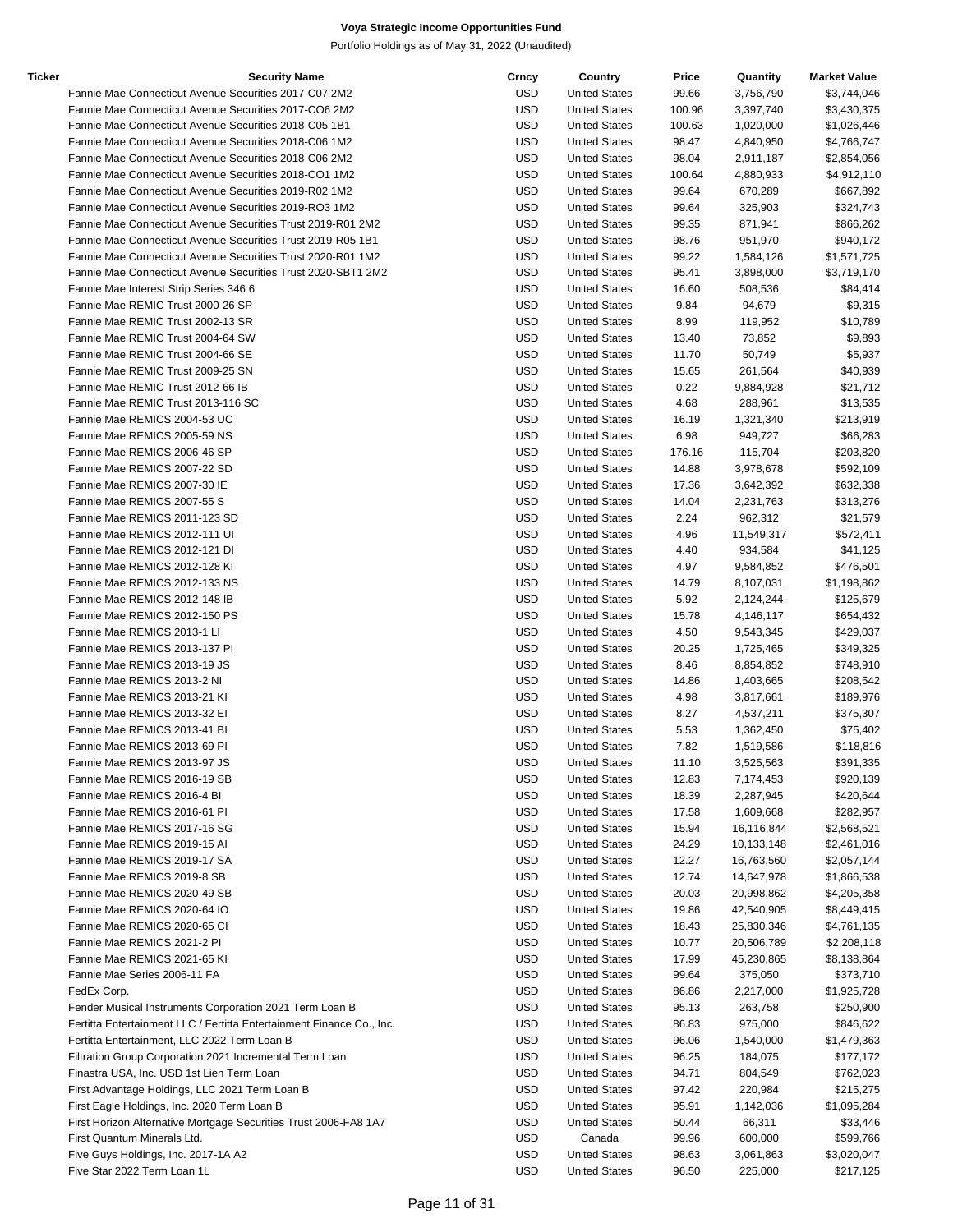| Ticker | <b>Security Name</b>                                                  | Crncy      | Country              | Price  | Quantity   | <b>Market Value</b> |
|--------|-----------------------------------------------------------------------|------------|----------------------|--------|------------|---------------------|
|        | Fannie Mae Connecticut Avenue Securities 2017-C07 2M2                 | <b>USD</b> | <b>United States</b> | 99.66  | 3,756,790  | \$3,744,046         |
|        | Fannie Mae Connecticut Avenue Securities 2017-CO6 2M2                 | <b>USD</b> | <b>United States</b> | 100.96 | 3,397,740  | \$3,430,375         |
|        | Fannie Mae Connecticut Avenue Securities 2018-C05 1B1                 | <b>USD</b> | <b>United States</b> | 100.63 | 1,020,000  | \$1,026,446         |
|        | Fannie Mae Connecticut Avenue Securities 2018-C06 1M2                 | <b>USD</b> | <b>United States</b> | 98.47  | 4,840,950  | \$4,766,747         |
|        | Fannie Mae Connecticut Avenue Securities 2018-C06 2M2                 | <b>USD</b> | <b>United States</b> | 98.04  | 2,911,187  | \$2,854,056         |
|        | Fannie Mae Connecticut Avenue Securities 2018-CO1 1M2                 | <b>USD</b> | <b>United States</b> | 100.64 | 4,880,933  | \$4,912,110         |
|        | Fannie Mae Connecticut Avenue Securities 2019-R02 1M2                 | <b>USD</b> | <b>United States</b> | 99.64  | 670,289    | \$667,892           |
|        | Fannie Mae Connecticut Avenue Securities 2019-RO3 1M2                 | <b>USD</b> | <b>United States</b> | 99.64  | 325,903    | \$324,743           |
|        | Fannie Mae Connecticut Avenue Securities Trust 2019-R01 2M2           | <b>USD</b> | <b>United States</b> | 99.35  | 871,941    | \$866,262           |
|        | Fannie Mae Connecticut Avenue Securities Trust 2019-R05 1B1           | <b>USD</b> | <b>United States</b> | 98.76  | 951,970    | \$940,172           |
|        | Fannie Mae Connecticut Avenue Securities Trust 2020-R01 1M2           | <b>USD</b> | <b>United States</b> | 99.22  | 1,584,126  | \$1,571,725         |
|        | Fannie Mae Connecticut Avenue Securities Trust 2020-SBT1 2M2          | <b>USD</b> | <b>United States</b> | 95.41  | 3,898,000  | \$3,719,170         |
|        | Fannie Mae Interest Strip Series 346 6                                | <b>USD</b> | <b>United States</b> | 16.60  | 508,536    | \$84,414            |
|        | Fannie Mae REMIC Trust 2000-26 SP                                     | <b>USD</b> | <b>United States</b> | 9.84   | 94,679     | \$9,315             |
|        | Fannie Mae REMIC Trust 2002-13 SR                                     | <b>USD</b> | <b>United States</b> | 8.99   | 119,952    | \$10,789            |
|        | Fannie Mae REMIC Trust 2004-64 SW                                     | <b>USD</b> | <b>United States</b> | 13.40  | 73,852     | \$9,893             |
|        | Fannie Mae REMIC Trust 2004-66 SE                                     | <b>USD</b> | <b>United States</b> | 11.70  | 50,749     | \$5,937             |
|        | Fannie Mae REMIC Trust 2009-25 SN                                     | <b>USD</b> | <b>United States</b> | 15.65  | 261,564    | \$40,939            |
|        | Fannie Mae REMIC Trust 2012-66 IB                                     | <b>USD</b> | <b>United States</b> | 0.22   | 9,884,928  | \$21,712            |
|        | Fannie Mae REMIC Trust 2013-116 SC                                    | <b>USD</b> | <b>United States</b> | 4.68   | 288,961    | \$13,535            |
|        | Fannie Mae REMICS 2004-53 UC                                          | <b>USD</b> | <b>United States</b> | 16.19  | 1,321,340  | \$213,919           |
|        | Fannie Mae REMICS 2005-59 NS                                          | <b>USD</b> | <b>United States</b> | 6.98   | 949,727    | \$66,283            |
|        | Fannie Mae REMICS 2006-46 SP                                          | <b>USD</b> | <b>United States</b> | 176.16 | 115,704    | \$203,820           |
|        | Fannie Mae REMICS 2007-22 SD                                          | <b>USD</b> | <b>United States</b> | 14.88  | 3,978,678  | \$592,109           |
|        | Fannie Mae REMICS 2007-30 IE                                          | <b>USD</b> | <b>United States</b> | 17.36  | 3,642,392  | \$632,338           |
|        | Fannie Mae REMICS 2007-55 S                                           | <b>USD</b> | <b>United States</b> | 14.04  | 2,231,763  | \$313,276           |
|        | Fannie Mae REMICS 2011-123 SD                                         | <b>USD</b> | <b>United States</b> | 2.24   | 962,312    | \$21,579            |
|        | Fannie Mae REMICS 2012-111 UI                                         | <b>USD</b> | <b>United States</b> | 4.96   | 11,549,317 | \$572,411           |
|        | Fannie Mae REMICS 2012-121 DI                                         | <b>USD</b> | <b>United States</b> | 4.40   | 934,584    | \$41,125            |
|        | Fannie Mae REMICS 2012-128 KI                                         | <b>USD</b> | <b>United States</b> | 4.97   | 9,584,852  | \$476,501           |
|        | Fannie Mae REMICS 2012-133 NS                                         | <b>USD</b> | <b>United States</b> | 14.79  | 8,107,031  | \$1,198,862         |
|        | Fannie Mae REMICS 2012-148 IB                                         | <b>USD</b> | <b>United States</b> | 5.92   | 2,124,244  | \$125,679           |
|        | Fannie Mae REMICS 2012-150 PS                                         | <b>USD</b> | <b>United States</b> | 15.78  | 4,146,117  | \$654,432           |
|        | Fannie Mae REMICS 2013-1 LI                                           | <b>USD</b> | <b>United States</b> | 4.50   | 9,543,345  | \$429,037           |
|        | Fannie Mae REMICS 2013-137 PI                                         | <b>USD</b> | <b>United States</b> | 20.25  | 1,725,465  | \$349,325           |
|        | Fannie Mae REMICS 2013-19 JS                                          | <b>USD</b> | <b>United States</b> | 8.46   | 8,854,852  | \$748,910           |
|        | Fannie Mae REMICS 2013-2 NI                                           | <b>USD</b> | <b>United States</b> | 14.86  | 1,403,665  | \$208,542           |
|        | Fannie Mae REMICS 2013-21 KI                                          | <b>USD</b> | <b>United States</b> | 4.98   | 3,817,661  | \$189,976           |
|        | Fannie Mae REMICS 2013-32 EI                                          | <b>USD</b> | <b>United States</b> | 8.27   | 4,537,211  | \$375,307           |
|        | Fannie Mae REMICS 2013-41 BI                                          | <b>USD</b> | <b>United States</b> | 5.53   | 1,362,450  | \$75,402            |
|        | Fannie Mae REMICS 2013-69 PI                                          | <b>USD</b> | <b>United States</b> | 7.82   | 1,519,586  | \$118,816           |
|        | Fannie Mae REMICS 2013-97 JS                                          | <b>USD</b> | <b>United States</b> | 11.10  | 3.525.563  | \$391,335           |
|        | Fannie Mae REMICS 2016-19 SB                                          | <b>USD</b> | <b>United States</b> | 12.83  | 7,174,453  | \$920,139           |
|        | Fannie Mae REMICS 2016-4 BI                                           | <b>USD</b> | <b>United States</b> | 18.39  | 2,287,945  | \$420,644           |
|        | Fannie Mae REMICS 2016-61 PI                                          | <b>USD</b> | <b>United States</b> | 17.58  | 1,609,668  | \$282,957           |
|        | Fannie Mae REMICS 2017-16 SG                                          | <b>USD</b> | <b>United States</b> | 15.94  | 16,116,844 | \$2,568,521         |
|        | Fannie Mae REMICS 2019-15 AI                                          | <b>USD</b> | <b>United States</b> | 24.29  | 10,133,148 | \$2,461,016         |
|        | Fannie Mae REMICS 2019-17 SA                                          | <b>USD</b> | <b>United States</b> | 12.27  | 16,763,560 | \$2,057,144         |
|        | Fannie Mae REMICS 2019-8 SB                                           | <b>USD</b> | <b>United States</b> | 12.74  | 14,647,978 | \$1,866,538         |
|        | Fannie Mae REMICS 2020-49 SB                                          | <b>USD</b> | <b>United States</b> | 20.03  | 20,998,862 | \$4,205,358         |
|        | Fannie Mae REMICS 2020-64 IO                                          | <b>USD</b> | <b>United States</b> | 19.86  | 42,540,905 | \$8,449,415         |
|        | Fannie Mae REMICS 2020-65 CI                                          | <b>USD</b> | <b>United States</b> | 18.43  | 25,830,346 | \$4,761,135         |
|        | Fannie Mae REMICS 2021-2 PI                                           | <b>USD</b> | <b>United States</b> | 10.77  | 20,506,789 | \$2,208,118         |
|        | Fannie Mae REMICS 2021-65 KI                                          | <b>USD</b> | <b>United States</b> | 17.99  | 45,230,865 | \$8,138,864         |
|        | Fannie Mae Series 2006-11 FA                                          | <b>USD</b> | <b>United States</b> | 99.64  | 375,050    | \$373,710           |
|        | FedEx Corp.                                                           | <b>USD</b> | <b>United States</b> | 86.86  | 2,217,000  | \$1,925,728         |
|        | Fender Musical Instruments Corporation 2021 Term Loan B               | <b>USD</b> | <b>United States</b> | 95.13  | 263,758    | \$250,900           |
|        | Fertitta Entertainment LLC / Fertitta Entertainment Finance Co., Inc. | <b>USD</b> | <b>United States</b> | 86.83  | 975,000    | \$846,622           |
|        | Fertitta Entertainment, LLC 2022 Term Loan B                          | <b>USD</b> | <b>United States</b> | 96.06  | 1,540,000  | \$1,479,363         |
|        | Filtration Group Corporation 2021 Incremental Term Loan               | <b>USD</b> | <b>United States</b> | 96.25  | 184,075    | \$177,172           |
|        | Finastra USA, Inc. USD 1st Lien Term Loan                             | <b>USD</b> | <b>United States</b> | 94.71  | 804,549    | \$762,023           |
|        | First Advantage Holdings, LLC 2021 Term Loan B                        | <b>USD</b> | <b>United States</b> | 97.42  | 220,984    | \$215,275           |
|        | First Eagle Holdings, Inc. 2020 Term Loan B                           | <b>USD</b> | <b>United States</b> | 95.91  | 1,142,036  | \$1,095,284         |
|        | First Horizon Alternative Mortgage Securities Trust 2006-FA8 1A7      | <b>USD</b> | <b>United States</b> | 50.44  | 66,311     | \$33,446            |
|        | First Quantum Minerals Ltd.                                           | <b>USD</b> | Canada               | 99.96  | 600,000    | \$599,766           |
|        | Five Guys Holdings, Inc. 2017-1A A2                                   | <b>USD</b> | <b>United States</b> | 98.63  | 3,061,863  | \$3,020,047         |
|        | Five Star 2022 Term Loan 1L                                           | <b>USD</b> | <b>United States</b> | 96.50  | 225,000    | \$217,125           |
|        |                                                                       |            |                      |        |            |                     |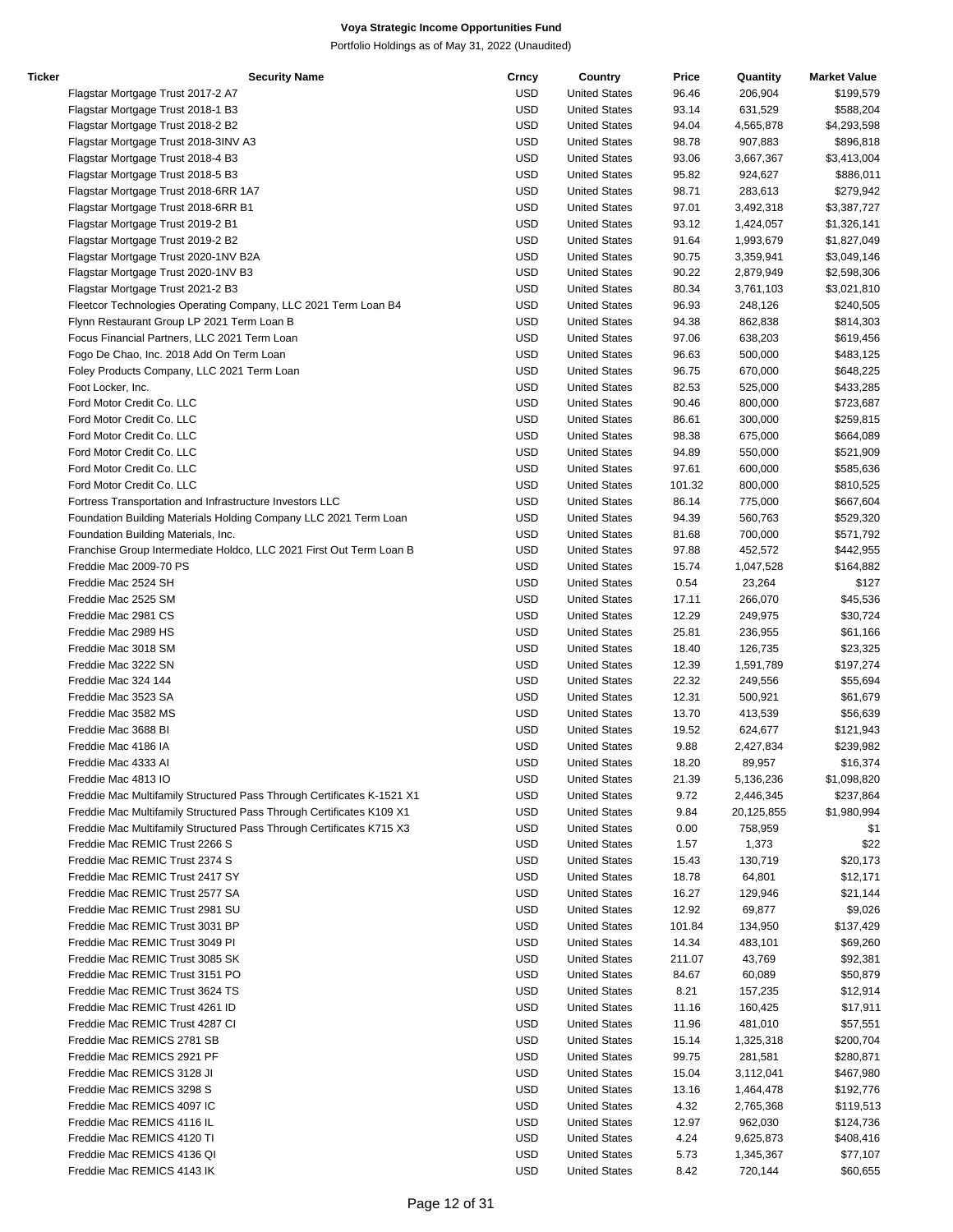| Ticker | <b>Security Name</b>                                                   | Crncy      | Country              | Price  | Quantity   | <b>Market Value</b> |
|--------|------------------------------------------------------------------------|------------|----------------------|--------|------------|---------------------|
|        | Flagstar Mortgage Trust 2017-2 A7                                      | USD        | <b>United States</b> | 96.46  | 206,904    | \$199,579           |
|        | Flagstar Mortgage Trust 2018-1 B3                                      | <b>USD</b> | <b>United States</b> | 93.14  | 631,529    | \$588,204           |
|        | Flagstar Mortgage Trust 2018-2 B2                                      | <b>USD</b> | <b>United States</b> | 94.04  | 4,565,878  | \$4,293,598         |
|        | Flagstar Mortgage Trust 2018-3INV A3                                   | <b>USD</b> | <b>United States</b> | 98.78  | 907,883    | \$896,818           |
|        | Flagstar Mortgage Trust 2018-4 B3                                      | <b>USD</b> | <b>United States</b> | 93.06  | 3,667,367  | \$3,413,004         |
|        | Flagstar Mortgage Trust 2018-5 B3                                      | <b>USD</b> | <b>United States</b> | 95.82  | 924,627    | \$886,011           |
|        | Flagstar Mortgage Trust 2018-6RR 1A7                                   | <b>USD</b> | <b>United States</b> | 98.71  | 283,613    | \$279,942           |
|        | Flagstar Mortgage Trust 2018-6RR B1                                    | <b>USD</b> | <b>United States</b> | 97.01  | 3,492,318  | \$3,387,727         |
|        | Flagstar Mortgage Trust 2019-2 B1                                      | <b>USD</b> | <b>United States</b> | 93.12  | 1,424,057  | \$1,326,141         |
|        | Flagstar Mortgage Trust 2019-2 B2                                      | <b>USD</b> | <b>United States</b> | 91.64  | 1,993,679  | \$1,827,049         |
|        |                                                                        | <b>USD</b> |                      |        | 3,359,941  |                     |
|        | Flagstar Mortgage Trust 2020-1NV B2A                                   |            | <b>United States</b> | 90.75  |            | \$3,049,146         |
|        | Flagstar Mortgage Trust 2020-1NV B3                                    | <b>USD</b> | <b>United States</b> | 90.22  | 2,879,949  | \$2,598,306         |
|        | Flagstar Mortgage Trust 2021-2 B3                                      | <b>USD</b> | <b>United States</b> | 80.34  | 3,761,103  | \$3,021,810         |
|        | Fleetcor Technologies Operating Company, LLC 2021 Term Loan B4         | <b>USD</b> | <b>United States</b> | 96.93  | 248,126    | \$240,505           |
|        | Flynn Restaurant Group LP 2021 Term Loan B                             | <b>USD</b> | <b>United States</b> | 94.38  | 862,838    | \$814,303           |
|        | Focus Financial Partners, LLC 2021 Term Loan                           | <b>USD</b> | <b>United States</b> | 97.06  | 638,203    | \$619,456           |
|        | Fogo De Chao, Inc. 2018 Add On Term Loan                               | <b>USD</b> | <b>United States</b> | 96.63  | 500,000    | \$483,125           |
|        | Foley Products Company, LLC 2021 Term Loan                             | <b>USD</b> | <b>United States</b> | 96.75  | 670,000    | \$648,225           |
|        | Foot Locker, Inc.                                                      | <b>USD</b> | <b>United States</b> | 82.53  | 525,000    | \$433,285           |
|        | Ford Motor Credit Co. LLC                                              | <b>USD</b> | <b>United States</b> | 90.46  | 800,000    | \$723,687           |
|        | Ford Motor Credit Co. LLC                                              | <b>USD</b> | <b>United States</b> | 86.61  | 300,000    | \$259,815           |
|        | Ford Motor Credit Co. LLC                                              | <b>USD</b> | <b>United States</b> | 98.38  | 675,000    | \$664,089           |
|        | Ford Motor Credit Co. LLC                                              | <b>USD</b> | <b>United States</b> | 94.89  | 550,000    | \$521,909           |
|        | Ford Motor Credit Co. LLC                                              | <b>USD</b> | <b>United States</b> | 97.61  | 600,000    | \$585,636           |
|        | Ford Motor Credit Co. LLC                                              | <b>USD</b> | <b>United States</b> | 101.32 | 800,000    | \$810,525           |
|        | Fortress Transportation and Infrastructure Investors LLC               | <b>USD</b> | <b>United States</b> | 86.14  | 775,000    | \$667,604           |
|        | Foundation Building Materials Holding Company LLC 2021 Term Loan       | USD        | <b>United States</b> | 94.39  | 560,763    | \$529,320           |
|        | Foundation Building Materials, Inc.                                    | <b>USD</b> | <b>United States</b> | 81.68  | 700,000    | \$571,792           |
|        |                                                                        |            | <b>United States</b> |        | 452,572    |                     |
|        | Franchise Group Intermediate Holdco, LLC 2021 First Out Term Loan B    | <b>USD</b> |                      | 97.88  |            | \$442,955           |
|        | Freddie Mac 2009-70 PS                                                 | <b>USD</b> | <b>United States</b> | 15.74  | 1,047,528  | \$164,882           |
|        | Freddie Mac 2524 SH                                                    | <b>USD</b> | <b>United States</b> | 0.54   | 23,264     | \$127               |
|        | Freddie Mac 2525 SM                                                    | <b>USD</b> | <b>United States</b> | 17.11  | 266,070    | \$45,536            |
|        | Freddie Mac 2981 CS                                                    | <b>USD</b> | <b>United States</b> | 12.29  | 249,975    | \$30,724            |
|        | Freddie Mac 2989 HS                                                    | <b>USD</b> | <b>United States</b> | 25.81  | 236,955    | \$61,166            |
|        | Freddie Mac 3018 SM                                                    | <b>USD</b> | <b>United States</b> | 18.40  | 126,735    | \$23,325            |
|        | Freddie Mac 3222 SN                                                    | <b>USD</b> | <b>United States</b> | 12.39  | 1,591,789  | \$197,274           |
|        | Freddie Mac 324 144                                                    | <b>USD</b> | <b>United States</b> | 22.32  | 249,556    | \$55,694            |
|        | Freddie Mac 3523 SA                                                    | <b>USD</b> | <b>United States</b> | 12.31  | 500,921    | \$61,679            |
|        | Freddie Mac 3582 MS                                                    | <b>USD</b> | <b>United States</b> | 13.70  | 413,539    | \$56,639            |
|        | Freddie Mac 3688 BI                                                    | <b>USD</b> | <b>United States</b> | 19.52  | 624,677    | \$121,943           |
|        | Freddie Mac 4186 IA                                                    | <b>USD</b> | <b>United States</b> | 9.88   | 2,427,834  | \$239,982           |
|        | Freddie Mac 4333 Al                                                    | <b>USD</b> | <b>United States</b> | 18.20  | 89,957     | \$16,374            |
|        | Freddie Mac 4813 IO                                                    | <b>USD</b> | <b>United States</b> | 21.39  | 5,136,236  | \$1,098,820         |
|        | Freddie Mac Multifamily Structured Pass Through Certificates K-1521 X1 | <b>USD</b> | <b>United States</b> | 9.72   | 2,446,345  | \$237,864           |
|        | Freddie Mac Multifamily Structured Pass Through Certificates K109 X1   | <b>USD</b> | <b>United States</b> | 9.84   | 20,125,855 | \$1,980,994         |
|        | Freddie Mac Multifamily Structured Pass Through Certificates K715 X3   | USD        | <b>United States</b> | 0.00   | 758,959    | \$1                 |
|        | Freddie Mac REMIC Trust 2266 S                                         | <b>USD</b> | <b>United States</b> | 1.57   | 1,373      | \$22                |
|        | Freddie Mac REMIC Trust 2374 S                                         | <b>USD</b> | <b>United States</b> | 15.43  | 130,719    | \$20,173            |
|        | Freddie Mac REMIC Trust 2417 SY                                        | <b>USD</b> | <b>United States</b> | 18.78  | 64,801     | \$12,171            |
|        | Freddie Mac REMIC Trust 2577 SA                                        | <b>USD</b> | <b>United States</b> | 16.27  | 129,946    | \$21,144            |
|        |                                                                        |            |                      |        |            |                     |
|        | Freddie Mac REMIC Trust 2981 SU                                        | <b>USD</b> | <b>United States</b> | 12.92  | 69,877     | \$9,026             |
|        | Freddie Mac REMIC Trust 3031 BP                                        | <b>USD</b> | <b>United States</b> | 101.84 | 134,950    | \$137,429           |
|        | Freddie Mac REMIC Trust 3049 PI                                        | <b>USD</b> | <b>United States</b> | 14.34  | 483,101    | \$69,260            |
|        | Freddie Mac REMIC Trust 3085 SK                                        | <b>USD</b> | <b>United States</b> | 211.07 | 43,769     | \$92,381            |
|        | Freddie Mac REMIC Trust 3151 PO                                        | <b>USD</b> | <b>United States</b> | 84.67  | 60,089     | \$50,879            |
|        | Freddie Mac REMIC Trust 3624 TS                                        | <b>USD</b> | <b>United States</b> | 8.21   | 157,235    | \$12,914            |
|        | Freddie Mac REMIC Trust 4261 ID                                        | <b>USD</b> | <b>United States</b> | 11.16  | 160,425    | \$17,911            |
|        | Freddie Mac REMIC Trust 4287 CI                                        | <b>USD</b> | <b>United States</b> | 11.96  | 481,010    | \$57,551            |
|        | Freddie Mac REMICS 2781 SB                                             | <b>USD</b> | <b>United States</b> | 15.14  | 1,325,318  | \$200,704           |
|        | Freddie Mac REMICS 2921 PF                                             | <b>USD</b> | <b>United States</b> | 99.75  | 281,581    | \$280,871           |
|        | Freddie Mac REMICS 3128 JI                                             | <b>USD</b> | <b>United States</b> | 15.04  | 3,112,041  | \$467,980           |
|        | Freddie Mac REMICS 3298 S                                              | <b>USD</b> | <b>United States</b> | 13.16  | 1,464,478  | \$192,776           |
|        | Freddie Mac REMICS 4097 IC                                             | <b>USD</b> | <b>United States</b> | 4.32   | 2,765,368  | \$119,513           |
|        | Freddie Mac REMICS 4116 IL                                             | <b>USD</b> | <b>United States</b> | 12.97  | 962,030    | \$124,736           |
|        | Freddie Mac REMICS 4120 TI                                             | <b>USD</b> | <b>United States</b> | 4.24   | 9,625,873  | \$408,416           |
|        | Freddie Mac REMICS 4136 QI                                             | <b>USD</b> | <b>United States</b> | 5.73   | 1,345,367  | \$77,107            |
|        | Freddie Mac REMICS 4143 IK                                             | <b>USD</b> | <b>United States</b> | 8.42   | 720,144    | \$60,655            |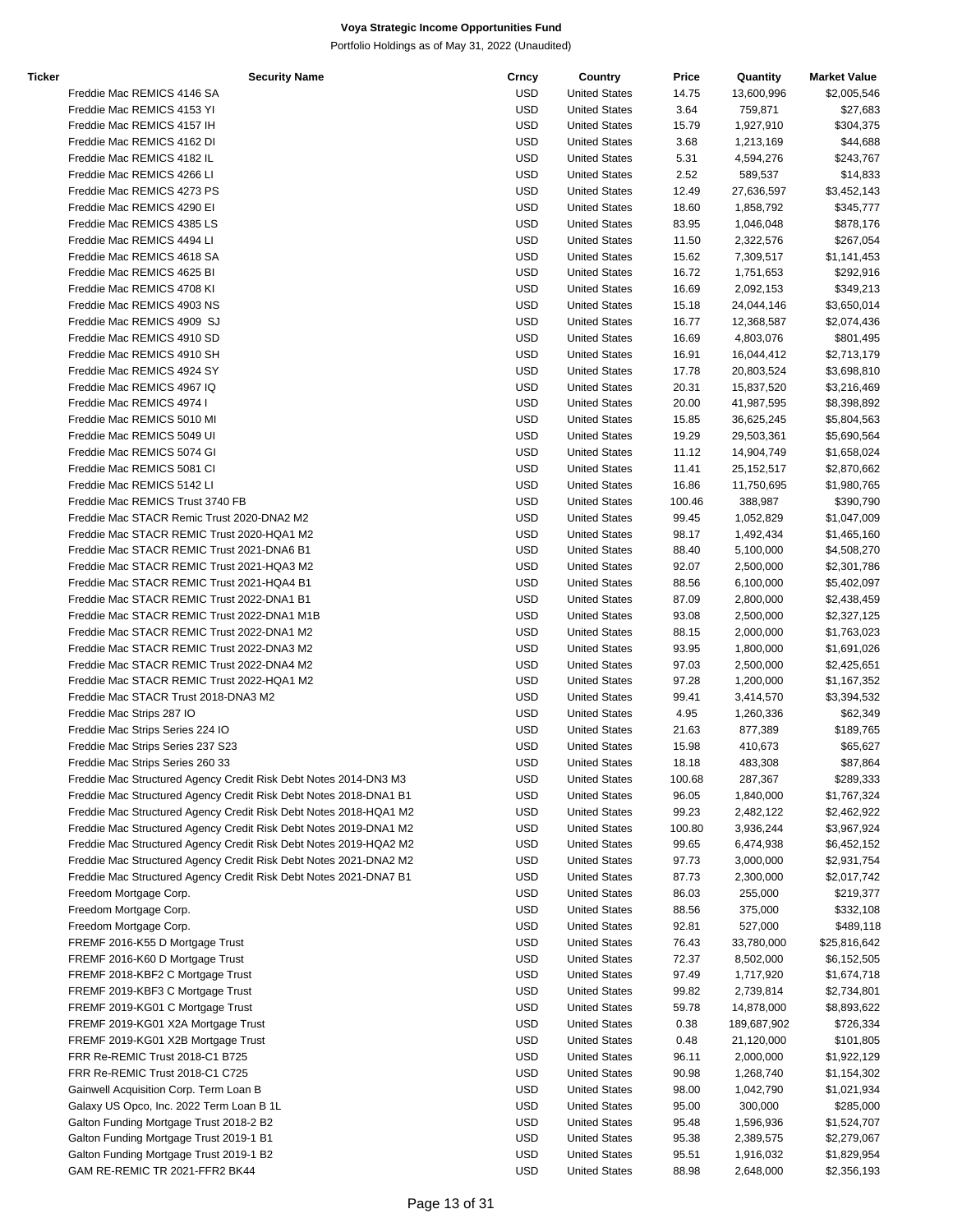| Ticker | <b>Security Name</b>                                              | Crncy      | Country              | Price  | Quantity    | <b>Market Value</b> |
|--------|-------------------------------------------------------------------|------------|----------------------|--------|-------------|---------------------|
|        | Freddie Mac REMICS 4146 SA                                        | <b>USD</b> | <b>United States</b> | 14.75  | 13,600,996  | \$2,005,546         |
|        | Freddie Mac REMICS 4153 YI                                        | <b>USD</b> | <b>United States</b> | 3.64   | 759,871     | \$27,683            |
|        | Freddie Mac REMICS 4157 IH                                        | <b>USD</b> | <b>United States</b> | 15.79  | 1,927,910   | \$304,375           |
|        | Freddie Mac REMICS 4162 DI                                        | <b>USD</b> | <b>United States</b> | 3.68   | 1,213,169   | \$44,688            |
|        | Freddie Mac REMICS 4182 IL                                        | <b>USD</b> | <b>United States</b> | 5.31   | 4,594,276   | \$243,767           |
|        | Freddie Mac REMICS 4266 LI                                        | <b>USD</b> | <b>United States</b> | 2.52   | 589,537     | \$14,833            |
|        | Freddie Mac REMICS 4273 PS                                        | <b>USD</b> | <b>United States</b> | 12.49  | 27,636,597  | \$3,452,143         |
|        | Freddie Mac REMICS 4290 EI                                        | <b>USD</b> |                      |        |             |                     |
|        |                                                                   |            | <b>United States</b> | 18.60  | 1,858,792   | \$345,777           |
|        | Freddie Mac REMICS 4385 LS                                        | <b>USD</b> | <b>United States</b> | 83.95  | 1,046,048   | \$878,176           |
|        | Freddie Mac REMICS 4494 LI                                        | <b>USD</b> | <b>United States</b> | 11.50  | 2,322,576   | \$267,054           |
|        | Freddie Mac REMICS 4618 SA                                        | <b>USD</b> | <b>United States</b> | 15.62  | 7,309,517   | \$1,141,453         |
|        | Freddie Mac REMICS 4625 BI                                        | <b>USD</b> | <b>United States</b> | 16.72  | 1,751,653   | \$292,916           |
|        | Freddie Mac REMICS 4708 KI                                        | <b>USD</b> | <b>United States</b> | 16.69  | 2,092,153   | \$349,213           |
|        | Freddie Mac REMICS 4903 NS                                        | <b>USD</b> | <b>United States</b> | 15.18  | 24,044,146  | \$3,650,014         |
|        | Freddie Mac REMICS 4909 SJ                                        | <b>USD</b> | <b>United States</b> | 16.77  | 12,368,587  | \$2,074,436         |
|        | Freddie Mac REMICS 4910 SD                                        | <b>USD</b> | <b>United States</b> | 16.69  | 4,803,076   | \$801,495           |
|        | Freddie Mac REMICS 4910 SH                                        | <b>USD</b> | <b>United States</b> | 16.91  | 16,044,412  | \$2,713,179         |
|        | Freddie Mac REMICS 4924 SY                                        | <b>USD</b> | <b>United States</b> | 17.78  | 20,803,524  | \$3,698,810         |
|        | Freddie Mac REMICS 4967 IQ                                        | <b>USD</b> | <b>United States</b> | 20.31  | 15,837,520  | \$3,216,469         |
|        | Freddie Mac REMICS 4974 I                                         | <b>USD</b> | <b>United States</b> | 20.00  | 41,987,595  | \$8,398,892         |
|        | Freddie Mac REMICS 5010 MI                                        | <b>USD</b> | <b>United States</b> | 15.85  | 36,625,245  | \$5,804,563         |
|        |                                                                   |            |                      |        |             |                     |
|        | Freddie Mac REMICS 5049 UI                                        | <b>USD</b> | <b>United States</b> | 19.29  | 29,503,361  | \$5,690,564         |
|        | Freddie Mac REMICS 5074 GI                                        | <b>USD</b> | <b>United States</b> | 11.12  | 14,904,749  | \$1,658,024         |
|        | Freddie Mac REMICS 5081 CI                                        | <b>USD</b> | <b>United States</b> | 11.41  | 25,152,517  | \$2,870,662         |
|        | Freddie Mac REMICS 5142 LI                                        | <b>USD</b> | <b>United States</b> | 16.86  | 11,750,695  | \$1,980,765         |
|        | Freddie Mac REMICS Trust 3740 FB                                  | <b>USD</b> | <b>United States</b> | 100.46 | 388,987     | \$390,790           |
|        | Freddie Mac STACR Remic Trust 2020-DNA2 M2                        | <b>USD</b> | <b>United States</b> | 99.45  | 1,052,829   | \$1,047,009         |
|        | Freddie Mac STACR REMIC Trust 2020-HQA1 M2                        | <b>USD</b> | <b>United States</b> | 98.17  | 1,492,434   | \$1,465,160         |
|        | Freddie Mac STACR REMIC Trust 2021-DNA6 B1                        | <b>USD</b> | <b>United States</b> | 88.40  | 5,100,000   | \$4,508,270         |
|        | Freddie Mac STACR REMIC Trust 2021-HQA3 M2                        | <b>USD</b> | <b>United States</b> | 92.07  | 2,500,000   | \$2,301,786         |
|        | Freddie Mac STACR REMIC Trust 2021-HQA4 B1                        | <b>USD</b> | <b>United States</b> | 88.56  | 6,100,000   | \$5,402,097         |
|        | Freddie Mac STACR REMIC Trust 2022-DNA1 B1                        | <b>USD</b> | <b>United States</b> | 87.09  | 2,800,000   | \$2,438,459         |
|        | Freddie Mac STACR REMIC Trust 2022-DNA1 M1B                       | <b>USD</b> | <b>United States</b> | 93.08  | 2,500,000   | \$2,327,125         |
|        | Freddie Mac STACR REMIC Trust 2022-DNA1 M2                        | <b>USD</b> | <b>United States</b> | 88.15  | 2,000,000   | \$1,763,023         |
|        |                                                                   |            |                      |        |             |                     |
|        | Freddie Mac STACR REMIC Trust 2022-DNA3 M2                        | <b>USD</b> | <b>United States</b> | 93.95  | 1,800,000   | \$1,691,026         |
|        | Freddie Mac STACR REMIC Trust 2022-DNA4 M2                        | <b>USD</b> | <b>United States</b> | 97.03  | 2,500,000   | \$2,425,651         |
|        | Freddie Mac STACR REMIC Trust 2022-HQA1 M2                        | <b>USD</b> | <b>United States</b> | 97.28  | 1,200,000   | \$1,167,352         |
|        | Freddie Mac STACR Trust 2018-DNA3 M2                              | <b>USD</b> | <b>United States</b> | 99.41  | 3,414,570   | \$3,394,532         |
|        | Freddie Mac Strips 287 IO                                         | <b>USD</b> | <b>United States</b> | 4.95   | 1,260,336   | \$62,349            |
|        | Freddie Mac Strips Series 224 IO                                  | <b>USD</b> | <b>United States</b> | 21.63  | 877,389     | \$189,765           |
|        | Freddie Mac Strips Series 237 S23                                 | USD        | <b>United States</b> | 15.98  | 410,673     | \$65,627            |
|        | Freddie Mac Strips Series 260 33                                  | <b>USD</b> | <b>United States</b> | 18.18  | 483,308     | \$87,864            |
|        | Freddie Mac Structured Agency Credit Risk Debt Notes 2014-DN3 M3  | <b>USD</b> | <b>United States</b> | 100.68 | 287,367     | \$289,333           |
|        | Freddie Mac Structured Agency Credit Risk Debt Notes 2018-DNA1 B1 | <b>USD</b> | <b>United States</b> | 96.05  | 1,840,000   | \$1,767,324         |
|        | Freddie Mac Structured Agency Credit Risk Debt Notes 2018-HQA1 M2 | <b>USD</b> | <b>United States</b> | 99.23  | 2,482,122   | \$2,462,922         |
|        | Freddie Mac Structured Agency Credit Risk Debt Notes 2019-DNA1 M2 | <b>USD</b> | <b>United States</b> | 100.80 | 3,936,244   | \$3,967,924         |
|        | Freddie Mac Structured Agency Credit Risk Debt Notes 2019-HQA2 M2 | <b>USD</b> | <b>United States</b> | 99.65  | 6,474,938   | \$6,452,152         |
|        | Freddie Mac Structured Agency Credit Risk Debt Notes 2021-DNA2 M2 | <b>USD</b> | <b>United States</b> | 97.73  |             |                     |
|        |                                                                   |            |                      |        | 3,000,000   | \$2,931,754         |
|        | Freddie Mac Structured Agency Credit Risk Debt Notes 2021-DNA7 B1 | <b>USD</b> | <b>United States</b> | 87.73  | 2,300,000   | \$2,017,742         |
|        | Freedom Mortgage Corp.                                            | <b>USD</b> | <b>United States</b> | 86.03  | 255,000     | \$219,377           |
|        | Freedom Mortgage Corp.                                            | <b>USD</b> | <b>United States</b> | 88.56  | 375,000     | \$332,108           |
|        | Freedom Mortgage Corp.                                            | <b>USD</b> | <b>United States</b> | 92.81  | 527,000     | \$489,118           |
|        | FREMF 2016-K55 D Mortgage Trust                                   | <b>USD</b> | <b>United States</b> | 76.43  | 33,780,000  | \$25,816,642        |
|        | FREMF 2016-K60 D Mortgage Trust                                   | <b>USD</b> | <b>United States</b> | 72.37  | 8,502,000   | \$6,152,505         |
|        | FREMF 2018-KBF2 C Mortgage Trust                                  | <b>USD</b> | <b>United States</b> | 97.49  | 1,717,920   | \$1,674,718         |
|        | FREMF 2019-KBF3 C Mortgage Trust                                  | <b>USD</b> | <b>United States</b> | 99.82  | 2,739,814   | \$2,734,801         |
|        | FREMF 2019-KG01 C Mortgage Trust                                  | <b>USD</b> | <b>United States</b> | 59.78  | 14,878,000  | \$8,893,622         |
|        | FREMF 2019-KG01 X2A Mortgage Trust                                | <b>USD</b> | <b>United States</b> | 0.38   | 189,687,902 | \$726,334           |
|        | FREMF 2019-KG01 X2B Mortgage Trust                                | <b>USD</b> | <b>United States</b> | 0.48   | 21,120,000  | \$101,805           |
|        | FRR Re-REMIC Trust 2018-C1 B725                                   | <b>USD</b> | <b>United States</b> |        |             | \$1,922,129         |
|        |                                                                   |            |                      | 96.11  | 2,000,000   |                     |
|        | FRR Re-REMIC Trust 2018-C1 C725                                   | <b>USD</b> | <b>United States</b> | 90.98  | 1,268,740   | \$1,154,302         |
|        | Gainwell Acquisition Corp. Term Loan B                            | <b>USD</b> | <b>United States</b> | 98.00  | 1,042,790   | \$1,021,934         |
|        | Galaxy US Opco, Inc. 2022 Term Loan B 1L                          | <b>USD</b> | <b>United States</b> | 95.00  | 300,000     | \$285,000           |
|        | Galton Funding Mortgage Trust 2018-2 B2                           | <b>USD</b> | <b>United States</b> | 95.48  | 1,596,936   | \$1,524,707         |
|        | Galton Funding Mortgage Trust 2019-1 B1                           | <b>USD</b> | <b>United States</b> | 95.38  | 2,389,575   | \$2,279,067         |
|        | Galton Funding Mortgage Trust 2019-1 B2                           | <b>USD</b> | <b>United States</b> | 95.51  | 1,916,032   | \$1,829,954         |
|        | GAM RE-REMIC TR 2021-FFR2 BK44                                    | <b>USD</b> | <b>United States</b> | 88.98  | 2,648,000   | \$2,356,193         |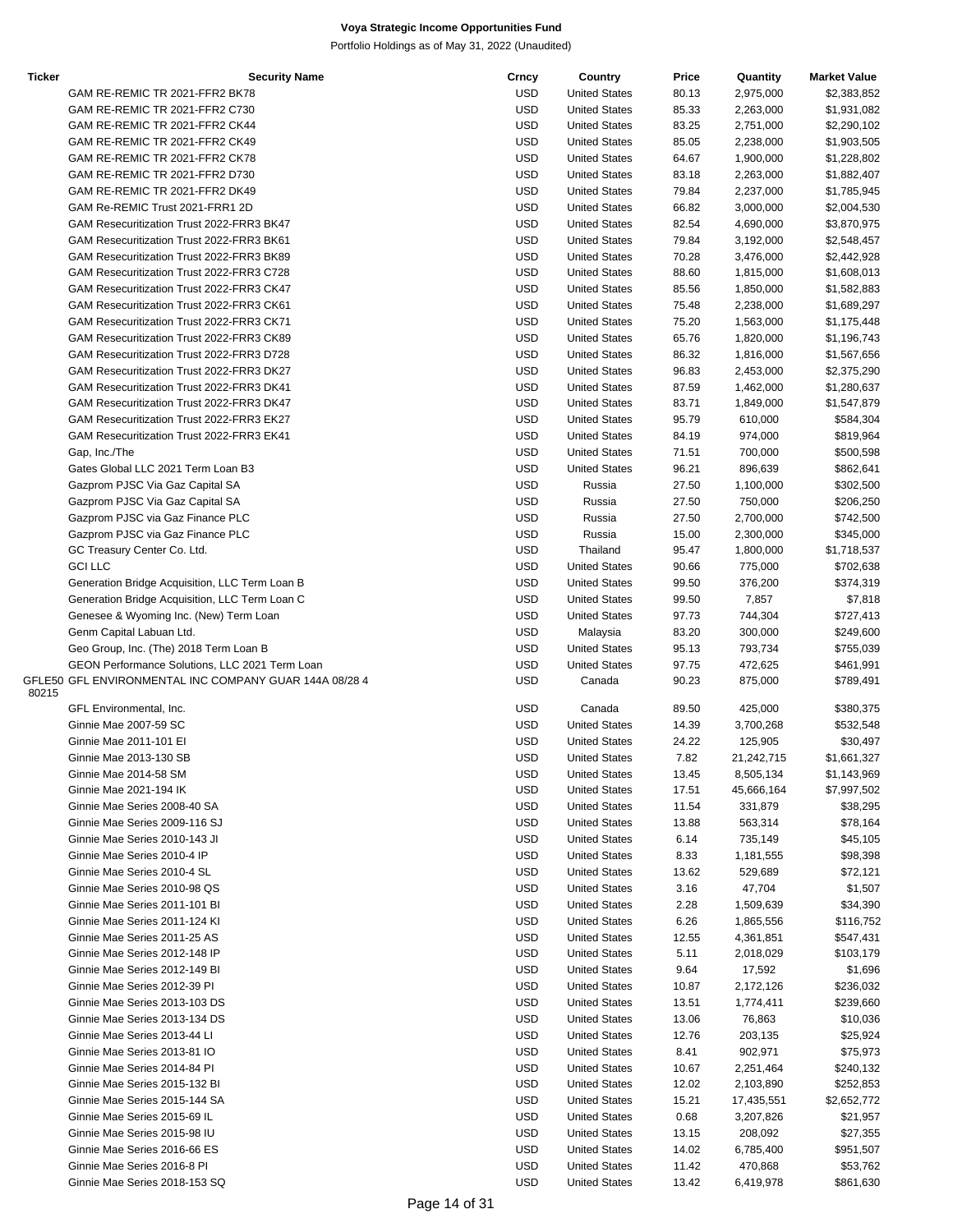| Ticker | <b>Security Name</b>                                   | Crncy      | Country              | Price | Quantity   | <b>Market Value</b> |
|--------|--------------------------------------------------------|------------|----------------------|-------|------------|---------------------|
|        | GAM RE-REMIC TR 2021-FFR2 BK78                         | <b>USD</b> | <b>United States</b> | 80.13 | 2,975,000  | \$2,383,852         |
|        | GAM RE-REMIC TR 2021-FFR2 C730                         | <b>USD</b> | <b>United States</b> | 85.33 | 2,263,000  | \$1,931,082         |
|        |                                                        |            |                      |       |            |                     |
|        | GAM RE-REMIC TR 2021-FFR2 CK44                         | <b>USD</b> | <b>United States</b> | 83.25 | 2,751,000  | \$2,290,102         |
|        | GAM RE-REMIC TR 2021-FFR2 CK49                         | <b>USD</b> | <b>United States</b> | 85.05 | 2,238,000  | \$1,903,505         |
|        | GAM RE-REMIC TR 2021-FFR2 CK78                         | <b>USD</b> | <b>United States</b> | 64.67 | 1,900,000  | \$1,228,802         |
|        | GAM RE-REMIC TR 2021-FFR2 D730                         | <b>USD</b> | <b>United States</b> | 83.18 | 2,263,000  | \$1,882,407         |
|        |                                                        |            |                      |       |            |                     |
|        | GAM RE-REMIC TR 2021-FFR2 DK49                         | <b>USD</b> | <b>United States</b> | 79.84 | 2,237,000  | \$1,785,945         |
|        | GAM Re-REMIC Trust 2021-FRR1 2D                        | <b>USD</b> | <b>United States</b> | 66.82 | 3,000,000  | \$2,004,530         |
|        | GAM Resecuritization Trust 2022-FRR3 BK47              | <b>USD</b> | <b>United States</b> | 82.54 | 4,690,000  | \$3,870,975         |
|        | GAM Resecuritization Trust 2022-FRR3 BK61              | <b>USD</b> | <b>United States</b> | 79.84 | 3,192,000  | \$2,548,457         |
|        |                                                        |            |                      |       |            |                     |
|        | GAM Resecuritization Trust 2022-FRR3 BK89              | <b>USD</b> | <b>United States</b> | 70.28 | 3,476,000  | \$2,442,928         |
|        | GAM Resecuritization Trust 2022-FRR3 C728              | <b>USD</b> | <b>United States</b> | 88.60 | 1,815,000  | \$1,608,013         |
|        | GAM Resecuritization Trust 2022-FRR3 CK47              | <b>USD</b> | <b>United States</b> | 85.56 | 1,850,000  | \$1,582,883         |
|        | GAM Resecuritization Trust 2022-FRR3 CK61              | <b>USD</b> | <b>United States</b> |       |            |                     |
|        |                                                        |            |                      | 75.48 | 2,238,000  | \$1,689,297         |
|        | GAM Resecuritization Trust 2022-FRR3 CK71              | <b>USD</b> | <b>United States</b> | 75.20 | 1,563,000  | \$1,175,448         |
|        | GAM Resecuritization Trust 2022-FRR3 CK89              | <b>USD</b> | <b>United States</b> | 65.76 | 1,820,000  | \$1,196,743         |
|        | GAM Resecuritization Trust 2022-FRR3 D728              | <b>USD</b> | <b>United States</b> | 86.32 | 1,816,000  | \$1,567,656         |
|        |                                                        |            |                      |       |            |                     |
|        | GAM Resecuritization Trust 2022-FRR3 DK27              | <b>USD</b> | <b>United States</b> | 96.83 | 2,453,000  | \$2,375,290         |
|        | GAM Resecuritization Trust 2022-FRR3 DK41              | <b>USD</b> | <b>United States</b> | 87.59 | 1,462,000  | \$1,280,637         |
|        | GAM Resecuritization Trust 2022-FRR3 DK47              | <b>USD</b> | <b>United States</b> | 83.71 | 1,849,000  | \$1,547,879         |
|        | GAM Resecuritization Trust 2022-FRR3 EK27              | <b>USD</b> | <b>United States</b> | 95.79 |            |                     |
|        |                                                        |            |                      |       | 610,000    | \$584,304           |
|        | GAM Resecuritization Trust 2022-FRR3 EK41              | <b>USD</b> | <b>United States</b> | 84.19 | 974,000    | \$819,964           |
|        | Gap, Inc./The                                          | <b>USD</b> | <b>United States</b> | 71.51 | 700,000    | \$500,598           |
|        | Gates Global LLC 2021 Term Loan B3                     | <b>USD</b> | <b>United States</b> | 96.21 | 896,639    | \$862,641           |
|        |                                                        |            |                      |       |            |                     |
|        | Gazprom PJSC Via Gaz Capital SA                        | <b>USD</b> | Russia               | 27.50 | 1,100,000  | \$302,500           |
|        | Gazprom PJSC Via Gaz Capital SA                        | <b>USD</b> | Russia               | 27.50 | 750,000    | \$206,250           |
|        | Gazprom PJSC via Gaz Finance PLC                       | <b>USD</b> | Russia               | 27.50 | 2,700,000  | \$742,500           |
|        |                                                        |            |                      |       |            |                     |
|        | Gazprom PJSC via Gaz Finance PLC                       | <b>USD</b> | Russia               | 15.00 | 2,300,000  | \$345,000           |
|        | GC Treasury Center Co. Ltd.                            | <b>USD</b> | Thailand             | 95.47 | 1,800,000  | \$1,718,537         |
|        | <b>GCI LLC</b>                                         | <b>USD</b> | <b>United States</b> | 90.66 | 775,000    | \$702,638           |
|        |                                                        | <b>USD</b> | <b>United States</b> | 99.50 |            |                     |
|        | Generation Bridge Acquisition, LLC Term Loan B         |            |                      |       | 376,200    | \$374,319           |
|        | Generation Bridge Acquisition, LLC Term Loan C         | <b>USD</b> | <b>United States</b> | 99.50 | 7,857      | \$7,818             |
|        | Genesee & Wyoming Inc. (New) Term Loan                 | <b>USD</b> | <b>United States</b> | 97.73 | 744,304    | \$727,413           |
|        | Genm Capital Labuan Ltd.                               | <b>USD</b> | Malaysia             | 83.20 | 300,000    | \$249,600           |
|        |                                                        |            |                      |       |            |                     |
|        | Geo Group, Inc. (The) 2018 Term Loan B                 | <b>USD</b> | <b>United States</b> | 95.13 | 793,734    | \$755,039           |
|        | GEON Performance Solutions, LLC 2021 Term Loan         | <b>USD</b> | <b>United States</b> | 97.75 | 472,625    | \$461,991           |
|        | GFLE50 GFL ENVIRONMENTAL INC COMPANY GUAR 144A 08/28 4 | <b>USD</b> | Canada               | 90.23 | 875,000    | \$789,491           |
| 80215  |                                                        |            |                      |       |            |                     |
|        | GFL Environmental, Inc.                                | <b>USD</b> | Canada               | 89.50 | 425,000    | \$380,375           |
|        |                                                        |            |                      |       |            |                     |
|        | Ginnie Mae 2007-59 SC                                  | <b>USD</b> | <b>United States</b> | 14.39 | 3,700,268  | \$532,548           |
|        | Ginnie Mae 2011-101 EI                                 | <b>USD</b> | <b>United States</b> | 24.22 | 125,905    | \$30,497            |
|        | Ginnie Mae 2013-130 SB                                 | <b>USD</b> | <b>United States</b> | 7.82  | 21,242,715 | \$1,661,327         |
|        |                                                        |            |                      |       |            |                     |
|        | Ginnie Mae 2014-58 SM                                  | USD        | <b>United States</b> | 13.45 | 8,505,134  | \$1,143,969         |
|        | Ginnie Mae 2021-194 IK                                 | USD        | <b>United States</b> | 17.51 | 45,666,164 | \$7,997,502         |
|        | Ginnie Mae Series 2008-40 SA                           | USD        | <b>United States</b> | 11.54 | 331,879    | \$38,295            |
|        | Ginnie Mae Series 2009-116 SJ                          | <b>USD</b> | <b>United States</b> | 13.88 | 563,314    | \$78,164            |
|        |                                                        |            |                      |       |            |                     |
|        | Ginnie Mae Series 2010-143 JI                          | <b>USD</b> | <b>United States</b> | 6.14  | 735,149    | \$45,105            |
|        | Ginnie Mae Series 2010-4 IP                            | <b>USD</b> | <b>United States</b> | 8.33  | 1,181,555  | \$98,398            |
|        | Ginnie Mae Series 2010-4 SL                            | <b>USD</b> | <b>United States</b> | 13.62 | 529,689    | \$72,121            |
|        | Ginnie Mae Series 2010-98 QS                           | USD        | <b>United States</b> | 3.16  | 47,704     |                     |
|        |                                                        |            |                      |       |            | \$1,507             |
|        | Ginnie Mae Series 2011-101 BI                          | USD        | <b>United States</b> | 2.28  | 1,509,639  | \$34,390            |
|        | Ginnie Mae Series 2011-124 KI                          | USD        | <b>United States</b> | 6.26  | 1,865,556  | \$116,752           |
|        | Ginnie Mae Series 2011-25 AS                           | USD        | <b>United States</b> | 12.55 | 4,361,851  | \$547,431           |
|        |                                                        |            |                      |       |            |                     |
|        | Ginnie Mae Series 2012-148 IP                          | USD        | <b>United States</b> | 5.11  | 2,018,029  | \$103,179           |
|        | Ginnie Mae Series 2012-149 BI                          | <b>USD</b> | <b>United States</b> | 9.64  | 17,592     | \$1,696             |
|        | Ginnie Mae Series 2012-39 PI                           | USD        | <b>United States</b> | 10.87 | 2,172,126  | \$236,032           |
|        |                                                        |            |                      |       |            |                     |
|        | Ginnie Mae Series 2013-103 DS                          | USD        | <b>United States</b> | 13.51 | 1,774,411  | \$239,660           |
|        | Ginnie Mae Series 2013-134 DS                          | USD        | <b>United States</b> | 13.06 | 76,863     | \$10,036            |
|        | Ginnie Mae Series 2013-44 Ll                           | USD        | <b>United States</b> | 12.76 | 203,135    | \$25,924            |
|        | Ginnie Mae Series 2013-81 IO                           | USD        | <b>United States</b> | 8.41  | 902,971    | \$75,973            |
|        |                                                        |            |                      |       |            |                     |
|        | Ginnie Mae Series 2014-84 PI                           | USD        | <b>United States</b> | 10.67 | 2,251,464  | \$240,132           |
|        | Ginnie Mae Series 2015-132 BI                          | USD        | <b>United States</b> | 12.02 | 2,103,890  | \$252,853           |
|        | Ginnie Mae Series 2015-144 SA                          | <b>USD</b> | <b>United States</b> | 15.21 | 17,435,551 | \$2,652,772         |
|        |                                                        |            |                      |       |            |                     |
|        | Ginnie Mae Series 2015-69 IL                           | <b>USD</b> | <b>United States</b> | 0.68  | 3,207,826  | \$21,957            |
|        | Ginnie Mae Series 2015-98 IU                           | USD        | <b>United States</b> | 13.15 | 208,092    | \$27,355            |
|        | Ginnie Mae Series 2016-66 ES                           | USD        | <b>United States</b> | 14.02 | 6,785,400  | \$951,507           |
|        | Ginnie Mae Series 2016-8 PI                            | USD        | <b>United States</b> |       | 470,868    | \$53,762            |
|        |                                                        |            |                      | 11.42 |            |                     |
|        | Ginnie Mae Series 2018-153 SQ                          | USD        | <b>United States</b> | 13.42 | 6,419,978  | \$861,630           |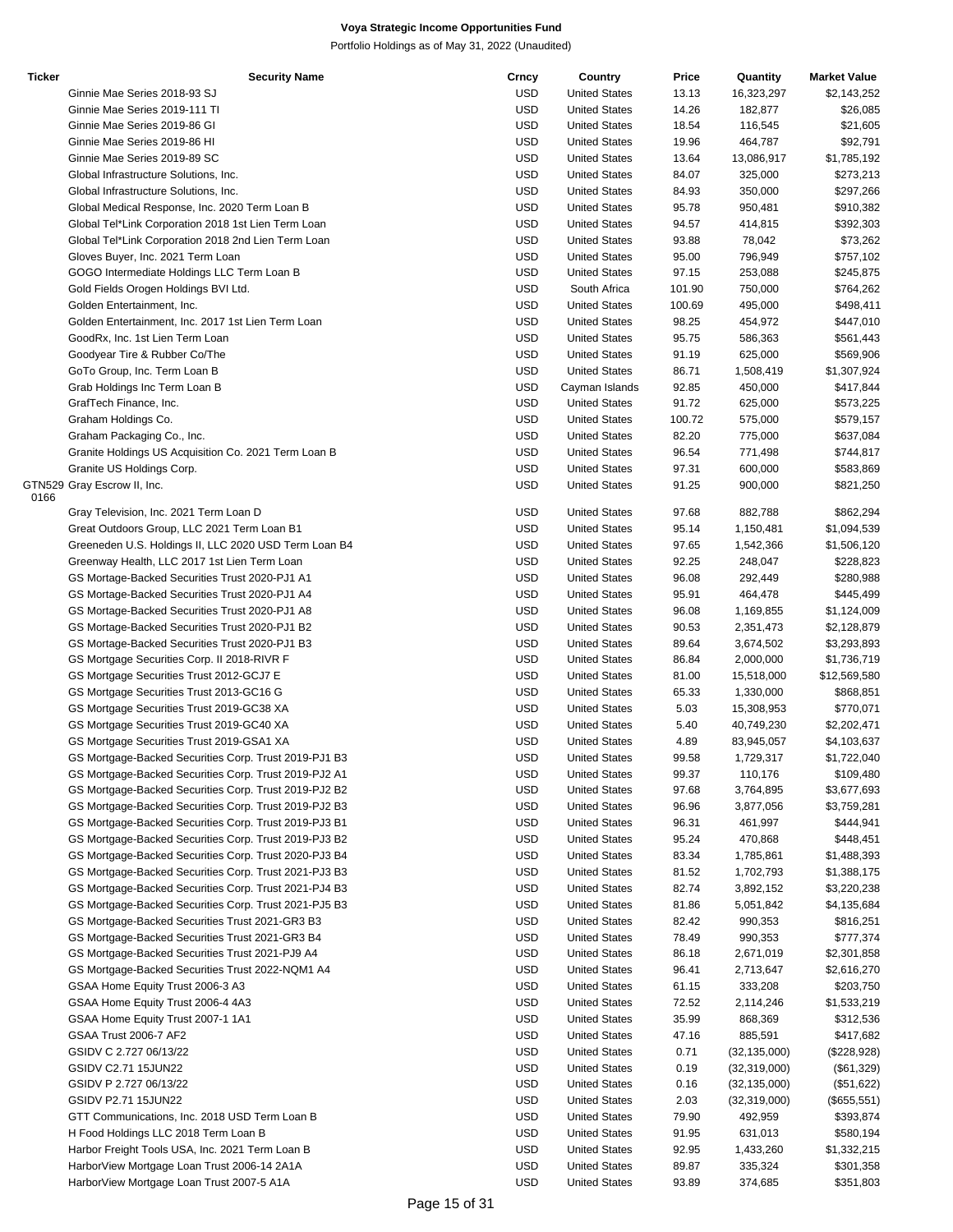| <b>Ticker</b> | <b>Security Name</b>                                  | Crncy      | Country              | Price  | Quantity       | <b>Market Value</b> |
|---------------|-------------------------------------------------------|------------|----------------------|--------|----------------|---------------------|
|               | Ginnie Mae Series 2018-93 SJ                          | <b>USD</b> | <b>United States</b> | 13.13  | 16,323,297     | \$2,143,252         |
|               | Ginnie Mae Series 2019-111 TI                         | <b>USD</b> | <b>United States</b> | 14.26  | 182,877        | \$26,085            |
|               | Ginnie Mae Series 2019-86 GI                          | <b>USD</b> | <b>United States</b> | 18.54  | 116,545        | \$21,605            |
|               | Ginnie Mae Series 2019-86 HI                          | <b>USD</b> | <b>United States</b> | 19.96  | 464,787        | \$92,791            |
|               | Ginnie Mae Series 2019-89 SC                          | <b>USD</b> | <b>United States</b> | 13.64  | 13,086,917     | \$1,785,192         |
|               |                                                       | <b>USD</b> |                      |        |                |                     |
|               | Global Infrastructure Solutions, Inc.                 |            | <b>United States</b> | 84.07  | 325,000        | \$273,213           |
|               | Global Infrastructure Solutions, Inc.                 | <b>USD</b> | <b>United States</b> | 84.93  | 350,000        | \$297,266           |
|               | Global Medical Response, Inc. 2020 Term Loan B        | <b>USD</b> | <b>United States</b> | 95.78  | 950,481        | \$910,382           |
|               | Global Tel*Link Corporation 2018 1st Lien Term Loan   | <b>USD</b> | <b>United States</b> | 94.57  | 414,815        | \$392,303           |
|               | Global Tel*Link Corporation 2018 2nd Lien Term Loan   | <b>USD</b> | <b>United States</b> | 93.88  | 78,042         | \$73,262            |
|               | Gloves Buyer, Inc. 2021 Term Loan                     | <b>USD</b> | <b>United States</b> | 95.00  | 796,949        | \$757,102           |
|               | GOGO Intermediate Holdings LLC Term Loan B            | <b>USD</b> | <b>United States</b> | 97.15  | 253,088        | \$245,875           |
|               | Gold Fields Orogen Holdings BVI Ltd.                  | <b>USD</b> | South Africa         | 101.90 | 750,000        | \$764,262           |
|               | Golden Entertainment, Inc.                            | <b>USD</b> | <b>United States</b> | 100.69 | 495,000        | \$498,411           |
|               | Golden Entertainment, Inc. 2017 1st Lien Term Loan    | <b>USD</b> | <b>United States</b> | 98.25  | 454,972        | \$447,010           |
|               | GoodRx, Inc. 1st Lien Term Loan                       | <b>USD</b> | <b>United States</b> | 95.75  | 586,363        | \$561,443           |
|               | Goodyear Tire & Rubber Co/The                         | <b>USD</b> | <b>United States</b> | 91.19  | 625,000        | \$569,906           |
|               | GoTo Group, Inc. Term Loan B                          | <b>USD</b> | <b>United States</b> | 86.71  | 1,508,419      | \$1,307,924         |
|               | Grab Holdings Inc Term Loan B                         | <b>USD</b> | Cayman Islands       | 92.85  | 450,000        | \$417,844           |
|               |                                                       | <b>USD</b> |                      |        |                |                     |
|               | GrafTech Finance, Inc.                                |            | <b>United States</b> | 91.72  | 625,000        | \$573,225           |
|               | Graham Holdings Co.                                   | <b>USD</b> | <b>United States</b> | 100.72 | 575,000        | \$579,157           |
|               | Graham Packaging Co., Inc.                            | <b>USD</b> | <b>United States</b> | 82.20  | 775,000        | \$637,084           |
|               | Granite Holdings US Acquisition Co. 2021 Term Loan B  | <b>USD</b> | <b>United States</b> | 96.54  | 771,498        | \$744,817           |
|               | Granite US Holdings Corp.                             | <b>USD</b> | <b>United States</b> | 97.31  | 600,000        | \$583,869           |
|               | GTN529 Gray Escrow II, Inc.                           | <b>USD</b> | <b>United States</b> | 91.25  | 900,000        | \$821,250           |
| 0166          |                                                       |            |                      |        |                |                     |
|               | Gray Television, Inc. 2021 Term Loan D                | <b>USD</b> | <b>United States</b> | 97.68  | 882,788        | \$862,294           |
|               | Great Outdoors Group, LLC 2021 Term Loan B1           | <b>USD</b> | <b>United States</b> | 95.14  | 1,150,481      | \$1,094,539         |
|               | Greeneden U.S. Holdings II, LLC 2020 USD Term Loan B4 | <b>USD</b> | <b>United States</b> | 97.65  | 1,542,366      | \$1,506,120         |
|               | Greenway Health, LLC 2017 1st Lien Term Loan          | <b>USD</b> | <b>United States</b> | 92.25  | 248,047        | \$228,823           |
|               | GS Mortage-Backed Securities Trust 2020-PJ1 A1        | <b>USD</b> | <b>United States</b> | 96.08  | 292,449        | \$280,988           |
|               | GS Mortage-Backed Securities Trust 2020-PJ1 A4        | <b>USD</b> | <b>United States</b> | 95.91  | 464,478        | \$445,499           |
|               | GS Mortage-Backed Securities Trust 2020-PJ1 A8        | <b>USD</b> | <b>United States</b> | 96.08  | 1,169,855      | \$1,124,009         |
|               | GS Mortage-Backed Securities Trust 2020-PJ1 B2        | <b>USD</b> | <b>United States</b> | 90.53  | 2,351,473      | \$2,128,879         |
|               | GS Mortage-Backed Securities Trust 2020-PJ1 B3        | <b>USD</b> | <b>United States</b> | 89.64  | 3,674,502      | \$3,293,893         |
|               | GS Mortgage Securities Corp. II 2018-RIVR F           | <b>USD</b> | <b>United States</b> | 86.84  | 2,000,000      | \$1,736,719         |
|               | GS Mortgage Securities Trust 2012-GCJ7 E              | <b>USD</b> | <b>United States</b> | 81.00  | 15,518,000     | \$12,569,580        |
|               | GS Mortgage Securities Trust 2013-GC16 G              | <b>USD</b> | <b>United States</b> | 65.33  | 1,330,000      | \$868,851           |
|               | GS Mortgage Securities Trust 2019-GC38 XA             | <b>USD</b> | <b>United States</b> |        | 15,308,953     |                     |
|               |                                                       |            |                      | 5.03   |                | \$770,071           |
|               | GS Mortgage Securities Trust 2019-GC40 XA             | <b>USD</b> | <b>United States</b> | 5.40   | 40,749,230     | \$2,202,471         |
|               | GS Mortgage Securities Trust 2019-GSA1 XA             | <b>USD</b> | <b>United States</b> | 4.89   | 83,945,057     | \$4,103,637         |
|               | GS Mortgage-Backed Securities Corp. Trust 2019-PJ1 B3 | <b>USD</b> | <b>United States</b> | 99.58  | 1,729,317      | \$1,722,040         |
|               | GS Mortgage-Backed Securities Corp. Trust 2019-PJ2 A1 | USD        | <b>United States</b> | 99.37  | 110,176        | \$109,480           |
|               | GS Mortgage-Backed Securities Corp. Trust 2019-PJ2 B2 | <b>USD</b> | <b>United States</b> | 97.68  | 3,764,895      | \$3,677,693         |
|               | GS Mortgage-Backed Securities Corp. Trust 2019-PJ2 B3 | <b>USD</b> | <b>United States</b> | 96.96  | 3,877,056      | \$3,759,281         |
|               | GS Mortgage-Backed Securities Corp. Trust 2019-PJ3 B1 | <b>USD</b> | <b>United States</b> | 96.31  | 461,997        | \$444,941           |
|               | GS Mortgage-Backed Securities Corp. Trust 2019-PJ3 B2 | <b>USD</b> | <b>United States</b> | 95.24  | 470,868        | \$448,451           |
|               | GS Mortgage-Backed Securities Corp. Trust 2020-PJ3 B4 | <b>USD</b> | <b>United States</b> | 83.34  | 1,785,861      | \$1,488,393         |
|               | GS Mortgage-Backed Securities Corp. Trust 2021-PJ3 B3 | <b>USD</b> | <b>United States</b> | 81.52  | 1,702,793      | \$1,388,175         |
|               | GS Mortgage-Backed Securities Corp. Trust 2021-PJ4 B3 | <b>USD</b> | <b>United States</b> | 82.74  | 3,892,152      | \$3,220,238         |
|               | GS Mortgage-Backed Securities Corp. Trust 2021-PJ5 B3 | <b>USD</b> | <b>United States</b> | 81.86  | 5,051,842      | \$4,135,684         |
|               | GS Mortgage-Backed Securities Trust 2021-GR3 B3       | <b>USD</b> | <b>United States</b> | 82.42  | 990,353        | \$816,251           |
|               | GS Mortgage-Backed Securities Trust 2021-GR3 B4       |            | <b>United States</b> |        |                |                     |
|               |                                                       | <b>USD</b> |                      | 78.49  | 990,353        | \$777,374           |
|               | GS Mortgage-Backed Securities Trust 2021-PJ9 A4       | <b>USD</b> | <b>United States</b> | 86.18  | 2,671,019      | \$2,301,858         |
|               | GS Mortgage-Backed Securities Trust 2022-NQM1 A4      | <b>USD</b> | <b>United States</b> | 96.41  | 2,713,647      | \$2,616,270         |
|               | GSAA Home Equity Trust 2006-3 A3                      | <b>USD</b> | <b>United States</b> | 61.15  | 333,208        | \$203,750           |
|               | GSAA Home Equity Trust 2006-4 4A3                     | <b>USD</b> | <b>United States</b> | 72.52  | 2,114,246      | \$1,533,219         |
|               | GSAA Home Equity Trust 2007-1 1A1                     | <b>USD</b> | <b>United States</b> | 35.99  | 868,369        | \$312,536           |
|               | GSAA Trust 2006-7 AF2                                 | <b>USD</b> | <b>United States</b> | 47.16  | 885,591        | \$417,682           |
|               | GSIDV C 2.727 06/13/22                                | <b>USD</b> | <b>United States</b> | 0.71   | (32, 135, 000) | (\$228,928)         |
|               | GSIDV C2.71 15JUN22                                   | <b>USD</b> | <b>United States</b> | 0.19   | (32, 319, 000) | (\$61,329)          |
|               | GSIDV P 2.727 06/13/22                                | <b>USD</b> | <b>United States</b> | 0.16   | (32, 135, 000) | (\$51,622)          |
|               | GSIDV P2.71 15JUN22                                   | <b>USD</b> | <b>United States</b> | 2.03   | (32, 319, 000) | $(\$655,551)$       |
|               | GTT Communications, Inc. 2018 USD Term Loan B         | <b>USD</b> | <b>United States</b> | 79.90  | 492,959        | \$393,874           |
|               | H Food Holdings LLC 2018 Term Loan B                  | <b>USD</b> | <b>United States</b> | 91.95  | 631,013        | \$580,194           |
|               | Harbor Freight Tools USA, Inc. 2021 Term Loan B       | <b>USD</b> | <b>United States</b> | 92.95  | 1,433,260      | \$1,332,215         |
|               | HarborView Mortgage Loan Trust 2006-14 2A1A           | USD        | <b>United States</b> | 89.87  | 335,324        | \$301,358           |
|               | HarborView Mortgage Loan Trust 2007-5 A1A             | <b>USD</b> | <b>United States</b> | 93.89  | 374,685        | \$351,803           |
|               |                                                       |            |                      |        |                |                     |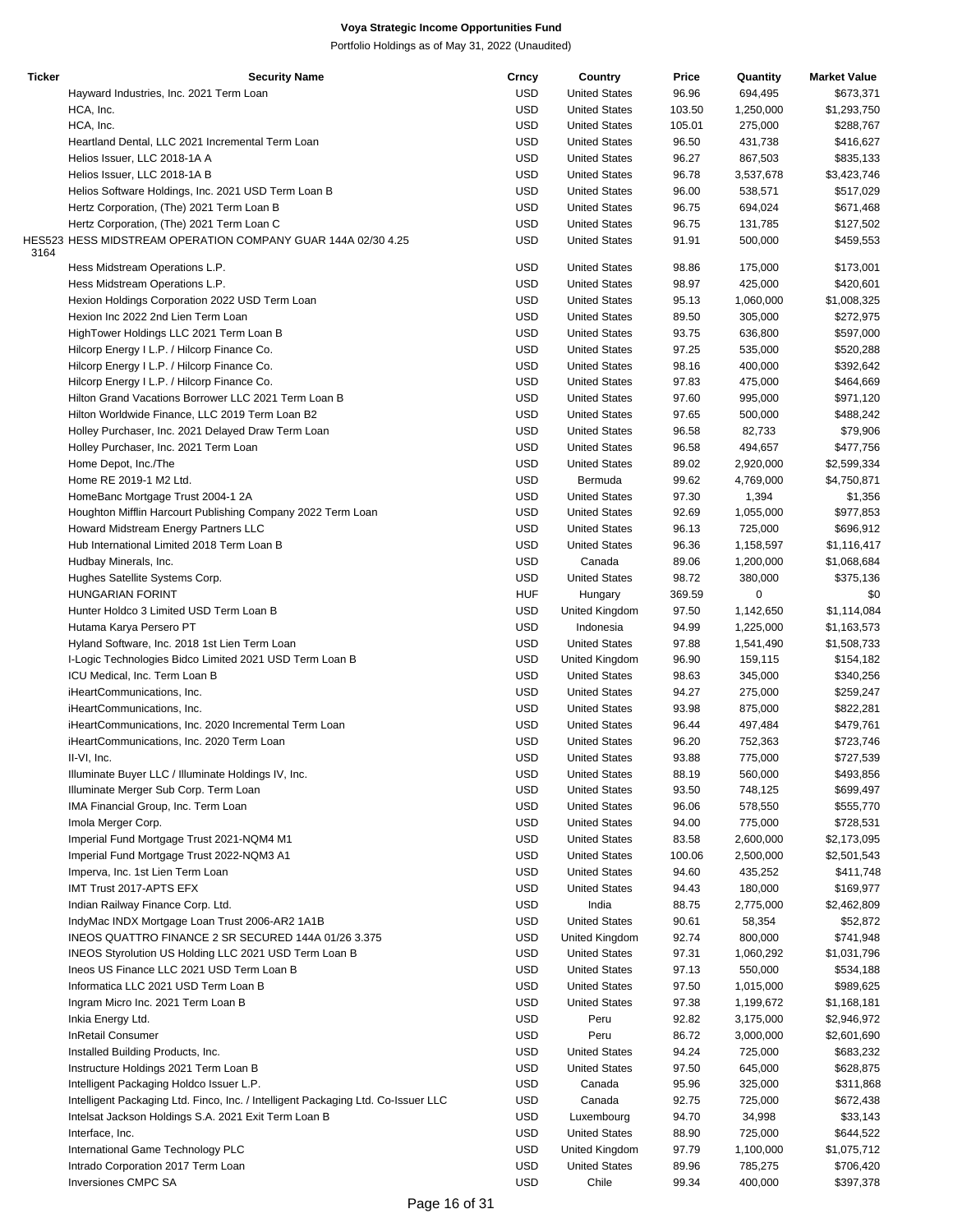| Ticker | <b>Security Name</b>                                                              | Crncy      | Country              | Price  | Quantity  | <b>Market Value</b> |
|--------|-----------------------------------------------------------------------------------|------------|----------------------|--------|-----------|---------------------|
|        | Hayward Industries, Inc. 2021 Term Loan                                           | <b>USD</b> | <b>United States</b> | 96.96  | 694,495   | \$673,371           |
|        | HCA, Inc.                                                                         | <b>USD</b> | <b>United States</b> | 103.50 | 1,250,000 | \$1,293,750         |
|        |                                                                                   | <b>USD</b> |                      |        |           |                     |
|        | HCA, Inc.                                                                         |            | <b>United States</b> | 105.01 | 275,000   | \$288,767           |
|        | Heartland Dental, LLC 2021 Incremental Term Loan                                  | <b>USD</b> | <b>United States</b> | 96.50  | 431,738   | \$416,627           |
|        | Helios Issuer, LLC 2018-1A A                                                      | <b>USD</b> | <b>United States</b> | 96.27  | 867,503   | \$835,133           |
|        | Helios Issuer, LLC 2018-1A B                                                      | <b>USD</b> | <b>United States</b> | 96.78  | 3,537,678 | \$3,423,746         |
|        | Helios Software Holdings, Inc. 2021 USD Term Loan B                               | <b>USD</b> | <b>United States</b> | 96.00  | 538,571   | \$517,029           |
|        |                                                                                   | <b>USD</b> | <b>United States</b> |        |           |                     |
|        | Hertz Corporation, (The) 2021 Term Loan B                                         |            |                      | 96.75  | 694,024   | \$671,468           |
|        | Hertz Corporation, (The) 2021 Term Loan C                                         | <b>USD</b> | <b>United States</b> | 96.75  | 131,785   | \$127,502           |
|        | HES523 HESS MIDSTREAM OPERATION COMPANY GUAR 144A 02/30 4.25                      | <b>USD</b> | <b>United States</b> | 91.91  | 500,000   | \$459,553           |
| 3164   |                                                                                   |            |                      |        |           |                     |
|        | Hess Midstream Operations L.P.                                                    | <b>USD</b> | <b>United States</b> | 98.86  | 175,000   | \$173,001           |
|        | Hess Midstream Operations L.P.                                                    | <b>USD</b> | <b>United States</b> | 98.97  | 425,000   | \$420,601           |
|        | Hexion Holdings Corporation 2022 USD Term Loan                                    | <b>USD</b> | <b>United States</b> | 95.13  | 1,060,000 | \$1,008,325         |
|        | Hexion Inc 2022 2nd Lien Term Loan                                                | <b>USD</b> | <b>United States</b> |        |           |                     |
|        |                                                                                   |            |                      | 89.50  | 305,000   | \$272,975           |
|        | HighTower Holdings LLC 2021 Term Loan B                                           | <b>USD</b> | <b>United States</b> | 93.75  | 636,800   | \$597,000           |
|        | Hilcorp Energy I L.P. / Hilcorp Finance Co.                                       | <b>USD</b> | <b>United States</b> | 97.25  | 535,000   | \$520,288           |
|        | Hilcorp Energy I L.P. / Hilcorp Finance Co.                                       | <b>USD</b> | <b>United States</b> | 98.16  | 400,000   | \$392,642           |
|        | Hilcorp Energy I L.P. / Hilcorp Finance Co.                                       | <b>USD</b> | <b>United States</b> | 97.83  | 475,000   | \$464,669           |
|        |                                                                                   | <b>USD</b> | <b>United States</b> |        |           |                     |
|        | Hilton Grand Vacations Borrower LLC 2021 Term Loan B                              |            |                      | 97.60  | 995,000   | \$971,120           |
|        | Hilton Worldwide Finance, LLC 2019 Term Loan B2                                   | <b>USD</b> | <b>United States</b> | 97.65  | 500,000   | \$488,242           |
|        | Holley Purchaser, Inc. 2021 Delayed Draw Term Loan                                | <b>USD</b> | <b>United States</b> | 96.58  | 82,733    | \$79,906            |
|        | Holley Purchaser, Inc. 2021 Term Loan                                             | <b>USD</b> | <b>United States</b> | 96.58  | 494,657   | \$477,756           |
|        |                                                                                   | <b>USD</b> | <b>United States</b> |        |           |                     |
|        | Home Depot, Inc./The                                                              |            |                      | 89.02  | 2,920,000 | \$2,599,334         |
|        | Home RE 2019-1 M2 Ltd.                                                            | <b>USD</b> | Bermuda              | 99.62  | 4,769,000 | \$4,750,871         |
|        | HomeBanc Mortgage Trust 2004-1 2A                                                 | <b>USD</b> | <b>United States</b> | 97.30  | 1,394     | \$1,356             |
|        | Houghton Mifflin Harcourt Publishing Company 2022 Term Loan                       | <b>USD</b> | <b>United States</b> | 92.69  | 1,055,000 | \$977,853           |
|        | Howard Midstream Energy Partners LLC                                              | <b>USD</b> | <b>United States</b> | 96.13  | 725,000   | \$696,912           |
|        |                                                                                   |            |                      |        |           |                     |
|        | Hub International Limited 2018 Term Loan B                                        | <b>USD</b> | <b>United States</b> | 96.36  | 1,158,597 | \$1,116,417         |
|        | Hudbay Minerals, Inc.                                                             | <b>USD</b> | Canada               | 89.06  | 1,200,000 | \$1,068,684         |
|        | Hughes Satellite Systems Corp.                                                    | <b>USD</b> | <b>United States</b> | 98.72  | 380,000   | \$375,136           |
|        | <b>HUNGARIAN FORINT</b>                                                           | <b>HUF</b> | Hungary              | 369.59 | 0         | \$0                 |
|        |                                                                                   |            |                      |        |           |                     |
|        | Hunter Holdco 3 Limited USD Term Loan B                                           | <b>USD</b> | United Kingdom       | 97.50  | 1,142,650 | \$1,114,084         |
|        | Hutama Karya Persero PT                                                           | <b>USD</b> | Indonesia            | 94.99  | 1,225,000 | \$1,163,573         |
|        | Hyland Software, Inc. 2018 1st Lien Term Loan                                     | <b>USD</b> | <b>United States</b> | 97.88  | 1,541,490 | \$1,508,733         |
|        | I-Logic Technologies Bidco Limited 2021 USD Term Loan B                           | <b>USD</b> | United Kingdom       | 96.90  | 159,115   | \$154,182           |
|        | ICU Medical, Inc. Term Loan B                                                     | <b>USD</b> | <b>United States</b> | 98.63  | 345,000   | \$340,256           |
|        |                                                                                   |            |                      |        |           |                     |
|        | iHeartCommunications, Inc.                                                        | <b>USD</b> | <b>United States</b> | 94.27  | 275,000   | \$259,247           |
|        | iHeartCommunications, Inc.                                                        | <b>USD</b> | <b>United States</b> | 93.98  | 875,000   | \$822,281           |
|        | iHeartCommunications, Inc. 2020 Incremental Term Loan                             | <b>USD</b> | <b>United States</b> | 96.44  | 497,484   | \$479,761           |
|        | iHeartCommunications, Inc. 2020 Term Loan                                         | <b>USD</b> | <b>United States</b> | 96.20  | 752,363   | \$723,746           |
|        |                                                                                   |            |                      |        |           |                     |
|        | II-VI, Inc.                                                                       | <b>USD</b> | <b>United States</b> | 93.88  | 775,000   | \$727,539           |
|        | Illuminate Buyer LLC / Illuminate Holdings IV, Inc.                               | USD        | <b>United States</b> | 88.19  | 560,000   | \$493,856           |
|        | Illuminate Merger Sub Corp. Term Loan                                             | USD        | <b>United States</b> | 93.50  | 748,125   | \$699,497           |
|        | IMA Financial Group, Inc. Term Loan                                               | <b>USD</b> | <b>United States</b> | 96.06  | 578,550   | \$555,770           |
|        |                                                                                   |            |                      |        |           |                     |
|        | Imola Merger Corp.                                                                | <b>USD</b> | <b>United States</b> | 94.00  | 775,000   | \$728,531           |
|        | Imperial Fund Mortgage Trust 2021-NQM4 M1                                         | <b>USD</b> | <b>United States</b> | 83.58  | 2,600,000 | \$2,173,095         |
|        | Imperial Fund Mortgage Trust 2022-NQM3 A1                                         | <b>USD</b> | <b>United States</b> | 100.06 | 2,500,000 | \$2,501,543         |
|        | Imperva, Inc. 1st Lien Term Loan                                                  | <b>USD</b> | <b>United States</b> | 94.60  | 435,252   | \$411,748           |
|        | IMT Trust 2017-APTS EFX                                                           | <b>USD</b> | <b>United States</b> | 94.43  | 180,000   | \$169,977           |
|        |                                                                                   |            |                      |        |           |                     |
|        | Indian Railway Finance Corp. Ltd.                                                 | <b>USD</b> | India                | 88.75  | 2,775,000 | \$2,462,809         |
|        | IndyMac INDX Mortgage Loan Trust 2006-AR2 1A1B                                    | <b>USD</b> | <b>United States</b> | 90.61  | 58,354    | \$52,872            |
|        | INEOS QUATTRO FINANCE 2 SR SECURED 144A 01/26 3.375                               | <b>USD</b> | United Kingdom       | 92.74  | 800,000   | \$741,948           |
|        | INEOS Styrolution US Holding LLC 2021 USD Term Loan B                             | <b>USD</b> | <b>United States</b> | 97.31  | 1,060,292 | \$1,031,796         |
|        |                                                                                   |            |                      |        |           |                     |
|        | Ineos US Finance LLC 2021 USD Term Loan B                                         | <b>USD</b> | <b>United States</b> | 97.13  | 550,000   | \$534,188           |
|        | Informatica LLC 2021 USD Term Loan B                                              | <b>USD</b> | <b>United States</b> | 97.50  | 1,015,000 | \$989,625           |
|        | Ingram Micro Inc. 2021 Term Loan B                                                | <b>USD</b> | <b>United States</b> | 97.38  | 1,199,672 | \$1,168,181         |
|        | Inkia Energy Ltd.                                                                 | <b>USD</b> | Peru                 | 92.82  | 3,175,000 | \$2,946,972         |
|        |                                                                                   |            |                      |        |           |                     |
|        | <b>InRetail Consumer</b>                                                          | <b>USD</b> | Peru                 | 86.72  | 3,000,000 | \$2,601,690         |
|        | Installed Building Products, Inc.                                                 | <b>USD</b> | <b>United States</b> | 94.24  | 725,000   | \$683,232           |
|        | Instructure Holdings 2021 Term Loan B                                             | <b>USD</b> | <b>United States</b> | 97.50  | 645,000   | \$628,875           |
|        | Intelligent Packaging Holdco Issuer L.P.                                          | USD        | Canada               | 95.96  | 325,000   | \$311,868           |
|        |                                                                                   | <b>USD</b> |                      |        |           |                     |
|        | Intelligent Packaging Ltd. Finco, Inc. / Intelligent Packaging Ltd. Co-Issuer LLC |            | Canada               | 92.75  | 725,000   | \$672,438           |
|        | Intelsat Jackson Holdings S.A. 2021 Exit Term Loan B                              | <b>USD</b> | Luxembourg           | 94.70  | 34,998    | \$33,143            |
|        | Interface, Inc.                                                                   | <b>USD</b> | <b>United States</b> | 88.90  | 725,000   | \$644,522           |
|        | International Game Technology PLC                                                 | <b>USD</b> | United Kingdom       | 97.79  | 1,100,000 | \$1,075,712         |
|        | Intrado Corporation 2017 Term Loan                                                | <b>USD</b> | <b>United States</b> | 89.96  | 785,275   | \$706,420           |
|        |                                                                                   |            |                      |        |           |                     |
|        | Inversiones CMPC SA                                                               | <b>USD</b> | Chile                | 99.34  | 400,000   | \$397,378           |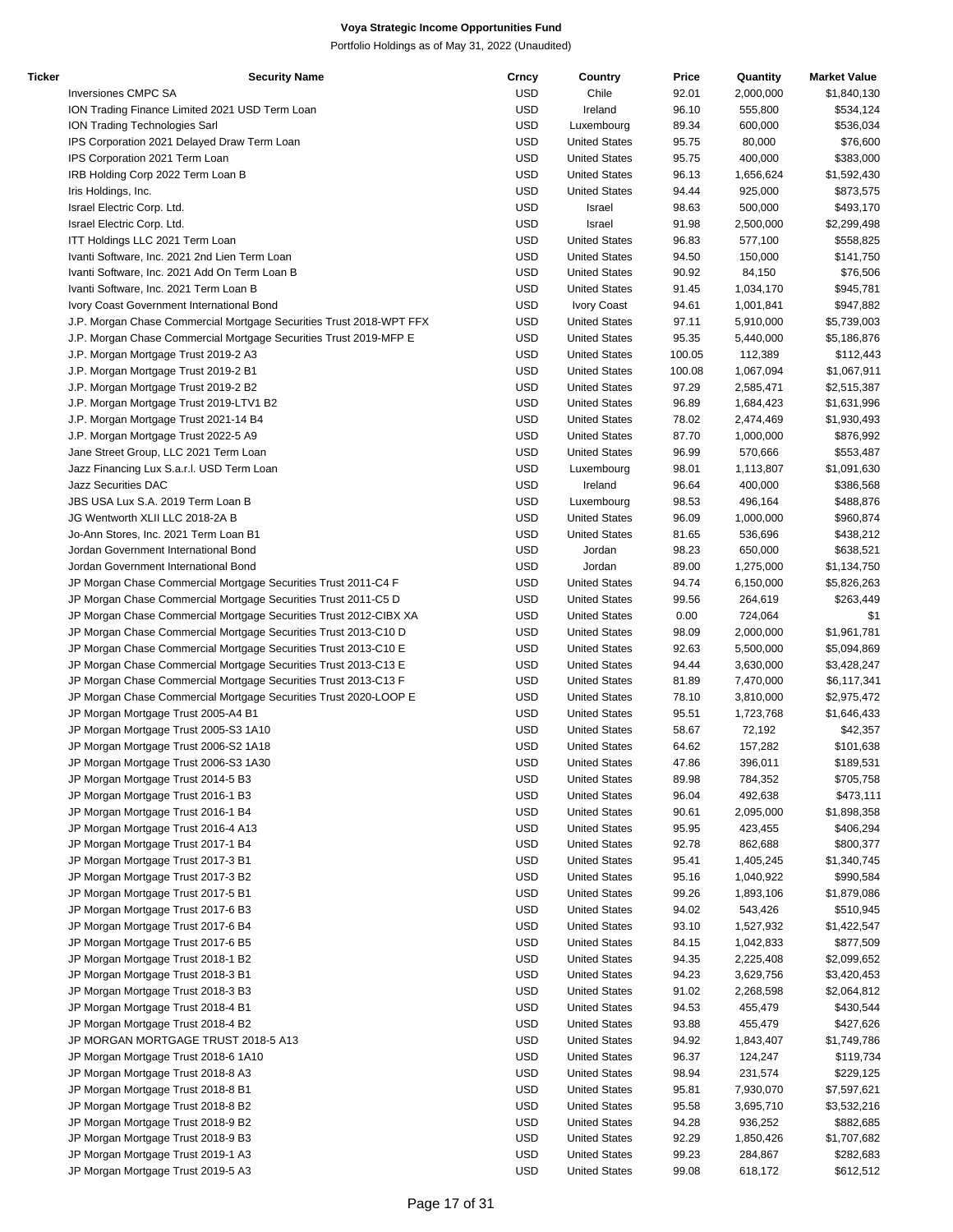| Ticker | <b>Security Name</b>                                                | Crncy      | Country              | Price  | Quantity  | <b>Market Value</b> |
|--------|---------------------------------------------------------------------|------------|----------------------|--------|-----------|---------------------|
|        | Inversiones CMPC SA                                                 | <b>USD</b> | Chile                | 92.01  | 2,000,000 | \$1,840,130         |
|        | ION Trading Finance Limited 2021 USD Term Loan                      | <b>USD</b> | Ireland              | 96.10  | 555,800   | \$534,124           |
|        | ION Trading Technologies Sarl                                       | <b>USD</b> | Luxembourg           | 89.34  | 600,000   | \$536,034           |
|        | IPS Corporation 2021 Delayed Draw Term Loan                         | <b>USD</b> | <b>United States</b> | 95.75  | 80,000    | \$76,600            |
|        | IPS Corporation 2021 Term Loan                                      | <b>USD</b> | <b>United States</b> | 95.75  | 400,000   | \$383,000           |
|        |                                                                     |            |                      |        |           |                     |
|        | IRB Holding Corp 2022 Term Loan B                                   | <b>USD</b> | <b>United States</b> | 96.13  | 1,656,624 | \$1,592,430         |
|        | Iris Holdings, Inc.                                                 | <b>USD</b> | <b>United States</b> | 94.44  | 925,000   | \$873,575           |
|        | Israel Electric Corp. Ltd.                                          | <b>USD</b> | Israel               | 98.63  | 500,000   | \$493,170           |
|        | Israel Electric Corp. Ltd.                                          | <b>USD</b> | Israel               | 91.98  | 2,500,000 | \$2,299,498         |
|        | ITT Holdings LLC 2021 Term Loan                                     | <b>USD</b> | <b>United States</b> | 96.83  | 577,100   | \$558,825           |
|        | Ivanti Software, Inc. 2021 2nd Lien Term Loan                       | <b>USD</b> | <b>United States</b> | 94.50  | 150,000   | \$141,750           |
|        | Ivanti Software, Inc. 2021 Add On Term Loan B                       | <b>USD</b> | <b>United States</b> | 90.92  | 84,150    | \$76,506            |
|        |                                                                     |            |                      |        |           |                     |
|        | Ivanti Software, Inc. 2021 Term Loan B                              | <b>USD</b> | <b>United States</b> | 91.45  | 1,034,170 | \$945,781           |
|        | Ivory Coast Government International Bond                           | <b>USD</b> | Ivory Coast          | 94.61  | 1,001,841 | \$947,882           |
|        | J.P. Morgan Chase Commercial Mortgage Securities Trust 2018-WPT FFX | <b>USD</b> | <b>United States</b> | 97.11  | 5,910,000 | \$5,739,003         |
|        | J.P. Morgan Chase Commercial Mortgage Securities Trust 2019-MFP E   | <b>USD</b> | <b>United States</b> | 95.35  | 5,440,000 | \$5,186,876         |
|        | J.P. Morgan Mortgage Trust 2019-2 A3                                | <b>USD</b> | <b>United States</b> | 100.05 | 112,389   | \$112,443           |
|        | J.P. Morgan Mortgage Trust 2019-2 B1                                | <b>USD</b> | <b>United States</b> | 100.08 | 1,067,094 | \$1,067,911         |
|        | J.P. Morgan Mortgage Trust 2019-2 B2                                | <b>USD</b> | <b>United States</b> | 97.29  | 2,585,471 |                     |
|        |                                                                     |            |                      |        |           | \$2,515,387         |
|        | J.P. Morgan Mortgage Trust 2019-LTV1 B2                             | <b>USD</b> | <b>United States</b> | 96.89  | 1,684,423 | \$1,631,996         |
|        | J.P. Morgan Mortgage Trust 2021-14 B4                               | <b>USD</b> | <b>United States</b> | 78.02  | 2,474,469 | \$1,930,493         |
|        | J.P. Morgan Mortgage Trust 2022-5 A9                                | <b>USD</b> | <b>United States</b> | 87.70  | 1,000,000 | \$876,992           |
|        | Jane Street Group, LLC 2021 Term Loan                               | <b>USD</b> | <b>United States</b> | 96.99  | 570,666   | \$553,487           |
|        | Jazz Financing Lux S.a.r.I. USD Term Loan                           | <b>USD</b> | Luxembourg           | 98.01  | 1,113,807 | \$1,091,630         |
|        | <b>Jazz Securities DAC</b>                                          | <b>USD</b> | Ireland              | 96.64  | 400,000   | \$386,568           |
|        |                                                                     |            |                      |        |           |                     |
|        | JBS USA Lux S.A. 2019 Term Loan B                                   | <b>USD</b> | Luxembourg           | 98.53  | 496,164   | \$488,876           |
|        | JG Wentworth XLII LLC 2018-2A B                                     | <b>USD</b> | <b>United States</b> | 96.09  | 1,000,000 | \$960,874           |
|        | Jo-Ann Stores, Inc. 2021 Term Loan B1                               | <b>USD</b> | <b>United States</b> | 81.65  | 536,696   | \$438,212           |
|        | Jordan Government International Bond                                | <b>USD</b> | Jordan               | 98.23  | 650,000   | \$638,521           |
|        | Jordan Government International Bond                                | <b>USD</b> | Jordan               | 89.00  | 1,275,000 | \$1,134,750         |
|        | JP Morgan Chase Commercial Mortgage Securities Trust 2011-C4 F      | <b>USD</b> | <b>United States</b> | 94.74  | 6,150,000 | \$5,826,263         |
|        |                                                                     |            |                      |        |           |                     |
|        | JP Morgan Chase Commercial Mortgage Securities Trust 2011-C5 D      | <b>USD</b> | <b>United States</b> | 99.56  | 264,619   | \$263,449           |
|        | JP Morgan Chase Commercial Mortgage Securities Trust 2012-CIBX XA   | <b>USD</b> | <b>United States</b> | 0.00   | 724,064   | \$1                 |
|        | JP Morgan Chase Commercial Mortgage Securities Trust 2013-C10 D     | <b>USD</b> | <b>United States</b> | 98.09  | 2,000,000 | \$1,961,781         |
|        | JP Morgan Chase Commercial Mortgage Securities Trust 2013-C10 E     | <b>USD</b> | <b>United States</b> | 92.63  | 5,500,000 | \$5,094,869         |
|        | JP Morgan Chase Commercial Mortgage Securities Trust 2013-C13 E     | <b>USD</b> | <b>United States</b> | 94.44  | 3,630,000 | \$3,428,247         |
|        | JP Morgan Chase Commercial Mortgage Securities Trust 2013-C13 F     | <b>USD</b> | <b>United States</b> | 81.89  | 7,470,000 | \$6,117,341         |
|        |                                                                     | <b>USD</b> | <b>United States</b> |        |           |                     |
|        | JP Morgan Chase Commercial Mortgage Securities Trust 2020-LOOP E    |            |                      | 78.10  | 3,810,000 | \$2,975,472         |
|        | JP Morgan Mortgage Trust 2005-A4 B1                                 | <b>USD</b> | <b>United States</b> | 95.51  | 1,723,768 | \$1,646,433         |
|        | JP Morgan Mortgage Trust 2005-S3 1A10                               | <b>USD</b> | <b>United States</b> | 58.67  | 72,192    | \$42,357            |
|        | JP Morgan Mortgage Trust 2006-S2 1A18                               | <b>USD</b> | <b>United States</b> | 64.62  | 157,282   | \$101,638           |
|        | JP Morgan Mortgage Trust 2006-S3 1A30                               | <b>USD</b> | <b>United States</b> | 47.86  | 396,011   | \$189,531           |
|        | JP Morgan Mortgage Trust 2014-5 B3                                  | <b>USD</b> | <b>United States</b> | 89.98  | 784,352   | \$705,758           |
|        | JP Morgan Mortgage Trust 2016-1 B3                                  | <b>USD</b> | <b>United States</b> | 96.04  | 492,638   | \$473,111           |
|        |                                                                     |            |                      |        |           |                     |
|        | JP Morgan Mortgage Trust 2016-1 B4                                  | <b>USD</b> | <b>United States</b> | 90.61  | 2,095,000 | \$1,898,358         |
|        | JP Morgan Mortgage Trust 2016-4 A13                                 | <b>USD</b> | <b>United States</b> | 95.95  | 423,455   | \$406,294           |
|        | JP Morgan Mortgage Trust 2017-1 B4                                  | <b>USD</b> | <b>United States</b> | 92.78  | 862,688   | \$800,377           |
|        | JP Morgan Mortgage Trust 2017-3 B1                                  | <b>USD</b> | <b>United States</b> | 95.41  | 1,405,245 | \$1,340,745         |
|        | JP Morgan Mortgage Trust 2017-3 B2                                  | <b>USD</b> | <b>United States</b> | 95.16  | 1,040,922 | \$990,584           |
|        | JP Morgan Mortgage Trust 2017-5 B1                                  | <b>USD</b> | <b>United States</b> | 99.26  | 1,893,106 | \$1,879,086         |
|        |                                                                     |            |                      |        |           |                     |
|        | JP Morgan Mortgage Trust 2017-6 B3                                  | <b>USD</b> | <b>United States</b> | 94.02  | 543,426   | \$510,945           |
|        | JP Morgan Mortgage Trust 2017-6 B4                                  | <b>USD</b> | <b>United States</b> | 93.10  | 1,527,932 | \$1,422,547         |
|        | JP Morgan Mortgage Trust 2017-6 B5                                  | <b>USD</b> | <b>United States</b> | 84.15  | 1,042,833 | \$877,509           |
|        | JP Morgan Mortgage Trust 2018-1 B2                                  | <b>USD</b> | <b>United States</b> | 94.35  | 2,225,408 | \$2,099,652         |
|        | JP Morgan Mortgage Trust 2018-3 B1                                  | <b>USD</b> | <b>United States</b> | 94.23  | 3,629,756 | \$3,420,453         |
|        | JP Morgan Mortgage Trust 2018-3 B3                                  | <b>USD</b> | <b>United States</b> | 91.02  | 2,268,598 | \$2,064,812         |
|        |                                                                     |            |                      |        |           |                     |
|        | JP Morgan Mortgage Trust 2018-4 B1                                  | <b>USD</b> | <b>United States</b> | 94.53  | 455,479   | \$430,544           |
|        | JP Morgan Mortgage Trust 2018-4 B2                                  | <b>USD</b> | <b>United States</b> | 93.88  | 455,479   | \$427,626           |
|        | JP MORGAN MORTGAGE TRUST 2018-5 A13                                 | <b>USD</b> | <b>United States</b> | 94.92  | 1,843,407 | \$1,749,786         |
|        | JP Morgan Mortgage Trust 2018-6 1A10                                | <b>USD</b> | <b>United States</b> | 96.37  | 124,247   | \$119,734           |
|        | JP Morgan Mortgage Trust 2018-8 A3                                  | <b>USD</b> | <b>United States</b> | 98.94  | 231,574   | \$229,125           |
|        | JP Morgan Mortgage Trust 2018-8 B1                                  | <b>USD</b> | <b>United States</b> | 95.81  | 7,930,070 | \$7,597,621         |
|        |                                                                     | <b>USD</b> |                      | 95.58  |           |                     |
|        | JP Morgan Mortgage Trust 2018-8 B2                                  |            | <b>United States</b> |        | 3,695,710 | \$3,532,216         |
|        | JP Morgan Mortgage Trust 2018-9 B2                                  | <b>USD</b> | <b>United States</b> | 94.28  | 936,252   | \$882,685           |
|        | JP Morgan Mortgage Trust 2018-9 B3                                  | <b>USD</b> | <b>United States</b> | 92.29  | 1,850,426 | \$1,707,682         |
|        | JP Morgan Mortgage Trust 2019-1 A3                                  | <b>USD</b> | <b>United States</b> | 99.23  | 284,867   | \$282,683           |
|        | JP Morgan Mortgage Trust 2019-5 A3                                  | <b>USD</b> | <b>United States</b> | 99.08  | 618,172   | \$612,512           |
|        |                                                                     |            |                      |        |           |                     |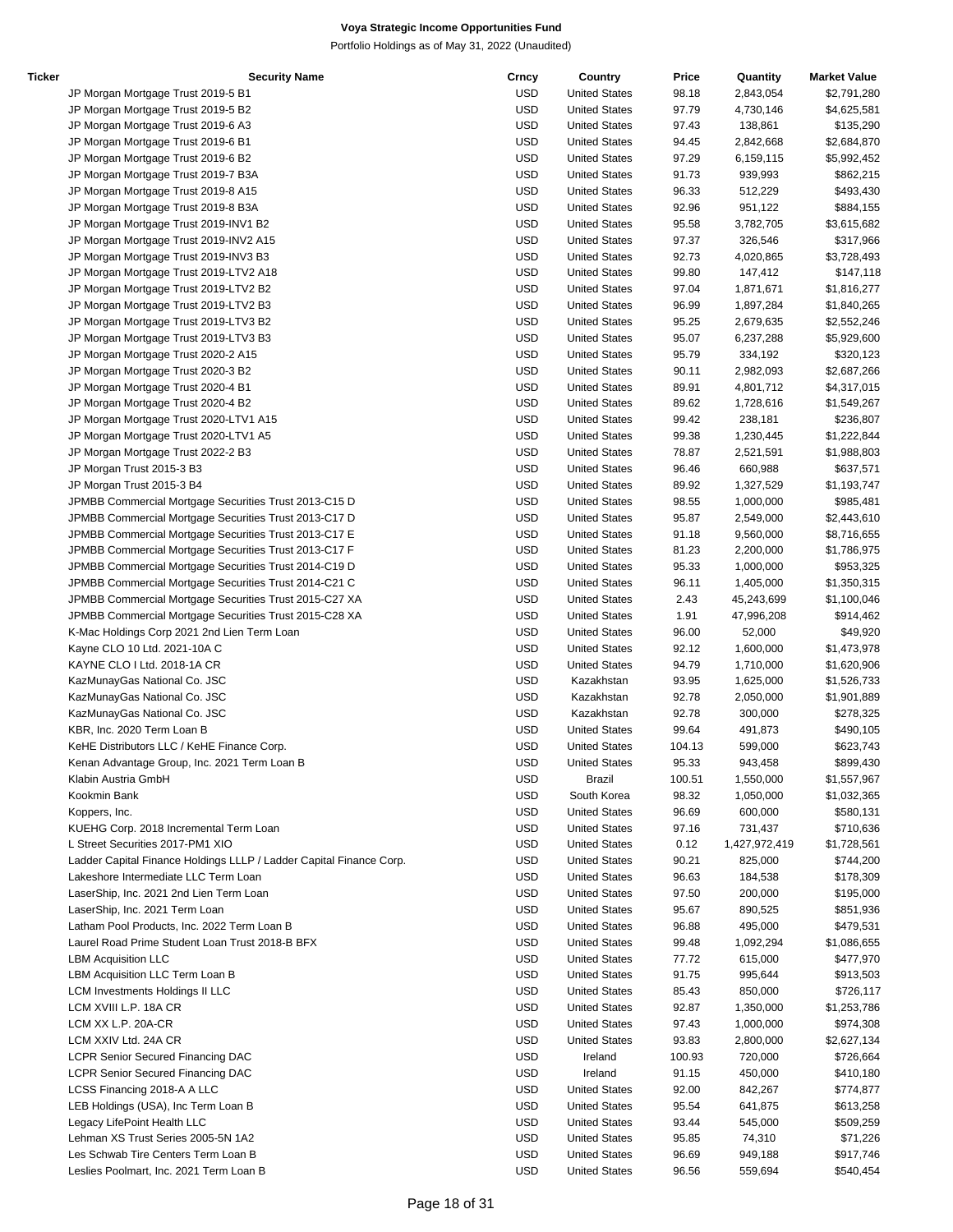| Ticker | <b>Security Name</b>                                                | Crncy      | Country              | Price  | Quantity      | <b>Market Value</b> |
|--------|---------------------------------------------------------------------|------------|----------------------|--------|---------------|---------------------|
|        | JP Morgan Mortgage Trust 2019-5 B1                                  | USD        | <b>United States</b> | 98.18  | 2,843,054     | \$2,791,280         |
|        | JP Morgan Mortgage Trust 2019-5 B2                                  | USD        | <b>United States</b> | 97.79  | 4,730,146     | \$4,625,581         |
|        | JP Morgan Mortgage Trust 2019-6 A3                                  | <b>USD</b> | <b>United States</b> | 97.43  | 138,861       | \$135,290           |
|        | JP Morgan Mortgage Trust 2019-6 B1                                  | <b>USD</b> | <b>United States</b> | 94.45  | 2,842,668     | \$2,684,870         |
|        | JP Morgan Mortgage Trust 2019-6 B2                                  | <b>USD</b> | <b>United States</b> | 97.29  | 6,159,115     | \$5,992,452         |
|        | JP Morgan Mortgage Trust 2019-7 B3A                                 | <b>USD</b> | <b>United States</b> | 91.73  | 939,993       | \$862,215           |
|        | JP Morgan Mortgage Trust 2019-8 A15                                 | <b>USD</b> | <b>United States</b> | 96.33  | 512,229       | \$493,430           |
|        | JP Morgan Mortgage Trust 2019-8 B3A                                 | <b>USD</b> | <b>United States</b> | 92.96  | 951,122       | \$884,155           |
|        | JP Morgan Mortgage Trust 2019-INV1 B2                               | USD        | <b>United States</b> | 95.58  | 3,782,705     | \$3,615,682         |
|        | JP Morgan Mortgage Trust 2019-INV2 A15                              | <b>USD</b> | <b>United States</b> | 97.37  | 326,546       |                     |
|        |                                                                     |            |                      |        |               | \$317,966           |
|        | JP Morgan Mortgage Trust 2019-INV3 B3                               | <b>USD</b> | <b>United States</b> | 92.73  | 4,020,865     | \$3,728,493         |
|        | JP Morgan Mortgage Trust 2019-LTV2 A18                              | <b>USD</b> | <b>United States</b> | 99.80  | 147,412       | \$147,118           |
|        | JP Morgan Mortgage Trust 2019-LTV2 B2                               | <b>USD</b> | <b>United States</b> | 97.04  | 1,871,671     | \$1,816,277         |
|        | JP Morgan Mortgage Trust 2019-LTV2 B3                               | <b>USD</b> | <b>United States</b> | 96.99  | 1,897,284     | \$1,840,265         |
|        | JP Morgan Mortgage Trust 2019-LTV3 B2                               | <b>USD</b> | <b>United States</b> | 95.25  | 2,679,635     | \$2,552,246         |
|        | JP Morgan Mortgage Trust 2019-LTV3 B3                               | <b>USD</b> | <b>United States</b> | 95.07  | 6,237,288     | \$5,929,600         |
|        | JP Morgan Mortgage Trust 2020-2 A15                                 | USD        | <b>United States</b> | 95.79  | 334,192       | \$320,123           |
|        | JP Morgan Mortgage Trust 2020-3 B2                                  | USD        | <b>United States</b> | 90.11  | 2,982,093     | \$2,687,266         |
|        | JP Morgan Mortgage Trust 2020-4 B1                                  | USD        | <b>United States</b> | 89.91  | 4,801,712     | \$4,317,015         |
|        | JP Morgan Mortgage Trust 2020-4 B2                                  | <b>USD</b> | <b>United States</b> | 89.62  | 1,728,616     | \$1,549,267         |
|        | JP Morgan Mortgage Trust 2020-LTV1 A15                              | USD        | <b>United States</b> | 99.42  | 238,181       | \$236,807           |
|        | JP Morgan Mortgage Trust 2020-LTV1 A5                               | <b>USD</b> | <b>United States</b> | 99.38  | 1,230,445     | \$1,222,844         |
|        | JP Morgan Mortgage Trust 2022-2 B3                                  | <b>USD</b> | <b>United States</b> | 78.87  | 2,521,591     | \$1,988,803         |
|        |                                                                     | <b>USD</b> | <b>United States</b> | 96.46  | 660,988       | \$637,571           |
|        | JP Morgan Trust 2015-3 B3                                           |            |                      |        |               |                     |
|        | JP Morgan Trust 2015-3 B4                                           | USD        | <b>United States</b> | 89.92  | 1,327,529     | \$1,193,747         |
|        | JPMBB Commercial Mortgage Securities Trust 2013-C15 D               | USD        | <b>United States</b> | 98.55  | 1,000,000     | \$985,481           |
|        | JPMBB Commercial Mortgage Securities Trust 2013-C17 D               | USD        | <b>United States</b> | 95.87  | 2,549,000     | \$2,443,610         |
|        | JPMBB Commercial Mortgage Securities Trust 2013-C17 E               | <b>USD</b> | <b>United States</b> | 91.18  | 9,560,000     | \$8,716,655         |
|        | JPMBB Commercial Mortgage Securities Trust 2013-C17 F               | USD        | <b>United States</b> | 81.23  | 2,200,000     | \$1,786,975         |
|        | JPMBB Commercial Mortgage Securities Trust 2014-C19 D               | <b>USD</b> | <b>United States</b> | 95.33  | 1,000,000     | \$953,325           |
|        | JPMBB Commercial Mortgage Securities Trust 2014-C21 C               | <b>USD</b> | <b>United States</b> | 96.11  | 1,405,000     | \$1,350,315         |
|        | JPMBB Commercial Mortgage Securities Trust 2015-C27 XA              | <b>USD</b> | <b>United States</b> | 2.43   | 45,243,699    | \$1,100,046         |
|        | JPMBB Commercial Mortgage Securities Trust 2015-C28 XA              | USD        | <b>United States</b> | 1.91   | 47,996,208    | \$914,462           |
|        | K-Mac Holdings Corp 2021 2nd Lien Term Loan                         | USD        | <b>United States</b> | 96.00  | 52,000        | \$49,920            |
|        | Kayne CLO 10 Ltd. 2021-10A C                                        | USD        | <b>United States</b> | 92.12  | 1,600,000     | \$1,473,978         |
|        | KAYNE CLO I Ltd. 2018-1A CR                                         | <b>USD</b> | <b>United States</b> | 94.79  | 1,710,000     | \$1,620,906         |
|        | KazMunayGas National Co. JSC                                        | USD        | Kazakhstan           | 93.95  | 1,625,000     | \$1,526,733         |
|        | KazMunayGas National Co. JSC                                        | USD        | Kazakhstan           | 92.78  | 2,050,000     | \$1,901,889         |
|        |                                                                     | <b>USD</b> |                      |        |               |                     |
|        | KazMunayGas National Co. JSC                                        |            | Kazakhstan           | 92.78  | 300,000       | \$278,325           |
|        | KBR, Inc. 2020 Term Loan B                                          | <b>USD</b> | <b>United States</b> | 99.64  | 491,873       | \$490,105           |
|        | KeHE Distributors LLC / KeHE Finance Corp.                          | <b>USD</b> | <b>United States</b> | 104.13 | 599,000       | \$623,743           |
|        | Kenan Advantage Group, Inc. 2021 Term Loan B                        | <b>USD</b> | <b>United States</b> | 95.33  | 943,458       | \$899,430           |
|        | Klabin Austria GmbH                                                 | <b>USD</b> | <b>Brazil</b>        | 100.51 | 1,550,000     | \$1,557,967         |
|        | Kookmin Bank                                                        | <b>USD</b> | South Korea          | 98.32  | 1,050,000     | \$1,032,365         |
|        | Koppers, Inc.                                                       | <b>USD</b> | <b>United States</b> | 96.69  | 600,000       | \$580,131           |
|        | KUEHG Corp. 2018 Incremental Term Loan                              | <b>USD</b> | <b>United States</b> | 97.16  | 731,437       | \$710,636           |
|        | L Street Securities 2017-PM1 XIO                                    | <b>USD</b> | <b>United States</b> | 0.12   | 1,427,972,419 | \$1,728,561         |
|        | Ladder Capital Finance Holdings LLLP / Ladder Capital Finance Corp. | <b>USD</b> | <b>United States</b> | 90.21  | 825,000       | \$744,200           |
|        | Lakeshore Intermediate LLC Term Loan                                | USD        | <b>United States</b> | 96.63  | 184,538       | \$178,309           |
|        | LaserShip, Inc. 2021 2nd Lien Term Loan                             | <b>USD</b> | <b>United States</b> | 97.50  | 200,000       | \$195,000           |
|        | LaserShip, Inc. 2021 Term Loan                                      | <b>USD</b> | <b>United States</b> | 95.67  | 890,525       | \$851,936           |
|        | Latham Pool Products, Inc. 2022 Term Loan B                         | <b>USD</b> | <b>United States</b> | 96.88  | 495,000       | \$479,531           |
|        | Laurel Road Prime Student Loan Trust 2018-B BFX                     | <b>USD</b> | <b>United States</b> | 99.48  | 1,092,294     | \$1,086,655         |
|        |                                                                     |            | <b>United States</b> |        | 615,000       |                     |
|        | <b>LBM Acquisition LLC</b>                                          | <b>USD</b> |                      | 77.72  |               | \$477,970           |
|        | LBM Acquisition LLC Term Loan B                                     | <b>USD</b> | <b>United States</b> | 91.75  | 995,644       | \$913,503           |
|        | <b>LCM Investments Holdings II LLC</b>                              | <b>USD</b> | <b>United States</b> | 85.43  | 850,000       | \$726,117           |
|        | LCM XVIII L.P. 18A CR                                               | <b>USD</b> | <b>United States</b> | 92.87  | 1,350,000     | \$1,253,786         |
|        | LCM XX L.P. 20A-CR                                                  | <b>USD</b> | <b>United States</b> | 97.43  | 1,000,000     | \$974,308           |
|        | LCM XXIV Ltd. 24A CR                                                | <b>USD</b> | <b>United States</b> | 93.83  | 2,800,000     | \$2,627,134         |
|        | <b>LCPR Senior Secured Financing DAC</b>                            | <b>USD</b> | Ireland              | 100.93 | 720,000       | \$726,664           |
|        | <b>LCPR Senior Secured Financing DAC</b>                            | <b>USD</b> | Ireland              | 91.15  | 450,000       | \$410,180           |
|        | LCSS Financing 2018-A A LLC                                         | USD        | <b>United States</b> | 92.00  | 842,267       | \$774,877           |
|        | LEB Holdings (USA), Inc Term Loan B                                 | <b>USD</b> | <b>United States</b> | 95.54  | 641,875       | \$613,258           |
|        | Legacy LifePoint Health LLC                                         | <b>USD</b> | <b>United States</b> | 93.44  | 545,000       | \$509,259           |
|        | Lehman XS Trust Series 2005-5N 1A2                                  | USD        | <b>United States</b> | 95.85  | 74,310        | \$71,226            |
|        | Les Schwab Tire Centers Term Loan B                                 | <b>USD</b> | <b>United States</b> | 96.69  | 949,188       | \$917,746           |
|        |                                                                     | <b>USD</b> |                      |        |               | \$540,454           |
|        | Leslies Poolmart, Inc. 2021 Term Loan B                             |            | <b>United States</b> | 96.56  | 559,694       |                     |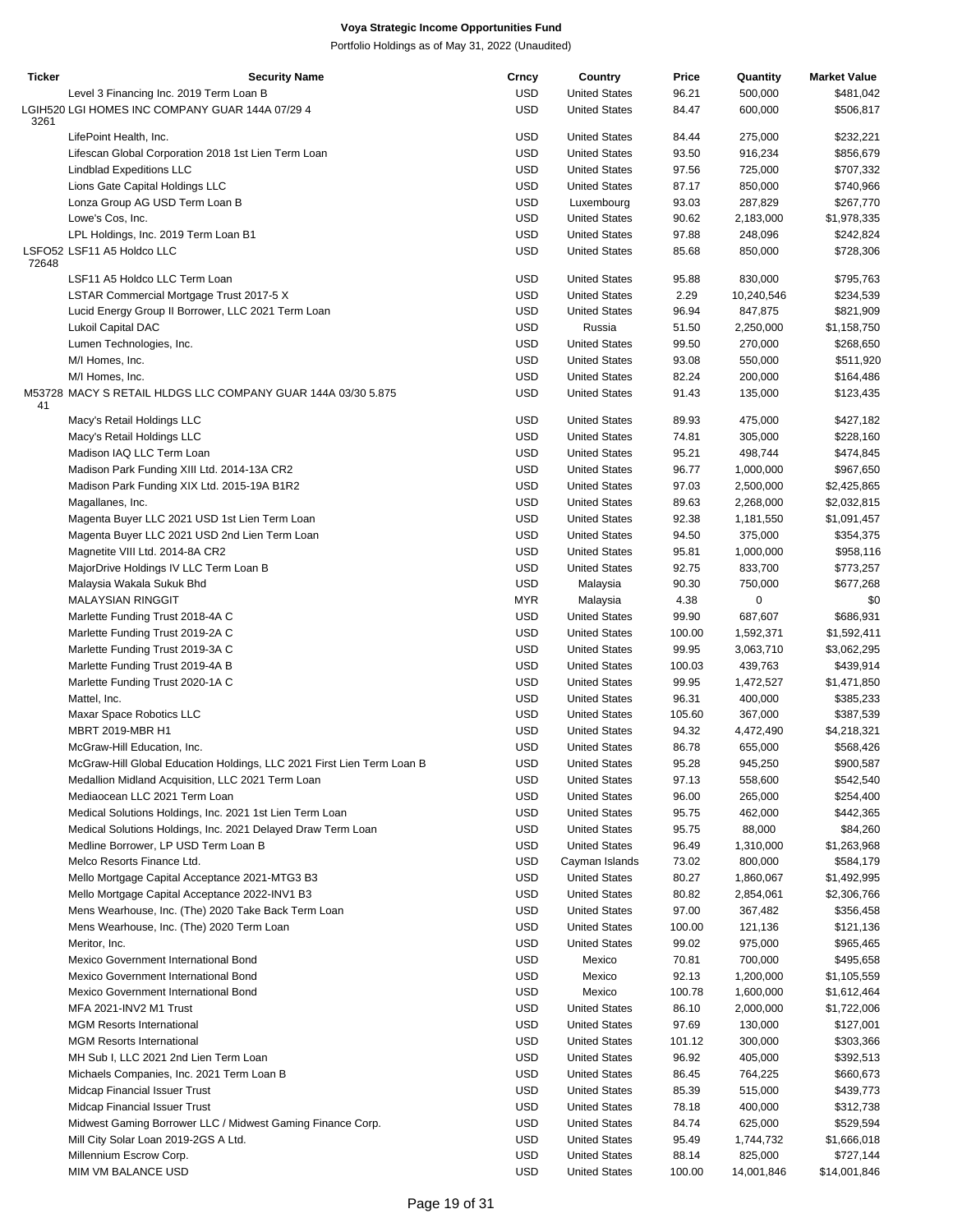| <b>Ticker</b> | <b>Security Name</b>                                                   | Crncy      | Country              | Price  | Quantity   | <b>Market Value</b> |
|---------------|------------------------------------------------------------------------|------------|----------------------|--------|------------|---------------------|
|               | Level 3 Financing Inc. 2019 Term Loan B                                | <b>USD</b> | <b>United States</b> | 96.21  | 500,000    | \$481,042           |
| 3261          | LGIH520 LGI HOMES INC COMPANY GUAR 144A 07/29 4                        | <b>USD</b> | <b>United States</b> | 84.47  | 600,000    | \$506,817           |
|               | LifePoint Health, Inc.                                                 | <b>USD</b> | <b>United States</b> | 84.44  | 275,000    | \$232,221           |
|               | Lifescan Global Corporation 2018 1st Lien Term Loan                    | <b>USD</b> | <b>United States</b> | 93.50  | 916,234    | \$856,679           |
|               | <b>Lindblad Expeditions LLC</b>                                        | <b>USD</b> | <b>United States</b> | 97.56  | 725,000    | \$707,332           |
|               | Lions Gate Capital Holdings LLC                                        | <b>USD</b> | <b>United States</b> | 87.17  | 850,000    | \$740,966           |
|               | Lonza Group AG USD Term Loan B                                         | <b>USD</b> | Luxembourg           | 93.03  | 287,829    | \$267,770           |
|               | Lowe's Cos, Inc.                                                       | <b>USD</b> | <b>United States</b> | 90.62  | 2,183,000  | \$1,978,335         |
|               | LPL Holdings, Inc. 2019 Term Loan B1                                   | <b>USD</b> | <b>United States</b> | 97.88  | 248,096    | \$242,824           |
| 72648         | LSFO52 LSF11 A5 Holdco LLC                                             | <b>USD</b> | <b>United States</b> | 85.68  | 850,000    | \$728,306           |
|               | LSF11 A5 Holdco LLC Term Loan                                          | USD        | <b>United States</b> | 95.88  | 830,000    | \$795,763           |
|               | LSTAR Commercial Mortgage Trust 2017-5 X                               | USD        | <b>United States</b> | 2.29   | 10,240,546 | \$234,539           |
|               | Lucid Energy Group II Borrower, LLC 2021 Term Loan                     | <b>USD</b> | <b>United States</b> | 96.94  | 847,875    | \$821,909           |
|               | <b>Lukoil Capital DAC</b>                                              | <b>USD</b> | Russia               | 51.50  | 2,250,000  | \$1,158,750         |
|               | Lumen Technologies, Inc.                                               | USD        | <b>United States</b> | 99.50  | 270,000    | \$268,650           |
|               | M/I Homes, Inc.                                                        | <b>USD</b> | <b>United States</b> | 93.08  | 550,000    | \$511,920           |
|               | M/I Homes, Inc.                                                        | <b>USD</b> | <b>United States</b> | 82.24  | 200,000    | \$164,486           |
| 41            | M53728 MACY S RETAIL HLDGS LLC COMPANY GUAR 144A 03/30 5.875           | <b>USD</b> | <b>United States</b> | 91.43  | 135,000    | \$123,435           |
|               | Macy's Retail Holdings LLC                                             | <b>USD</b> | <b>United States</b> | 89.93  | 475,000    | \$427,182           |
|               | Macy's Retail Holdings LLC                                             | <b>USD</b> | <b>United States</b> | 74.81  | 305,000    | \$228,160           |
|               | Madison IAQ LLC Term Loan                                              | <b>USD</b> | <b>United States</b> | 95.21  | 498,744    | \$474,845           |
|               | Madison Park Funding XIII Ltd. 2014-13A CR2                            | <b>USD</b> | <b>United States</b> | 96.77  | 1,000,000  | \$967,650           |
|               | Madison Park Funding XIX Ltd. 2015-19A B1R2                            | <b>USD</b> | <b>United States</b> | 97.03  | 2,500,000  | \$2,425,865         |
|               | Magallanes, Inc.                                                       | <b>USD</b> | <b>United States</b> | 89.63  | 2,268,000  | \$2,032,815         |
|               |                                                                        |            |                      |        |            |                     |
|               | Magenta Buyer LLC 2021 USD 1st Lien Term Loan                          | <b>USD</b> | <b>United States</b> | 92.38  | 1,181,550  | \$1,091,457         |
|               | Magenta Buyer LLC 2021 USD 2nd Lien Term Loan                          | <b>USD</b> | <b>United States</b> | 94.50  | 375,000    | \$354,375           |
|               | Magnetite VIII Ltd. 2014-8A CR2                                        | <b>USD</b> | <b>United States</b> | 95.81  | 1,000,000  | \$958,116           |
|               | MajorDrive Holdings IV LLC Term Loan B                                 | <b>USD</b> | <b>United States</b> | 92.75  | 833,700    | \$773,257           |
|               | Malaysia Wakala Sukuk Bhd                                              | <b>USD</b> | Malaysia             | 90.30  | 750,000    | \$677,268           |
|               | <b>MALAYSIAN RINGGIT</b>                                               | <b>MYR</b> | Malaysia             | 4.38   | 0          | \$0                 |
|               | Marlette Funding Trust 2018-4A C                                       | <b>USD</b> | <b>United States</b> | 99.90  | 687,607    | \$686,931           |
|               | Marlette Funding Trust 2019-2A C                                       | <b>USD</b> | <b>United States</b> | 100.00 | 1,592,371  | \$1,592,411         |
|               | Marlette Funding Trust 2019-3A C                                       | <b>USD</b> | <b>United States</b> | 99.95  | 3,063,710  | \$3,062,295         |
|               | Marlette Funding Trust 2019-4A B                                       | <b>USD</b> | <b>United States</b> | 100.03 | 439,763    | \$439,914           |
|               | Marlette Funding Trust 2020-1A C                                       | <b>USD</b> | <b>United States</b> | 99.95  | 1,472,527  | \$1,471,850         |
|               | Mattel, Inc.                                                           | <b>USD</b> | <b>United States</b> | 96.31  | 400,000    | \$385,233           |
|               | Maxar Space Robotics LLC                                               | <b>USD</b> | <b>United States</b> | 105.60 | 367,000    | \$387,539           |
|               | <b>MBRT 2019-MBR H1</b>                                                | <b>USD</b> | <b>United States</b> | 94.32  | 4,472,490  | \$4,218,321         |
|               | McGraw-Hill Education, Inc.                                            |            | <b>United States</b> |        |            |                     |
|               |                                                                        | <b>USD</b> |                      | 86.78  | 655,000    | \$568,426           |
|               | McGraw-Hill Global Education Holdings, LLC 2021 First Lien Term Loan B | <b>USD</b> | <b>United States</b> | 95.28  | 945,250    | \$900,587           |
|               | Medallion Midland Acquisition, LLC 2021 Term Loan                      | USD        | <b>United States</b> | 97.13  | 558,600    | \$542,540           |
|               | Mediaocean LLC 2021 Term Loan                                          | <b>USD</b> | <b>United States</b> | 96.00  | 265,000    | \$254,400           |
|               | Medical Solutions Holdings, Inc. 2021 1st Lien Term Loan               | <b>USD</b> | <b>United States</b> | 95.75  | 462,000    | \$442,365           |
|               | Medical Solutions Holdings, Inc. 2021 Delayed Draw Term Loan           | <b>USD</b> | <b>United States</b> | 95.75  | 88,000     | \$84,260            |
|               | Medline Borrower, LP USD Term Loan B                                   | USD        | <b>United States</b> | 96.49  | 1,310,000  | \$1,263,968         |
|               | Melco Resorts Finance Ltd.                                             | <b>USD</b> | Cayman Islands       | 73.02  | 800,000    | \$584,179           |
|               | Mello Mortgage Capital Acceptance 2021-MTG3 B3                         | <b>USD</b> | <b>United States</b> | 80.27  | 1,860,067  | \$1,492,995         |
|               | Mello Mortgage Capital Acceptance 2022-INV1 B3                         | <b>USD</b> | <b>United States</b> | 80.82  | 2,854,061  | \$2,306,766         |
|               | Mens Wearhouse, Inc. (The) 2020 Take Back Term Loan                    | USD        | <b>United States</b> | 97.00  | 367,482    | \$356,458           |
|               | Mens Wearhouse, Inc. (The) 2020 Term Loan                              | <b>USD</b> | <b>United States</b> | 100.00 | 121,136    | \$121,136           |
|               | Meritor, Inc.                                                          | <b>USD</b> | <b>United States</b> | 99.02  | 975,000    | \$965,465           |
|               | Mexico Government International Bond                                   | <b>USD</b> | Mexico               | 70.81  | 700,000    | \$495,658           |
|               |                                                                        |            |                      |        |            |                     |
|               | Mexico Government International Bond                                   | <b>USD</b> | Mexico               | 92.13  | 1,200,000  | \$1,105,559         |
|               | Mexico Government International Bond                                   | <b>USD</b> | Mexico               | 100.78 | 1,600,000  | \$1,612,464         |
|               | MFA 2021-INV2 M1 Trust                                                 | USD        | <b>United States</b> | 86.10  | 2,000,000  | \$1,722,006         |
|               | <b>MGM Resorts International</b>                                       | <b>USD</b> | <b>United States</b> | 97.69  | 130,000    | \$127,001           |
|               | <b>MGM Resorts International</b>                                       | USD        | <b>United States</b> | 101.12 | 300,000    | \$303,366           |
|               | MH Sub I, LLC 2021 2nd Lien Term Loan                                  | <b>USD</b> | <b>United States</b> | 96.92  | 405,000    | \$392,513           |
|               | Michaels Companies, Inc. 2021 Term Loan B                              | <b>USD</b> | <b>United States</b> | 86.45  | 764,225    | \$660,673           |
|               | Midcap Financial Issuer Trust                                          | <b>USD</b> | <b>United States</b> | 85.39  | 515,000    | \$439,773           |
|               | Midcap Financial Issuer Trust                                          | USD        | <b>United States</b> | 78.18  | 400,000    | \$312,738           |
|               | Midwest Gaming Borrower LLC / Midwest Gaming Finance Corp.             | <b>USD</b> | <b>United States</b> | 84.74  | 625,000    | \$529,594           |
|               | Mill City Solar Loan 2019-2GS A Ltd.                                   | USD        | <b>United States</b> | 95.49  | 1,744,732  | \$1,666,018         |
|               | Millennium Escrow Corp.                                                | <b>USD</b> | <b>United States</b> | 88.14  | 825,000    | \$727,144           |
|               | MIM VM BALANCE USD                                                     | <b>USD</b> | <b>United States</b> | 100.00 | 14,001,846 | \$14,001,846        |
|               |                                                                        |            |                      |        |            |                     |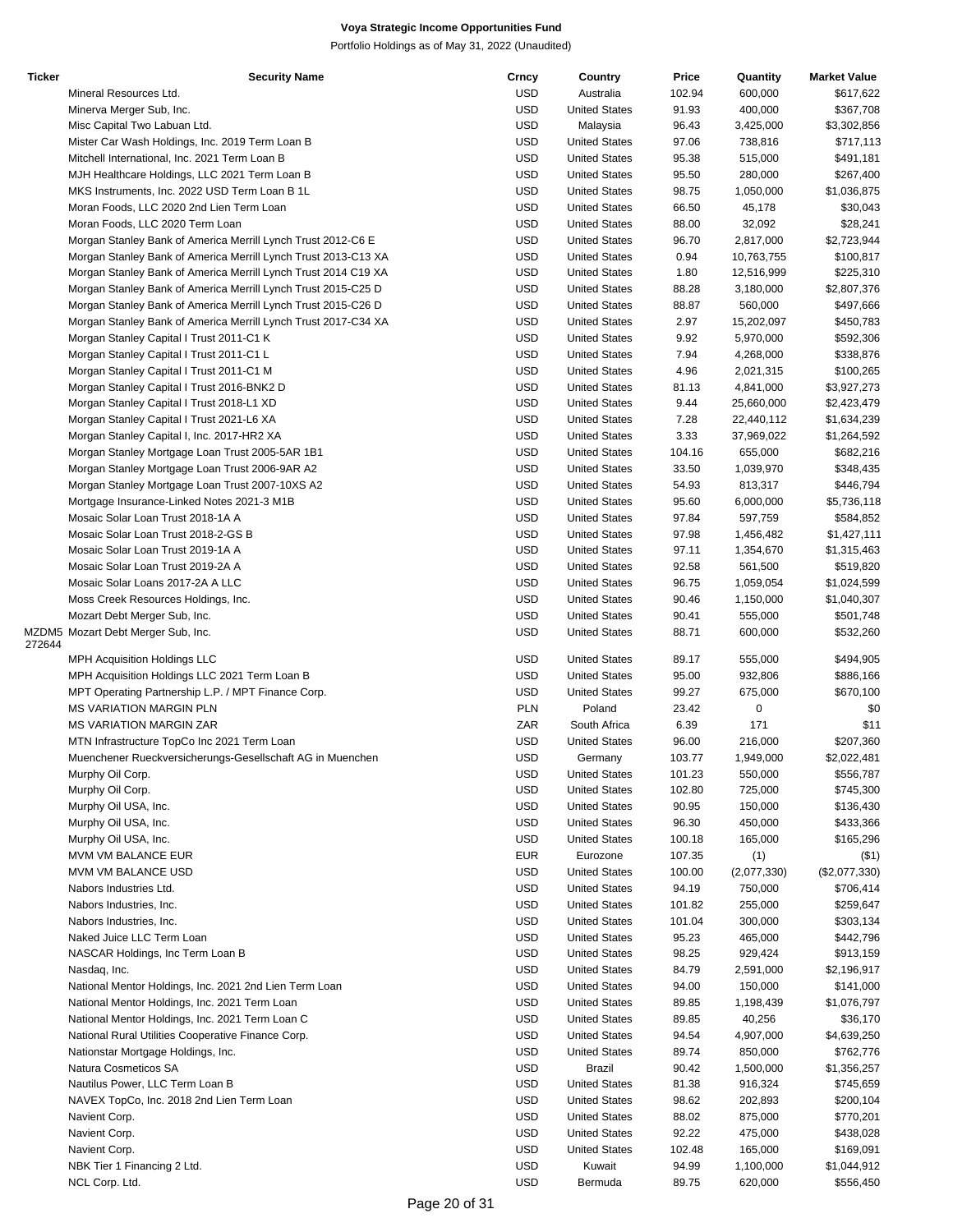| <b>Ticker</b> | <b>Security Name</b>                                           | Crncy      | Country              | Price  | Quantity    | <b>Market Value</b> |
|---------------|----------------------------------------------------------------|------------|----------------------|--------|-------------|---------------------|
|               | Mineral Resources Ltd.                                         | <b>USD</b> | Australia            | 102.94 | 600,000     | \$617,622           |
|               | Minerva Merger Sub, Inc.                                       | <b>USD</b> | <b>United States</b> | 91.93  | 400,000     | \$367,708           |
|               | Misc Capital Two Labuan Ltd.                                   | <b>USD</b> | Malaysia             | 96.43  | 3,425,000   | \$3,302,856         |
|               | Mister Car Wash Holdings, Inc. 2019 Term Loan B                | <b>USD</b> | <b>United States</b> | 97.06  | 738,816     | \$717,113           |
|               | Mitchell International, Inc. 2021 Term Loan B                  | <b>USD</b> | <b>United States</b> | 95.38  | 515,000     | \$491,181           |
|               | MJH Healthcare Holdings, LLC 2021 Term Loan B                  | <b>USD</b> | <b>United States</b> | 95.50  | 280,000     | \$267,400           |
|               |                                                                |            |                      |        |             |                     |
|               | MKS Instruments, Inc. 2022 USD Term Loan B 1L                  | <b>USD</b> | <b>United States</b> | 98.75  | 1,050,000   | \$1,036,875         |
|               | Moran Foods, LLC 2020 2nd Lien Term Loan                       | <b>USD</b> | <b>United States</b> | 66.50  | 45,178      | \$30,043            |
|               | Moran Foods, LLC 2020 Term Loan                                | <b>USD</b> | <b>United States</b> | 88.00  | 32,092      | \$28,241            |
|               | Morgan Stanley Bank of America Merrill Lynch Trust 2012-C6 E   | <b>USD</b> | <b>United States</b> | 96.70  | 2,817,000   | \$2,723,944         |
|               | Morgan Stanley Bank of America Merrill Lynch Trust 2013-C13 XA | <b>USD</b> | <b>United States</b> | 0.94   | 10,763,755  | \$100,817           |
|               | Morgan Stanley Bank of America Merrill Lynch Trust 2014 C19 XA | <b>USD</b> | <b>United States</b> | 1.80   | 12,516,999  | \$225,310           |
|               | Morgan Stanley Bank of America Merrill Lynch Trust 2015-C25 D  | <b>USD</b> | <b>United States</b> | 88.28  | 3,180,000   | \$2,807,376         |
|               | Morgan Stanley Bank of America Merrill Lynch Trust 2015-C26 D  | <b>USD</b> | <b>United States</b> | 88.87  | 560,000     | \$497,666           |
|               | Morgan Stanley Bank of America Merrill Lynch Trust 2017-C34 XA | <b>USD</b> | <b>United States</b> | 2.97   | 15,202,097  | \$450,783           |
|               |                                                                |            |                      |        |             |                     |
|               | Morgan Stanley Capital I Trust 2011-C1 K                       | <b>USD</b> | <b>United States</b> | 9.92   | 5,970,000   | \$592,306           |
|               | Morgan Stanley Capital I Trust 2011-C1 L                       | <b>USD</b> | <b>United States</b> | 7.94   | 4,268,000   | \$338,876           |
|               | Morgan Stanley Capital I Trust 2011-C1 M                       | <b>USD</b> | <b>United States</b> | 4.96   | 2,021,315   | \$100,265           |
|               | Morgan Stanley Capital I Trust 2016-BNK2 D                     | <b>USD</b> | <b>United States</b> | 81.13  | 4,841,000   | \$3,927,273         |
|               | Morgan Stanley Capital I Trust 2018-L1 XD                      | <b>USD</b> | <b>United States</b> | 9.44   | 25,660,000  | \$2,423,479         |
|               | Morgan Stanley Capital I Trust 2021-L6 XA                      | <b>USD</b> | <b>United States</b> | 7.28   | 22,440,112  | \$1,634,239         |
|               | Morgan Stanley Capital I, Inc. 2017-HR2 XA                     | <b>USD</b> | <b>United States</b> | 3.33   | 37,969,022  | \$1,264,592         |
|               | Morgan Stanley Mortgage Loan Trust 2005-5AR 1B1                | <b>USD</b> | <b>United States</b> | 104.16 | 655,000     | \$682,216           |
|               |                                                                | <b>USD</b> | <b>United States</b> | 33.50  | 1,039,970   | \$348,435           |
|               | Morgan Stanley Mortgage Loan Trust 2006-9AR A2                 |            |                      |        |             |                     |
|               | Morgan Stanley Mortgage Loan Trust 2007-10XS A2                | <b>USD</b> | <b>United States</b> | 54.93  | 813,317     | \$446,794           |
|               | Mortgage Insurance-Linked Notes 2021-3 M1B                     | <b>USD</b> | <b>United States</b> | 95.60  | 6,000,000   | \$5,736,118         |
|               | Mosaic Solar Loan Trust 2018-1A A                              | <b>USD</b> | <b>United States</b> | 97.84  | 597,759     | \$584,852           |
|               | Mosaic Solar Loan Trust 2018-2-GS B                            | <b>USD</b> | <b>United States</b> | 97.98  | 1,456,482   | \$1,427,111         |
|               | Mosaic Solar Loan Trust 2019-1A A                              | <b>USD</b> | <b>United States</b> | 97.11  | 1,354,670   | \$1,315,463         |
|               | Mosaic Solar Loan Trust 2019-2A A                              | <b>USD</b> | <b>United States</b> | 92.58  | 561,500     | \$519,820           |
|               | Mosaic Solar Loans 2017-2A A LLC                               | <b>USD</b> | <b>United States</b> | 96.75  | 1,059,054   | \$1,024,599         |
|               | Moss Creek Resources Holdings, Inc.                            | <b>USD</b> | <b>United States</b> | 90.46  | 1,150,000   | \$1,040,307         |
|               |                                                                |            |                      |        |             |                     |
|               | Mozart Debt Merger Sub, Inc.                                   | <b>USD</b> | <b>United States</b> | 90.41  | 555,000     | \$501,748           |
| 272644        | MZDM5 Mozart Debt Merger Sub, Inc.                             | <b>USD</b> | <b>United States</b> | 88.71  | 600,000     | \$532,260           |
|               |                                                                |            |                      |        |             |                     |
|               | <b>MPH Acquisition Holdings LLC</b>                            | USD        | <b>United States</b> | 89.17  | 555,000     | \$494,905           |
|               | MPH Acquisition Holdings LLC 2021 Term Loan B                  | <b>USD</b> | <b>United States</b> | 95.00  | 932,806     | \$886,166           |
|               | MPT Operating Partnership L.P. / MPT Finance Corp.             | <b>USD</b> | <b>United States</b> | 99.27  | 675,000     | \$670,100           |
|               | <b>MS VARIATION MARGIN PLN</b>                                 | <b>PLN</b> | Poland               | 23.42  | 0           | \$0                 |
|               | <b>MS VARIATION MARGIN ZAR</b>                                 | ZAR        | South Africa         | 6.39   | 171         | \$11                |
|               | MTN Infrastructure TopCo Inc 2021 Term Loan                    | <b>USD</b> | <b>United States</b> | 96.00  | 216,000     | \$207,360           |
|               | Muenchener Rueckversicherungs-Gesellschaft AG in Muenchen      | <b>USD</b> | Germany              | 103.77 | 1,949,000   | \$2,022,481         |
|               | Murphy Oil Corp.                                               | USD        | <b>United States</b> | 101.23 | 550,000     | \$556,787           |
|               | Murphy Oil Corp.                                               | <b>USD</b> | <b>United States</b> | 102.80 | 725,000     | \$745,300           |
|               |                                                                |            |                      |        |             |                     |
|               | Murphy Oil USA, Inc.                                           | <b>USD</b> | <b>United States</b> | 90.95  | 150,000     | \$136,430           |
|               | Murphy Oil USA, Inc.                                           | <b>USD</b> | <b>United States</b> | 96.30  | 450,000     | \$433,366           |
|               | Murphy Oil USA, Inc.                                           | <b>USD</b> | <b>United States</b> | 100.18 | 165,000     | \$165,296           |
|               | MVM VM BALANCE EUR                                             | <b>EUR</b> | Eurozone             | 107.35 | (1)         | $($ \$1)            |
|               | <b>MVM VM BALANCE USD</b>                                      | <b>USD</b> | <b>United States</b> | 100.00 | (2,077,330) | (\$2,077,330)       |
|               | Nabors Industries Ltd.                                         | <b>USD</b> | <b>United States</b> | 94.19  | 750,000     | \$706,414           |
|               | Nabors Industries, Inc.                                        | <b>USD</b> | <b>United States</b> | 101.82 | 255,000     | \$259,647           |
|               | Nabors Industries, Inc.                                        | <b>USD</b> | <b>United States</b> | 101.04 | 300,000     | \$303,134           |
|               |                                                                | <b>USD</b> |                      |        |             |                     |
|               | Naked Juice LLC Term Loan                                      |            | <b>United States</b> | 95.23  | 465,000     | \$442,796           |
|               | NASCAR Holdings, Inc Term Loan B                               | <b>USD</b> | <b>United States</b> | 98.25  | 929,424     | \$913,159           |
|               | Nasdaq, Inc.                                                   | <b>USD</b> | <b>United States</b> | 84.79  | 2,591,000   | \$2,196,917         |
|               | National Mentor Holdings, Inc. 2021 2nd Lien Term Loan         | <b>USD</b> | <b>United States</b> | 94.00  | 150,000     | \$141,000           |
|               | National Mentor Holdings, Inc. 2021 Term Loan                  | <b>USD</b> | <b>United States</b> | 89.85  | 1,198,439   | \$1,076,797         |
|               | National Mentor Holdings, Inc. 2021 Term Loan C                | <b>USD</b> | <b>United States</b> | 89.85  | 40,256      | \$36,170            |
|               | National Rural Utilities Cooperative Finance Corp.             | <b>USD</b> | <b>United States</b> | 94.54  | 4,907,000   | \$4,639,250         |
|               | Nationstar Mortgage Holdings, Inc.                             | <b>USD</b> | <b>United States</b> | 89.74  | 850,000     | \$762,776           |
|               | Natura Cosmeticos SA                                           | <b>USD</b> | <b>Brazil</b>        | 90.42  | 1,500,000   |                     |
|               |                                                                |            |                      |        |             | \$1,356,257         |
|               | Nautilus Power, LLC Term Loan B                                | <b>USD</b> | <b>United States</b> | 81.38  | 916,324     | \$745,659           |
|               | NAVEX TopCo, Inc. 2018 2nd Lien Term Loan                      | <b>USD</b> | <b>United States</b> | 98.62  | 202,893     | \$200,104           |
|               | Navient Corp.                                                  | <b>USD</b> | <b>United States</b> | 88.02  | 875,000     | \$770,201           |
|               | Navient Corp.                                                  | <b>USD</b> | <b>United States</b> | 92.22  | 475,000     | \$438,028           |
|               | Navient Corp.                                                  | <b>USD</b> | <b>United States</b> | 102.48 | 165,000     | \$169,091           |
|               | NBK Tier 1 Financing 2 Ltd.                                    | USD        | Kuwait               | 94.99  | 1,100,000   | \$1,044,912         |
|               | NCL Corp. Ltd.                                                 | <b>USD</b> | Bermuda              | 89.75  | 620,000     | \$556,450           |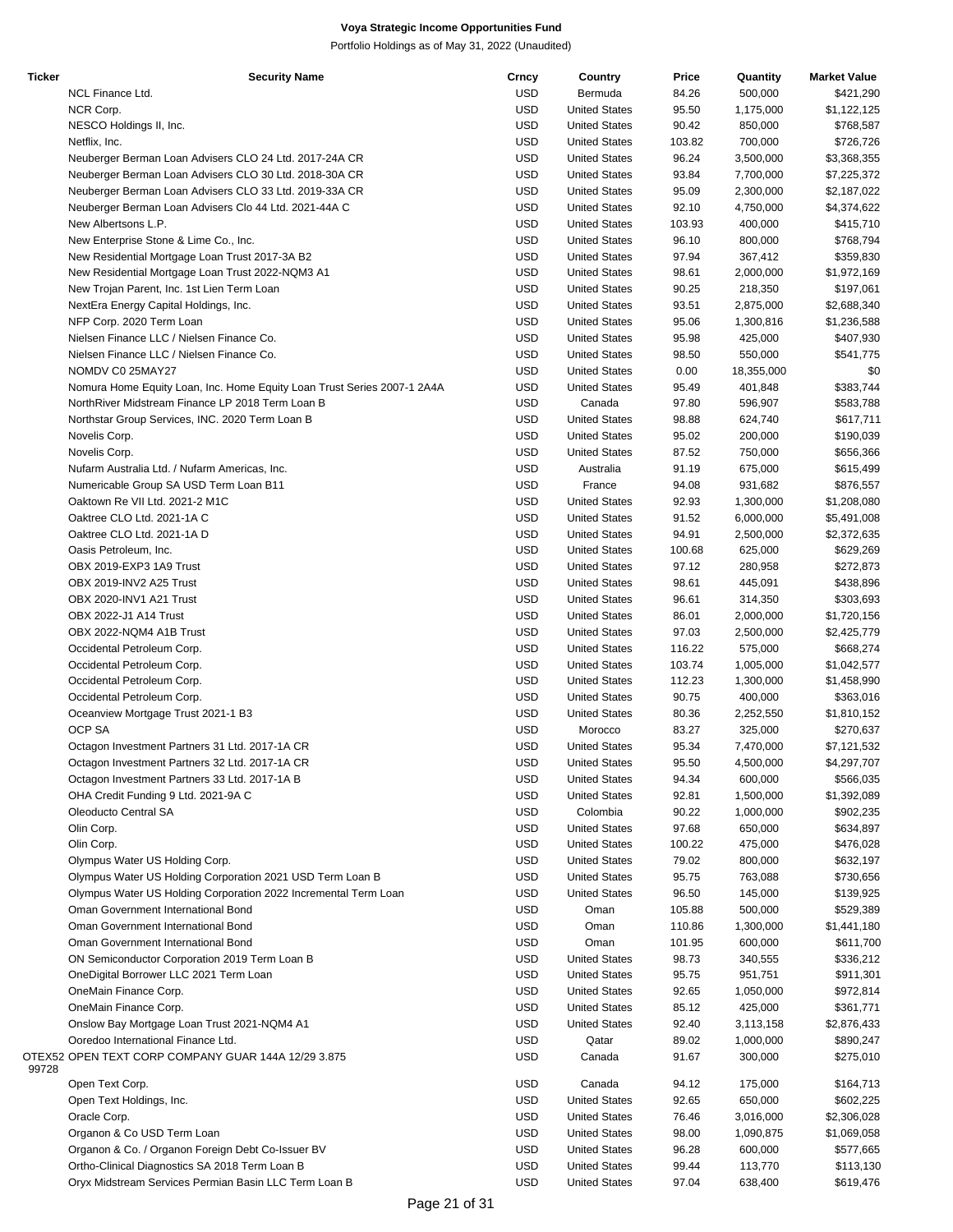| Ticker | <b>Security Name</b>                                                    | Crncy      | Country              | Price  | Quantity   | <b>Market Value</b> |
|--------|-------------------------------------------------------------------------|------------|----------------------|--------|------------|---------------------|
|        | NCL Finance Ltd.                                                        | <b>USD</b> | Bermuda              | 84.26  | 500,000    | \$421,290           |
|        | NCR Corp.                                                               | <b>USD</b> | <b>United States</b> | 95.50  | 1,175,000  | \$1,122,125         |
|        |                                                                         |            |                      |        |            |                     |
|        | NESCO Holdings II, Inc.                                                 | <b>USD</b> | <b>United States</b> | 90.42  | 850,000    | \$768,587           |
|        | Netflix, Inc.                                                           | <b>USD</b> | <b>United States</b> | 103.82 | 700,000    | \$726,726           |
|        | Neuberger Berman Loan Advisers CLO 24 Ltd. 2017-24A CR                  | <b>USD</b> | <b>United States</b> | 96.24  | 3,500,000  | \$3,368,355         |
|        | Neuberger Berman Loan Advisers CLO 30 Ltd. 2018-30A CR                  | <b>USD</b> | <b>United States</b> | 93.84  | 7,700,000  | \$7,225,372         |
|        | Neuberger Berman Loan Advisers CLO 33 Ltd. 2019-33A CR                  | <b>USD</b> | <b>United States</b> | 95.09  | 2,300,000  | \$2,187,022         |
|        |                                                                         |            |                      |        |            |                     |
|        | Neuberger Berman Loan Advisers Clo 44 Ltd. 2021-44A C                   | <b>USD</b> | <b>United States</b> | 92.10  | 4,750,000  | \$4,374,622         |
|        | New Albertsons L.P.                                                     | <b>USD</b> | <b>United States</b> | 103.93 | 400,000    | \$415,710           |
|        | New Enterprise Stone & Lime Co., Inc.                                   | <b>USD</b> | <b>United States</b> | 96.10  | 800,000    | \$768,794           |
|        | New Residential Mortgage Loan Trust 2017-3A B2                          | <b>USD</b> | <b>United States</b> | 97.94  | 367,412    | \$359,830           |
|        |                                                                         |            |                      |        |            |                     |
|        | New Residential Mortgage Loan Trust 2022-NQM3 A1                        | <b>USD</b> | <b>United States</b> | 98.61  | 2,000,000  | \$1,972,169         |
|        | New Trojan Parent, Inc. 1st Lien Term Loan                              | <b>USD</b> | <b>United States</b> | 90.25  | 218,350    | \$197,061           |
|        | NextEra Energy Capital Holdings, Inc.                                   | <b>USD</b> | <b>United States</b> | 93.51  | 2,875,000  | \$2,688,340         |
|        | NFP Corp. 2020 Term Loan                                                | <b>USD</b> | <b>United States</b> | 95.06  | 1,300,816  | \$1,236,588         |
|        | Nielsen Finance LLC / Nielsen Finance Co.                               | <b>USD</b> | <b>United States</b> | 95.98  | 425,000    | \$407,930           |
|        |                                                                         |            |                      |        |            |                     |
|        | Nielsen Finance LLC / Nielsen Finance Co.                               | <b>USD</b> | <b>United States</b> | 98.50  | 550,000    | \$541,775           |
|        | NOMDV C0 25MAY27                                                        | <b>USD</b> | <b>United States</b> | 0.00   | 18,355,000 | \$0                 |
|        | Nomura Home Equity Loan, Inc. Home Equity Loan Trust Series 2007-1 2A4A | <b>USD</b> | <b>United States</b> | 95.49  | 401,848    | \$383,744           |
|        | NorthRiver Midstream Finance LP 2018 Term Loan B                        | <b>USD</b> | Canada               | 97.80  | 596,907    | \$583,788           |
|        |                                                                         |            | <b>United States</b> |        |            |                     |
|        | Northstar Group Services, INC. 2020 Term Loan B                         | <b>USD</b> |                      | 98.88  | 624,740    | \$617,711           |
|        | Novelis Corp.                                                           | <b>USD</b> | <b>United States</b> | 95.02  | 200,000    | \$190,039           |
|        | Novelis Corp.                                                           | <b>USD</b> | <b>United States</b> | 87.52  | 750,000    | \$656,366           |
|        | Nufarm Australia Ltd. / Nufarm Americas, Inc.                           | <b>USD</b> | Australia            | 91.19  | 675,000    | \$615,499           |
|        | Numericable Group SA USD Term Loan B11                                  | <b>USD</b> | France               | 94.08  | 931,682    |                     |
|        |                                                                         |            |                      |        |            | \$876,557           |
|        | Oaktown Re VII Ltd. 2021-2 M1C                                          | <b>USD</b> | <b>United States</b> | 92.93  | 1,300,000  | \$1,208,080         |
|        | Oaktree CLO Ltd. 2021-1A C                                              | <b>USD</b> | <b>United States</b> | 91.52  | 6,000,000  | \$5,491,008         |
|        | Oaktree CLO Ltd. 2021-1A D                                              | <b>USD</b> | <b>United States</b> | 94.91  | 2,500,000  | \$2,372,635         |
|        | Oasis Petroleum, Inc.                                                   | <b>USD</b> | <b>United States</b> | 100.68 | 625,000    | \$629,269           |
|        |                                                                         |            |                      |        |            |                     |
|        | OBX 2019-EXP3 1A9 Trust                                                 | <b>USD</b> | <b>United States</b> | 97.12  | 280,958    | \$272,873           |
|        | OBX 2019-INV2 A25 Trust                                                 | <b>USD</b> | <b>United States</b> | 98.61  | 445,091    | \$438,896           |
|        | OBX 2020-INV1 A21 Trust                                                 | <b>USD</b> | <b>United States</b> | 96.61  | 314,350    | \$303,693           |
|        | OBX 2022-J1 A14 Trust                                                   | <b>USD</b> | <b>United States</b> | 86.01  | 2,000,000  | \$1,720,156         |
|        | OBX 2022-NQM4 A1B Trust                                                 | <b>USD</b> | <b>United States</b> | 97.03  | 2,500,000  | \$2,425,779         |
|        |                                                                         |            |                      |        |            |                     |
|        | Occidental Petroleum Corp.                                              | <b>USD</b> | <b>United States</b> | 116.22 | 575,000    | \$668,274           |
|        | Occidental Petroleum Corp.                                              | <b>USD</b> | <b>United States</b> | 103.74 | 1,005,000  | \$1,042,577         |
|        | Occidental Petroleum Corp.                                              | <b>USD</b> | <b>United States</b> | 112.23 | 1,300,000  | \$1,458,990         |
|        | Occidental Petroleum Corp.                                              | <b>USD</b> | <b>United States</b> | 90.75  | 400,000    | \$363,016           |
|        |                                                                         |            |                      |        |            |                     |
|        | Oceanview Mortgage Trust 2021-1 B3                                      | <b>USD</b> | <b>United States</b> | 80.36  | 2,252,550  | \$1,810,152         |
|        | OCP SA                                                                  | <b>USD</b> | Morocco              | 83.27  | 325,000    | \$270,637           |
|        | Octagon Investment Partners 31 Ltd. 2017-1A CR                          | <b>USD</b> | <b>United States</b> | 95.34  | 7,470,000  | \$7,121,532         |
|        | Octagon Investment Partners 32 Ltd. 2017-1A CR                          | <b>USD</b> | <b>United States</b> | 95.50  | 4,500,000  | \$4,297,707         |
|        |                                                                         |            |                      |        |            |                     |
|        | Octagon Investment Partners 33 Ltd. 2017-1A B                           | <b>USD</b> | <b>United States</b> | 94.34  | 600,000    | \$566,035           |
|        | OHA Credit Funding 9 Ltd. 2021-9A C                                     | <b>USD</b> | <b>United States</b> | 92.81  | 1,500,000  | \$1,392,089         |
|        | Oleoducto Central SA                                                    | <b>USD</b> | Colombia             | 90.22  | 1,000,000  | \$902,235           |
|        | Olin Corp.                                                              | <b>USD</b> | <b>United States</b> | 97.68  | 650,000    | \$634,897           |
|        |                                                                         |            |                      |        | 475,000    |                     |
|        | Olin Corp.                                                              | <b>USD</b> | <b>United States</b> | 100.22 |            | \$476,028           |
|        | Olympus Water US Holding Corp.                                          | <b>USD</b> | <b>United States</b> | 79.02  | 800,000    | \$632,197           |
|        | Olympus Water US Holding Corporation 2021 USD Term Loan B               | <b>USD</b> | <b>United States</b> | 95.75  | 763,088    | \$730,656           |
|        | Olympus Water US Holding Corporation 2022 Incremental Term Loan         | <b>USD</b> | <b>United States</b> | 96.50  | 145,000    | \$139,925           |
|        | Oman Government International Bond                                      | <b>USD</b> | Oman                 | 105.88 | 500,000    | \$529,389           |
|        |                                                                         |            |                      |        |            |                     |
|        | Oman Government International Bond                                      | <b>USD</b> | Oman                 | 110.86 | 1,300,000  | \$1,441,180         |
|        | Oman Government International Bond                                      | <b>USD</b> | Oman                 | 101.95 | 600,000    | \$611,700           |
|        | ON Semiconductor Corporation 2019 Term Loan B                           | <b>USD</b> | <b>United States</b> | 98.73  | 340,555    | \$336,212           |
|        | OneDigital Borrower LLC 2021 Term Loan                                  | <b>USD</b> | <b>United States</b> | 95.75  | 951,751    | \$911,301           |
|        |                                                                         |            |                      |        |            |                     |
|        | OneMain Finance Corp.                                                   | <b>USD</b> | <b>United States</b> | 92.65  | 1,050,000  | \$972,814           |
|        | OneMain Finance Corp.                                                   | <b>USD</b> | <b>United States</b> | 85.12  | 425,000    | \$361,771           |
|        | Onslow Bay Mortgage Loan Trust 2021-NQM4 A1                             | <b>USD</b> | <b>United States</b> | 92.40  | 3,113,158  | \$2,876,433         |
|        | Ooredoo International Finance Ltd.                                      | <b>USD</b> | Qatar                | 89.02  | 1,000,000  | \$890,247           |
|        |                                                                         |            |                      |        |            |                     |
| 99728  | OTEX52 OPEN TEXT CORP COMPANY GUAR 144A 12/29 3.875                     | <b>USD</b> | Canada               | 91.67  | 300,000    | \$275,010           |
|        | Open Text Corp.                                                         | <b>USD</b> | Canada               | 94.12  | 175,000    | \$164,713           |
|        | Open Text Holdings, Inc.                                                | <b>USD</b> | <b>United States</b> | 92.65  | 650,000    | \$602,225           |
|        | Oracle Corp.                                                            | <b>USD</b> | <b>United States</b> | 76.46  | 3,016,000  | \$2,306,028         |
|        |                                                                         |            |                      |        |            |                     |
|        | Organon & Co USD Term Loan                                              | <b>USD</b> | <b>United States</b> | 98.00  | 1,090,875  | \$1,069,058         |
|        | Organon & Co. / Organon Foreign Debt Co-Issuer BV                       | <b>USD</b> | <b>United States</b> | 96.28  | 600,000    | \$577,665           |
|        | Ortho-Clinical Diagnostics SA 2018 Term Loan B                          | <b>USD</b> | <b>United States</b> | 99.44  | 113,770    | \$113,130           |
|        | Oryx Midstream Services Permian Basin LLC Term Loan B                   | <b>USD</b> | <b>United States</b> | 97.04  | 638,400    | \$619,476           |
|        |                                                                         |            |                      |        |            |                     |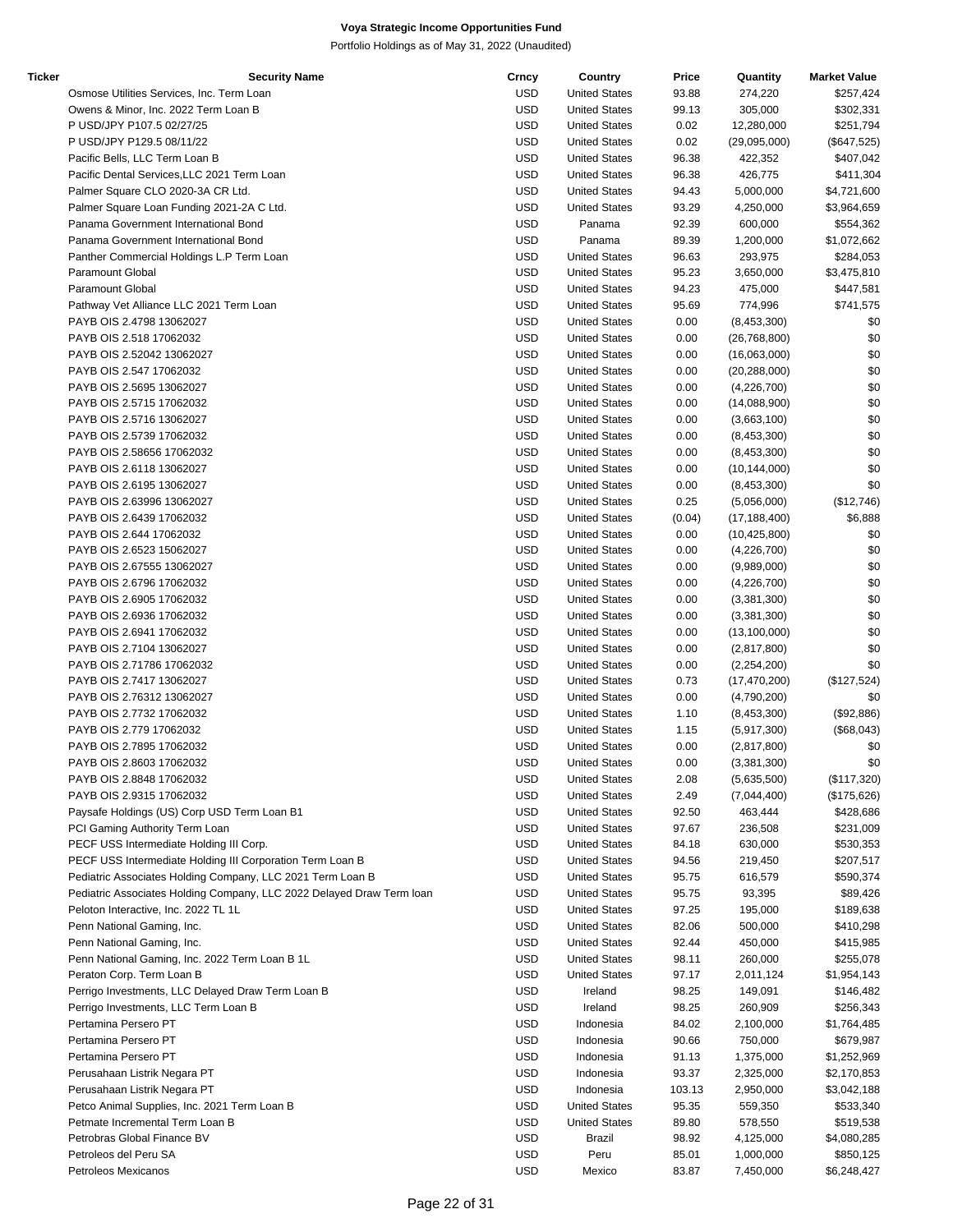| Ticker | <b>Security Name</b>                                                  | Crncy      | Country              | Price  | Quantity       | <b>Market Value</b> |
|--------|-----------------------------------------------------------------------|------------|----------------------|--------|----------------|---------------------|
|        | Osmose Utilities Services, Inc. Term Loan                             | <b>USD</b> | <b>United States</b> | 93.88  | 274,220        | \$257,424           |
|        | Owens & Minor, Inc. 2022 Term Loan B                                  | <b>USD</b> | <b>United States</b> | 99.13  | 305,000        | \$302,331           |
|        | P USD/JPY P107.5 02/27/25                                             | <b>USD</b> | <b>United States</b> | 0.02   | 12,280,000     | \$251,794           |
|        | P USD/JPY P129.5 08/11/22                                             | <b>USD</b> | <b>United States</b> | 0.02   | (29,095,000)   | $(\$647,525)$       |
|        | Pacific Bells, LLC Term Loan B                                        | <b>USD</b> | <b>United States</b> | 96.38  | 422,352        | \$407,042           |
|        | Pacific Dental Services, LLC 2021 Term Loan                           | <b>USD</b> | <b>United States</b> | 96.38  | 426,775        | \$411,304           |
|        | Palmer Square CLO 2020-3A CR Ltd.                                     | <b>USD</b> | <b>United States</b> | 94.43  | 5,000,000      | \$4,721,600         |
|        | Palmer Square Loan Funding 2021-2A C Ltd.                             | <b>USD</b> | <b>United States</b> | 93.29  | 4,250,000      | \$3,964,659         |
|        | Panama Government International Bond                                  | <b>USD</b> | Panama               | 92.39  | 600,000        | \$554,362           |
|        |                                                                       | <b>USD</b> |                      |        |                |                     |
|        | Panama Government International Bond                                  |            | Panama               | 89.39  | 1,200,000      | \$1,072,662         |
|        | Panther Commercial Holdings L.P Term Loan                             | <b>USD</b> | <b>United States</b> | 96.63  | 293,975        | \$284,053           |
|        | Paramount Global                                                      | <b>USD</b> | <b>United States</b> | 95.23  | 3,650,000      | \$3,475,810         |
|        | <b>Paramount Global</b>                                               | <b>USD</b> | <b>United States</b> | 94.23  | 475,000        | \$447,581           |
|        | Pathway Vet Alliance LLC 2021 Term Loan                               | <b>USD</b> | <b>United States</b> | 95.69  | 774,996        | \$741,575           |
|        | PAYB OIS 2.4798 13062027                                              | <b>USD</b> | <b>United States</b> | 0.00   | (8,453,300)    | \$0                 |
|        | PAYB OIS 2.518 17062032                                               | <b>USD</b> | <b>United States</b> | 0.00   | (26, 768, 800) | \$0                 |
|        | PAYB OIS 2.52042 13062027                                             | <b>USD</b> | <b>United States</b> | 0.00   | (16,063,000)   | \$0                 |
|        | PAYB OIS 2.547 17062032                                               | <b>USD</b> | <b>United States</b> | 0.00   | (20, 288, 000) | \$0                 |
|        | PAYB OIS 2.5695 13062027                                              | <b>USD</b> | <b>United States</b> | 0.00   | (4,226,700)    | \$0                 |
|        | PAYB OIS 2.5715 17062032                                              | <b>USD</b> | <b>United States</b> | 0.00   | (14,088,900)   | \$0                 |
|        | PAYB OIS 2.5716 13062027                                              | <b>USD</b> | <b>United States</b> | 0.00   | (3,663,100)    | \$0                 |
|        | PAYB OIS 2.5739 17062032                                              | <b>USD</b> | <b>United States</b> | 0.00   | (8,453,300)    | \$0                 |
|        | PAYB OIS 2.58656 17062032                                             | <b>USD</b> | <b>United States</b> | 0.00   | (8,453,300)    | \$0                 |
|        | PAYB OIS 2.6118 13062027                                              | <b>USD</b> | <b>United States</b> | 0.00   | (10, 144, 000) | \$0                 |
|        | PAYB OIS 2.6195 13062027                                              | <b>USD</b> | <b>United States</b> | 0.00   |                | \$0                 |
|        |                                                                       |            |                      |        | (8,453,300)    |                     |
|        | PAYB OIS 2.63996 13062027                                             | <b>USD</b> | <b>United States</b> | 0.25   | (5,056,000)    | (\$12,746)          |
|        | PAYB OIS 2.6439 17062032                                              | <b>USD</b> | <b>United States</b> | (0.04) | (17, 188, 400) | \$6,888             |
|        | PAYB OIS 2.644 17062032                                               | <b>USD</b> | <b>United States</b> | 0.00   | (10, 425, 800) | \$0                 |
|        | PAYB OIS 2.6523 15062027                                              | <b>USD</b> | <b>United States</b> | 0.00   | (4,226,700)    | \$0                 |
|        | PAYB OIS 2.67555 13062027                                             | <b>USD</b> | <b>United States</b> | 0.00   | (9,989,000)    | \$0                 |
|        | PAYB OIS 2.6796 17062032                                              | <b>USD</b> | <b>United States</b> | 0.00   | (4,226,700)    | \$0                 |
|        | PAYB OIS 2.6905 17062032                                              | <b>USD</b> | <b>United States</b> | 0.00   | (3,381,300)    | \$0                 |
|        | PAYB OIS 2.6936 17062032                                              | <b>USD</b> | <b>United States</b> | 0.00   | (3,381,300)    | \$0                 |
|        | PAYB OIS 2.6941 17062032                                              | <b>USD</b> | <b>United States</b> | 0.00   | (13, 100, 000) | \$0                 |
|        | PAYB OIS 2.7104 13062027                                              | <b>USD</b> | <b>United States</b> | 0.00   | (2,817,800)    | \$0                 |
|        | PAYB OIS 2.71786 17062032                                             | <b>USD</b> | <b>United States</b> | 0.00   | (2,254,200)    | \$0                 |
|        | PAYB OIS 2.7417 13062027                                              | <b>USD</b> | <b>United States</b> | 0.73   | (17, 470, 200) | (\$127,524)         |
|        | PAYB OIS 2.76312 13062027                                             | <b>USD</b> | <b>United States</b> | 0.00   | (4,790,200)    | \$0                 |
|        | PAYB OIS 2.7732 17062032                                              | <b>USD</b> | <b>United States</b> | 1.10   | (8,453,300)    | (\$92,886)          |
|        | PAYB OIS 2.779 17062032                                               | <b>USD</b> | <b>United States</b> | 1.15   | (5,917,300)    | (\$68,043)          |
|        | PAYB OIS 2.7895 17062032                                              | <b>USD</b> | <b>United States</b> | 0.00   |                | \$0                 |
|        |                                                                       |            |                      |        | (2,817,800)    |                     |
|        | PAYB OIS 2.8603 17062032                                              | <b>USD</b> | <b>United States</b> | 0.00   | (3,381,300)    | \$0                 |
|        | PAYB OIS 2.8848 17062032                                              | <b>USD</b> | <b>United States</b> | 2.08   | (5,635,500)    | (\$117,320)         |
|        | PAYB OIS 2.9315 17062032                                              | <b>USD</b> | <b>United States</b> | 2.49   | (7,044,400)    | (\$175,626)         |
|        | Paysafe Holdings (US) Corp USD Term Loan B1                           | <b>USD</b> | <b>United States</b> | 92.50  | 463,444        | \$428,686           |
|        | PCI Gaming Authority Term Loan                                        | <b>USD</b> | <b>United States</b> | 97.67  | 236,508        | \$231,009           |
|        | PECF USS Intermediate Holding III Corp.                               | <b>USD</b> | <b>United States</b> | 84.18  | 630,000        | \$530,353           |
|        | PECF USS Intermediate Holding III Corporation Term Loan B             | <b>USD</b> | <b>United States</b> | 94.56  | 219,450        | \$207,517           |
|        | Pediatric Associates Holding Company, LLC 2021 Term Loan B            | <b>USD</b> | <b>United States</b> | 95.75  | 616,579        | \$590,374           |
|        | Pediatric Associates Holding Company, LLC 2022 Delayed Draw Term Ioan | <b>USD</b> | <b>United States</b> | 95.75  | 93,395         | \$89,426            |
|        | Peloton Interactive, Inc. 2022 TL 1L                                  | <b>USD</b> | <b>United States</b> | 97.25  | 195,000        | \$189,638           |
|        | Penn National Gaming, Inc.                                            | <b>USD</b> | <b>United States</b> | 82.06  | 500,000        | \$410,298           |
|        | Penn National Gaming, Inc.                                            | <b>USD</b> | <b>United States</b> | 92.44  | 450,000        | \$415,985           |
|        | Penn National Gaming, Inc. 2022 Term Loan B 1L                        | <b>USD</b> | <b>United States</b> | 98.11  | 260,000        | \$255,078           |
|        |                                                                       | <b>USD</b> |                      |        |                |                     |
|        | Peraton Corp. Term Loan B                                             |            | <b>United States</b> | 97.17  | 2,011,124      | \$1,954,143         |
|        | Perrigo Investments, LLC Delayed Draw Term Loan B                     | <b>USD</b> | Ireland              | 98.25  | 149,091        | \$146,482           |
|        | Perrigo Investments, LLC Term Loan B                                  | <b>USD</b> | Ireland              | 98.25  | 260,909        | \$256,343           |
|        | Pertamina Persero PT                                                  | <b>USD</b> | Indonesia            | 84.02  | 2,100,000      | \$1,764,485         |
|        | Pertamina Persero PT                                                  | <b>USD</b> | Indonesia            | 90.66  | 750,000        | \$679,987           |
|        | Pertamina Persero PT                                                  | <b>USD</b> | Indonesia            | 91.13  | 1,375,000      | \$1,252,969         |
|        | Perusahaan Listrik Negara PT                                          | <b>USD</b> | Indonesia            | 93.37  | 2,325,000      | \$2,170,853         |
|        | Perusahaan Listrik Negara PT                                          | <b>USD</b> | Indonesia            | 103.13 | 2,950,000      | \$3,042,188         |
|        | Petco Animal Supplies, Inc. 2021 Term Loan B                          | <b>USD</b> | <b>United States</b> | 95.35  | 559,350        | \$533,340           |
|        | Petmate Incremental Term Loan B                                       | <b>USD</b> | <b>United States</b> | 89.80  | 578,550        | \$519,538           |
|        | Petrobras Global Finance BV                                           | <b>USD</b> | Brazil               | 98.92  | 4,125,000      | \$4,080,285         |
|        | Petroleos del Peru SA                                                 | <b>USD</b> | Peru                 | 85.01  | 1,000,000      | \$850,125           |
|        | Petroleos Mexicanos                                                   | <b>USD</b> | Mexico               | 83.87  | 7,450,000      | \$6,248,427         |
|        |                                                                       |            |                      |        |                |                     |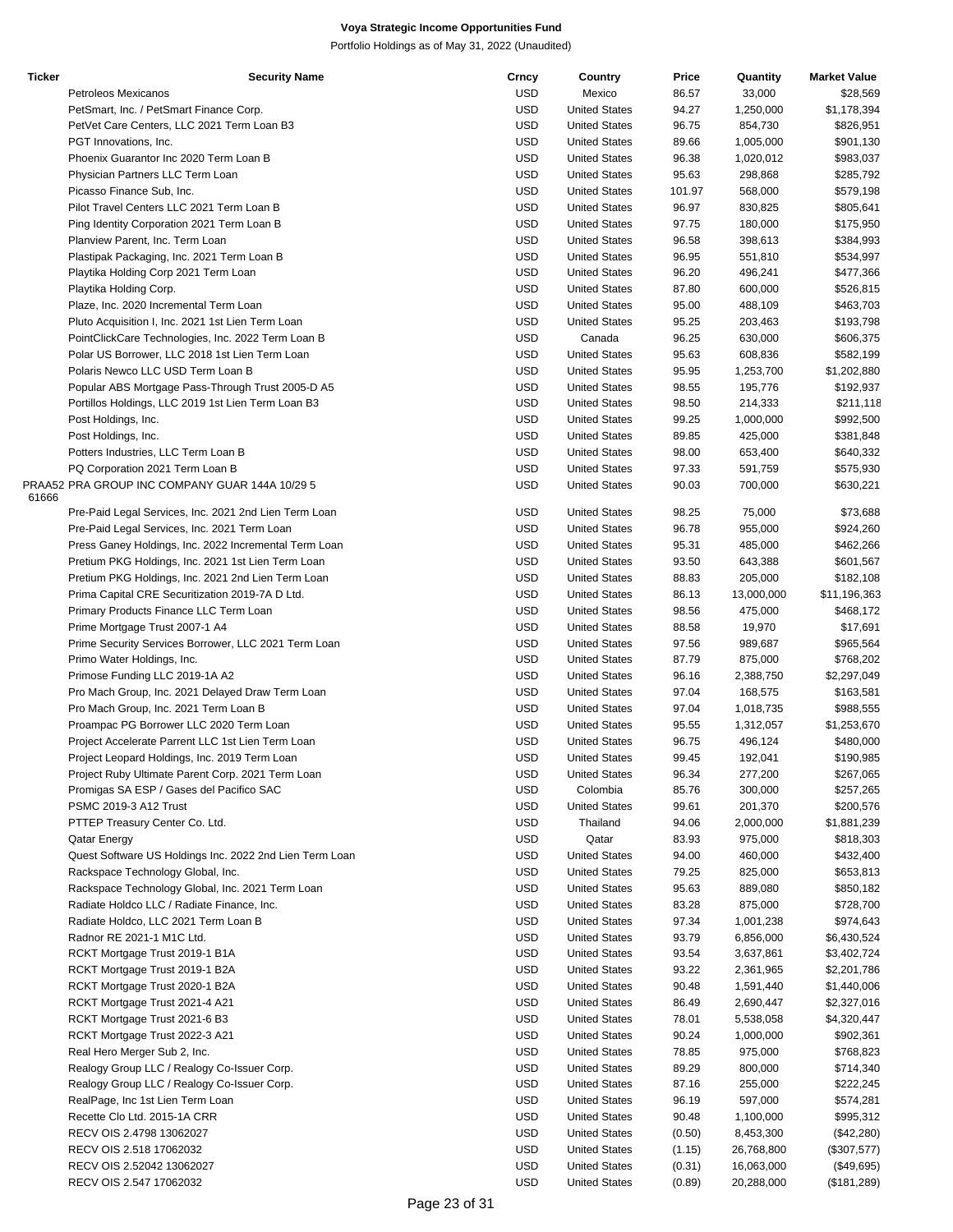| <b>Ticker</b> | <b>Security Name</b>                                    | Crncy      | Country              | Price  | Quantity   | <b>Market Value</b> |
|---------------|---------------------------------------------------------|------------|----------------------|--------|------------|---------------------|
|               | Petroleos Mexicanos                                     | USD        | Mexico               | 86.57  | 33,000     | \$28,569            |
|               | PetSmart, Inc. / PetSmart Finance Corp.                 | <b>USD</b> | <b>United States</b> | 94.27  | 1,250,000  | \$1,178,394         |
|               | PetVet Care Centers, LLC 2021 Term Loan B3              | <b>USD</b> | <b>United States</b> | 96.75  | 854,730    | \$826,951           |
|               | PGT Innovations, Inc.                                   | <b>USD</b> | <b>United States</b> | 89.66  | 1,005,000  | \$901,130           |
|               | Phoenix Guarantor Inc 2020 Term Loan B                  | <b>USD</b> | <b>United States</b> | 96.38  | 1,020,012  | \$983,037           |
|               | Physician Partners LLC Term Loan                        | <b>USD</b> | <b>United States</b> | 95.63  | 298,868    | \$285,792           |
|               |                                                         |            |                      |        |            |                     |
|               | Picasso Finance Sub, Inc.                               | <b>USD</b> | <b>United States</b> | 101.97 | 568,000    | \$579,198           |
|               | Pilot Travel Centers LLC 2021 Term Loan B               | <b>USD</b> | <b>United States</b> | 96.97  | 830,825    | \$805,641           |
|               | Ping Identity Corporation 2021 Term Loan B              | <b>USD</b> | <b>United States</b> | 97.75  | 180,000    | \$175,950           |
|               | Planview Parent, Inc. Term Loan                         | <b>USD</b> | <b>United States</b> | 96.58  | 398,613    | \$384,993           |
|               | Plastipak Packaging, Inc. 2021 Term Loan B              | <b>USD</b> | <b>United States</b> | 96.95  | 551,810    | \$534,997           |
|               | Playtika Holding Corp 2021 Term Loan                    | <b>USD</b> | <b>United States</b> | 96.20  | 496,241    | \$477,366           |
|               | Playtika Holding Corp.                                  | <b>USD</b> | <b>United States</b> | 87.80  | 600,000    | \$526,815           |
|               | Plaze, Inc. 2020 Incremental Term Loan                  | <b>USD</b> | <b>United States</b> | 95.00  | 488,109    | \$463,703           |
|               | Pluto Acquisition I, Inc. 2021 1st Lien Term Loan       | <b>USD</b> | <b>United States</b> | 95.25  | 203,463    | \$193,798           |
|               |                                                         |            |                      |        |            |                     |
|               | PointClickCare Technologies, Inc. 2022 Term Loan B      | <b>USD</b> | Canada               | 96.25  | 630,000    | \$606,375           |
|               | Polar US Borrower, LLC 2018 1st Lien Term Loan          | <b>USD</b> | <b>United States</b> | 95.63  | 608,836    | \$582,199           |
|               | Polaris Newco LLC USD Term Loan B                       | <b>USD</b> | <b>United States</b> | 95.95  | 1,253,700  | \$1,202,880         |
|               | Popular ABS Mortgage Pass-Through Trust 2005-D A5       | <b>USD</b> | <b>United States</b> | 98.55  | 195,776    | \$192,937           |
|               | Portillos Holdings, LLC 2019 1st Lien Term Loan B3      | <b>USD</b> | <b>United States</b> | 98.50  | 214,333    | \$211,118           |
|               | Post Holdings, Inc.                                     | <b>USD</b> | <b>United States</b> | 99.25  | 1,000,000  | \$992,500           |
|               | Post Holdings, Inc.                                     | <b>USD</b> | <b>United States</b> | 89.85  | 425,000    | \$381,848           |
|               | Potters Industries, LLC Term Loan B                     | <b>USD</b> | <b>United States</b> | 98.00  | 653,400    | \$640,332           |
|               |                                                         | <b>USD</b> | <b>United States</b> |        |            |                     |
|               | PQ Corporation 2021 Term Loan B                         |            |                      | 97.33  | 591,759    | \$575,930           |
| 61666         | PRAA52 PRA GROUP INC COMPANY GUAR 144A 10/29 5          | <b>USD</b> | <b>United States</b> | 90.03  | 700,000    | \$630,221           |
|               |                                                         |            |                      |        |            |                     |
|               | Pre-Paid Legal Services, Inc. 2021 2nd Lien Term Loan   | <b>USD</b> | <b>United States</b> | 98.25  | 75,000     | \$73,688            |
|               | Pre-Paid Legal Services, Inc. 2021 Term Loan            | <b>USD</b> | <b>United States</b> | 96.78  | 955,000    | \$924,260           |
|               | Press Ganey Holdings, Inc. 2022 Incremental Term Loan   | <b>USD</b> | <b>United States</b> | 95.31  | 485,000    | \$462,266           |
|               | Pretium PKG Holdings, Inc. 2021 1st Lien Term Loan      | <b>USD</b> | <b>United States</b> | 93.50  | 643,388    | \$601,567           |
|               | Pretium PKG Holdings, Inc. 2021 2nd Lien Term Loan      | <b>USD</b> | <b>United States</b> | 88.83  | 205,000    | \$182,108           |
|               | Prima Capital CRE Securitization 2019-7A D Ltd.         | <b>USD</b> | <b>United States</b> | 86.13  | 13,000,000 | \$11,196,363        |
|               | Primary Products Finance LLC Term Loan                  | <b>USD</b> | <b>United States</b> | 98.56  | 475,000    | \$468,172           |
|               | Prime Mortgage Trust 2007-1 A4                          | <b>USD</b> | <b>United States</b> | 88.58  | 19,970     | \$17,691            |
|               | Prime Security Services Borrower, LLC 2021 Term Loan    | <b>USD</b> | <b>United States</b> | 97.56  | 989,687    | \$965,564           |
|               |                                                         |            |                      |        |            |                     |
|               | Primo Water Holdings, Inc.                              | <b>USD</b> | <b>United States</b> | 87.79  | 875,000    | \$768,202           |
|               | Primose Funding LLC 2019-1A A2                          | <b>USD</b> | <b>United States</b> | 96.16  | 2,388,750  | \$2,297,049         |
|               | Pro Mach Group, Inc. 2021 Delayed Draw Term Loan        | <b>USD</b> | <b>United States</b> | 97.04  | 168,575    | \$163,581           |
|               | Pro Mach Group, Inc. 2021 Term Loan B                   | <b>USD</b> | <b>United States</b> | 97.04  | 1,018,735  | \$988,555           |
|               | Proampac PG Borrower LLC 2020 Term Loan                 | <b>USD</b> | <b>United States</b> | 95.55  | 1,312,057  | \$1,253,670         |
|               | Project Accelerate Parrent LLC 1st Lien Term Loan       | <b>USD</b> | <b>United States</b> | 96.75  | 496,124    | \$480,000           |
|               | Project Leopard Holdings, Inc. 2019 Term Loan           | <b>USD</b> | <b>United States</b> | 99.45  | 192,041    | \$190,985           |
|               | Project Ruby Ultimate Parent Corp. 2021 Term Loan       | USD        | <b>United States</b> | 96.34  | 277,200    | \$267,065           |
|               | Promigas SA ESP / Gases del Pacifico SAC                | <b>USD</b> | Colombia             | 85.76  | 300,000    | \$257,265           |
|               |                                                         |            |                      |        |            |                     |
|               | PSMC 2019-3 A12 Trust                                   | <b>USD</b> | <b>United States</b> | 99.61  | 201,370    | \$200,576           |
|               | PTTEP Treasury Center Co. Ltd.                          | <b>USD</b> | Thailand             | 94.06  | 2,000,000  | \$1,881,239         |
|               | Qatar Energy                                            | <b>USD</b> | Qatar                | 83.93  | 975,000    | \$818,303           |
|               | Quest Software US Holdings Inc. 2022 2nd Lien Term Loan | <b>USD</b> | <b>United States</b> | 94.00  | 460,000    | \$432,400           |
|               | Rackspace Technology Global, Inc.                       | <b>USD</b> | <b>United States</b> | 79.25  | 825,000    | \$653,813           |
|               | Rackspace Technology Global, Inc. 2021 Term Loan        | <b>USD</b> | <b>United States</b> | 95.63  | 889,080    | \$850,182           |
|               | Radiate Holdco LLC / Radiate Finance, Inc.              | <b>USD</b> | <b>United States</b> | 83.28  | 875,000    | \$728,700           |
|               | Radiate Holdco, LLC 2021 Term Loan B                    | <b>USD</b> | <b>United States</b> | 97.34  | 1,001,238  | \$974,643           |
|               |                                                         | <b>USD</b> | <b>United States</b> |        |            |                     |
|               | Radnor RE 2021-1 M1C Ltd.                               |            |                      | 93.79  | 6,856,000  | \$6,430,524         |
|               | RCKT Mortgage Trust 2019-1 B1A                          | <b>USD</b> | <b>United States</b> | 93.54  | 3,637,861  | \$3,402,724         |
|               | RCKT Mortgage Trust 2019-1 B2A                          | <b>USD</b> | <b>United States</b> | 93.22  | 2,361,965  | \$2,201,786         |
|               | RCKT Mortgage Trust 2020-1 B2A                          | <b>USD</b> | <b>United States</b> | 90.48  | 1,591,440  | \$1,440,006         |
|               | RCKT Mortgage Trust 2021-4 A21                          | <b>USD</b> | <b>United States</b> | 86.49  | 2,690,447  | \$2,327,016         |
|               | RCKT Mortgage Trust 2021-6 B3                           | <b>USD</b> | <b>United States</b> | 78.01  | 5,538,058  | \$4,320,447         |
|               | RCKT Mortgage Trust 2022-3 A21                          | <b>USD</b> | <b>United States</b> | 90.24  | 1,000,000  | \$902,361           |
|               | Real Hero Merger Sub 2, Inc.                            | <b>USD</b> | <b>United States</b> | 78.85  | 975,000    | \$768,823           |
|               | Realogy Group LLC / Realogy Co-Issuer Corp.             | <b>USD</b> | <b>United States</b> | 89.29  | 800,000    | \$714,340           |
|               |                                                         |            |                      |        |            |                     |
|               | Realogy Group LLC / Realogy Co-Issuer Corp.             | USD        | <b>United States</b> | 87.16  | 255,000    | \$222,245           |
|               | RealPage, Inc 1st Lien Term Loan                        | <b>USD</b> | <b>United States</b> | 96.19  | 597,000    | \$574,281           |
|               | Recette Clo Ltd. 2015-1A CRR                            | <b>USD</b> | <b>United States</b> | 90.48  | 1,100,000  | \$995,312           |
|               | RECV OIS 2.4798 13062027                                | <b>USD</b> | <b>United States</b> | (0.50) | 8,453,300  | (\$42,280)          |
|               | RECV OIS 2.518 17062032                                 | <b>USD</b> | <b>United States</b> | (1.15) | 26,768,800 | (\$307,577)         |
|               | RECV OIS 2.52042 13062027                               | USD        | <b>United States</b> | (0.31) | 16,063,000 | (\$49,695)          |
|               | RECV OIS 2.547 17062032                                 | <b>USD</b> | <b>United States</b> | (0.89) | 20,288,000 | (\$181,289)         |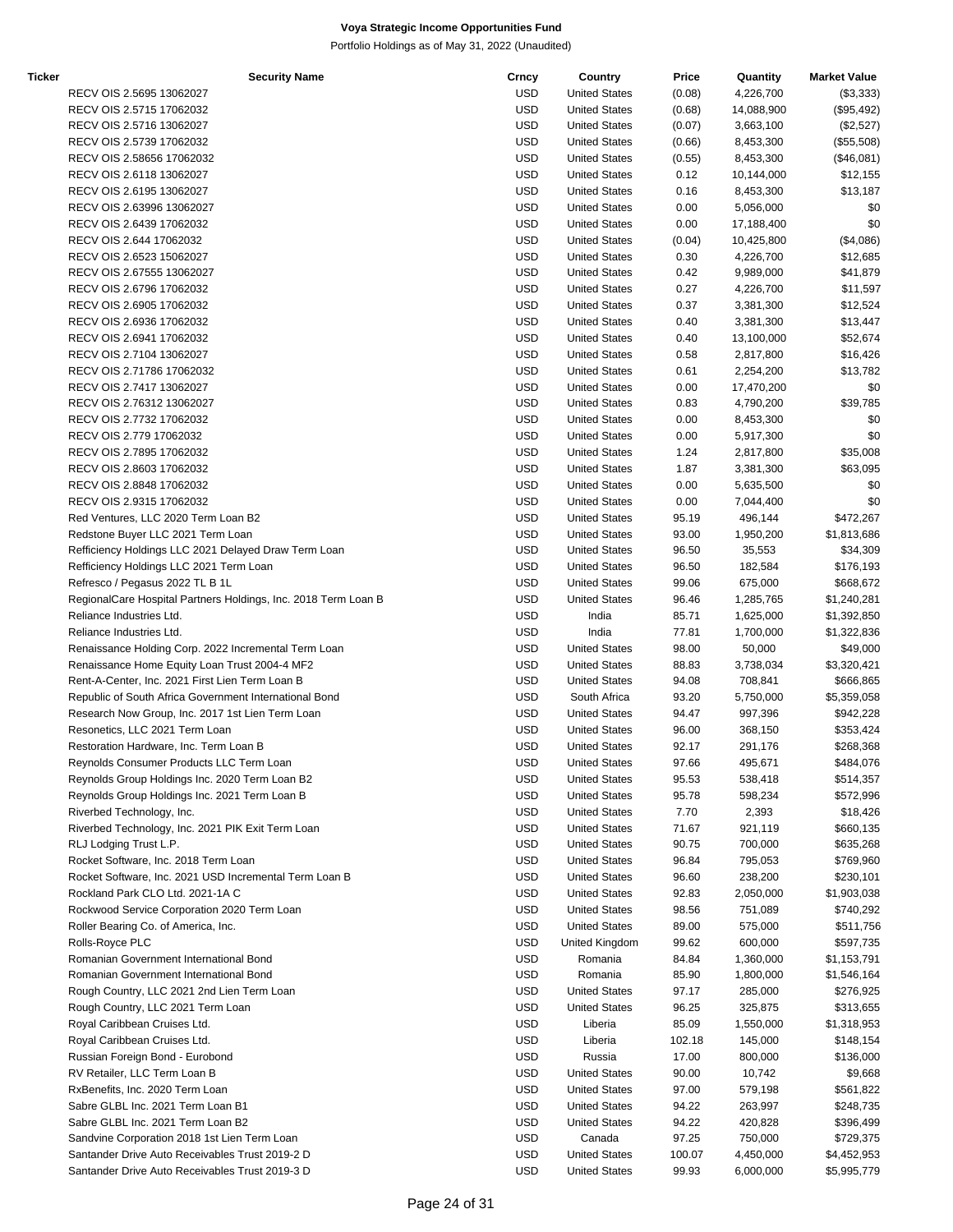| Ticker | <b>Security Name</b>                                           | Crncy      | Country              | Price  | Quantity   | <b>Market Value</b> |
|--------|----------------------------------------------------------------|------------|----------------------|--------|------------|---------------------|
|        | RECV OIS 2.5695 13062027                                       | USD        | <b>United States</b> | (0.08) | 4,226,700  | (\$3,333)           |
|        | RECV OIS 2.5715 17062032                                       | USD        | <b>United States</b> | (0.68) | 14,088,900 | (\$95,492)          |
|        | RECV OIS 2.5716 13062027                                       | <b>USD</b> | <b>United States</b> | (0.07) | 3,663,100  | (\$2,527)           |
|        | RECV OIS 2.5739 17062032                                       | <b>USD</b> | <b>United States</b> | (0.66) | 8,453,300  | (\$55,508)          |
|        | RECV OIS 2.58656 17062032                                      | USD        | <b>United States</b> | (0.55) | 8,453,300  | (\$46,081)          |
|        | RECV OIS 2.6118 13062027                                       | <b>USD</b> | <b>United States</b> | 0.12   | 10,144,000 | \$12,155            |
|        | RECV OIS 2.6195 13062027                                       | <b>USD</b> | <b>United States</b> | 0.16   | 8,453,300  | \$13,187            |
|        | RECV OIS 2.63996 13062027                                      | <b>USD</b> | <b>United States</b> | 0.00   | 5,056,000  | \$0                 |
|        | RECV OIS 2.6439 17062032                                       | USD        | <b>United States</b> | 0.00   | 17,188,400 | \$0                 |
|        | RECV OIS 2.644 17062032                                        | USD        | <b>United States</b> | (0.04) | 10,425,800 | (\$4,086)           |
|        | RECV OIS 2.6523 15062027                                       | <b>USD</b> | <b>United States</b> | 0.30   | 4,226,700  | \$12,685            |
|        | RECV OIS 2.67555 13062027                                      | <b>USD</b> | <b>United States</b> | 0.42   | 9,989,000  | \$41,879            |
|        |                                                                |            | <b>United States</b> |        |            |                     |
|        | RECV OIS 2.6796 17062032                                       | USD        |                      | 0.27   | 4,226,700  | \$11,597            |
|        | RECV OIS 2.6905 17062032                                       | <b>USD</b> | <b>United States</b> | 0.37   | 3,381,300  | \$12,524            |
|        | RECV OIS 2.6936 17062032                                       | <b>USD</b> | <b>United States</b> | 0.40   | 3,381,300  | \$13,447            |
|        | RECV OIS 2.6941 17062032                                       | <b>USD</b> | <b>United States</b> | 0.40   | 13,100,000 | \$52,674            |
|        | RECV OIS 2.7104 13062027                                       | USD        | <b>United States</b> | 0.58   | 2,817,800  | \$16,426            |
|        | RECV OIS 2.71786 17062032                                      | USD        | <b>United States</b> | 0.61   | 2,254,200  | \$13,782            |
|        | RECV OIS 2.7417 13062027                                       | USD        | <b>United States</b> | 0.00   | 17,470,200 | \$0                 |
|        | RECV OIS 2.76312 13062027                                      | <b>USD</b> | <b>United States</b> | 0.83   | 4,790,200  | \$39,785            |
|        | RECV OIS 2.7732 17062032                                       | USD        | <b>United States</b> | 0.00   | 8,453,300  | \$0                 |
|        | RECV OIS 2.779 17062032                                        | <b>USD</b> | <b>United States</b> | 0.00   | 5,917,300  | \$0                 |
|        | RECV OIS 2.7895 17062032                                       | <b>USD</b> | <b>United States</b> | 1.24   | 2,817,800  | \$35,008            |
|        | RECV OIS 2.8603 17062032                                       | <b>USD</b> | <b>United States</b> | 1.87   | 3,381,300  | \$63,095            |
|        | RECV OIS 2.8848 17062032                                       | USD        | <b>United States</b> | 0.00   | 5,635,500  | \$0                 |
|        | RECV OIS 2.9315 17062032                                       | USD        | <b>United States</b> | 0.00   | 7,044,400  | \$0                 |
|        | Red Ventures, LLC 2020 Term Loan B2                            | USD        | <b>United States</b> | 95.19  | 496,144    | \$472,267           |
|        | Redstone Buyer LLC 2021 Term Loan                              | <b>USD</b> | <b>United States</b> | 93.00  | 1,950,200  | \$1,813,686         |
|        | Refficiency Holdings LLC 2021 Delayed Draw Term Loan           | USD        | <b>United States</b> | 96.50  | 35,553     | \$34,309            |
|        | Refficiency Holdings LLC 2021 Term Loan                        | USD        | <b>United States</b> | 96.50  | 182,584    | \$176,193           |
|        | Refresco / Pegasus 2022 TL B 1L                                | <b>USD</b> | <b>United States</b> | 99.06  | 675,000    | \$668,672           |
|        | RegionalCare Hospital Partners Holdings, Inc. 2018 Term Loan B | <b>USD</b> | <b>United States</b> | 96.46  | 1,285,765  | \$1,240,281         |
|        | Reliance Industries Ltd.                                       | USD        | India                | 85.71  | 1,625,000  |                     |
|        |                                                                |            |                      |        |            | \$1,392,850         |
|        | Reliance Industries Ltd.                                       | USD        | India                | 77.81  | 1,700,000  | \$1,322,836         |
|        | Renaissance Holding Corp. 2022 Incremental Term Loan           | USD        | <b>United States</b> | 98.00  | 50,000     | \$49,000            |
|        | Renaissance Home Equity Loan Trust 2004-4 MF2                  | <b>USD</b> | <b>United States</b> | 88.83  | 3,738,034  | \$3,320,421         |
|        | Rent-A-Center, Inc. 2021 First Lien Term Loan B                | USD        | <b>United States</b> | 94.08  | 708,841    | \$666,865           |
|        | Republic of South Africa Government International Bond         | USD        | South Africa         | 93.20  | 5,750,000  | \$5,359,058         |
|        | Research Now Group, Inc. 2017 1st Lien Term Loan               | USD        | <b>United States</b> | 94.47  | 997,396    | \$942,228           |
|        | Resonetics, LLC 2021 Term Loan                                 | <b>USD</b> | <b>United States</b> | 96.00  | 368,150    | \$353,424           |
|        | Restoration Hardware, Inc. Term Loan B                         | USD        | <b>United States</b> | 92.17  | 291,176    | \$268,368           |
|        | Reynolds Consumer Products LLC Term Loan                       | <b>USD</b> | <b>United States</b> | 97.66  | 495,671    | \$484,076           |
|        | Reynolds Group Holdings Inc. 2020 Term Loan B2                 | USD        | <b>United States</b> | 95.53  | 538,418    | \$514,357           |
|        | Reynolds Group Holdings Inc. 2021 Term Loan B                  | <b>USD</b> | <b>United States</b> | 95.78  | 598,234    | \$572,996           |
|        | Riverbed Technology, Inc.                                      | USD        | <b>United States</b> | 7.70   | 2,393      | \$18,426            |
|        | Riverbed Technology, Inc. 2021 PIK Exit Term Loan              | USD        | <b>United States</b> | 71.67  | 921,119    | \$660,135           |
|        | RLJ Lodging Trust L.P.                                         | USD        | <b>United States</b> | 90.75  | 700,000    | \$635,268           |
|        | Rocket Software, Inc. 2018 Term Loan                           | USD        | <b>United States</b> | 96.84  | 795,053    | \$769,960           |
|        | Rocket Software, Inc. 2021 USD Incremental Term Loan B         | USD        | <b>United States</b> | 96.60  | 238,200    | \$230,101           |
|        | Rockland Park CLO Ltd. 2021-1A C                               | USD        | <b>United States</b> | 92.83  | 2,050,000  | \$1,903,038         |
|        | Rockwood Service Corporation 2020 Term Loan                    | USD        | <b>United States</b> | 98.56  | 751,089    | \$740,292           |
|        | Roller Bearing Co. of America, Inc.                            | <b>USD</b> | <b>United States</b> | 89.00  | 575,000    | \$511,756           |
|        | Rolls-Royce PLC                                                | USD        | United Kingdom       | 99.62  | 600,000    | \$597,735           |
|        | Romanian Government International Bond                         | USD        | Romania              | 84.84  | 1,360,000  | \$1,153,791         |
|        | Romanian Government International Bond                         | USD        | Romania              | 85.90  | 1,800,000  | \$1,546,164         |
|        |                                                                |            |                      |        |            |                     |
|        | Rough Country, LLC 2021 2nd Lien Term Loan                     | USD        | <b>United States</b> | 97.17  | 285,000    | \$276,925           |
|        | Rough Country, LLC 2021 Term Loan                              | USD        | <b>United States</b> | 96.25  | 325,875    | \$313,655           |
|        | Royal Caribbean Cruises Ltd.                                   | USD        | Liberia              | 85.09  | 1,550,000  | \$1,318,953         |
|        | Royal Caribbean Cruises Ltd.                                   | <b>USD</b> | Liberia              | 102.18 | 145,000    | \$148,154           |
|        | Russian Foreign Bond - Eurobond                                | <b>USD</b> | Russia               | 17.00  | 800,000    | \$136,000           |
|        | RV Retailer, LLC Term Loan B                                   | USD        | <b>United States</b> | 90.00  | 10,742     | \$9,668             |
|        | RxBenefits, Inc. 2020 Term Loan                                | USD        | <b>United States</b> | 97.00  | 579,198    | \$561,822           |
|        | Sabre GLBL Inc. 2021 Term Loan B1                              | USD        | <b>United States</b> | 94.22  | 263,997    | \$248,735           |
|        | Sabre GLBL Inc. 2021 Term Loan B2                              | USD        | <b>United States</b> | 94.22  | 420,828    | \$396,499           |
|        | Sandvine Corporation 2018 1st Lien Term Loan                   | USD        | Canada               | 97.25  | 750,000    | \$729,375           |
|        | Santander Drive Auto Receivables Trust 2019-2 D                | USD        | <b>United States</b> | 100.07 | 4,450,000  | \$4,452,953         |
|        | Santander Drive Auto Receivables Trust 2019-3 D                | <b>USD</b> | <b>United States</b> | 99.93  | 6,000,000  | \$5,995,779         |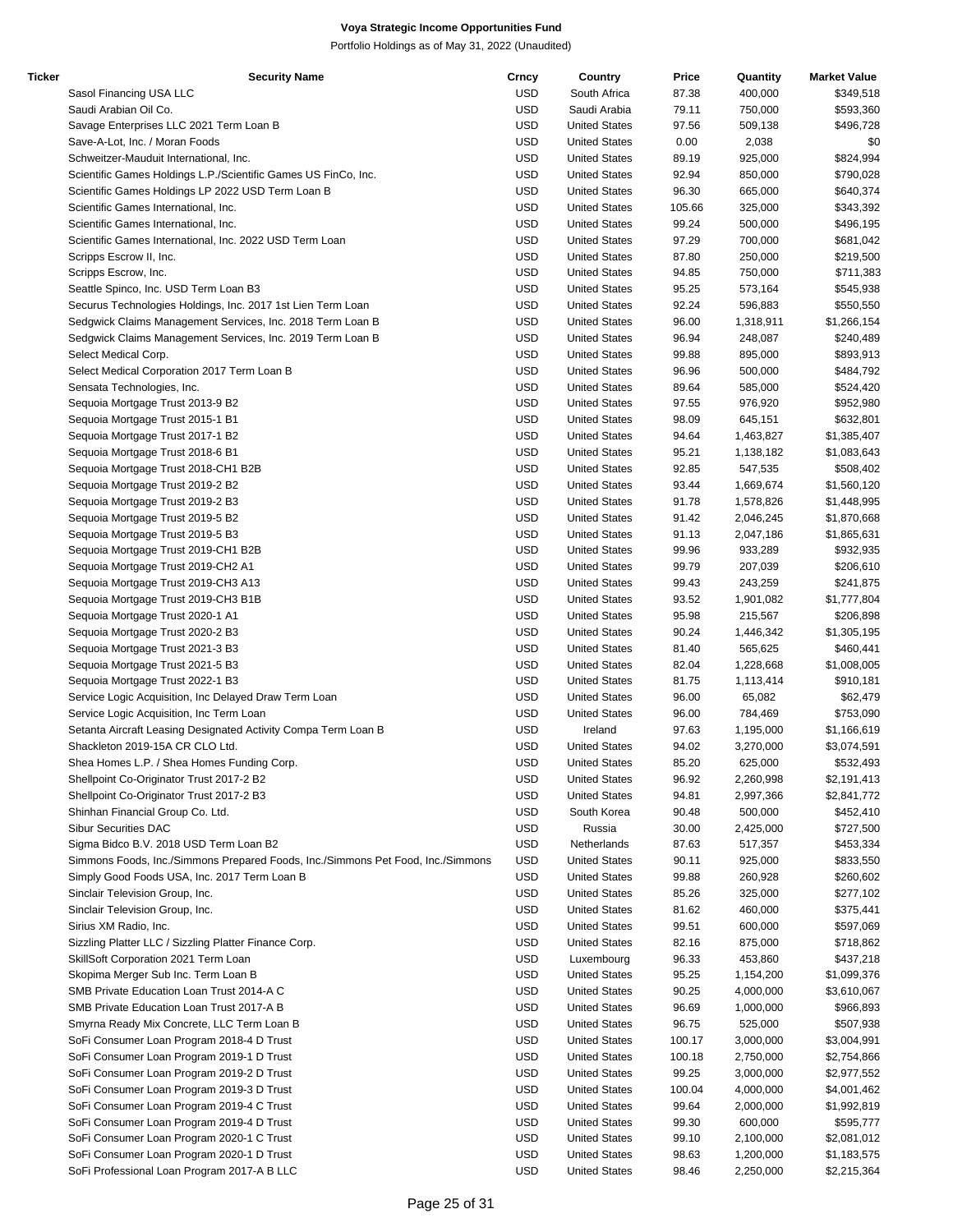| Ticker | <b>Security Name</b>                                                            | Crncy      | Country              | Price  | Quantity  | <b>Market Value</b> |
|--------|---------------------------------------------------------------------------------|------------|----------------------|--------|-----------|---------------------|
|        | Sasol Financing USA LLC                                                         | USD        | South Africa         | 87.38  | 400,000   | \$349,518           |
|        | Saudi Arabian Oil Co.                                                           | USD        | Saudi Arabia         | 79.11  | 750,000   | \$593,360           |
|        | Savage Enterprises LLC 2021 Term Loan B                                         | <b>USD</b> | <b>United States</b> | 97.56  | 509,138   | \$496,728           |
|        | Save-A-Lot, Inc. / Moran Foods                                                  | <b>USD</b> | <b>United States</b> | 0.00   | 2,038     | \$0                 |
|        | Schweitzer-Mauduit International, Inc.                                          | <b>USD</b> | <b>United States</b> | 89.19  | 925,000   | \$824,994           |
|        | Scientific Games Holdings L.P./Scientific Games US FinCo, Inc.                  | <b>USD</b> | <b>United States</b> | 92.94  | 850,000   | \$790,028           |
|        | Scientific Games Holdings LP 2022 USD Term Loan B                               | <b>USD</b> | <b>United States</b> | 96.30  | 665,000   | \$640,374           |
|        |                                                                                 | <b>USD</b> |                      |        |           |                     |
|        | Scientific Games International, Inc.                                            |            | <b>United States</b> | 105.66 | 325,000   | \$343,392           |
|        | Scientific Games International, Inc.                                            | USD        | <b>United States</b> | 99.24  | 500,000   | \$496,195           |
|        | Scientific Games International, Inc. 2022 USD Term Loan                         | <b>USD</b> | <b>United States</b> | 97.29  | 700,000   | \$681,042           |
|        | Scripps Escrow II, Inc.                                                         | <b>USD</b> | <b>United States</b> | 87.80  | 250,000   | \$219,500           |
|        | Scripps Escrow, Inc.                                                            | <b>USD</b> | <b>United States</b> | 94.85  | 750,000   | \$711,383           |
|        | Seattle Spinco, Inc. USD Term Loan B3                                           | <b>USD</b> | <b>United States</b> | 95.25  | 573,164   | \$545,938           |
|        | Securus Technologies Holdings, Inc. 2017 1st Lien Term Loan                     | <b>USD</b> | <b>United States</b> | 92.24  | 596,883   | \$550,550           |
|        | Sedgwick Claims Management Services, Inc. 2018 Term Loan B                      | <b>USD</b> | <b>United States</b> | 96.00  | 1,318,911 | \$1,266,154         |
|        | Sedgwick Claims Management Services, Inc. 2019 Term Loan B                      | <b>USD</b> | <b>United States</b> | 96.94  | 248,087   | \$240,489           |
|        | Select Medical Corp.                                                            | USD        | <b>United States</b> | 99.88  | 895,000   | \$893,913           |
|        | Select Medical Corporation 2017 Term Loan B                                     | <b>USD</b> | <b>United States</b> | 96.96  | 500,000   | \$484,792           |
|        | Sensata Technologies, Inc.                                                      | <b>USD</b> | <b>United States</b> | 89.64  | 585,000   | \$524,420           |
|        | Sequoia Mortgage Trust 2013-9 B2                                                | <b>USD</b> | <b>United States</b> | 97.55  | 976,920   | \$952,980           |
|        | Sequoia Mortgage Trust 2015-1 B1                                                | <b>USD</b> | <b>United States</b> | 98.09  | 645,151   | \$632,801           |
|        |                                                                                 |            |                      |        |           |                     |
|        | Sequoia Mortgage Trust 2017-1 B2                                                | <b>USD</b> | <b>United States</b> | 94.64  | 1,463,827 | \$1,385,407         |
|        | Sequoia Mortgage Trust 2018-6 B1                                                | <b>USD</b> | <b>United States</b> | 95.21  | 1,138,182 | \$1,083,643         |
|        | Sequoia Mortgage Trust 2018-CH1 B2B                                             | <b>USD</b> | <b>United States</b> | 92.85  | 547,535   | \$508,402           |
|        | Sequoia Mortgage Trust 2019-2 B2                                                | USD        | <b>United States</b> | 93.44  | 1,669,674 | \$1,560,120         |
|        | Sequoia Mortgage Trust 2019-2 B3                                                | <b>USD</b> | <b>United States</b> | 91.78  | 1,578,826 | \$1,448,995         |
|        | Sequoia Mortgage Trust 2019-5 B2                                                | <b>USD</b> | <b>United States</b> | 91.42  | 2,046,245 | \$1,870,668         |
|        | Sequoia Mortgage Trust 2019-5 B3                                                | <b>USD</b> | <b>United States</b> | 91.13  | 2,047,186 | \$1,865,631         |
|        | Sequoia Mortgage Trust 2019-CH1 B2B                                             | <b>USD</b> | <b>United States</b> | 99.96  | 933,289   | \$932,935           |
|        | Sequoia Mortgage Trust 2019-CH2 A1                                              | <b>USD</b> | <b>United States</b> | 99.79  | 207,039   | \$206,610           |
|        | Sequoia Mortgage Trust 2019-CH3 A13                                             | <b>USD</b> | <b>United States</b> | 99.43  | 243,259   | \$241,875           |
|        | Sequoia Mortgage Trust 2019-CH3 B1B                                             | <b>USD</b> | <b>United States</b> | 93.52  | 1,901,082 | \$1,777,804         |
|        | Sequoia Mortgage Trust 2020-1 A1                                                | USD        | <b>United States</b> | 95.98  | 215,567   | \$206,898           |
|        | Sequoia Mortgage Trust 2020-2 B3                                                | <b>USD</b> | <b>United States</b> | 90.24  | 1,446,342 | \$1,305,195         |
|        | Sequoia Mortgage Trust 2021-3 B3                                                | <b>USD</b> | <b>United States</b> | 81.40  | 565,625   | \$460,441           |
|        |                                                                                 | <b>USD</b> |                      |        |           |                     |
|        | Sequoia Mortgage Trust 2021-5 B3                                                |            | <b>United States</b> | 82.04  | 1,228,668 | \$1,008,005         |
|        | Sequoia Mortgage Trust 2022-1 B3                                                | USD        | <b>United States</b> | 81.75  | 1,113,414 | \$910,181           |
|        | Service Logic Acquisition, Inc Delayed Draw Term Loan                           | <b>USD</b> | <b>United States</b> | 96.00  | 65,082    | \$62,479            |
|        | Service Logic Acquisition, Inc Term Loan                                        | <b>USD</b> | <b>United States</b> | 96.00  | 784,469   | \$753,090           |
|        | Setanta Aircraft Leasing Designated Activity Compa Term Loan B                  | <b>USD</b> | Ireland              | 97.63  | 1,195,000 | \$1,166,619         |
|        | Shackleton 2019-15A CR CLO Ltd.                                                 | USD        | <b>United States</b> | 94.02  | 3,270,000 | \$3,074,591         |
|        | Shea Homes L.P. / Shea Homes Funding Corp.                                      | <b>USD</b> | <b>United States</b> | 85.20  | 625,000   | \$532,493           |
|        | Shellpoint Co-Originator Trust 2017-2 B2                                        | USD        | <b>United States</b> | 96.92  | 2,260,998 | \$2,191,413         |
|        | Shellpoint Co-Originator Trust 2017-2 B3                                        | <b>USD</b> | <b>United States</b> | 94.81  | 2,997,366 | \$2,841,772         |
|        | Shinhan Financial Group Co. Ltd.                                                | USD        | South Korea          | 90.48  | 500,000   | \$452,410           |
|        | <b>Sibur Securities DAC</b>                                                     | <b>USD</b> | Russia               | 30.00  | 2,425,000 | \$727,500           |
|        | Sigma Bidco B.V. 2018 USD Term Loan B2                                          | <b>USD</b> | Netherlands          | 87.63  | 517,357   | \$453,334           |
|        | Simmons Foods, Inc./Simmons Prepared Foods, Inc./Simmons Pet Food, Inc./Simmons | <b>USD</b> | <b>United States</b> | 90.11  | 925,000   | \$833,550           |
|        | Simply Good Foods USA, Inc. 2017 Term Loan B                                    | <b>USD</b> | <b>United States</b> |        |           |                     |
|        |                                                                                 |            |                      | 99.88  | 260,928   | \$260,602           |
|        | Sinclair Television Group, Inc.                                                 | <b>USD</b> | <b>United States</b> | 85.26  | 325,000   | \$277,102           |
|        | Sinclair Television Group, Inc.                                                 | <b>USD</b> | <b>United States</b> | 81.62  | 460,000   | \$375,441           |
|        | Sirius XM Radio, Inc.                                                           | <b>USD</b> | <b>United States</b> | 99.51  | 600,000   | \$597,069           |
|        | Sizzling Platter LLC / Sizzling Platter Finance Corp.                           | USD        | <b>United States</b> | 82.16  | 875,000   | \$718,862           |
|        | SkillSoft Corporation 2021 Term Loan                                            | <b>USD</b> | Luxembourg           | 96.33  | 453,860   | \$437,218           |
|        | Skopima Merger Sub Inc. Term Loan B                                             | <b>USD</b> | <b>United States</b> | 95.25  | 1,154,200 | \$1,099,376         |
|        | SMB Private Education Loan Trust 2014-A C                                       | <b>USD</b> | <b>United States</b> | 90.25  | 4,000,000 | \$3,610,067         |
|        | SMB Private Education Loan Trust 2017-A B                                       | <b>USD</b> | <b>United States</b> | 96.69  | 1,000,000 | \$966,893           |
|        | Smyrna Ready Mix Concrete, LLC Term Loan B                                      | <b>USD</b> | <b>United States</b> | 96.75  | 525,000   | \$507,938           |
|        | SoFi Consumer Loan Program 2018-4 D Trust                                       | <b>USD</b> | <b>United States</b> | 100.17 | 3,000,000 | \$3,004,991         |
|        | SoFi Consumer Loan Program 2019-1 D Trust                                       | <b>USD</b> | <b>United States</b> | 100.18 | 2,750,000 | \$2,754,866         |
|        | SoFi Consumer Loan Program 2019-2 D Trust                                       | USD        | <b>United States</b> | 99.25  | 3,000,000 | \$2,977,552         |
|        |                                                                                 | USD        | <b>United States</b> |        | 4,000,000 |                     |
|        | SoFi Consumer Loan Program 2019-3 D Trust                                       |            |                      | 100.04 |           | \$4,001,462         |
|        | SoFi Consumer Loan Program 2019-4 C Trust                                       | USD        | <b>United States</b> | 99.64  | 2,000,000 | \$1,992,819         |
|        | SoFi Consumer Loan Program 2019-4 D Trust                                       | <b>USD</b> | <b>United States</b> | 99.30  | 600,000   | \$595,777           |
|        | SoFi Consumer Loan Program 2020-1 C Trust                                       | <b>USD</b> | <b>United States</b> | 99.10  | 2,100,000 | \$2,081,012         |
|        | SoFi Consumer Loan Program 2020-1 D Trust                                       | <b>USD</b> | <b>United States</b> | 98.63  | 1,200,000 | \$1,183,575         |
|        | SoFi Professional Loan Program 2017-A B LLC                                     | <b>USD</b> | <b>United States</b> | 98.46  | 2,250,000 | \$2,215,364         |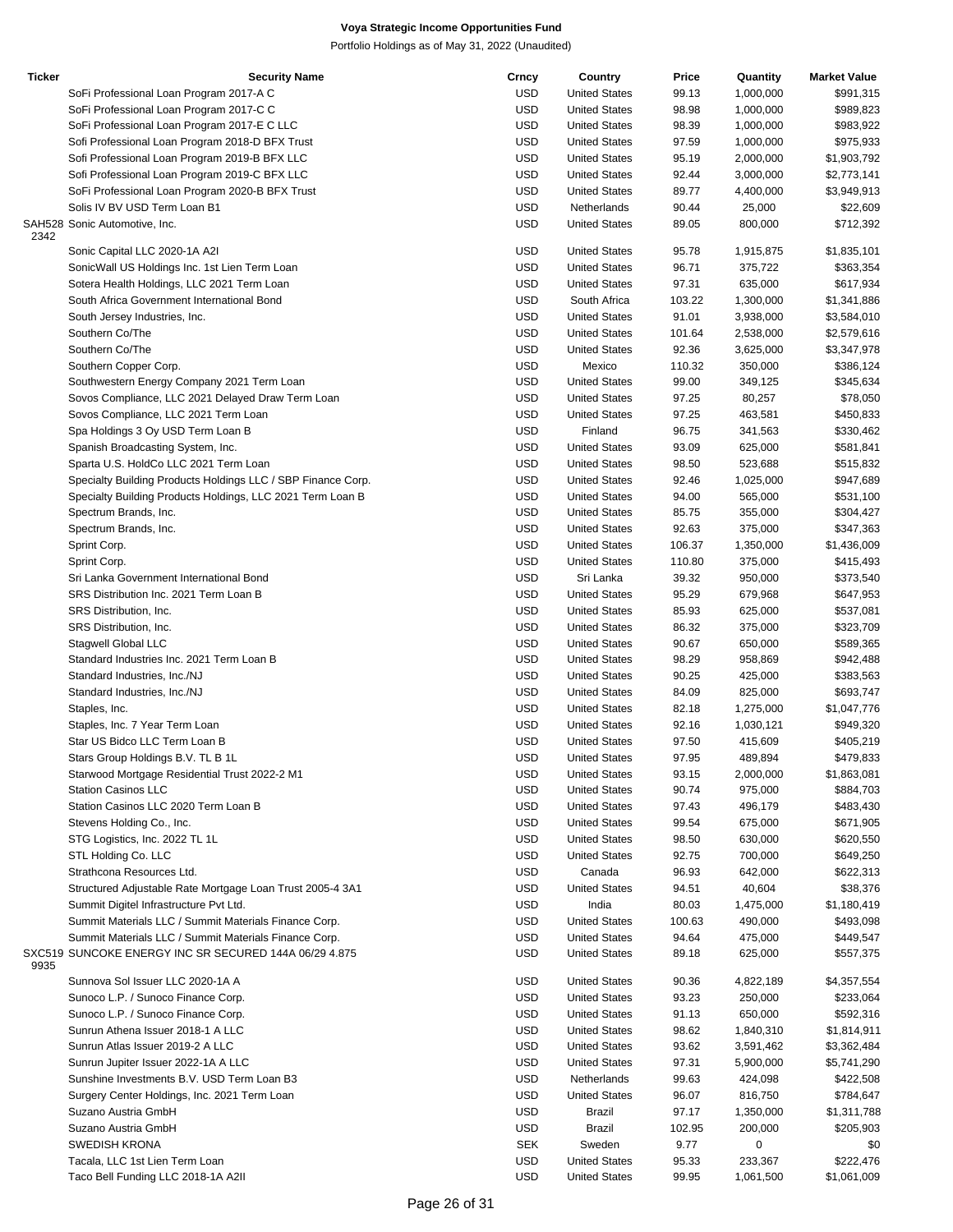| <b>Ticker</b> | <b>Security Name</b>                                         | Crncy      | Country                                      | Price  | Quantity    | <b>Market Value</b> |
|---------------|--------------------------------------------------------------|------------|----------------------------------------------|--------|-------------|---------------------|
|               | SoFi Professional Loan Program 2017-A C                      | <b>USD</b> | <b>United States</b>                         | 99.13  | 1,000,000   | \$991,315           |
|               | SoFi Professional Loan Program 2017-C C                      | <b>USD</b> | <b>United States</b>                         | 98.98  | 1,000,000   | \$989,823           |
|               | SoFi Professional Loan Program 2017-E C LLC                  | <b>USD</b> | <b>United States</b>                         | 98.39  | 1,000,000   | \$983,922           |
|               | Sofi Professional Loan Program 2018-D BFX Trust              | <b>USD</b> | <b>United States</b>                         | 97.59  | 1,000,000   | \$975,933           |
|               | Sofi Professional Loan Program 2019-B BFX LLC                | <b>USD</b> | <b>United States</b>                         | 95.19  | 2,000,000   | \$1,903,792         |
|               | Sofi Professional Loan Program 2019-C BFX LLC                | <b>USD</b> | <b>United States</b>                         | 92.44  | 3,000,000   | \$2,773,141         |
|               | SoFi Professional Loan Program 2020-B BFX Trust              | <b>USD</b> | <b>United States</b>                         | 89.77  | 4,400,000   | \$3,949,913         |
|               | Solis IV BV USD Term Loan B1                                 | <b>USD</b> | Netherlands                                  | 90.44  | 25,000      | \$22,609            |
|               | SAH528 Sonic Automotive, Inc.                                | <b>USD</b> | <b>United States</b>                         | 89.05  | 800,000     | \$712,392           |
| 2342          | Sonic Capital LLC 2020-1A A2I                                | <b>USD</b> | <b>United States</b>                         | 95.78  | 1,915,875   | \$1,835,101         |
|               | SonicWall US Holdings Inc. 1st Lien Term Loan                | <b>USD</b> | <b>United States</b>                         | 96.71  | 375,722     | \$363,354           |
|               | Sotera Health Holdings, LLC 2021 Term Loan                   | <b>USD</b> | <b>United States</b>                         | 97.31  | 635,000     | \$617,934           |
|               | South Africa Government International Bond                   | <b>USD</b> | South Africa                                 | 103.22 | 1,300,000   | \$1,341,886         |
|               | South Jersey Industries, Inc.                                | <b>USD</b> | <b>United States</b>                         | 91.01  | 3,938,000   | \$3,584,010         |
|               | Southern Co/The                                              | <b>USD</b> | <b>United States</b>                         | 101.64 | 2,538,000   | \$2,579,616         |
|               | Southern Co/The                                              | <b>USD</b> | <b>United States</b>                         | 92.36  | 3,625,000   | \$3,347,978         |
|               |                                                              | <b>USD</b> | Mexico                                       |        |             | \$386,124           |
|               | Southern Copper Corp.                                        |            |                                              | 110.32 | 350,000     |                     |
|               | Southwestern Energy Company 2021 Term Loan                   | <b>USD</b> | <b>United States</b><br><b>United States</b> | 99.00  | 349,125     | \$345,634           |
|               | Sovos Compliance, LLC 2021 Delayed Draw Term Loan            | <b>USD</b> |                                              | 97.25  | 80,257      | \$78,050            |
|               | Sovos Compliance, LLC 2021 Term Loan                         | <b>USD</b> | <b>United States</b>                         | 97.25  | 463,581     | \$450,833           |
|               | Spa Holdings 3 Oy USD Term Loan B                            | <b>USD</b> | Finland                                      | 96.75  | 341,563     | \$330,462           |
|               | Spanish Broadcasting System, Inc.                            | <b>USD</b> | <b>United States</b>                         | 93.09  | 625,000     | \$581,841           |
|               | Sparta U.S. HoldCo LLC 2021 Term Loan                        | <b>USD</b> | <b>United States</b>                         | 98.50  | 523,688     | \$515,832           |
|               | Specialty Building Products Holdings LLC / SBP Finance Corp. | <b>USD</b> | <b>United States</b>                         | 92.46  | 1,025,000   | \$947,689           |
|               | Specialty Building Products Holdings, LLC 2021 Term Loan B   | <b>USD</b> | <b>United States</b>                         | 94.00  | 565,000     | \$531,100           |
|               | Spectrum Brands, Inc.                                        | <b>USD</b> | <b>United States</b>                         | 85.75  | 355,000     | \$304,427           |
|               | Spectrum Brands, Inc.                                        | <b>USD</b> | <b>United States</b>                         | 92.63  | 375,000     | \$347,363           |
|               | Sprint Corp.                                                 | <b>USD</b> | <b>United States</b>                         | 106.37 | 1,350,000   | \$1,436,009         |
|               | Sprint Corp.                                                 | <b>USD</b> | <b>United States</b>                         | 110.80 | 375,000     | \$415,493           |
|               | Sri Lanka Government International Bond                      | <b>USD</b> | Sri Lanka                                    | 39.32  | 950,000     | \$373,540           |
|               | SRS Distribution Inc. 2021 Term Loan B                       | <b>USD</b> | <b>United States</b>                         | 95.29  | 679,968     | \$647,953           |
|               | SRS Distribution, Inc.                                       | <b>USD</b> | <b>United States</b>                         | 85.93  | 625,000     | \$537,081           |
|               | SRS Distribution, Inc.                                       | <b>USD</b> | <b>United States</b>                         | 86.32  | 375,000     | \$323,709           |
|               | Stagwell Global LLC                                          | <b>USD</b> | <b>United States</b>                         | 90.67  | 650,000     | \$589,365           |
|               |                                                              | <b>USD</b> |                                              |        |             |                     |
|               | Standard Industries Inc. 2021 Term Loan B                    |            | <b>United States</b>                         | 98.29  | 958,869     | \$942,488           |
|               | Standard Industries, Inc./NJ                                 | <b>USD</b> | <b>United States</b>                         | 90.25  | 425,000     | \$383,563           |
|               | Standard Industries, Inc./NJ                                 | <b>USD</b> | <b>United States</b>                         | 84.09  | 825,000     | \$693,747           |
|               | Staples, Inc.                                                | <b>USD</b> | <b>United States</b>                         | 82.18  | 1,275,000   | \$1,047,776         |
|               | Staples, Inc. 7 Year Term Loan                               | <b>USD</b> | <b>United States</b>                         | 92.16  | 1,030,121   | \$949,320           |
|               | Star US Bidco LLC Term Loan B                                | <b>USD</b> | <b>United States</b>                         | 97.50  | 415,609     | \$405,219           |
|               | Stars Group Holdings B.V. TL B 1L                            | <b>USD</b> | <b>United States</b>                         | 97.95  | 489,894     | \$479,833           |
|               | Starwood Mortgage Residential Trust 2022-2 M1                | <b>USD</b> | <b>United States</b>                         | 93.15  | 2,000,000   | \$1,863,081         |
|               | <b>Station Casinos LLC</b>                                   | USD        | <b>United States</b>                         | 90.74  | 975,000     | \$884,703           |
|               | Station Casinos LLC 2020 Term Loan B                         | <b>USD</b> | <b>United States</b>                         | 97.43  | 496,179     | \$483,430           |
|               | Stevens Holding Co., Inc.                                    | <b>USD</b> | <b>United States</b>                         | 99.54  | 675,000     | \$671,905           |
|               | STG Logistics, Inc. 2022 TL 1L                               | <b>USD</b> | <b>United States</b>                         | 98.50  | 630,000     | \$620,550           |
|               | STL Holding Co. LLC                                          | <b>USD</b> | <b>United States</b>                         | 92.75  | 700,000     | \$649,250           |
|               | Strathcona Resources Ltd.                                    | <b>USD</b> | Canada                                       | 96.93  | 642,000     | \$622,313           |
|               | Structured Adjustable Rate Mortgage Loan Trust 2005-4 3A1    | <b>USD</b> | <b>United States</b>                         | 94.51  | 40,604      | \$38,376            |
|               | Summit Digitel Infrastructure Pvt Ltd.                       | <b>USD</b> | India                                        | 80.03  | 1,475,000   | \$1,180,419         |
|               | Summit Materials LLC / Summit Materials Finance Corp.        | <b>USD</b> | <b>United States</b>                         | 100.63 | 490,000     | \$493,098           |
|               | Summit Materials LLC / Summit Materials Finance Corp.        | <b>USD</b> | <b>United States</b>                         | 94.64  | 475,000     | \$449,547           |
|               | SXC519 SUNCOKE ENERGY INC SR SECURED 144A 06/29 4.875        | <b>USD</b> | <b>United States</b>                         | 89.18  | 625,000     | \$557,375           |
| 9935          |                                                              |            |                                              |        |             |                     |
|               | Sunnova Sol Issuer LLC 2020-1A A                             | <b>USD</b> | <b>United States</b>                         | 90.36  | 4,822,189   | \$4,357,554         |
|               | Sunoco L.P. / Sunoco Finance Corp.                           | USD        | <b>United States</b>                         | 93.23  | 250,000     | \$233,064           |
|               | Sunoco L.P. / Sunoco Finance Corp.                           | USD        | <b>United States</b>                         | 91.13  | 650,000     | \$592,316           |
|               | Sunrun Athena Issuer 2018-1 A LLC                            | USD        | <b>United States</b>                         | 98.62  | 1,840,310   | \$1,814,911         |
|               | Sunrun Atlas Issuer 2019-2 A LLC                             | <b>USD</b> | <b>United States</b>                         | 93.62  | 3,591,462   | \$3,362,484         |
|               | Sunrun Jupiter Issuer 2022-1A A LLC                          | USD        | <b>United States</b>                         | 97.31  | 5,900,000   | \$5,741,290         |
|               | Sunshine Investments B.V. USD Term Loan B3                   | <b>USD</b> | Netherlands                                  | 99.63  | 424,098     | \$422,508           |
|               | Surgery Center Holdings, Inc. 2021 Term Loan                 | <b>USD</b> | <b>United States</b>                         | 96.07  | 816,750     | \$784,647           |
|               | Suzano Austria GmbH                                          | <b>USD</b> | Brazil                                       | 97.17  | 1,350,000   | \$1,311,788         |
|               | Suzano Austria GmbH                                          | <b>USD</b> | Brazil                                       | 102.95 | 200,000     | \$205,903           |
|               | <b>SWEDISH KRONA</b>                                         | <b>SEK</b> | Sweden                                       | 9.77   | $\mathbf 0$ | \$0                 |
|               | Tacala, LLC 1st Lien Term Loan                               | <b>USD</b> | <b>United States</b>                         | 95.33  | 233,367     | \$222,476           |
|               | Taco Bell Funding LLC 2018-1A A2II                           | <b>USD</b> | <b>United States</b>                         | 99.95  | 1,061,500   | \$1,061,009         |
|               |                                                              |            |                                              |        |             |                     |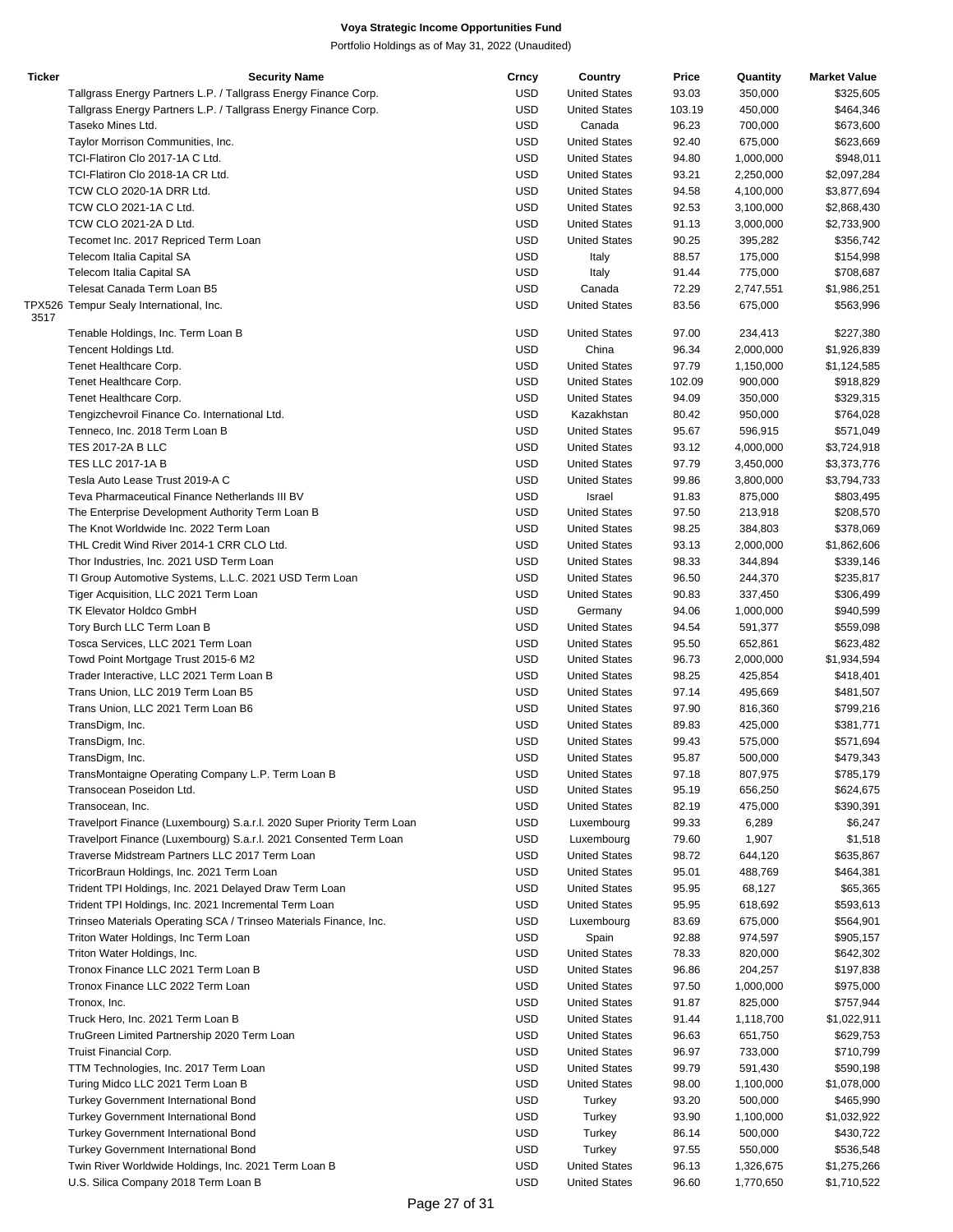| <b>Ticker</b> | <b>Security Name</b>                                                   | Crncy      | Country              | Price  | Quantity  | <b>Market Value</b> |
|---------------|------------------------------------------------------------------------|------------|----------------------|--------|-----------|---------------------|
|               | Tallgrass Energy Partners L.P. / Tallgrass Energy Finance Corp.        | <b>USD</b> | <b>United States</b> | 93.03  | 350,000   | \$325,605           |
|               | Tallgrass Energy Partners L.P. / Tallgrass Energy Finance Corp.        | <b>USD</b> | <b>United States</b> | 103.19 | 450,000   | \$464,346           |
|               | Taseko Mines Ltd.                                                      | <b>USD</b> | Canada               | 96.23  | 700,000   | \$673,600           |
|               | Taylor Morrison Communities, Inc.                                      | <b>USD</b> | <b>United States</b> | 92.40  | 675,000   | \$623,669           |
|               |                                                                        |            |                      |        |           |                     |
|               | TCI-Flatiron Clo 2017-1A C Ltd.                                        | <b>USD</b> | <b>United States</b> | 94.80  | 1,000,000 | \$948,011           |
|               | TCI-Flatiron Clo 2018-1A CR Ltd.                                       | <b>USD</b> | <b>United States</b> | 93.21  | 2,250,000 | \$2,097,284         |
|               | TCW CLO 2020-1A DRR Ltd.                                               | <b>USD</b> | <b>United States</b> | 94.58  | 4,100,000 | \$3,877,694         |
|               | TCW CLO 2021-1A C Ltd.                                                 | <b>USD</b> | <b>United States</b> | 92.53  | 3,100,000 | \$2,868,430         |
|               | TCW CLO 2021-2A D Ltd.                                                 | <b>USD</b> | <b>United States</b> | 91.13  | 3,000,000 | \$2,733,900         |
|               | Tecomet Inc. 2017 Repriced Term Loan                                   | <b>USD</b> | <b>United States</b> | 90.25  | 395,282   | \$356,742           |
|               | Telecom Italia Capital SA                                              | <b>USD</b> | Italy                | 88.57  | 175,000   | \$154,998           |
|               | Telecom Italia Capital SA                                              | <b>USD</b> | Italy                | 91.44  | 775,000   | \$708,687           |
|               | Telesat Canada Term Loan B5                                            | <b>USD</b> | Canada               | 72.29  | 2,747,551 | \$1,986,251         |
|               |                                                                        |            | <b>United States</b> |        |           |                     |
| 3517          | TPX526 Tempur Sealy International, Inc.                                | <b>USD</b> |                      | 83.56  | 675,000   | \$563,996           |
|               | Tenable Holdings, Inc. Term Loan B                                     | <b>USD</b> | <b>United States</b> | 97.00  | 234,413   | \$227,380           |
|               |                                                                        | <b>USD</b> | China                |        |           |                     |
|               | Tencent Holdings Ltd.                                                  |            |                      | 96.34  | 2,000,000 | \$1,926,839         |
|               | Tenet Healthcare Corp.                                                 | <b>USD</b> | <b>United States</b> | 97.79  | 1,150,000 | \$1,124,585         |
|               | Tenet Healthcare Corp.                                                 | <b>USD</b> | <b>United States</b> | 102.09 | 900,000   | \$918,829           |
|               | Tenet Healthcare Corp.                                                 | <b>USD</b> | <b>United States</b> | 94.09  | 350,000   | \$329,315           |
|               | Tengizchevroil Finance Co. International Ltd.                          | <b>USD</b> | Kazakhstan           | 80.42  | 950,000   | \$764,028           |
|               | Tenneco, Inc. 2018 Term Loan B                                         | <b>USD</b> | <b>United States</b> | 95.67  | 596,915   | \$571,049           |
|               | <b>TES 2017-2A B LLC</b>                                               | <b>USD</b> | <b>United States</b> | 93.12  | 4,000,000 | \$3,724,918         |
|               | TES LLC 2017-1A B                                                      | <b>USD</b> | <b>United States</b> | 97.79  | 3,450,000 | \$3,373,776         |
|               | Tesla Auto Lease Trust 2019-A C                                        | <b>USD</b> | <b>United States</b> | 99.86  | 3,800,000 | \$3,794,733         |
|               | Teva Pharmaceutical Finance Netherlands III BV                         | <b>USD</b> |                      |        | 875,000   |                     |
|               |                                                                        |            | Israel               | 91.83  |           | \$803,495           |
|               | The Enterprise Development Authority Term Loan B                       | <b>USD</b> | <b>United States</b> | 97.50  | 213,918   | \$208,570           |
|               | The Knot Worldwide Inc. 2022 Term Loan                                 | <b>USD</b> | <b>United States</b> | 98.25  | 384,803   | \$378,069           |
|               | THL Credit Wind River 2014-1 CRR CLO Ltd.                              | <b>USD</b> | <b>United States</b> | 93.13  | 2,000,000 | \$1,862,606         |
|               | Thor Industries, Inc. 2021 USD Term Loan                               | <b>USD</b> | <b>United States</b> | 98.33  | 344,894   | \$339,146           |
|               | TI Group Automotive Systems, L.L.C. 2021 USD Term Loan                 | <b>USD</b> | <b>United States</b> | 96.50  | 244,370   | \$235,817           |
|               | Tiger Acquisition, LLC 2021 Term Loan                                  | <b>USD</b> | <b>United States</b> | 90.83  | 337,450   | \$306,499           |
|               | TK Elevator Holdco GmbH                                                | <b>USD</b> | Germany              | 94.06  | 1,000,000 | \$940,599           |
|               | Tory Burch LLC Term Loan B                                             | <b>USD</b> | <b>United States</b> | 94.54  | 591,377   | \$559,098           |
|               | Tosca Services, LLC 2021 Term Loan                                     | <b>USD</b> | <b>United States</b> | 95.50  | 652,861   |                     |
|               |                                                                        |            |                      |        |           | \$623,482           |
|               | Towd Point Mortgage Trust 2015-6 M2                                    | <b>USD</b> | <b>United States</b> | 96.73  | 2,000,000 | \$1,934,594         |
|               | Trader Interactive, LLC 2021 Term Loan B                               | <b>USD</b> | <b>United States</b> | 98.25  | 425,854   | \$418,401           |
|               | Trans Union, LLC 2019 Term Loan B5                                     | <b>USD</b> | <b>United States</b> | 97.14  | 495,669   | \$481,507           |
|               | Trans Union, LLC 2021 Term Loan B6                                     | <b>USD</b> | <b>United States</b> | 97.90  | 816,360   | \$799,216           |
|               | TransDigm, Inc.                                                        | <b>USD</b> | <b>United States</b> | 89.83  | 425,000   | \$381,771           |
|               | TransDigm, Inc.                                                        | <b>USD</b> | <b>United States</b> | 99.43  | 575,000   | \$571,694           |
|               | TransDigm, Inc.                                                        | <b>USD</b> | <b>United States</b> | 95.87  | 500,000   | \$479,343           |
|               | TransMontaigne Operating Company L.P. Term Loan B                      | <b>USD</b> | <b>United States</b> | 97.18  | 807,975   | \$785,179           |
|               | Transocean Poseidon Ltd.                                               | <b>USD</b> | <b>United States</b> | 95.19  | 656,250   | \$624,675           |
|               |                                                                        |            |                      |        |           |                     |
|               | Transocean, Inc.                                                       | <b>USD</b> | <b>United States</b> | 82.19  | 475,000   | \$390,391           |
|               | Travelport Finance (Luxembourg) S.a.r.l. 2020 Super Priority Term Loan | <b>USD</b> | Luxembourg           | 99.33  | 6,289     | \$6,247             |
|               | Travelport Finance (Luxembourg) S.a.r.l. 2021 Consented Term Loan      | <b>USD</b> | Luxembourg           | 79.60  | 1,907     | \$1,518             |
|               | Traverse Midstream Partners LLC 2017 Term Loan                         | <b>USD</b> | <b>United States</b> | 98.72  | 644,120   | \$635,867           |
|               | TricorBraun Holdings, Inc. 2021 Term Loan                              | <b>USD</b> | <b>United States</b> | 95.01  | 488,769   | \$464,381           |
|               | Trident TPI Holdings, Inc. 2021 Delayed Draw Term Loan                 | <b>USD</b> | <b>United States</b> | 95.95  | 68,127    | \$65,365            |
|               | Trident TPI Holdings, Inc. 2021 Incremental Term Loan                  | <b>USD</b> | <b>United States</b> | 95.95  | 618,692   | \$593,613           |
|               | Trinseo Materials Operating SCA / Trinseo Materials Finance, Inc.      | <b>USD</b> | Luxembourg           | 83.69  | 675,000   | \$564,901           |
|               | Triton Water Holdings, Inc Term Loan                                   | <b>USD</b> | Spain                | 92.88  | 974,597   | \$905,157           |
|               | Triton Water Holdings, Inc.                                            | <b>USD</b> | <b>United States</b> | 78.33  | 820,000   | \$642,302           |
|               |                                                                        |            |                      |        |           |                     |
|               | Tronox Finance LLC 2021 Term Loan B                                    | <b>USD</b> | <b>United States</b> | 96.86  | 204,257   | \$197,838           |
|               | Tronox Finance LLC 2022 Term Loan                                      | <b>USD</b> | <b>United States</b> | 97.50  | 1,000,000 | \$975,000           |
|               | Tronox, Inc.                                                           | <b>USD</b> | <b>United States</b> | 91.87  | 825,000   | \$757,944           |
|               | Truck Hero, Inc. 2021 Term Loan B                                      | <b>USD</b> | <b>United States</b> | 91.44  | 1,118,700 | \$1,022,911         |
|               | TruGreen Limited Partnership 2020 Term Loan                            | <b>USD</b> | <b>United States</b> | 96.63  | 651,750   | \$629,753           |
|               | Truist Financial Corp.                                                 | <b>USD</b> | <b>United States</b> | 96.97  | 733,000   | \$710,799           |
|               | TTM Technologies, Inc. 2017 Term Loan                                  | <b>USD</b> | <b>United States</b> | 99.79  | 591,430   | \$590,198           |
|               | Turing Midco LLC 2021 Term Loan B                                      | <b>USD</b> | <b>United States</b> | 98.00  | 1,100,000 | \$1,078,000         |
|               | <b>Turkey Government International Bond</b>                            | <b>USD</b> | Turkey               | 93.20  | 500,000   | \$465,990           |
|               |                                                                        |            |                      |        |           |                     |
|               | <b>Turkey Government International Bond</b>                            | <b>USD</b> | Turkey               | 93.90  | 1,100,000 | \$1,032,922         |
|               | <b>Turkey Government International Bond</b>                            | <b>USD</b> | Turkey               | 86.14  | 500,000   | \$430,722           |
|               | <b>Turkey Government International Bond</b>                            | <b>USD</b> | Turkey               | 97.55  | 550,000   | \$536,548           |
|               | Twin River Worldwide Holdings, Inc. 2021 Term Loan B                   | <b>USD</b> | <b>United States</b> | 96.13  | 1,326,675 | \$1,275,266         |
|               | U.S. Silica Company 2018 Term Loan B                                   | <b>USD</b> | <b>United States</b> | 96.60  | 1,770,650 | \$1,710,522         |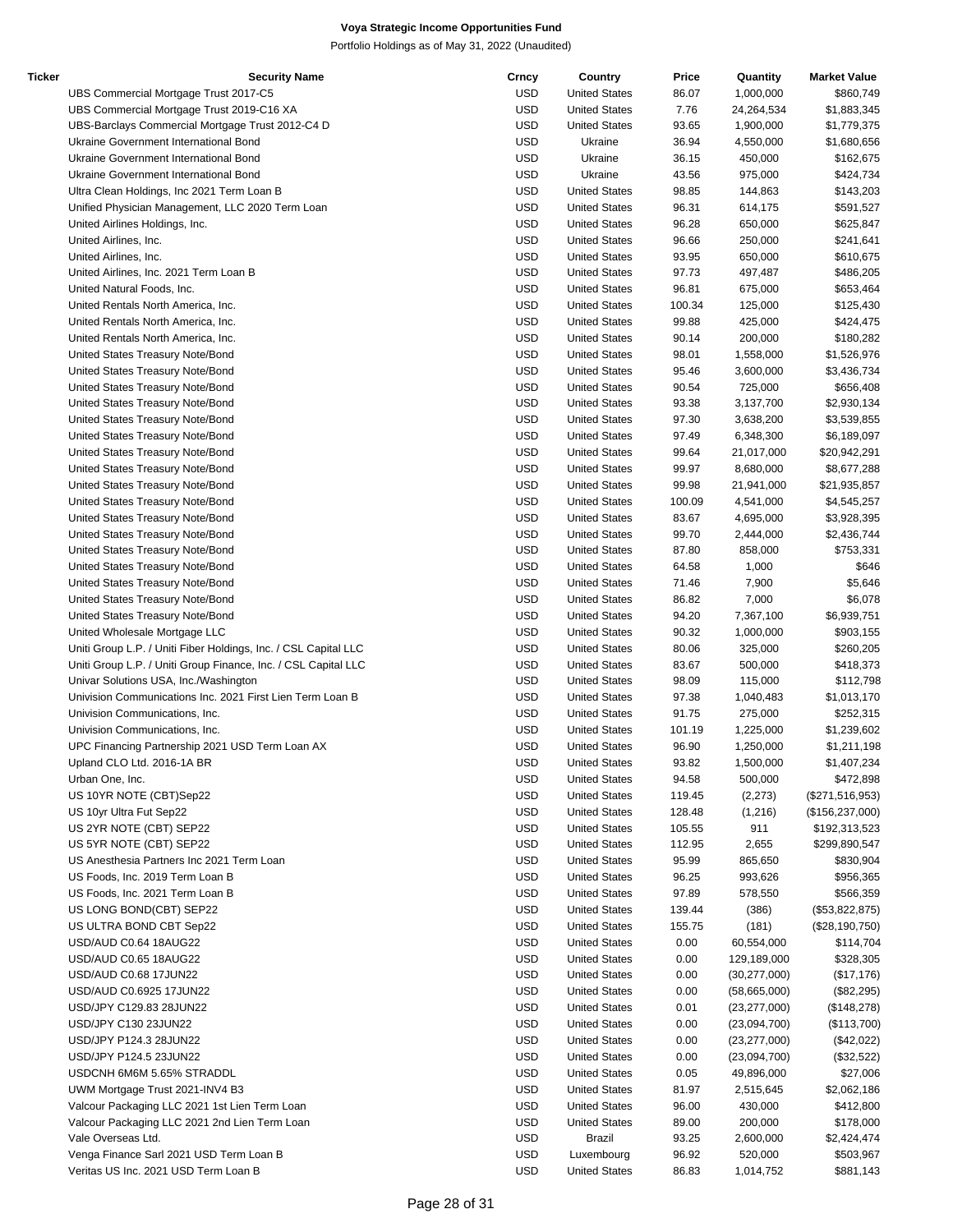| Ticker | <b>Security Name</b>                                            | Crncy      | Country              | Price  | Quantity       | <b>Market Value</b> |
|--------|-----------------------------------------------------------------|------------|----------------------|--------|----------------|---------------------|
|        | UBS Commercial Mortgage Trust 2017-C5                           | <b>USD</b> | <b>United States</b> | 86.07  | 1,000,000      | \$860,749           |
|        | UBS Commercial Mortgage Trust 2019-C16 XA                       | <b>USD</b> | <b>United States</b> | 7.76   | 24,264,534     | \$1,883,345         |
|        | UBS-Barclays Commercial Mortgage Trust 2012-C4 D                | <b>USD</b> | <b>United States</b> | 93.65  | 1,900,000      | \$1,779,375         |
|        | Ukraine Government International Bond                           | <b>USD</b> | Ukraine              | 36.94  | 4,550,000      | \$1,680,656         |
|        | Ukraine Government International Bond                           | <b>USD</b> | Ukraine              | 36.15  | 450,000        |                     |
|        |                                                                 |            |                      |        |                | \$162,675           |
|        | Ukraine Government International Bond                           | <b>USD</b> | Ukraine              | 43.56  | 975,000        | \$424,734           |
|        | Ultra Clean Holdings, Inc 2021 Term Loan B                      | <b>USD</b> | <b>United States</b> | 98.85  | 144,863        | \$143,203           |
|        | Unified Physician Management, LLC 2020 Term Loan                | <b>USD</b> | <b>United States</b> | 96.31  | 614,175        | \$591,527           |
|        | United Airlines Holdings, Inc.                                  | <b>USD</b> | <b>United States</b> | 96.28  | 650,000        | \$625,847           |
|        | United Airlines, Inc.                                           | <b>USD</b> | <b>United States</b> | 96.66  | 250,000        | \$241,641           |
|        | United Airlines, Inc.                                           | <b>USD</b> | <b>United States</b> | 93.95  | 650,000        | \$610,675           |
|        | United Airlines, Inc. 2021 Term Loan B                          | <b>USD</b> | <b>United States</b> | 97.73  | 497,487        | \$486,205           |
|        |                                                                 |            |                      |        |                |                     |
|        | United Natural Foods, Inc.                                      | <b>USD</b> | <b>United States</b> | 96.81  | 675,000        | \$653,464           |
|        | United Rentals North America, Inc.                              | <b>USD</b> | <b>United States</b> | 100.34 | 125,000        | \$125,430           |
|        | United Rentals North America, Inc.                              | <b>USD</b> | <b>United States</b> | 99.88  | 425,000        | \$424,475           |
|        | United Rentals North America, Inc.                              | <b>USD</b> | <b>United States</b> | 90.14  | 200,000        | \$180,282           |
|        | United States Treasury Note/Bond                                | <b>USD</b> | <b>United States</b> | 98.01  | 1,558,000      | \$1,526,976         |
|        | United States Treasury Note/Bond                                | <b>USD</b> | <b>United States</b> | 95.46  | 3,600,000      | \$3,436,734         |
|        |                                                                 |            |                      |        |                |                     |
|        | United States Treasury Note/Bond                                | <b>USD</b> | <b>United States</b> | 90.54  | 725,000        | \$656,408           |
|        | United States Treasury Note/Bond                                | <b>USD</b> | <b>United States</b> | 93.38  | 3,137,700      | \$2,930,134         |
|        | United States Treasury Note/Bond                                | <b>USD</b> | <b>United States</b> | 97.30  | 3,638,200      | \$3,539,855         |
|        | United States Treasury Note/Bond                                | <b>USD</b> | <b>United States</b> | 97.49  | 6,348,300      | \$6,189,097         |
|        | United States Treasury Note/Bond                                | <b>USD</b> | <b>United States</b> | 99.64  | 21,017,000     | \$20,942,291        |
|        | United States Treasury Note/Bond                                | <b>USD</b> | <b>United States</b> | 99.97  | 8,680,000      | \$8,677,288         |
|        |                                                                 |            |                      |        |                |                     |
|        | United States Treasury Note/Bond                                | <b>USD</b> | <b>United States</b> | 99.98  | 21,941,000     | \$21,935,857        |
|        | United States Treasury Note/Bond                                | <b>USD</b> | <b>United States</b> | 100.09 | 4,541,000      | \$4,545,257         |
|        | United States Treasury Note/Bond                                | <b>USD</b> | <b>United States</b> | 83.67  | 4,695,000      | \$3,928,395         |
|        | United States Treasury Note/Bond                                | <b>USD</b> | <b>United States</b> | 99.70  | 2,444,000      | \$2,436,744         |
|        | United States Treasury Note/Bond                                | <b>USD</b> | <b>United States</b> | 87.80  | 858,000        | \$753,331           |
|        | United States Treasury Note/Bond                                | <b>USD</b> | <b>United States</b> | 64.58  | 1,000          | \$646               |
|        | United States Treasury Note/Bond                                | <b>USD</b> | <b>United States</b> | 71.46  | 7,900          | \$5,646             |
|        |                                                                 |            |                      |        |                |                     |
|        | United States Treasury Note/Bond                                | <b>USD</b> | <b>United States</b> | 86.82  | 7,000          | \$6,078             |
|        | United States Treasury Note/Bond                                | USD        | <b>United States</b> | 94.20  | 7,367,100      | \$6,939,751         |
|        | United Wholesale Mortgage LLC                                   | <b>USD</b> | <b>United States</b> | 90.32  | 1,000,000      | \$903,155           |
|        | Uniti Group L.P. / Uniti Fiber Holdings, Inc. / CSL Capital LLC | <b>USD</b> | <b>United States</b> | 80.06  | 325,000        | \$260,205           |
|        | Uniti Group L.P. / Uniti Group Finance, Inc. / CSL Capital LLC  | <b>USD</b> | <b>United States</b> | 83.67  | 500,000        | \$418,373           |
|        | Univar Solutions USA, Inc./Washington                           | USD        | <b>United States</b> | 98.09  | 115,000        | \$112,798           |
|        | Univision Communications Inc. 2021 First Lien Term Loan B       | <b>USD</b> | <b>United States</b> | 97.38  | 1,040,483      |                     |
|        |                                                                 |            |                      |        |                | \$1,013,170         |
|        | Univision Communications, Inc.                                  | <b>USD</b> | <b>United States</b> | 91.75  | 275,000        | \$252,315           |
|        | Univision Communications, Inc.                                  | <b>USD</b> | <b>United States</b> | 101.19 | 1,225,000      | \$1,239,602         |
|        | UPC Financing Partnership 2021 USD Term Loan AX                 | <b>USD</b> | <b>United States</b> | 96.90  | 1,250,000      | \$1,211,198         |
|        | Upland CLO Ltd. 2016-1A BR                                      | <b>USD</b> | <b>United States</b> | 93.82  | 1,500,000      | \$1,407,234         |
|        | Urban One, Inc.                                                 | <b>USD</b> | <b>United States</b> | 94.58  | 500,000        | \$472,898           |
|        | US 10YR NOTE (CBT)Sep22                                         | <b>USD</b> | <b>United States</b> | 119.45 | (2,273)        | $(\$271,516,953)$   |
|        |                                                                 |            |                      |        |                |                     |
|        | US 10yr Ultra Fut Sep22                                         | <b>USD</b> | <b>United States</b> | 128.48 | (1,216)        | (\$156,237,000)     |
|        | US 2YR NOTE (CBT) SEP22                                         | <b>USD</b> | <b>United States</b> | 105.55 | 911            | \$192,313,523       |
|        | US 5YR NOTE (CBT) SEP22                                         | <b>USD</b> | <b>United States</b> | 112.95 | 2,655          | \$299,890,547       |
|        | US Anesthesia Partners Inc 2021 Term Loan                       | <b>USD</b> | <b>United States</b> | 95.99  | 865,650        | \$830,904           |
|        | US Foods, Inc. 2019 Term Loan B                                 | <b>USD</b> | <b>United States</b> | 96.25  | 993,626        | \$956,365           |
|        | US Foods, Inc. 2021 Term Loan B                                 | <b>USD</b> | <b>United States</b> | 97.89  | 578,550        | \$566,359           |
|        | US LONG BOND(CBT) SEP22                                         | <b>USD</b> | <b>United States</b> | 139.44 | (386)          | (\$53,822,875)      |
|        |                                                                 |            |                      |        |                |                     |
|        | US ULTRA BOND CBT Sep22                                         | <b>USD</b> | <b>United States</b> | 155.75 | (181)          | (\$28,190,750)      |
|        | USD/AUD C0.64 18AUG22                                           | <b>USD</b> | <b>United States</b> | 0.00   | 60,554,000     | \$114,704           |
|        | USD/AUD C0.65 18AUG22                                           | <b>USD</b> | <b>United States</b> | 0.00   | 129,189,000    | \$328,305           |
|        | USD/AUD C0.68 17JUN22                                           | <b>USD</b> | <b>United States</b> | 0.00   | (30, 277, 000) | (\$17,176)          |
|        | USD/AUD C0.6925 17JUN22                                         | <b>USD</b> | <b>United States</b> | 0.00   | (58,665,000)   | (\$82,295)          |
|        | USD/JPY C129.83 28JUN22                                         | <b>USD</b> | <b>United States</b> | 0.01   | (23, 277, 000) | (\$148,278)         |
|        |                                                                 |            |                      |        |                |                     |
|        | USD/JPY C130 23JUN22                                            | <b>USD</b> | <b>United States</b> | 0.00   | (23,094,700)   | (\$113,700)         |
|        | USD/JPY P124.3 28JUN22                                          | <b>USD</b> | <b>United States</b> | 0.00   | (23, 277, 000) | (\$42,022)          |
|        | USD/JPY P124.5 23JUN22                                          | <b>USD</b> | <b>United States</b> | 0.00   | (23,094,700)   | (\$32,522)          |
|        | USDCNH 6M6M 5.65% STRADDL                                       | <b>USD</b> | <b>United States</b> | 0.05   | 49,896,000     | \$27,006            |
|        | UWM Mortgage Trust 2021-INV4 B3                                 | <b>USD</b> | <b>United States</b> | 81.97  | 2,515,645      | \$2,062,186         |
|        | Valcour Packaging LLC 2021 1st Lien Term Loan                   | <b>USD</b> | <b>United States</b> | 96.00  | 430,000        | \$412,800           |
|        |                                                                 |            |                      |        |                |                     |
|        | Valcour Packaging LLC 2021 2nd Lien Term Loan                   | <b>USD</b> | <b>United States</b> | 89.00  | 200,000        | \$178,000           |
|        | Vale Overseas Ltd.                                              | <b>USD</b> | Brazil               | 93.25  | 2,600,000      | \$2,424,474         |
|        | Venga Finance Sarl 2021 USD Term Loan B                         | <b>USD</b> | Luxembourg           | 96.92  | 520,000        | \$503,967           |
|        | Veritas US Inc. 2021 USD Term Loan B                            | <b>USD</b> | <b>United States</b> | 86.83  | 1,014,752      | \$881,143           |
|        |                                                                 |            |                      |        |                |                     |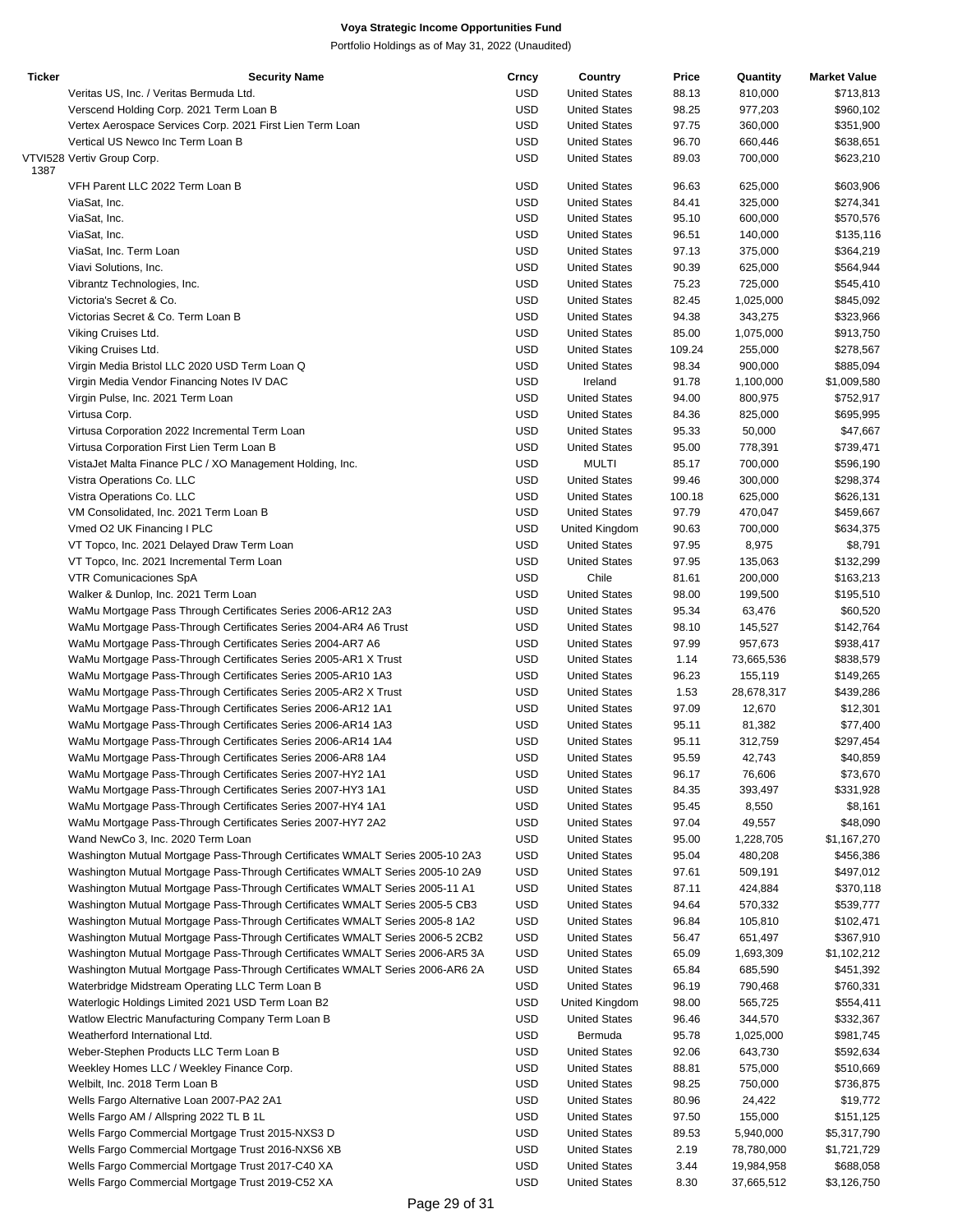| <b>Ticker</b> | <b>Security Name</b>                                                          | Crncy      | Country              | Price  | Quantity   | <b>Market Value</b> |
|---------------|-------------------------------------------------------------------------------|------------|----------------------|--------|------------|---------------------|
|               | Veritas US, Inc. / Veritas Bermuda Ltd.                                       | <b>USD</b> | <b>United States</b> | 88.13  | 810,000    | \$713,813           |
|               | Verscend Holding Corp. 2021 Term Loan B                                       | <b>USD</b> | <b>United States</b> | 98.25  | 977,203    | \$960,102           |
|               | Vertex Aerospace Services Corp. 2021 First Lien Term Loan                     | <b>USD</b> | <b>United States</b> | 97.75  | 360,000    | \$351,900           |
|               | Vertical US Newco Inc Term Loan B                                             | <b>USD</b> | <b>United States</b> | 96.70  | 660,446    | \$638,651           |
| 1387          | VTVI528 Vertiv Group Corp.                                                    | <b>USD</b> | <b>United States</b> | 89.03  | 700,000    | \$623,210           |
|               | VFH Parent LLC 2022 Term Loan B                                               | USD        | <b>United States</b> | 96.63  | 625,000    | \$603,906           |
|               | ViaSat, Inc.                                                                  | <b>USD</b> | <b>United States</b> | 84.41  | 325,000    | \$274,341           |
|               | ViaSat, Inc.                                                                  | <b>USD</b> | <b>United States</b> | 95.10  | 600,000    | \$570,576           |
|               | ViaSat, Inc.                                                                  | <b>USD</b> | <b>United States</b> | 96.51  | 140,000    | \$135,116           |
|               | ViaSat, Inc. Term Loan                                                        | <b>USD</b> | <b>United States</b> | 97.13  | 375,000    | \$364,219           |
|               | Viavi Solutions, Inc.                                                         | <b>USD</b> | <b>United States</b> | 90.39  | 625,000    | \$564,944           |
|               |                                                                               |            |                      |        |            |                     |
|               | Vibrantz Technologies, Inc.                                                   | <b>USD</b> | <b>United States</b> | 75.23  | 725,000    | \$545,410           |
|               | Victoria's Secret & Co.                                                       | <b>USD</b> | <b>United States</b> | 82.45  | 1,025,000  | \$845,092           |
|               | Victorias Secret & Co. Term Loan B                                            | <b>USD</b> | <b>United States</b> | 94.38  | 343,275    | \$323,966           |
|               | Viking Cruises Ltd.                                                           | <b>USD</b> | <b>United States</b> | 85.00  | 1,075,000  | \$913,750           |
|               | Viking Cruises Ltd.                                                           | <b>USD</b> | <b>United States</b> | 109.24 | 255,000    | \$278,567           |
|               | Virgin Media Bristol LLC 2020 USD Term Loan Q                                 | <b>USD</b> | <b>United States</b> | 98.34  | 900,000    | \$885,094           |
|               | Virgin Media Vendor Financing Notes IV DAC                                    | <b>USD</b> | Ireland              | 91.78  | 1,100,000  | \$1,009,580         |
|               | Virgin Pulse, Inc. 2021 Term Loan                                             | <b>USD</b> | <b>United States</b> | 94.00  | 800,975    | \$752,917           |
|               | Virtusa Corp.                                                                 | <b>USD</b> | <b>United States</b> | 84.36  | 825,000    | \$695,995           |
|               | Virtusa Corporation 2022 Incremental Term Loan                                | <b>USD</b> | <b>United States</b> | 95.33  | 50,000     | \$47,667            |
|               | Virtusa Corporation First Lien Term Loan B                                    | <b>USD</b> | <b>United States</b> | 95.00  | 778,391    | \$739,471           |
|               | VistaJet Malta Finance PLC / XO Management Holding, Inc.                      | <b>USD</b> | <b>MULTI</b>         | 85.17  | 700,000    | \$596,190           |
|               | Vistra Operations Co. LLC                                                     | <b>USD</b> | <b>United States</b> | 99.46  | 300,000    | \$298,374           |
|               | Vistra Operations Co. LLC                                                     | <b>USD</b> | <b>United States</b> | 100.18 | 625,000    | \$626,131           |
|               | VM Consolidated, Inc. 2021 Term Loan B                                        | <b>USD</b> | <b>United States</b> | 97.79  | 470,047    | \$459,667           |
|               | Vmed O2 UK Financing I PLC                                                    | <b>USD</b> | United Kingdom       | 90.63  | 700,000    | \$634,375           |
|               |                                                                               |            |                      |        |            |                     |
|               | VT Topco, Inc. 2021 Delayed Draw Term Loan                                    | <b>USD</b> | <b>United States</b> | 97.95  | 8,975      | \$8,791             |
|               | VT Topco, Inc. 2021 Incremental Term Loan                                     | <b>USD</b> | <b>United States</b> | 97.95  | 135,063    | \$132,299           |
|               | <b>VTR Comunicaciones SpA</b>                                                 | <b>USD</b> | Chile                | 81.61  | 200,000    | \$163,213           |
|               | Walker & Dunlop, Inc. 2021 Term Loan                                          | USD        | <b>United States</b> | 98.00  | 199,500    | \$195,510           |
|               | WaMu Mortgage Pass Through Certificates Series 2006-AR12 2A3                  | <b>USD</b> | <b>United States</b> | 95.34  | 63,476     | \$60,520            |
|               | WaMu Mortgage Pass-Through Certificates Series 2004-AR4 A6 Trust              | <b>USD</b> | <b>United States</b> | 98.10  | 145,527    | \$142,764           |
|               | WaMu Mortgage Pass-Through Certificates Series 2004-AR7 A6                    | <b>USD</b> | <b>United States</b> | 97.99  | 957,673    | \$938,417           |
|               | WaMu Mortgage Pass-Through Certificates Series 2005-AR1 X Trust               | <b>USD</b> | <b>United States</b> | 1.14   | 73,665,536 | \$838,579           |
|               | WaMu Mortgage Pass-Through Certificates Series 2005-AR10 1A3                  | USD        | <b>United States</b> | 96.23  | 155,119    | \$149,265           |
|               | WaMu Mortgage Pass-Through Certificates Series 2005-AR2 X Trust               | <b>USD</b> | <b>United States</b> | 1.53   | 28,678,317 | \$439,286           |
|               | WaMu Mortgage Pass-Through Certificates Series 2006-AR12 1A1                  | <b>USD</b> | <b>United States</b> | 97.09  | 12,670     | \$12,301            |
|               | WaMu Mortgage Pass-Through Certificates Series 2006-AR14 1A3                  | <b>USD</b> | <b>United States</b> | 95.11  | 81,382     | \$77,400            |
|               | WaMu Mortgage Pass-Through Certificates Series 2006-AR14 1A4                  | USD        | <b>United States</b> | 95.11  | 312,759    | \$297,454           |
|               | WaMu Mortgage Pass-Through Certificates Series 2006-AR8 1A4                   | <b>USD</b> | <b>United States</b> | 95.59  | 42,743     | \$40,859            |
|               | WaMu Mortgage Pass-Through Certificates Series 2007-HY2 1A1                   | USD        | <b>United States</b> | 96.17  | 76,606     | \$73,670            |
|               | WaMu Mortgage Pass-Through Certificates Series 2007-HY3 1A1                   | USD        | <b>United States</b> | 84.35  | 393,497    | \$331,928           |
|               |                                                                               |            | <b>United States</b> |        |            |                     |
|               | WaMu Mortgage Pass-Through Certificates Series 2007-HY4 1A1                   | USD        |                      | 95.45  | 8,550      | \$8,161             |
|               | WaMu Mortgage Pass-Through Certificates Series 2007-HY7 2A2                   | USD        | <b>United States</b> | 97.04  | 49,557     | \$48,090            |
|               | Wand NewCo 3, Inc. 2020 Term Loan                                             | USD        | <b>United States</b> | 95.00  | 1,228,705  | \$1,167,270         |
|               | Washington Mutual Mortgage Pass-Through Certificates WMALT Series 2005-10 2A3 | <b>USD</b> | <b>United States</b> | 95.04  | 480,208    | \$456,386           |
|               | Washington Mutual Mortgage Pass-Through Certificates WMALT Series 2005-10 2A9 | <b>USD</b> | <b>United States</b> | 97.61  | 509,191    | \$497,012           |
|               | Washington Mutual Mortgage Pass-Through Certificates WMALT Series 2005-11 A1  | <b>USD</b> | <b>United States</b> | 87.11  | 424,884    | \$370,118           |
|               | Washington Mutual Mortgage Pass-Through Certificates WMALT Series 2005-5 CB3  | <b>USD</b> | <b>United States</b> | 94.64  | 570,332    | \$539,777           |
|               | Washington Mutual Mortgage Pass-Through Certificates WMALT Series 2005-8 1A2  | <b>USD</b> | <b>United States</b> | 96.84  | 105,810    | \$102,471           |
|               | Washington Mutual Mortgage Pass-Through Certificates WMALT Series 2006-5 2CB2 | <b>USD</b> | <b>United States</b> | 56.47  | 651,497    | \$367,910           |
|               | Washington Mutual Mortgage Pass-Through Certificates WMALT Series 2006-AR5 3A | <b>USD</b> | <b>United States</b> | 65.09  | 1,693,309  | \$1,102,212         |
|               | Washington Mutual Mortgage Pass-Through Certificates WMALT Series 2006-AR6 2A | <b>USD</b> | <b>United States</b> | 65.84  | 685,590    | \$451,392           |
|               | Waterbridge Midstream Operating LLC Term Loan B                               | <b>USD</b> | <b>United States</b> | 96.19  | 790,468    | \$760,331           |
|               | Waterlogic Holdings Limited 2021 USD Term Loan B2                             | <b>USD</b> | United Kingdom       | 98.00  | 565,725    | \$554,411           |
|               | Watlow Electric Manufacturing Company Term Loan B                             | <b>USD</b> | <b>United States</b> | 96.46  | 344,570    | \$332,367           |
|               | Weatherford International Ltd.                                                | <b>USD</b> | Bermuda              | 95.78  | 1,025,000  | \$981,745           |
|               | Weber-Stephen Products LLC Term Loan B                                        | <b>USD</b> | <b>United States</b> | 92.06  | 643,730    | \$592,634           |
|               |                                                                               |            |                      |        |            |                     |
|               | Weekley Homes LLC / Weekley Finance Corp.                                     | <b>USD</b> | <b>United States</b> | 88.81  | 575,000    | \$510,669           |
|               | Welbilt, Inc. 2018 Term Loan B                                                | <b>USD</b> | <b>United States</b> | 98.25  | 750,000    | \$736,875           |
|               | Wells Fargo Alternative Loan 2007-PA2 2A1                                     | <b>USD</b> | <b>United States</b> | 80.96  | 24,422     | \$19,772            |
|               | Wells Fargo AM / Allspring 2022 TL B 1L                                       | <b>USD</b> | <b>United States</b> | 97.50  | 155,000    | \$151,125           |
|               | Wells Fargo Commercial Mortgage Trust 2015-NXS3 D                             | <b>USD</b> | <b>United States</b> | 89.53  | 5,940,000  | \$5,317,790         |
|               | Wells Fargo Commercial Mortgage Trust 2016-NXS6 XB                            | <b>USD</b> | <b>United States</b> | 2.19   | 78,780,000 | \$1,721,729         |
|               | Wells Fargo Commercial Mortgage Trust 2017-C40 XA                             | <b>USD</b> | <b>United States</b> | 3.44   | 19,984,958 | \$688,058           |
|               | Wells Fargo Commercial Mortgage Trust 2019-C52 XA                             | <b>USD</b> | <b>United States</b> | 8.30   | 37,665,512 | \$3,126,750         |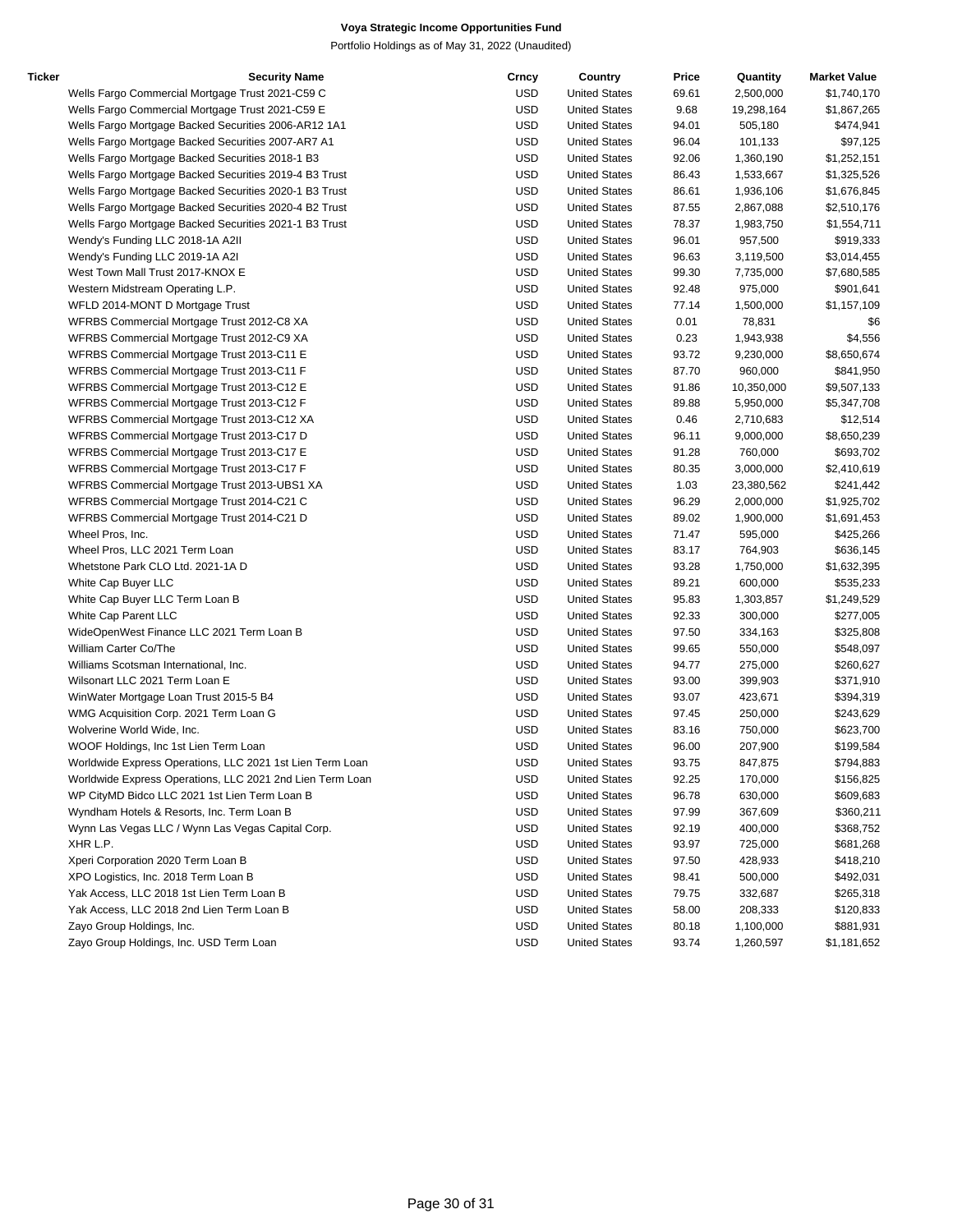| Ticker | <b>Security Name</b>                                      | Crncy      | Country              | Price | Quantity   | <b>Market Value</b> |
|--------|-----------------------------------------------------------|------------|----------------------|-------|------------|---------------------|
|        | Wells Fargo Commercial Mortgage Trust 2021-C59 C          | <b>USD</b> | <b>United States</b> | 69.61 | 2,500,000  | \$1,740,170         |
|        | Wells Fargo Commercial Mortgage Trust 2021-C59 E          | <b>USD</b> | <b>United States</b> | 9.68  | 19,298,164 | \$1,867,265         |
|        | Wells Fargo Mortgage Backed Securities 2006-AR12 1A1      | <b>USD</b> | <b>United States</b> | 94.01 | 505,180    | \$474,941           |
|        | Wells Fargo Mortgage Backed Securities 2007-AR7 A1        | <b>USD</b> | <b>United States</b> | 96.04 | 101,133    | \$97,125            |
|        | Wells Fargo Mortgage Backed Securities 2018-1 B3          | <b>USD</b> | <b>United States</b> | 92.06 | 1,360,190  | \$1,252,151         |
|        | Wells Fargo Mortgage Backed Securities 2019-4 B3 Trust    | <b>USD</b> | <b>United States</b> | 86.43 | 1,533,667  | \$1,325,526         |
|        | Wells Fargo Mortgage Backed Securities 2020-1 B3 Trust    | <b>USD</b> | <b>United States</b> | 86.61 | 1,936,106  | \$1,676,845         |
|        | Wells Fargo Mortgage Backed Securities 2020-4 B2 Trust    | <b>USD</b> | <b>United States</b> | 87.55 | 2,867,088  | \$2,510,176         |
|        | Wells Fargo Mortgage Backed Securities 2021-1 B3 Trust    | <b>USD</b> | <b>United States</b> | 78.37 | 1,983,750  | \$1,554,711         |
|        | Wendy's Funding LLC 2018-1A A2II                          | <b>USD</b> | <b>United States</b> | 96.01 | 957,500    | \$919,333           |
|        | Wendy's Funding LLC 2019-1A A2I                           | <b>USD</b> | <b>United States</b> | 96.63 | 3,119,500  | \$3,014,455         |
|        | West Town Mall Trust 2017-KNOX E                          | <b>USD</b> | <b>United States</b> | 99.30 | 7,735,000  | \$7,680,585         |
|        | Western Midstream Operating L.P.                          | <b>USD</b> | <b>United States</b> | 92.48 | 975,000    | \$901,641           |
|        | WFLD 2014-MONT D Mortgage Trust                           | <b>USD</b> | <b>United States</b> | 77.14 | 1,500,000  | \$1,157,109         |
|        | WFRBS Commercial Mortgage Trust 2012-C8 XA                | <b>USD</b> | <b>United States</b> | 0.01  | 78,831     | \$6                 |
|        | WFRBS Commercial Mortgage Trust 2012-C9 XA                | <b>USD</b> | <b>United States</b> | 0.23  | 1,943,938  | \$4,556             |
|        | WFRBS Commercial Mortgage Trust 2013-C11 E                | <b>USD</b> | <b>United States</b> | 93.72 | 9,230,000  | \$8,650,674         |
|        | WFRBS Commercial Mortgage Trust 2013-C11 F                | <b>USD</b> | <b>United States</b> | 87.70 | 960,000    | \$841,950           |
|        |                                                           | <b>USD</b> | <b>United States</b> | 91.86 | 10,350,000 |                     |
|        | WFRBS Commercial Mortgage Trust 2013-C12 E                |            | <b>United States</b> |       |            | \$9,507,133         |
|        | WFRBS Commercial Mortgage Trust 2013-C12 F                | <b>USD</b> |                      | 89.88 | 5,950,000  | \$5,347,708         |
|        | WFRBS Commercial Mortgage Trust 2013-C12 XA               | <b>USD</b> | <b>United States</b> | 0.46  | 2,710,683  | \$12,514            |
|        | WFRBS Commercial Mortgage Trust 2013-C17 D                | <b>USD</b> | <b>United States</b> | 96.11 | 9,000,000  | \$8,650,239         |
|        | WFRBS Commercial Mortgage Trust 2013-C17 E                | <b>USD</b> | <b>United States</b> | 91.28 | 760,000    | \$693,702           |
|        | WFRBS Commercial Mortgage Trust 2013-C17 F                | <b>USD</b> | <b>United States</b> | 80.35 | 3,000,000  | \$2,410,619         |
|        | WFRBS Commercial Mortgage Trust 2013-UBS1 XA              | <b>USD</b> | <b>United States</b> | 1.03  | 23,380,562 | \$241,442           |
|        | WFRBS Commercial Mortgage Trust 2014-C21 C                | <b>USD</b> | <b>United States</b> | 96.29 | 2,000,000  | \$1,925,702         |
|        | WFRBS Commercial Mortgage Trust 2014-C21 D                | <b>USD</b> | <b>United States</b> | 89.02 | 1,900,000  | \$1,691,453         |
|        | Wheel Pros, Inc.                                          | <b>USD</b> | <b>United States</b> | 71.47 | 595,000    | \$425,266           |
|        | Wheel Pros, LLC 2021 Term Loan                            | <b>USD</b> | <b>United States</b> | 83.17 | 764,903    | \$636,145           |
|        | Whetstone Park CLO Ltd. 2021-1A D                         | <b>USD</b> | <b>United States</b> | 93.28 | 1,750,000  | \$1,632,395         |
|        | White Cap Buyer LLC                                       | <b>USD</b> | <b>United States</b> | 89.21 | 600,000    | \$535,233           |
|        | White Cap Buyer LLC Term Loan B                           | <b>USD</b> | <b>United States</b> | 95.83 | 1,303,857  | \$1,249,529         |
|        | White Cap Parent LLC                                      | <b>USD</b> | <b>United States</b> | 92.33 | 300,000    | \$277,005           |
|        | WideOpenWest Finance LLC 2021 Term Loan B                 | <b>USD</b> | <b>United States</b> | 97.50 | 334,163    | \$325,808           |
|        | William Carter Co/The                                     | <b>USD</b> | <b>United States</b> | 99.65 | 550,000    | \$548,097           |
|        | Williams Scotsman International, Inc.                     | <b>USD</b> | <b>United States</b> | 94.77 | 275,000    | \$260,627           |
|        | Wilsonart LLC 2021 Term Loan E                            | <b>USD</b> | <b>United States</b> | 93.00 | 399,903    | \$371,910           |
|        | WinWater Mortgage Loan Trust 2015-5 B4                    | <b>USD</b> | <b>United States</b> | 93.07 | 423,671    | \$394,319           |
|        | WMG Acquisition Corp. 2021 Term Loan G                    | <b>USD</b> | <b>United States</b> | 97.45 | 250,000    | \$243,629           |
|        | Wolverine World Wide, Inc.                                | <b>USD</b> | <b>United States</b> | 83.16 | 750,000    | \$623,700           |
|        | WOOF Holdings, Inc 1st Lien Term Loan                     | <b>USD</b> | <b>United States</b> | 96.00 | 207,900    | \$199,584           |
|        | Worldwide Express Operations, LLC 2021 1st Lien Term Loan | <b>USD</b> | <b>United States</b> | 93.75 | 847,875    | \$794,883           |
|        | Worldwide Express Operations, LLC 2021 2nd Lien Term Loan | <b>USD</b> | <b>United States</b> | 92.25 | 170,000    | \$156,825           |
|        | WP CityMD Bidco LLC 2021 1st Lien Term Loan B             | <b>USD</b> | <b>United States</b> | 96.78 | 630,000    | \$609,683           |
|        | Wyndham Hotels & Resorts, Inc. Term Loan B                | <b>USD</b> | <b>United States</b> | 97.99 | 367,609    | \$360,211           |
|        | Wynn Las Vegas LLC / Wynn Las Vegas Capital Corp.         | <b>USD</b> | <b>United States</b> | 92.19 | 400,000    | \$368,752           |
|        | XHR L.P.                                                  | <b>USD</b> | <b>United States</b> | 93.97 | 725,000    | \$681,268           |
|        | Xperi Corporation 2020 Term Loan B                        | <b>USD</b> | <b>United States</b> | 97.50 | 428,933    | \$418,210           |
|        | XPO Logistics, Inc. 2018 Term Loan B                      | <b>USD</b> | <b>United States</b> | 98.41 | 500,000    | \$492,031           |
|        | Yak Access, LLC 2018 1st Lien Term Loan B                 | <b>USD</b> | <b>United States</b> | 79.75 | 332,687    | \$265,318           |
|        | Yak Access, LLC 2018 2nd Lien Term Loan B                 | <b>USD</b> | <b>United States</b> | 58.00 | 208,333    | \$120,833           |
|        | Zayo Group Holdings, Inc.                                 | <b>USD</b> | <b>United States</b> | 80.18 | 1,100,000  | \$881,931           |
|        | Zayo Group Holdings, Inc. USD Term Loan                   | <b>USD</b> | <b>United States</b> | 93.74 | 1,260,597  | \$1,181,652         |
|        |                                                           |            |                      |       |            |                     |